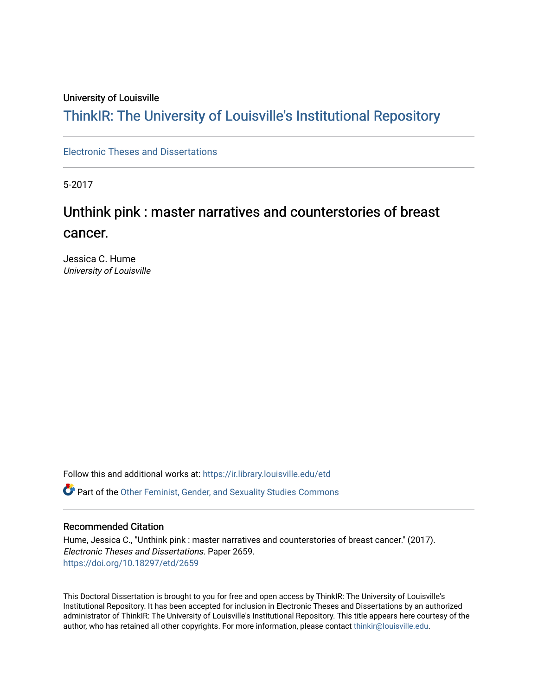#### University of Louisville

## ThinkIR: The Univ[ersity of Louisville's Institutional Reposit](https://ir.library.louisville.edu/)ory

[Electronic Theses and Dissertations](https://ir.library.louisville.edu/etd)

5-2017

# Unthink pink : master narratives and counterstories of breast cancer.

Jessica C. Hume University of Louisville

Follow this and additional works at: [https://ir.library.louisville.edu/etd](https://ir.library.louisville.edu/etd?utm_source=ir.library.louisville.edu%2Fetd%2F2659&utm_medium=PDF&utm_campaign=PDFCoverPages)  Part of the [Other Feminist, Gender, and Sexuality Studies Commons](http://network.bepress.com/hgg/discipline/562?utm_source=ir.library.louisville.edu%2Fetd%2F2659&utm_medium=PDF&utm_campaign=PDFCoverPages) 

#### Recommended Citation

Hume, Jessica C., "Unthink pink : master narratives and counterstories of breast cancer." (2017). Electronic Theses and Dissertations. Paper 2659. <https://doi.org/10.18297/etd/2659>

This Doctoral Dissertation is brought to you for free and open access by ThinkIR: The University of Louisville's Institutional Repository. It has been accepted for inclusion in Electronic Theses and Dissertations by an authorized administrator of ThinkIR: The University of Louisville's Institutional Repository. This title appears here courtesy of the author, who has retained all other copyrights. For more information, please contact [thinkir@louisville.edu.](mailto:thinkir@louisville.edu)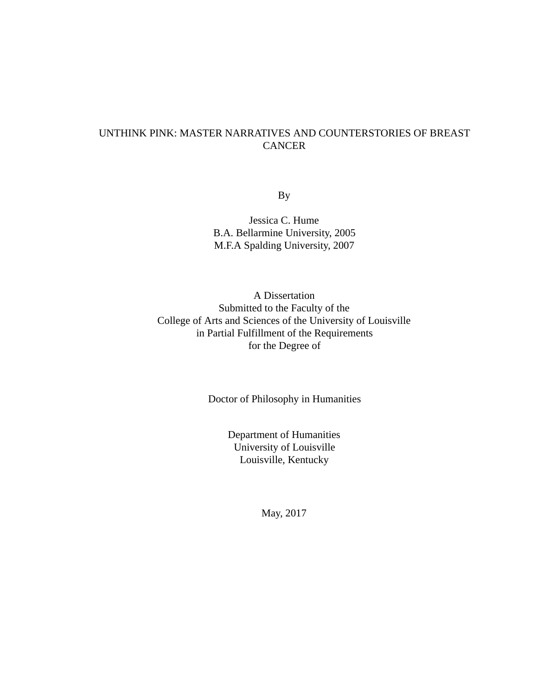### UNTHINK PINK: MASTER NARRATIVES AND COUNTERSTORIES OF BREAST CANCER

By

Jessica C. Hume B.A. Bellarmine University, 2005 M.F.A Spalding University, 2007

A Dissertation Submitted to the Faculty of the College of Arts and Sciences of the University of Louisville in Partial Fulfillment of the Requirements for the Degree of

Doctor of Philosophy in Humanities

Department of Humanities University of Louisville Louisville, Kentucky

May, 2017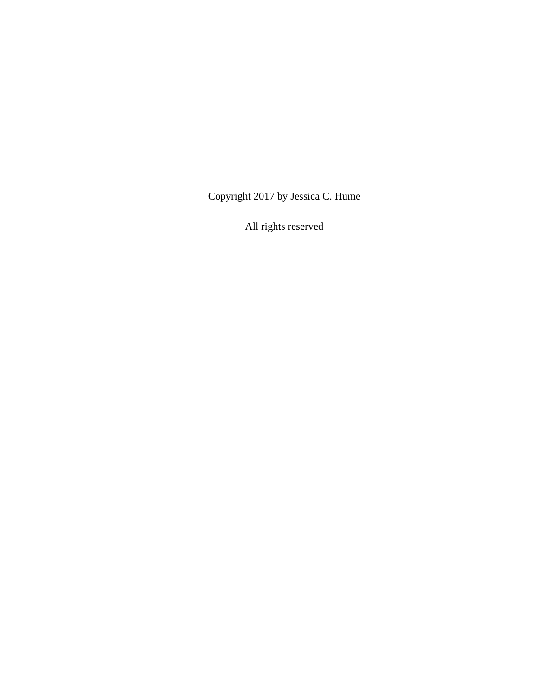Copyright 2017 by Jessica C. Hume

All rights reserved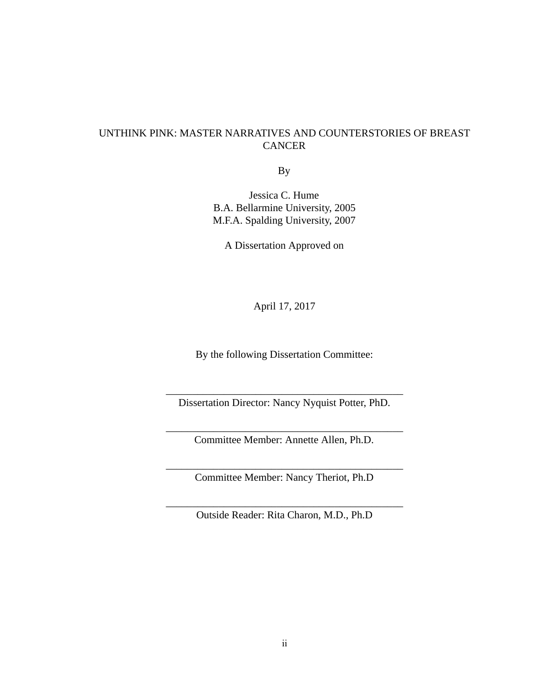### UNTHINK PINK: MASTER NARRATIVES AND COUNTERSTORIES OF BREAST **CANCER**

By

Jessica C. Hume B.A. Bellarmine University, 2005 M.F.A. Spalding University, 2007

A Dissertation Approved on

April 17, 2017

By the following Dissertation Committee:

\_\_\_\_\_\_\_\_\_\_\_\_\_\_\_\_\_\_\_\_\_\_\_\_\_\_\_\_\_\_\_\_\_\_\_\_\_\_\_\_\_\_\_\_\_ Dissertation Director: Nancy Nyquist Potter, PhD.

\_\_\_\_\_\_\_\_\_\_\_\_\_\_\_\_\_\_\_\_\_\_\_\_\_\_\_\_\_\_\_\_\_\_\_\_\_\_\_\_\_\_\_\_\_ Committee Member: Annette Allen, Ph.D.

\_\_\_\_\_\_\_\_\_\_\_\_\_\_\_\_\_\_\_\_\_\_\_\_\_\_\_\_\_\_\_\_\_\_\_\_\_\_\_\_\_\_\_\_\_ Committee Member: Nancy Theriot, Ph.D

\_\_\_\_\_\_\_\_\_\_\_\_\_\_\_\_\_\_\_\_\_\_\_\_\_\_\_\_\_\_\_\_\_\_\_\_\_\_\_\_\_\_\_\_\_ Outside Reader: Rita Charon, M.D., Ph.D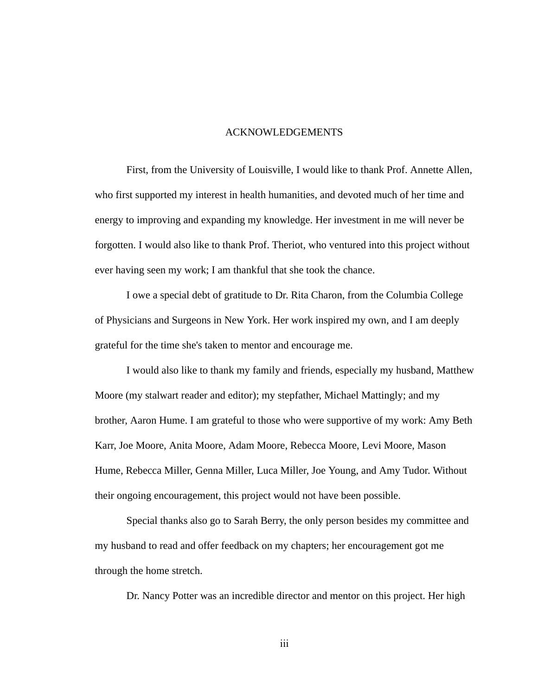#### ACKNOWLEDGEMENTS

First, from the University of Louisville, I would like to thank Prof. Annette Allen, who first supported my interest in health humanities, and devoted much of her time and energy to improving and expanding my knowledge. Her investment in me will never be forgotten. I would also like to thank Prof. Theriot, who ventured into this project without ever having seen my work; I am thankful that she took the chance.

I owe a special debt of gratitude to Dr. Rita Charon, from the Columbia College of Physicians and Surgeons in New York. Her work inspired my own, and I am deeply grateful for the time she's taken to mentor and encourage me.

I would also like to thank my family and friends, especially my husband, Matthew Moore (my stalwart reader and editor); my stepfather, Michael Mattingly; and my brother, Aaron Hume. I am grateful to those who were supportive of my work: Amy Beth Karr, Joe Moore, Anita Moore, Adam Moore, Rebecca Moore, Levi Moore, Mason Hume, Rebecca Miller, Genna Miller, Luca Miller, Joe Young, and Amy Tudor. Without their ongoing encouragement, this project would not have been possible.

Special thanks also go to Sarah Berry, the only person besides my committee and my husband to read and offer feedback on my chapters; her encouragement got me through the home stretch.

Dr. Nancy Potter was an incredible director and mentor on this project. Her high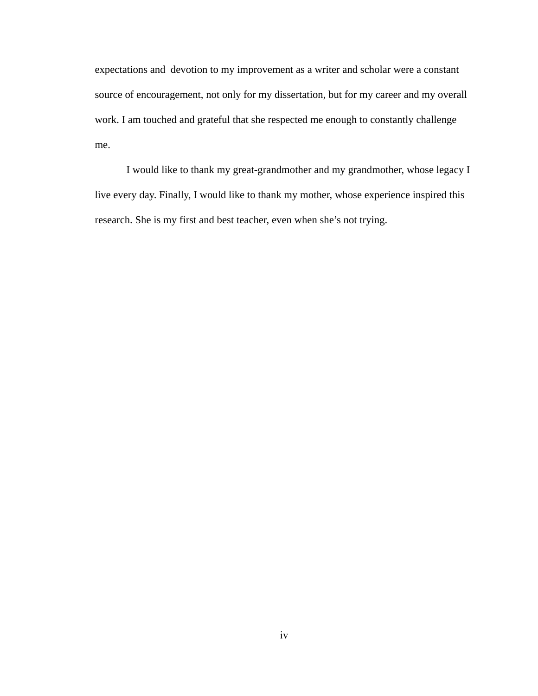expectations and devotion to my improvement as a writer and scholar were a constant source of encouragement, not only for my dissertation, but for my career and my overall work. I am touched and grateful that she respected me enough to constantly challenge me.

I would like to thank my great-grandmother and my grandmother, whose legacy I live every day. Finally, I would like to thank my mother, whose experience inspired this research. She is my first and best teacher, even when she's not trying.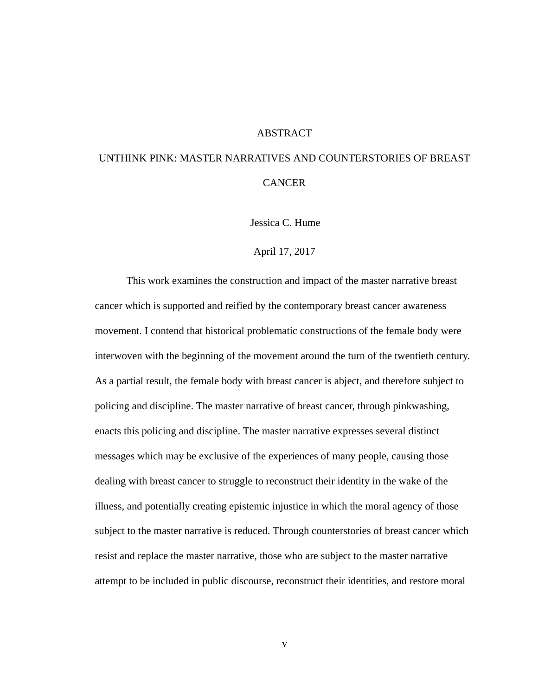#### ABSTRACT

## UNTHINK PINK: MASTER NARRATIVES AND COUNTERSTORIES OF BREAST CANCER

Jessica C. Hume

#### April 17, 2017

This work examines the construction and impact of the master narrative breast cancer which is supported and reified by the contemporary breast cancer awareness movement. I contend that historical problematic constructions of the female body were interwoven with the beginning of the movement around the turn of the twentieth century. As a partial result, the female body with breast cancer is abject, and therefore subject to policing and discipline. The master narrative of breast cancer, through pinkwashing, enacts this policing and discipline. The master narrative expresses several distinct messages which may be exclusive of the experiences of many people, causing those dealing with breast cancer to struggle to reconstruct their identity in the wake of the illness, and potentially creating epistemic injustice in which the moral agency of those subject to the master narrative is reduced. Through counterstories of breast cancer which resist and replace the master narrative, those who are subject to the master narrative attempt to be included in public discourse, reconstruct their identities, and restore moral

v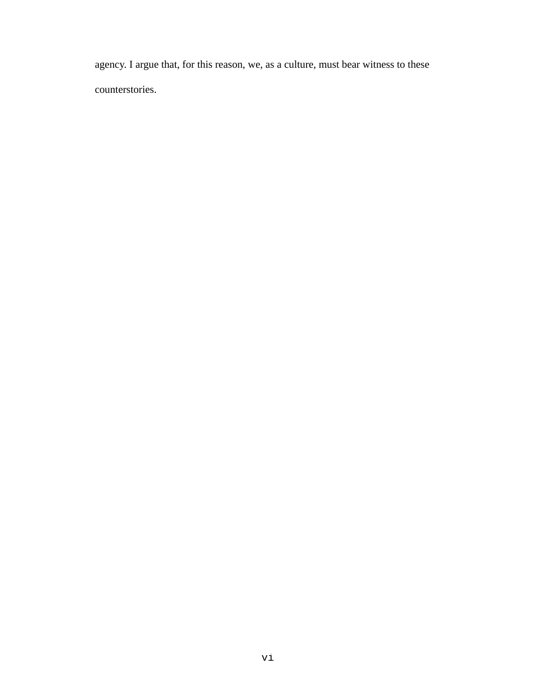agency. I argue that, for this reason, we, as a culture, must bear witness to these counterstories.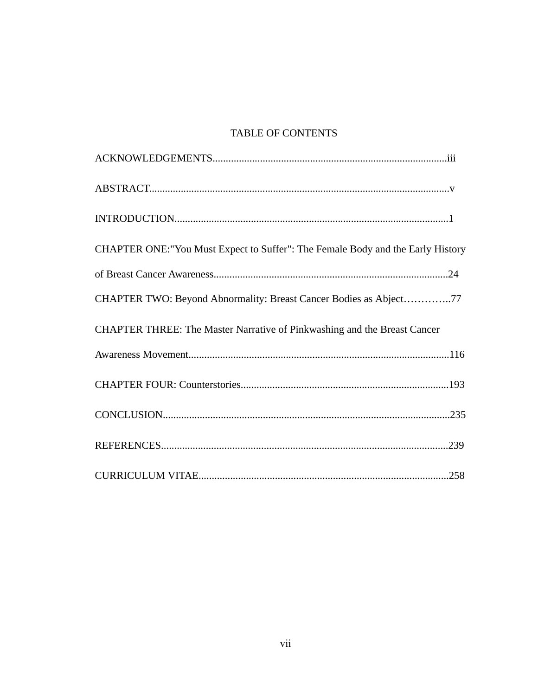### TABLE OF CONTENTS

| CHAPTER ONE:"You Must Expect to Suffer": The Female Body and the Early History |
|--------------------------------------------------------------------------------|
|                                                                                |
| CHAPTER TWO: Beyond Abnormality: Breast Cancer Bodies as Abject77              |
| CHAPTER THREE: The Master Narrative of Pinkwashing and the Breast Cancer       |
|                                                                                |
|                                                                                |
|                                                                                |
|                                                                                |
|                                                                                |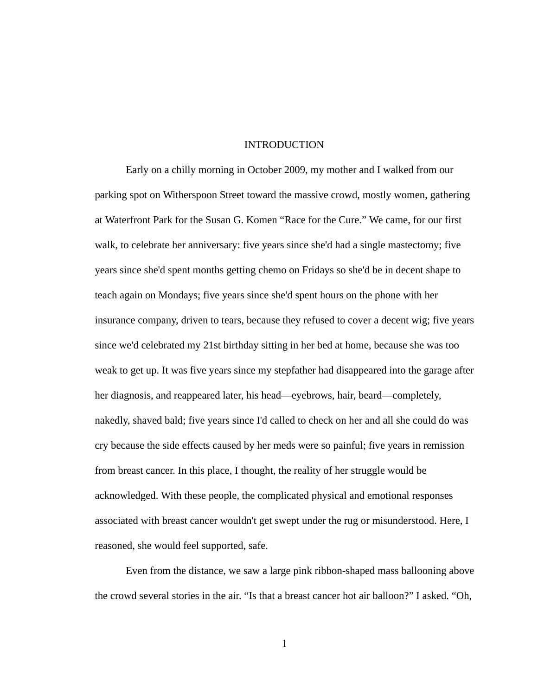#### INTRODUCTION

Early on a chilly morning in October 2009, my mother and I walked from our parking spot on Witherspoon Street toward the massive crowd, mostly women, gathering at Waterfront Park for the Susan G. Komen "Race for the Cure." We came, for our first walk, to celebrate her anniversary: five years since she'd had a single mastectomy; five years since she'd spent months getting chemo on Fridays so she'd be in decent shape to teach again on Mondays; five years since she'd spent hours on the phone with her insurance company, driven to tears, because they refused to cover a decent wig; five years since we'd celebrated my 21st birthday sitting in her bed at home, because she was too weak to get up. It was five years since my stepfather had disappeared into the garage after her diagnosis, and reappeared later, his head—eyebrows, hair, beard—completely, nakedly, shaved bald; five years since I'd called to check on her and all she could do was cry because the side effects caused by her meds were so painful; five years in remission from breast cancer. In this place, I thought, the reality of her struggle would be acknowledged. With these people, the complicated physical and emotional responses associated with breast cancer wouldn't get swept under the rug or misunderstood. Here, I reasoned, she would feel supported, safe.

Even from the distance, we saw a large pink ribbon-shaped mass ballooning above the crowd several stories in the air. "Is that a breast cancer hot air balloon?" I asked. "Oh,

1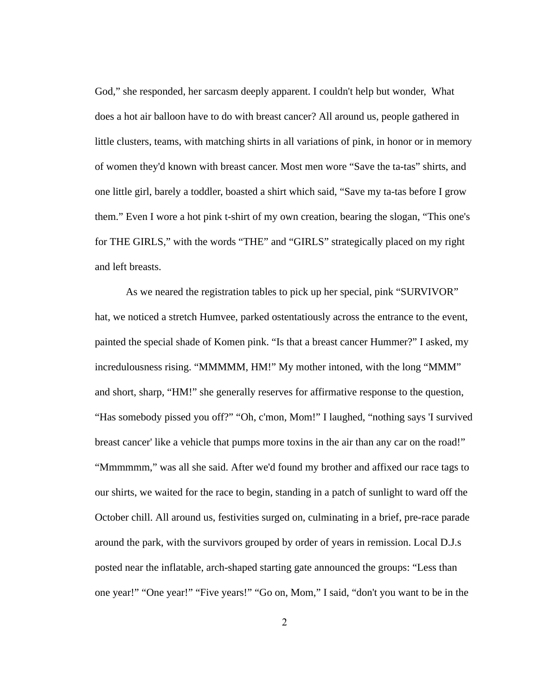God," she responded, her sarcasm deeply apparent. I couldn't help but wonder, What does a hot air balloon have to do with breast cancer? All around us, people gathered in little clusters, teams, with matching shirts in all variations of pink, in honor or in memory of women they'd known with breast cancer. Most men wore "Save the ta-tas" shirts, and one little girl, barely a toddler, boasted a shirt which said, "Save my ta-tas before I grow them." Even I wore a hot pink t-shirt of my own creation, bearing the slogan, "This one's for THE GIRLS," with the words "THE" and "GIRLS" strategically placed on my right and left breasts.

As we neared the registration tables to pick up her special, pink "SURVIVOR" hat, we noticed a stretch Humvee, parked ostentatiously across the entrance to the event, painted the special shade of Komen pink. "Is that a breast cancer Hummer?" I asked, my incredulousness rising. "MMMMM, HM!" My mother intoned, with the long "MMM" and short, sharp, "HM!" she generally reserves for affirmative response to the question, "Has somebody pissed you off?" "Oh, c'mon, Mom!" I laughed, "nothing says 'I survived breast cancer' like a vehicle that pumps more toxins in the air than any car on the road!" "Mmmmmm," was all she said. After we'd found my brother and affixed our race tags to our shirts, we waited for the race to begin, standing in a patch of sunlight to ward off the October chill. All around us, festivities surged on, culminating in a brief, pre-race parade around the park, with the survivors grouped by order of years in remission. Local D.J.s posted near the inflatable, arch-shaped starting gate announced the groups: "Less than one year!" "One year!" "Five years!" "Go on, Mom," I said, "don't you want to be in the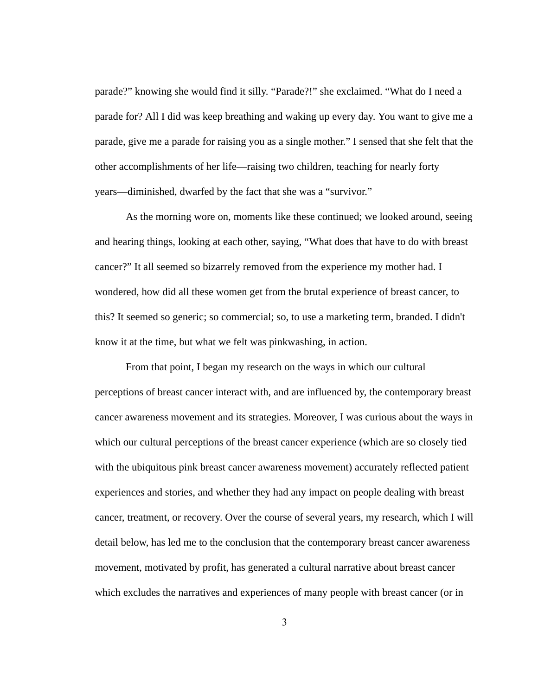parade?" knowing she would find it silly. "Parade?!" she exclaimed. "What do I need a parade for? All I did was keep breathing and waking up every day. You want to give me a parade, give me a parade for raising you as a single mother." I sensed that she felt that the other accomplishments of her life—raising two children, teaching for nearly forty years—diminished, dwarfed by the fact that she was a "survivor."

As the morning wore on, moments like these continued; we looked around, seeing and hearing things, looking at each other, saying, "What does that have to do with breast cancer?" It all seemed so bizarrely removed from the experience my mother had. I wondered, how did all these women get from the brutal experience of breast cancer, to this? It seemed so generic; so commercial; so, to use a marketing term, branded. I didn't know it at the time, but what we felt was pinkwashing, in action.

From that point, I began my research on the ways in which our cultural perceptions of breast cancer interact with, and are influenced by, the contemporary breast cancer awareness movement and its strategies. Moreover, I was curious about the ways in which our cultural perceptions of the breast cancer experience (which are so closely tied with the ubiquitous pink breast cancer awareness movement) accurately reflected patient experiences and stories, and whether they had any impact on people dealing with breast cancer, treatment, or recovery. Over the course of several years, my research, which I will detail below, has led me to the conclusion that the contemporary breast cancer awareness movement, motivated by profit, has generated a cultural narrative about breast cancer which excludes the narratives and experiences of many people with breast cancer (or in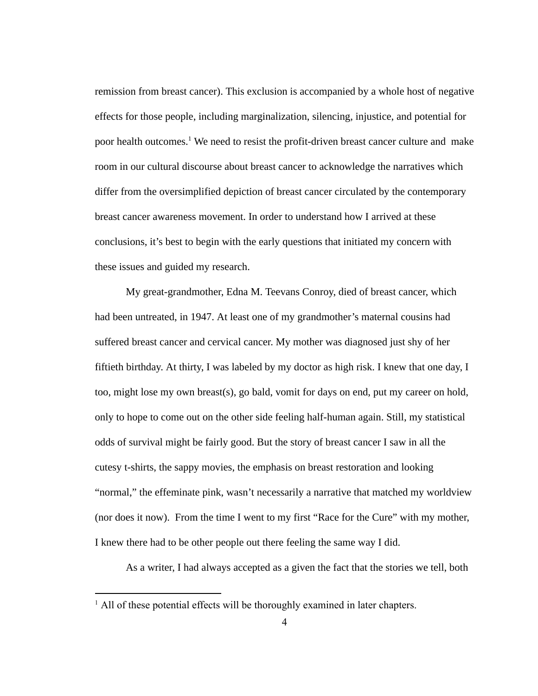remission from breast cancer). This exclusion is accompanied by a whole host of negative effects for those people, including marginalization, silencing, injustice, and potential for poor health outcomes.<sup>1</sup> We need to resist the profit-driven breast cancer culture and make room in our cultural discourse about breast cancer to acknowledge the narratives which differ from the oversimplified depiction of breast cancer circulated by the contemporary breast cancer awareness movement. In order to understand how I arrived at these conclusions, it's best to begin with the early questions that initiated my concern with these issues and guided my research.

My great-grandmother, Edna M. Teevans Conroy, died of breast cancer, which had been untreated, in 1947. At least one of my grandmother's maternal cousins had suffered breast cancer and cervical cancer. My mother was diagnosed just shy of her fiftieth birthday. At thirty, I was labeled by my doctor as high risk. I knew that one day, I too, might lose my own breast(s), go bald, vomit for days on end, put my career on hold, only to hope to come out on the other side feeling half-human again. Still, my statistical odds of survival might be fairly good. But the story of breast cancer I saw in all the cutesy t-shirts, the sappy movies, the emphasis on breast restoration and looking "normal," the effeminate pink, wasn't necessarily a narrative that matched my worldview (nor does it now). From the time I went to my first "Race for the Cure" with my mother, I knew there had to be other people out there feeling the same way I did.

As a writer, I had always accepted as a given the fact that the stories we tell, both

<sup>&</sup>lt;sup>1</sup> All of these potential effects will be thoroughly examined in later chapters.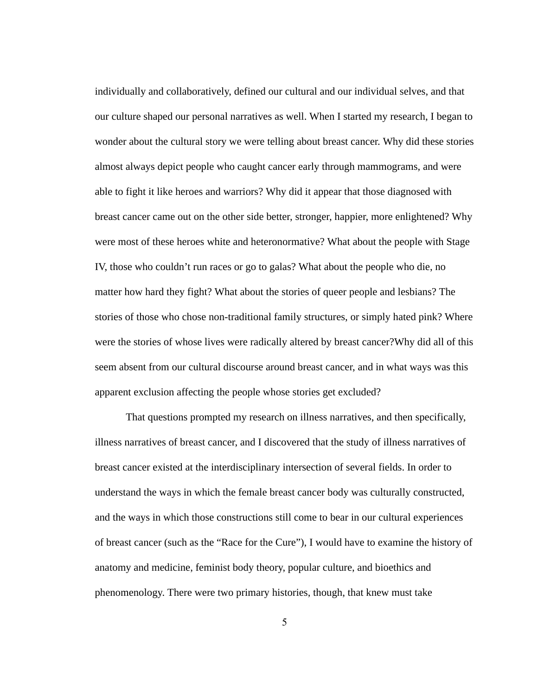individually and collaboratively, defined our cultural and our individual selves, and that our culture shaped our personal narratives as well. When I started my research, I began to wonder about the cultural story we were telling about breast cancer. Why did these stories almost always depict people who caught cancer early through mammograms, and were able to fight it like heroes and warriors? Why did it appear that those diagnosed with breast cancer came out on the other side better, stronger, happier, more enlightened? Why were most of these heroes white and heteronormative? What about the people with Stage IV, those who couldn't run races or go to galas? What about the people who die, no matter how hard they fight? What about the stories of queer people and lesbians? The stories of those who chose non-traditional family structures, or simply hated pink? Where were the stories of whose lives were radically altered by breast cancer? Why did all of this seem absent from our cultural discourse around breast cancer, and in what ways was this apparent exclusion affecting the people whose stories get excluded?

That questions prompted my research on illness narratives, and then specifically, illness narratives of breast cancer, and I discovered that the study of illness narratives of breast cancer existed at the interdisciplinary intersection of several fields. In order to understand the ways in which the female breast cancer body was culturally constructed, and the ways in which those constructions still come to bear in our cultural experiences of breast cancer (such as the "Race for the Cure"), I would have to examine the history of anatomy and medicine, feminist body theory, popular culture, and bioethics and phenomenology. There were two primary histories, though, that knew must take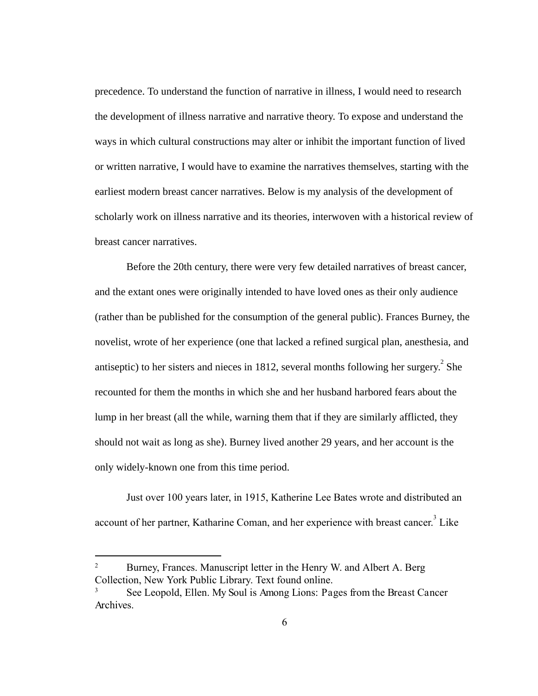precedence. To understand the function of narrative in illness, I would need to research the development of illness narrative and narrative theory. To expose and understand the ways in which cultural constructions may alter or inhibit the important function of lived or written narrative, I would have to examine the narratives themselves, starting with the earliest modern breast cancer narratives. Below is my analysis of the development of scholarly work on illness narrative and its theories, interwoven with a historical review of breast cancer narratives.

Before the 20th century, there were very few detailed narratives of breast cancer, and the extant ones were originally intended to have loved ones as their only audience (rather than be published for the consumption of the general public). Frances Burney, the novelist, wrote of her experience (one that lacked a refined surgical plan, anesthesia, and antiseptic) to her sisters and nieces in 1812, several months following her surgery.  $2$  She recounted for them the months in which she and her husband harbored fears about the lump in her breast (all the while, warning them that if they are similarly afflicted, they should not wait as long as she). Burney lived another 29 years, and her account is the only widely-known one from this time period.

Just over 100 years later, in 1915, Katherine Lee Bates wrote and distributed an account of her partner, Katharine Coman, and her experience with breast cancer.<sup>3</sup> Like

<sup>&</sup>lt;sup>2</sup> Burney, Frances. Manuscript letter in the Henry W. and Albert A. Berg Collection, New York Public Library. Text found online.

<sup>3</sup> See Leopold, Ellen. MySoulisAmongLions:PagesfromtheBreastCancer Archives.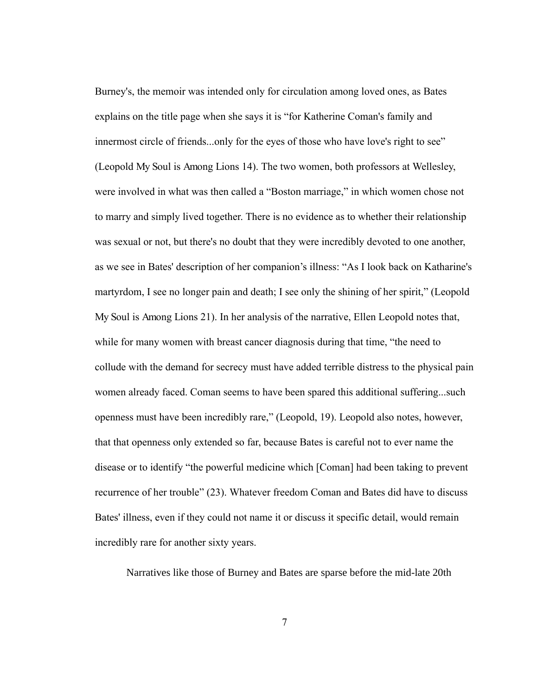Burney's, the memoir was intended only for circulation among loved ones, as Bates explains on the title page when she says it is "for Katherine Coman's family and innermost circle of friends...only for the eyes of those who have love's right to see" (Leopold MySoulisAmongLions14). The two women, both professors at Wellesley, were involved in what was then called a "Boston marriage," in which women chose not to marry and simply lived together. There is no evidence as to whether their relationship was sexual or not, but there's no doubt that they were incredibly devoted to one another, as we see in Bates' description of her companion's illness: "As I look back on Katharine's martyrdom, I see no longer pain and death; I see only the shining of her spirit," (Leopold MySoulisAmongLions21). In her analysis of the narrative, Ellen Leopold notes that, while for many women with breast cancer diagnosis during that time, "the need to collude with the demand for secrecy must have added terrible distress to the physical pain women already faced. Coman seems to have been spared this additional suffering...such openness must have been incredibly rare," (Leopold, 19). Leopold also notes, however, that that openness only extended so far, because Bates is careful not to ever name the disease or to identify "the powerful medicine which [Coman] had been taking to prevent recurrence of her trouble" (23). Whatever freedom Coman and Bates did have to discuss Bates' illness, even if they could not name it or discuss it specific detail, would remain incredibly rare for another sixty years.

Narratives like those of Burney and Bates are sparse before the mid-late 20th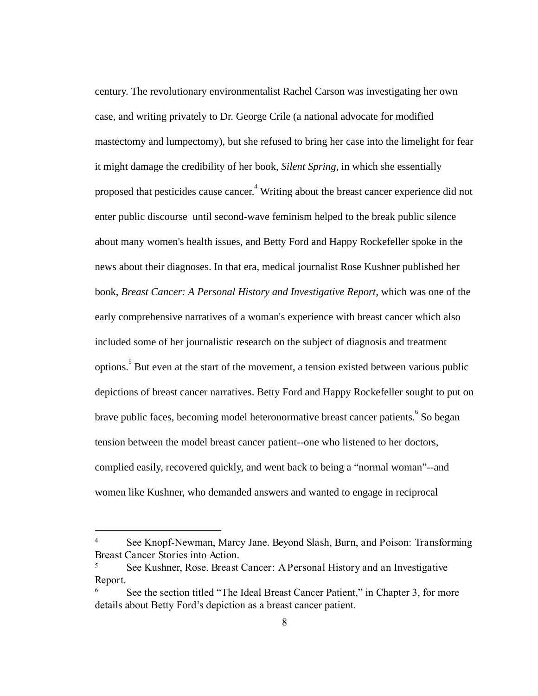century. The revolutionary environmentalist Rachel Carson was investigating her own case, and writing privately to Dr. George Crile (a national advocate for modified mastectomy and lumpectomy), but she refused to bring her case into the limelight for fear it might damage the credibility of her book, *Silent Spring* , in which she essentially proposed that pesticides cause cancer.<sup>4</sup> Writing about the breast cancer experience did not enter public discourse until second-wave feminism helped to the break public silence about many women's health issues, and Betty Ford and Happy Rockefeller spoke in the news about their diagnoses. In that era, medical journalist Rose Kushner published her book, *Breast Cancer: A Personal History and Investigative Report*, which was one of the early comprehensive narratives of a woman's experience with breast cancer which also included some of her journalistic research on the subject of diagnosis and treatment options.<sup>5</sup> But even at the start of the movement, a tension existed between various public depictions of breast cancer narratives. Betty Ford and Happy Rockefeller sought to put on brave public faces, becoming model heteronormative breast cancer patients. <sup>6</sup> So began tension between the model breast cancer patient--one who listened to her doctors, complied easily, recovered quickly, and went back to being a "normal woman"--and women like Kushner, who demanded answers and wanted to engage in reciprocal

<sup>4</sup> See Knopf-Newman, Marcy Jane. BeyondSlash,Burn,andPoison:Transforming BreastCancerStoriesintoAction.

<sup>5</sup> See Kushner, Rose. BreastCancer:APersonalHistoryandanInvestigative Report.

See the section titled "The Ideal Breast Cancer Patient," in Chapter 3, for more details about Betty Ford's depiction as a breast cancer patient.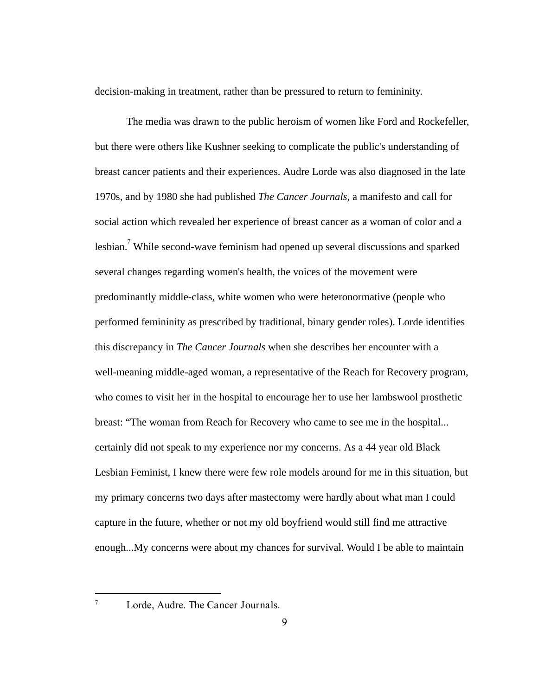decision-making in treatment, rather than be pressured to return to femininity.

The media was drawn to the public heroism of women like Ford and Rockefeller, but there were others like Kushner seeking to complicate the public's understanding of breast cancer patients and their experiences. Audre Lorde was also diagnosed in the late 1970s, and by 1980 she had published *The Cancer Journals,* a manifesto and call for social action which revealed her experience of breast cancer as a woman of color and a lesbian.<sup>7</sup> While second-wave feminism had opened up several discussions and sparked several changes regarding women's health, the voices of the movement were predominantly middle-class, white women who were heteronormative (people who performed femininity as prescribed by traditional, binary gender roles). Lorde identifies this discrepancy in *The Cancer Journals*  when she describes her encounter with a well-meaning middle-aged woman, a representative of the Reach for Recovery program, who comes to visit her in the hospital to encourage her to use her lambswool prosthetic breast: "The woman from Reach for Recovery who came to see me in the hospital... certainly did not speak to my experience nor my concerns. As a 44 year old Black Lesbian Feminist, I knew there were few role models around for me in this situation, but my primary concerns two days after mastectomy were hardly about what man I could capture in the future, whether or not my old boyfriend would still find me attractive enough...My concerns were about my chances for survival. Would I be able to maintain

<sup>7</sup> Lorde, Audre. TheCancerJournals.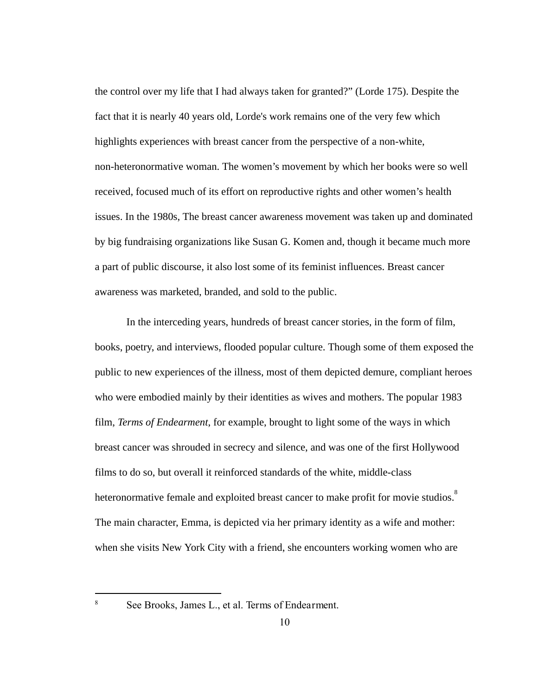the control over my life that I had always taken for granted?" (Lorde 175). Despite the fact that it is nearly 40 years old, Lorde's work remains one of the very few which highlights experiences with breast cancer from the perspective of a non-white, non-heteronormative woman. The women's movement by which her books were so well received, focused much of its effort on reproductive rights and other women's health issues. In the 1980s, The breast cancer awareness movement was taken up and dominated by big fundraising organizations like Susan G. Komen and, though it became much more a part of public discourse, it also lost some of its feminist influences. Breast cancer awareness was marketed, branded, and sold to the public.

In the interceding years, hundreds of breast cancer stories, in the form of film, books, poetry, and interviews, flooded popular culture. Though some of them exposed the public to new experiences of the illness, most of them depicted demure, compliant heroes who were embodied mainly by their identities as wives and mothers. The popular 1983 film, *Terms of Endearment*, for example, brought to light some of the ways in which breast cancer was shrouded in secrecy and silence, and was one of the first Hollywood films to do so, but overall it reinforced standards of the white, middle-class heteronormative female and exploited breast cancer to make profit for movie studios.<sup>8</sup> The main character, Emma, is depicted via her primary identity as a wife and mother: when she visits New York City with a friend, she encounters working women who are

<sup>&</sup>lt;sup>8</sup> See Brooks, James L., et al. Terms of Endearment.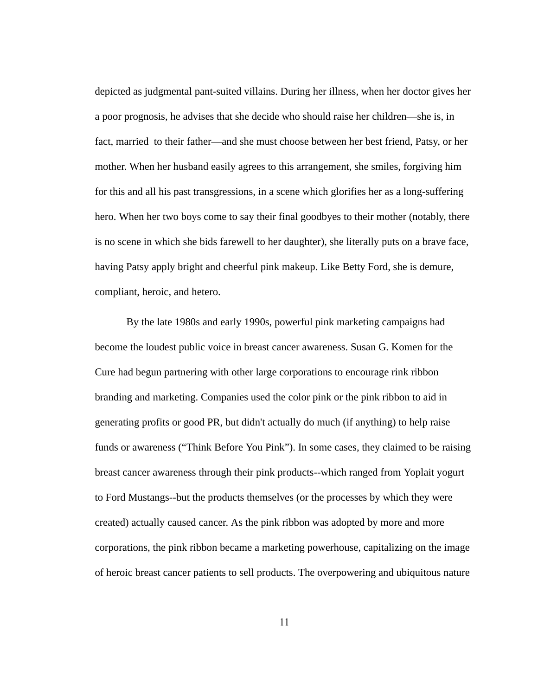depicted as judgmental pant-suited villains. During her illness, when her doctor gives her a poor prognosis, he advises that she decide who should raise her children—she is, in fact, married to their father—and she must choose between her best friend, Patsy, or her mother. When her husband easily agrees to this arrangement, she smiles, forgiving him for this and all his past transgressions, in a scene which glorifies her as a long-suffering hero. When her two boys come to say their final goodbyes to their mother (notably, there is no scene in which she bids farewell to her daughter), she literally puts on a brave face, having Patsy apply bright and cheerful pink makeup. Like Betty Ford, she is demure, compliant, heroic, and hetero.

By the late 1980s and early 1990s, powerful pink marketing campaigns had become the loudest public voice in breast cancer awareness. Susan G. Komen for the Cure had begun partnering with other large corporations to encourage rink ribbon branding and marketing. Companies used the color pink or the pink ribbon to aid in generating profits or good PR, but didn't actually do much (if anything) to help raise funds or awareness ("Think Before You Pink"). In some cases, they claimed to be raising breast cancer awareness through their pink products--which ranged from Yoplait yogurt to Ford Mustangs--but the products themselves (or the processes by which they were created) actually caused cancer. As the pink ribbon was adopted by more and more corporations, the pink ribbon became a marketing powerhouse, capitalizing on the image of heroic breast cancer patients to sell products. The overpowering and ubiquitous nature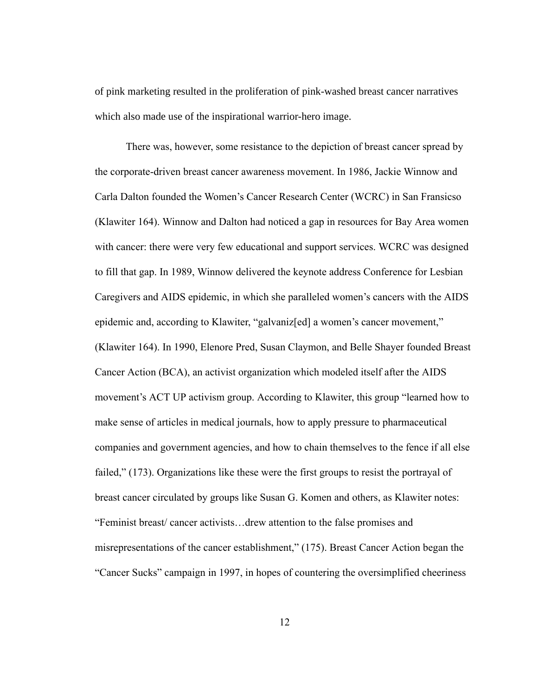of pink marketing resulted in the proliferation of pink-washed breast cancer narratives which also made use of the inspirational warrior-hero image.

There was, however, some resistance to the depiction of breast cancer spread by the corporate-driven breast cancer awareness movement. In 1986, Jackie Winnow and Carla Dalton founded the Women's Cancer Research Center (WCRC) in San Fransicso (Klawiter 164). Winnow and Dalton had noticed a gap in resources for Bay Area women with cancer: there were very few educational and support services. WCRC was designed to fill that gap. In 1989, Winnow delivered the keynote address Conference for Lesbian Caregivers and AIDS epidemic, in which she paralleled women's cancers with the AIDS epidemic and, according to Klawiter, "galvaniz[ed] a women's cancer movement," (Klawiter 164). In 1990, Elenore Pred, Susan Claymon, and Belle Shayer founded Breast Cancer Action (BCA), an activist organization which modeled itself after the AIDS movement's ACT UP activism group. According to Klawiter, this group "learned how to make sense of articles in medical journals, how to apply pressure to pharmaceutical companies and government agencies, and how to chain themselves to the fence if all else failed," (173). Organizations like these were the first groups to resist the portrayal of breast cancer circulated by groups like Susan G. Komen and others, as Klawiter notes: "Feminist breast/ cancer activists…drew attention to the false promises and misrepresentations of the cancer establishment," (175). Breast Cancer Action began the "Cancer Sucks" campaign in 1997, in hopes of countering the oversimplified cheeriness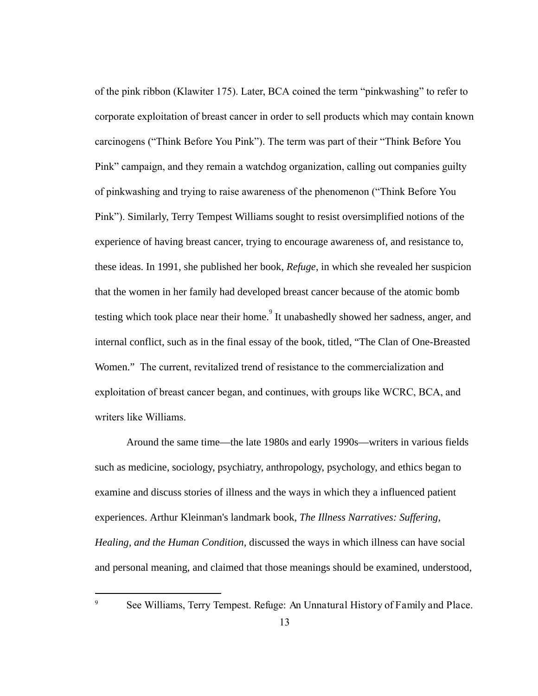of the pink ribbon (Klawiter 175). Later, BCA coined the term "pinkwashing" to refer to corporate exploitation of breast cancer in order to sell products which may contain known carcinogens ("Think Before You Pink"). The term was part of their "Think Before You Pink" campaign, and they remain a watchdog organization, calling out companies guilty of pinkwashing and trying to raise awareness of the phenomenon ("Think Before You Pink"). Similarly, Terry Tempest Williams sought to resist oversimplified notions of the experience of having breast cancer, trying to encourage awareness of, and resistance to, these ideas. In 1991, she published her book, *Refuge* , in which she revealed her suspicion that the women in her family had developed breast cancer because of the atomic bomb testing which took place near their home.<sup>9</sup> It unabashedly showed her sadness, anger, and internal conflict, such as in the final essay of the book, titled, "The Clan of One-Breasted Women." The current, revitalized trend of resistance to the commercialization and exploitation of breast cancer began, and continues, with groups like WCRC, BCA, and writers like Williams.

Around the same time—the late 1980s and early 1990s—writers in various fields such as medicine, sociology, psychiatry, anthropology, psychology, and ethics began to examine and discuss stories of illness and the ways in which they a influenced patient experiences. Arthur Kleinman's landmark book, *The Illness Narratives: Suffering, Healing, and the Human Condition* , discussed the ways in which illness can have social and personal meaning, and claimed that those meanings should be examined, understood,

<sup>&</sup>lt;sup>9</sup> See Williams, Terry Tempest. Refuge: An Unnatural History of Family and Place.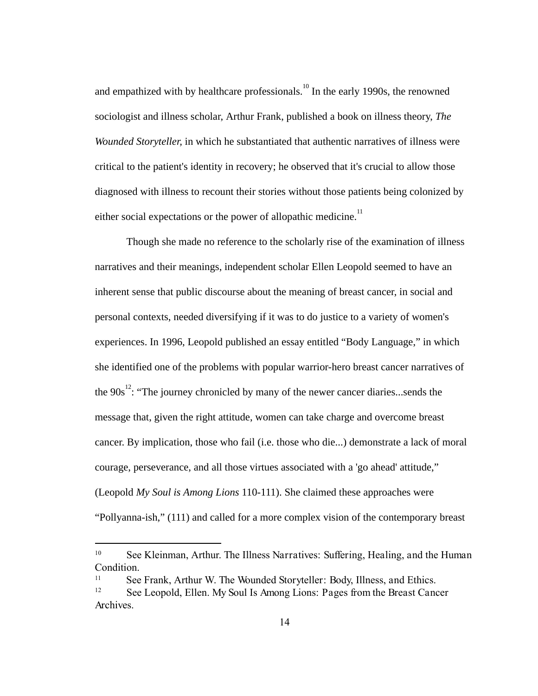and empathized with by healthcare professionals.<sup>10</sup> In the early 1990s, the renowned sociologist and illness scholar, Arthur Frank, published a book on illness theory, *The Wounded Storyteller,* in which he substantiated that authentic narratives of illness were critical to the patient's identity in recovery; he observed that it's crucial to allow those diagnosed with illness to recount their stories without those patients being colonized by either social expectations or the power of allopathic medicine.<sup>11</sup>

Though she made no reference to the scholarly rise of the examination of illness narratives and their meanings, independent scholar Ellen Leopold seemed to have an inherent sense that public discourse about the meaning of breast cancer, in social and personal contexts, needed diversifying if it was to do justice to a variety of women's experiences. In 1996, Leopold published an essay entitled "Body Language," in which she identified one of the problems with popular warrior-hero breast cancer narratives of the  $90s<sup>12</sup>$ : "The journey chronicled by many of the newer cancer diaries...sends the message that, given the right attitude, women can take charge and overcome breast cancer. By implication, those who fail (i.e. those who die...) demonstrate a lack of moral courage, perseverance, and all those virtues associated with a 'go ahead' attitude," (Leopold My Soul is Among Lions 110-111). She claimed these approaches were "Pollyanna-ish," (111) and called for a more complex vision of the contemporary breast

<sup>&</sup>lt;sup>10</sup> See Kleinman, Arthur. The Illness Narratives: Suffering, Healing, and the Human Condition.

<sup>11</sup> See Frank, Arthur W. TheWoundedStoryteller:Body,Illness,andEthics.

<sup>&</sup>lt;sup>12</sup> See Leopold, Ellen. My Soul Is Among Lions: Pages from the Breast Cancer Archives.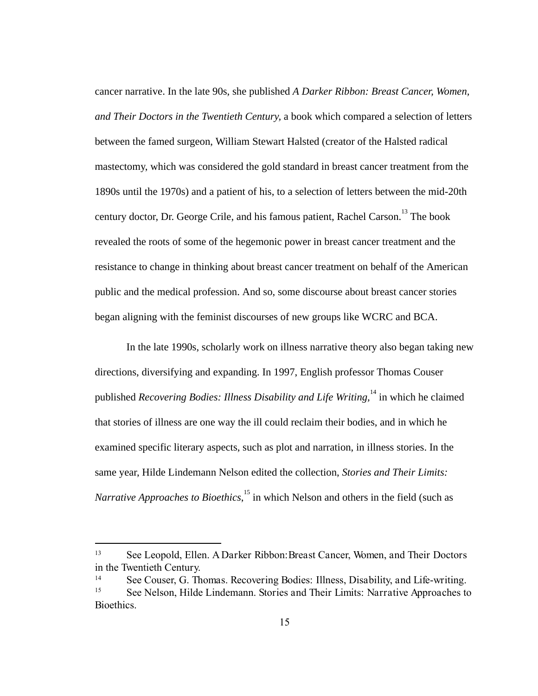cancer narrative. In the late 90s, she published *A Darker Ribbon: Breast Cancer, Women, and Their Doctors in the Twentieth Century, a book which compared a selection of letters* between the famed surgeon, William Stewart Halsted (creator of the Halsted radical mastectomy, which was considered the gold standard in breast cancer treatment from the 1890s until the 1970s) and a patient of his, to a selection of letters between the mid-20th century doctor, Dr. George Crile, and his famous patient, Rachel Carson.<sup>13</sup> The book revealed the roots of some of the hegemonic power in breast cancer treatment and the resistance to change in thinking about breast cancer treatment on behalf of the American public and the medical profession. And so, some discourse about breast cancer stories began aligning with the feminist discourses of new groups like WCRC and BCA.

In the late 1990s, scholarly work on illness narrative theory also began taking new directions, diversifying and expanding. In 1997, English professor Thomas Couser published *Recovering Bodies: Illness Disability and Life Writing,* in which he claimed <sup>14</sup> that stories of illness are one way the ill could reclaim their bodies, and in which he examined specific literary aspects, such as plot and narration, in illness stories. In the same year, Hilde Lindemann Nelson edited the collection, *Stories and Their Limits: Narrative Approaches to Bioethics*,<sup>15</sup> in which Nelson and others in the field (such as

<sup>13</sup> See Leopold, Ellen. ADarkerRibbon:BreastCancer,Women,andTheirDoctors intheTwentiethCentury.

<sup>14</sup> See Couser, G. Thomas. Recovering Bodies: Illness, Disability, and Life-writing.<br>
<sup>15</sup> See Nelson, Hilde Lindemann, Stories and Their Limits: Narrative Approaches to

<sup>15</sup> See Nelson, Hilde Lindemann. StoriesandTheirLimits:NarrativeApproachesto Bioethics.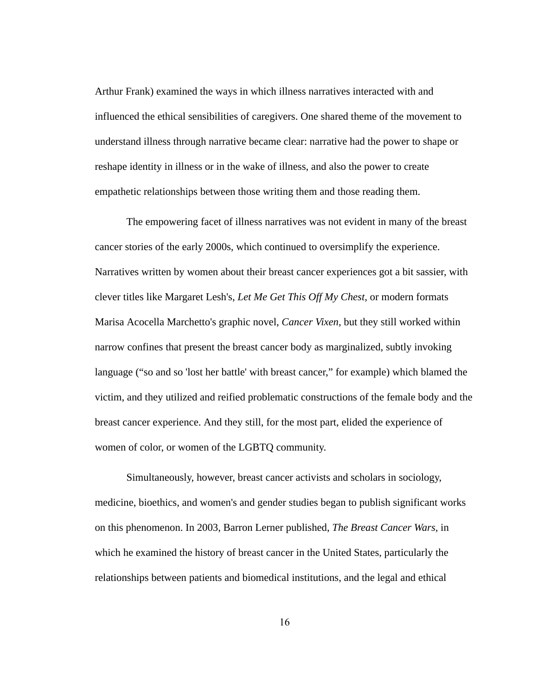Arthur Frank) examined the ways in which illness narratives interacted with and influenced the ethical sensibilities of caregivers. One shared theme of the movement to understand illness through narrative became clear: narrative had the power to shape or reshape identity in illness or in the wake of illness, and also the power to create empathetic relationships between those writing them and those reading them.

The empowering facet of illness narratives was not evident in many of the breast cancer stories of the early 2000s, which continued to oversimplify the experience. Narratives written by women about their breast cancer experiences got a bit sassier, with clever titles like Margaret Lesh's,  *Let Me Get This Off My Chest* , or modern formats Marisa Acocella Marchetto's graphic novel, *Cancer Vixen* , but they still worked within narrow confines that present the breast cancer body as marginalized, subtly invoking language ("so and so 'lost her battle' with breast cancer," for example) which blamed the victim, and they utilized and reified problematic constructions of the female body and the breast cancer experience. And they still, for the most part, elided the experience of women of color, or women of the LGBTQ community.

Simultaneously, however, breast cancer activists and scholars in sociology, medicine, bioethics, and women's and gender studies began to publish significant works on this phenomenon. In 2003, Barron Lerner published, *The Breast Cancer Wars,* in which he examined the history of breast cancer in the United States, particularly the relationships between patients and biomedical institutions, and the legal and ethical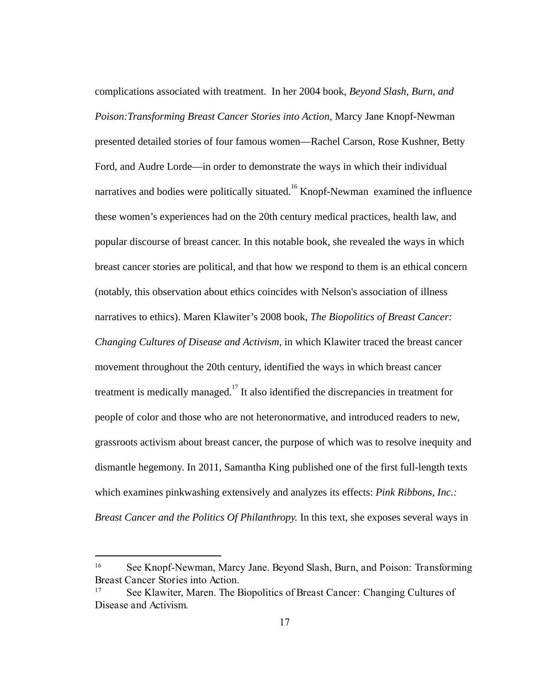complications associated with treatment. In her 2004 book, *Beyond Slash, Burn, and Poison: Transforming Breast Cancer Stories into Action, Marcy Jane Knopf-Newman* presented detailed stories of four famous women—Rachel Carson, Rose Kushner, Betty Ford, and Audre Lorde—in order to demonstrate the ways in which their individual narratives and bodies were politically situated.  $^{16}$  Knopf-Newman examined the influence these women's experiences had on the 20th century medical practices, health law, and popular discourse of breast cancer. In this notable book, she revealed the ways in which breast cancer stories are political, and that how we respond to them is an ethical concern (notably, this observation about ethics coincides with Nelson's association of illness narratives to ethics). Maren Klawiter's 2008 book, *The Biopolitics of Breast Cancer: Changing Cultures of Disease and Activism*, in which Klawiter traced the breast cancer movement throughout the 20th century, identified the ways in which breast cancer treatment is medically managed.<sup>17</sup> It also identified the discrepancies in treatment for people of color and those who are not heteronormative, and introduced readers to new, grassroots activism about breast cancer, the purpose of which was to resolve inequity and dismantle hegemony. In 2011, Samantha King published one of the first full-length texts which examines pinkwashing extensively and analyzes its effects: *Pink Ribbons, Inc.: Breast Cancer and the Politics Of Philanthropy. In this text, she exposes several ways in* 

<sup>&</sup>lt;sup>16</sup> See Knopf-Newman, Marcy Jane. Beyond Slash, Burn, and Poison: Transforming BreastCancerStoriesintoAction.

<sup>&</sup>lt;sup>17</sup> See Klawiter, Maren. The Biopolitics of Breast Cancer: Changing Cultures of DiseaseandActivism.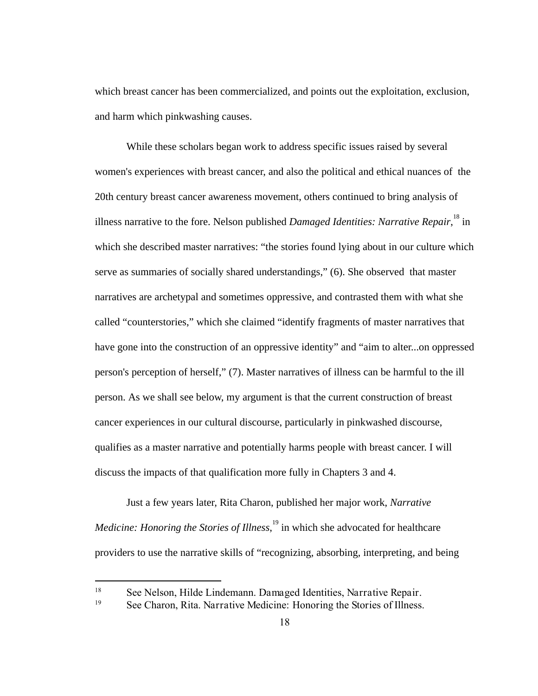which breast cancer has been commercialized, and points out the exploitation, exclusion, and harm which pinkwashing causes.

While these scholars began work to address specific issues raised by several women's experiences with breast cancer, and also the political and ethical nuances of the 20th century breast cancer awareness movement, others continued to bring analysis of illness narrative to the fore. Nelson published *Damaged Identities: Narrative Repair*, <sup>18</sup> in which she described master narratives: "the stories found lying about in our culture which serve as summaries of socially shared understandings," (6). She observed that master narratives are archetypal and sometimes oppressive, and contrasted them with what she called "counterstories," which she claimed "identify fragments of master narratives that have gone into the construction of an oppressive identity" and "aim to alter...on oppressed person's perception of herself," (7). Master narratives of illness can be harmful to the ill person. As we shall see below, my argument is that the current construction of breast cancer experiences in our cultural discourse, particularly in pinkwashed discourse, qualifies as a master narrative and potentially harms people with breast cancer. I will discuss the impacts of that qualification more fully in Chapters 3 and 4.

Just a few years later, Rita Charon, published her major work, *Narrative Medicine: Honoring the Stories of Illness*,<sup>19</sup> in which she advocated for healthcare providers to use the narrative skills of "recognizing, absorbing, interpreting, and being

<sup>18</sup> See Nelson, Hilde Lindemann. DamagedIdentities,NarrativeRepair.

<sup>&</sup>lt;sup>19</sup> See Charon, Rita. Narrative Medicine: Honoring the Stories of Illness.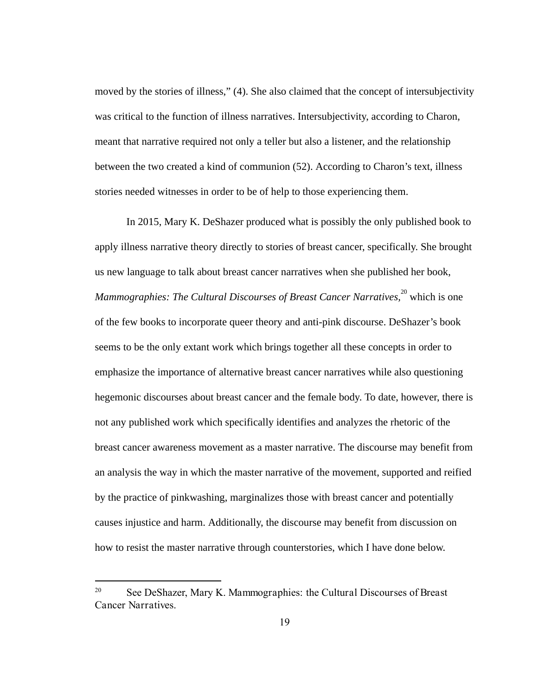moved by the stories of illness," (4). She also claimed that the concept of intersubjectivity was critical to the function of illness narratives. Intersubjectivity, according to Charon, meant that narrative required not only a teller but also a listener, and the relationship between the two created a kind of communion (52). According to Charon's text, illness stories needed witnesses in order to be of help to those experiencing them.

In 2015, Mary K. DeShazer produced what is possibly the only published book to apply illness narrative theory directly to stories of breast cancer, specifically. She brought us new language to talk about breast cancer narratives when she published her book, *Mammographies: The Cultural Discourses of Breast Cancer Narratives*,<sup>20</sup> which is one of the few books to incorporate queer theory and anti-pink discourse. DeShazer's book seems to be the only extant work which brings together all these concepts in order to emphasize the importance of alternative breast cancer narratives while also questioning hegemonic discourses about breast cancer and the female body. To date, however, there is not any published work which specifically identifies and analyzes the rhetoric of the breast cancer awareness movement as a master narrative. The discourse may benefit from an analysis the way in which the master narrative of the movement, supported and reified by the practice of pinkwashing, marginalizes those with breast cancer and potentially causes injustice and harm. Additionally, the discourse may benefit from discussion on how to resist the master narrative through counterstories, which I have done below.

<sup>20</sup> See DeShazer, Mary K. Mammographies:theCulturalDiscoursesofBreast Cancer Narratives.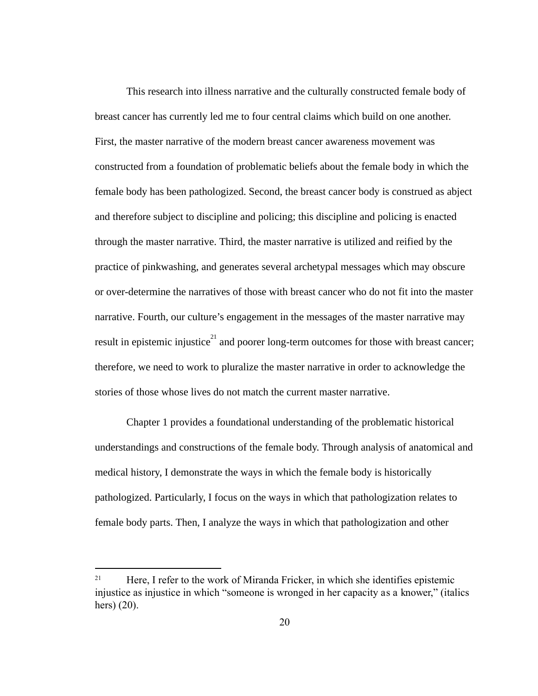This research into illness narrative and the culturally constructed female body of breast cancer has currently led me to four central claims which build on one another. First, the master narrative of the modern breast cancer awareness movement was constructed from a foundation of problematic beliefs about the female body in which the female body has been pathologized. Second, the breast cancer body is construed as abject and therefore subject to discipline and policing; this discipline and policing is enacted through the master narrative. Third, the master narrative is utilized and reified by the practice of pinkwashing, and generates several archetypal messages which may obscure or over-determine the narratives of those with breast cancer who do not fit into the master narrative. Fourth, our culture's engagement in the messages of the master narrative may result in epistemic injustice<sup>21</sup> and poorer long-term outcomes for those with breast cancer; therefore, we need to work to pluralize the master narrative in order to acknowledge the stories of those whose lives do not match the current master narrative.

Chapter 1 provides a foundational understanding of the problematic historical understandings and constructions of the female body. Through analysis of anatomical and medical history, I demonstrate the ways in which the female body is historically pathologized. Particularly, I focus on the ways in which that pathologization relates to female body parts. Then, I analyze the ways in which that pathologization and other

<sup>&</sup>lt;sup>21</sup> Here, I refer to the work of Miranda Fricker, in which she identifies epistemic injustice as injustice in which "someone is wronged in her capacity asaknower," (italics hers) (20).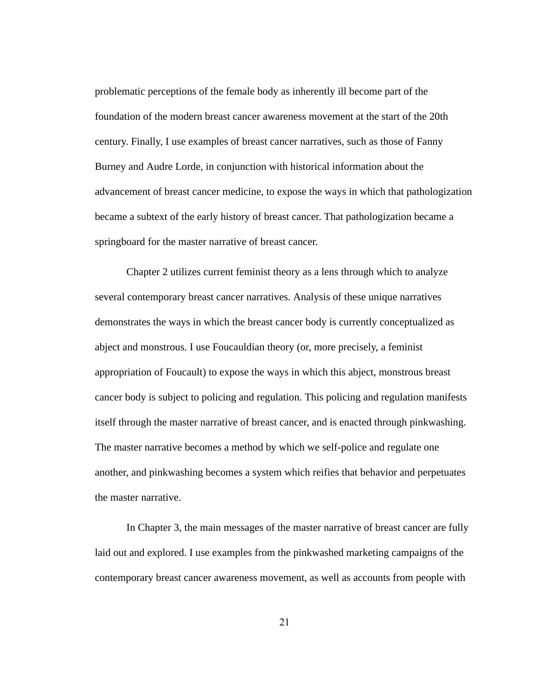problematic perceptions of the female body as inherently ill become part of the foundation of the modern breast cancer awareness movement at the start of the 20th century. Finally, I use examples of breast cancer narratives, such as those of Fanny Burney and Audre Lorde, in conjunction with historical information about the advancement of breast cancer medicine, to expose the ways in which that pathologization became a subtext of the early history of breast cancer. That pathologization became a springboard for the master narrative of breast cancer.

Chapter 2 utilizes current feminist theory as a lens through which to analyze several contemporary breast cancer narratives. Analysis of these unique narratives demonstrates the ways in which the breast cancer body is currently conceptualized as abject and monstrous. I use Foucauldian theory (or, more precisely, a feminist appropriation of Foucault) to expose the ways in which this abject, monstrous breast cancer body is subject to policing and regulation. This policing and regulation manifests itself through the master narrative of breast cancer, and is enacted through pinkwashing. The master narrative becomes a method by which we self-police and regulate one another, and pinkwashing becomes a system which reifies that behavior and perpetuates the master narrative.

In Chapter 3, the main messages of the master narrative of breast cancer are fully laid out and explored. I use examples from the pinkwashed marketing campaigns of the contemporary breast cancer awareness movement, as well as accounts from people with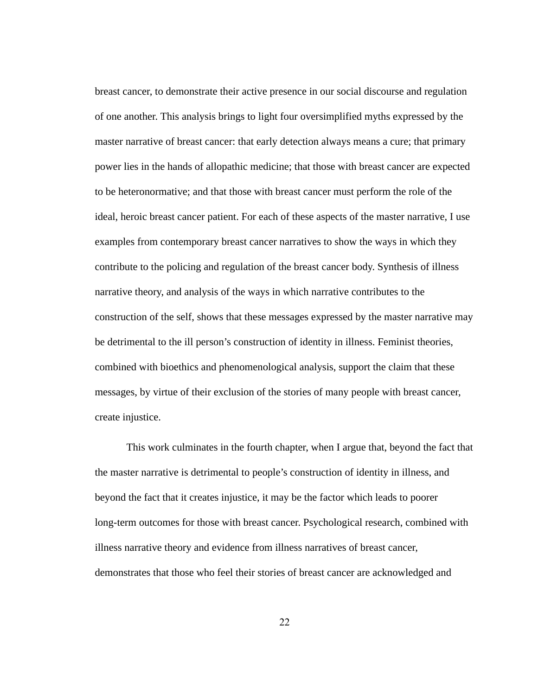breast cancer, to demonstrate their active presence in our social discourse and regulation of one another. This analysis brings to light four oversimplified myths expressed by the master narrative of breast cancer: that early detection always means a cure; that primary power lies in the hands of allopathic medicine; that those with breast cancer are expected to be heteronormative; and that those with breast cancer must perform the role of the ideal, heroic breast cancer patient. For each of these aspects of the master narrative, I use examples from contemporary breast cancer narratives to show the ways in which they contribute to the policing and regulation of the breast cancer body. Synthesis of illness narrative theory, and analysis of the ways in which narrative contributes to the construction of the self, shows that these messages expressed by the master narrative may be detrimental to the ill person's construction of identity in illness. Feminist theories, combined with bioethics and phenomenological analysis, support the claim that these messages, by virtue of their exclusion of the stories of many people with breast cancer, create injustice.

This work culminates in the fourth chapter, when I argue that, beyond the fact that the master narrative is detrimental to people's construction of identity in illness, and beyond the fact that it creates injustice, it may be the factor which leads to poorer long-term outcomes for those with breast cancer. Psychological research, combined with illness narrative theory and evidence from illness narratives of breast cancer, demonstrates that those who feel their stories of breast cancer are acknowledged and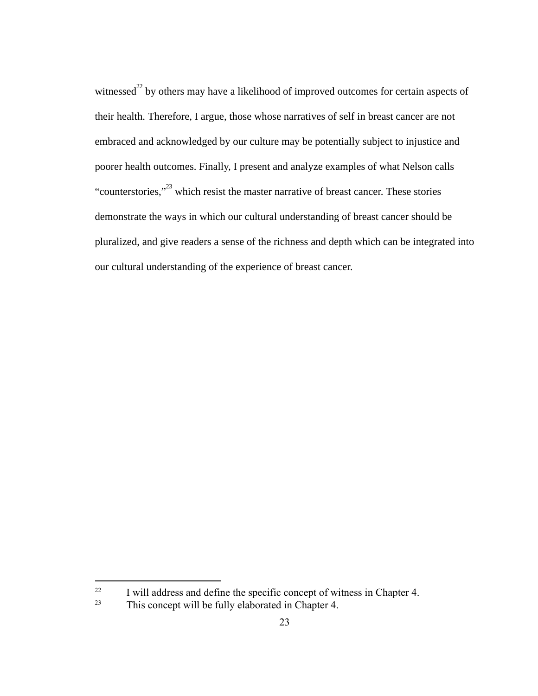witnessed<sup>22</sup> by others may have a likelihood of improved outcomes for certain aspects of their health. Therefore, I argue, those whose narratives of self in breast cancer are not embraced and acknowledged by our culture may be potentially subject to injustice and poorer health outcomes. Finally, I present and analyze examples of what Nelson calls "counterstories, $\frac{1}{2}$  which resist the master narrative of breast cancer. These stories demonstrate the ways in which our cultural understanding of breast cancer should be pluralized, and give readers a sense of the richness and depth which can be integrated into our cultural understanding of the experience of breast cancer.

<sup>&</sup>lt;sup>22</sup> I will address and define the specific concept of witness in Chapter 4.

<sup>&</sup>lt;sup>23</sup> This concept will be fully elaborated in Chapter 4.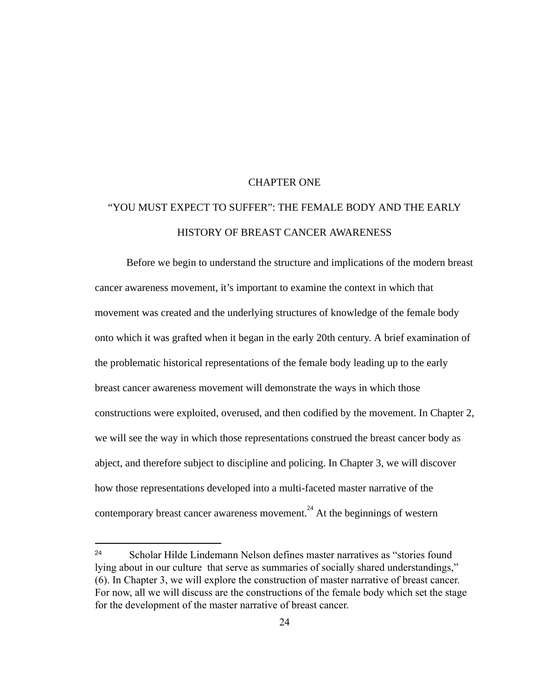#### CHAPTER ONE

## "YOU MUST EXPECT TO SUFFER": THE FEMALE BODY AND THE EARLY HISTORY OF BREAST CANCER AWARENESS

Before we begin to understand the structure and implications of the modern breast cancer awareness movement, it's important to examine the context in which that movement was created and the underlying structures of knowledge of the female body onto which it was grafted when it began in the early 20th century. A brief examination of the problematic historical representations of the female body leading up to the early breast cancer awareness movement will demonstrate the ways in which those constructions were exploited, overused, and then codified by the movement. In Chapter 2, we will see the way in which those representations construed the breast cancer body as abject, and therefore subject to discipline and policing. In Chapter 3, we will discover how those representations developed into a multi-faceted master narrative of the contemporary breast cancer awareness movement.<sup>24</sup> At the beginnings of western

<sup>24</sup> Scholar Hilde Lindemann Nelson defines master narratives as "stories found lying about in our culture that serve as summaries of socially shared understandings," (6). In Chapter 3, we will explore the construction of master narrative of breast cancer. For now, all we will discuss are the constructions of the female body which set the stage for the development of the master narrative of breast cancer.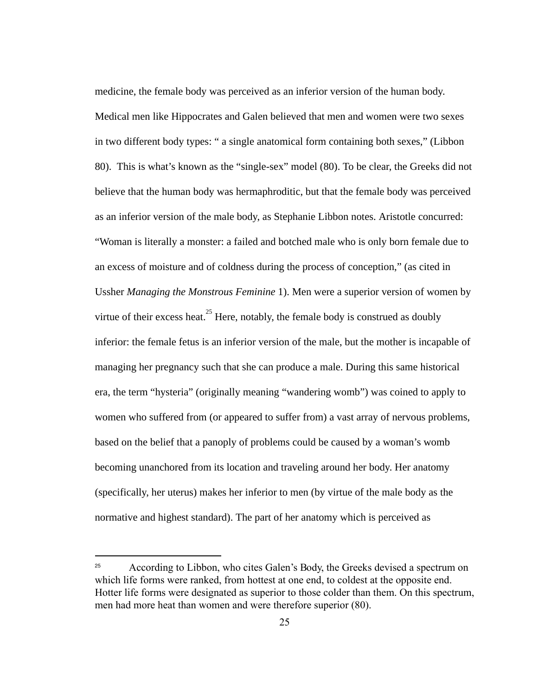medicine, the female body was perceived as an inferior version of the human body. Medical men like Hippocrates and Galen believed that men and women were two sexes in two different body types: " a single anatomical form containing both sexes," (Libbon 80). This is what's known as the "single-sex" model (80). To be clear, the Greeks did not believe that the human body was hermaphroditic, but that the female body was perceived as an inferior version of the male body, as Stephanie Libbon notes. Aristotle concurred: "Woman is literally a monster: a failed and botched male who is only born female due to an excess of moisture and of coldness during the process of conception," (as cited in Ussher *Managing the Monstrous Feminine* 1). Men were a superior version of women by virtue of their excess heat. $^{25}$  Here, notably, the female body is construed as doubly inferior: the female fetus is an inferior version of the male, but the mother is incapable of managing her pregnancy such that she can produce a male. During this same historical era, the term "hysteria" (originally meaning "wandering womb") was coined to apply to women who suffered from (or appeared to suffer from ) a vast array of nervous problems, based on the belief that a panoply of problems could be caused by a woman's womb becoming unanchored from its location and traveling around her body. Her anatomy (specifically, her uterus) makes her inferior to men (by virtue of the male body as the normative and highest standard). The part of her anatomy which is perceived as

<sup>25</sup> According to Libbon, who cites Galen's Body,the Greeks devised a spectrum on which life forms were ranked, from hottest at one end, to coldest at the opposite end. Hotter life forms were designated as superior to those colder than them. On this spectrum, men had more heat than women and were therefore superior (80).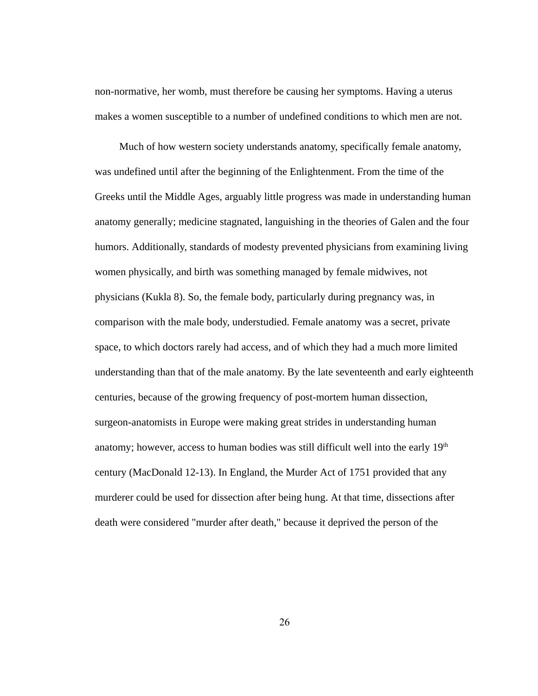non-normative, her womb, must therefore be causing her symptoms. Having a uterus makes a women susceptible to a number of undefined conditions to which men are not.

Much of how western society understands anatomy, specifically female anatomy, was undefined until after the beginning of the Enlightenment. From the time of the Greeks until the Middle Ages, arguably little progress was made in understanding human anatomy generally; medicine stagnated, languishing in the theories of Galen and the four humors. Additionally, standards of modesty prevented physicians from examining living women physically, and birth was something managed by female midwives, not physicians (Kukla 8). So, the female body, particularly during pregnancy was, in comparison with the male body, understudied. Female anatomy was a secret, private space, to which doctors rarely had access, and of which they had a much more limited understanding than that of the male anatomy. By the late seventeenth and early eighteenth centuries, because of the growing frequency of post-mortem human dissection, surgeon-anatomists in Europe were making great strides in understanding human anatomy; however, access to human bodies was still difficult well into the early  $19<sup>th</sup>$ century (MacDonald 12-13). In England, the Murder Act of 1751 provided that any murderer could be used for dissection after being hung. At that time, dissections after death were considered "murder after death," because it deprived the person of the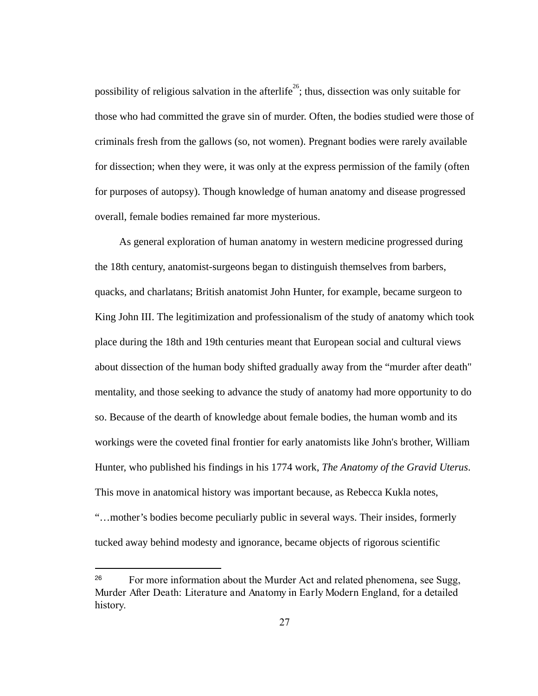possibility of religious salvation in the afterlife<sup>26</sup>; thus, dissection was only suitable for those who had committed the grave sin of murder. Often, the bodies studied were those of criminals fresh from the gallows (so, not women). Pregnant bodies were rarely available for dissection; when they were, it was only at the express permission of the family (often for purposes of autopsy). Though knowledge of human anatomy and disease progressed overall, female bodies remained far more mysterious.

As general exploration of human anatomy in western medicine progressed during the 18th century, anatomist-surgeons began to distinguish themselves from barbers, quacks, and charlatans; British anatomist John Hunter, for example, became surgeon to King John III. The legitimization and professionalism of the study of anatomy which took place during the 18th and 19th centuries meant that European social and cultural views about dissection of the human body shifted gradually away from the "murder after death" mentality, and those seeking to advance the study of anatomy had more opportunity to do so. Because of the dearth of knowledge about female bodies, the human womb and its workings were the coveted final frontier for early anatomists like John's brother, William Hunter, who published his findings in his 1774 work, *The Anatomy of the Gravid Uterus* . This move in anatomical history was important because, as Rebecca Kukla notes, "…mother's bodies become peculiarly public in several ways. Their insides, formerly tucked away behind modesty and ignorance, became objects of rigorous scientific

<sup>26</sup> For more information about the Murder Act and related phenomena, see Sugg, MurderAfterDeath:LiteratureandAnatomyinEarlyModernEngland,for a detailed history.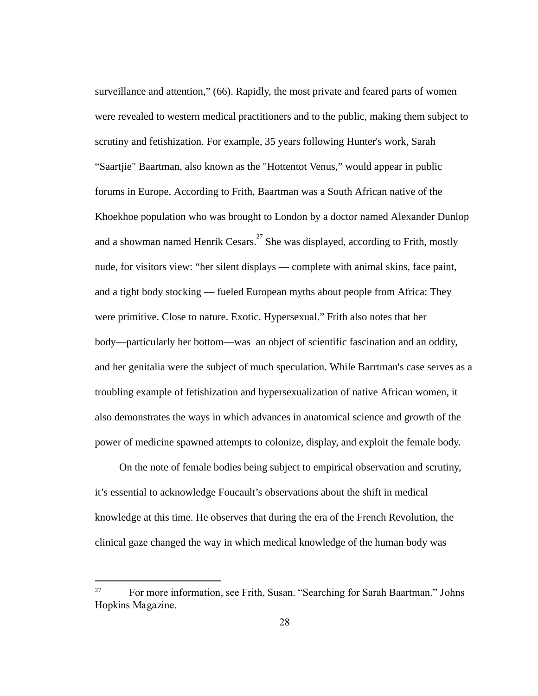surveillance and attention," (66). Rapidly, the most private and feared parts of women were revealed to western medical practitioners and to the public, making them subject to scrutiny and fetishization. For example, 35 years following Hunter's work, Sarah "Saartjie" Baartman, also known as the "Hottentot Venus," would appear in public forums in Europe. According to Frith, Baartman was a South African native of the Khoekhoe population who was brought to London by a doctor named Alexander Dunlop and a showman named Henrik  $Cesars$ . <sup>27</sup> She was displayed, according to Frith, mostly nude, for visitors view: "her silent displays — complete with animal skins, face paint, and a tight body stocking — fueled European myths about people from Africa: They were primitive. Close to nature. Exotic. Hypersexual." Frith also notes that her body—particularly her bottom—was an object of scientific fascination and an oddity, and her genitalia were the subject of much speculation. While Barrtman's case serves as a troubling example of fetishization and hypersexualization of native African women, it also demonstrates the ways in which advances in anatomical science and growth of the power of medicine spawned attempts to colonize, display, and exploit the female body.

On the note of female bodies being subject to empirical observation and scrutiny, it's essential to acknowledge Foucault's observations about the shift in medical knowledge at this time. He observes that during the era of the French Revolution, the clinical gaze changed the way in which medical knowledge of the human body was

<sup>27</sup> For more information, see Frith, Susan. "Searching for Sarah Baartman." Johns HopkinsMagazine.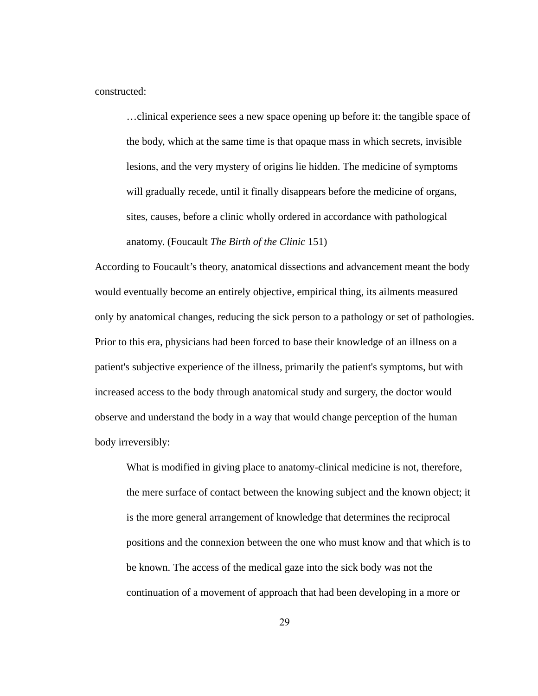constructed:

…clinical experience sees a new space opening up before it: the tangible space of the body, which at the same time is that opaque mass in which secrets, invisible lesions, and the very mystery of origins lie hidden. The medicine of symptoms will gradually recede, until it finally disappears before the medicine of organs, sites, causes, before a clinic wholly ordered in accordance with pathological anatomy. (Foucault *The Birth of the Clinic*  151)

According to Foucault's theory, anatomical dissections and advancement meant the body would eventually become an entirely objective, empirical thing, its ailments measured only by anatomical changes, reducing the sick person to a pathology or set of pathologies. Prior to this era, physicians had been forced to base their knowledge of an illness on a patient's subjective experience of the illness, primarily the patient's symptoms, but with increased access to the body through anatomical study and surgery, the doctor would observe and understand the body in a way that would change perception of the human body irreversibly:

What is modified in giving place to anatomy-clinical medicine is not, therefore, the mere surface of contact between the knowing subject and the known object; it is the more general arrangement of knowledge that determines the reciprocal positions and the connexion between the one who must know and that which is to be known. The access of the medical gaze into the sick body was not the continuation of a movement of approach that had been developing in a more or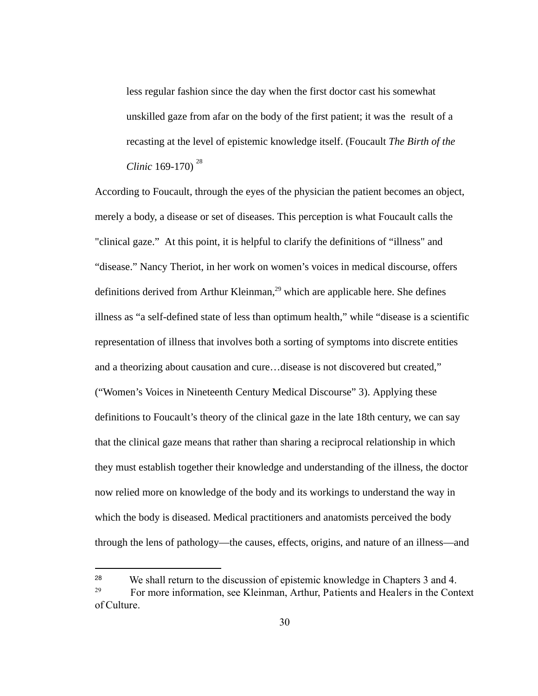less regular fashion since the day when the first doctor cast his somewhat unskilled gaze from afar on the body of the first patient; it was the result of a recasting at the level of epistemic knowledge itself. (Foucault *The Birth of the Clinic* 169-170)<sup>28</sup>

According to Foucault, through the eyes of the physician the patient becomes an object, merely a body, a disease or set of diseases. This perception is what Foucault calls the "clinical gaze." At this point, it is helpful to clarify the definitions of "illness" and "disease." Nancy Theriot, in her work on women's voices in medical discourse, offers definitions derived from Arthur Kleinman, $^{29}$  which are applicable here. She defines illness as "a self-defined state of less than optimum health," while "disease is a scientific representation of illness that involves both a sorting of symptoms into discrete entities and a theorizing about causation and cure...disease is not discovered but created," ("Women's Voices in Nineteenth Century Medical Discourse" 3). Applying these definitions to Foucault's theory of the clinical gaze in the late 18th century, we can say that the clinical gaze means that rather than sharing a reciprocal relationship in which they must establish together their knowledge and understanding of the illness, the doctor now relied more on knowledge of the body and its workings to understand the way in which the body is diseased. Medical practitioners and anatomists perceived the body through the lens of pathology—the causes, effects, origins, and nature of an illness—and

<sup>28</sup> We shall return to the discussion of epistemic knowledge in Chapters 3 and 4. 29 For more information, see Kleinman, Arthur, Patients and Healers in the Context ofCulture.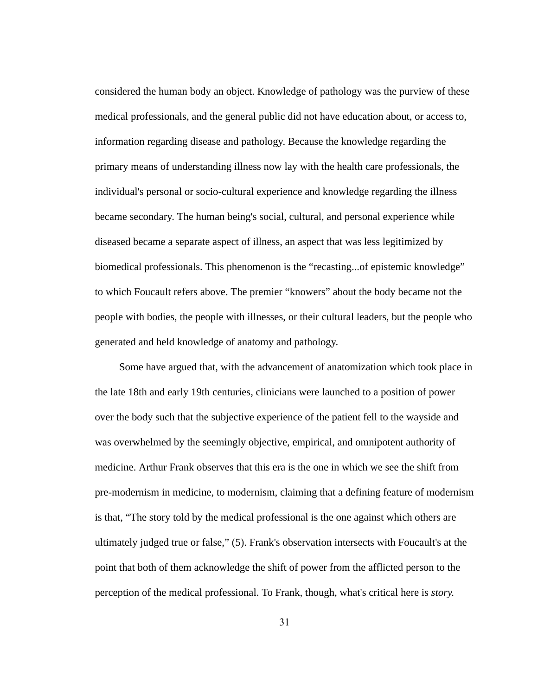considered the human body an object. Knowledge of pathology was the purview of these medical professionals, and the general public did not have education about, or access to, information regarding disease and pathology. Because the knowledge regarding the primary means of understanding illness now lay with the health care professionals, the individual's personal or socio-cultural experience and knowledge regarding the illness became secondary. The human being's social, cultural, and personal experience while diseased became a separate aspect of illness, an aspect that was less legitimized by biomedical professionals. This phenomenon is the "recasting...of epistemic knowledge" to which Foucault refers above. The premier "knowers" about the body became not the people with bodies, the people with illnesses, or their cultural leaders, but the people who generated and held knowledge of anatomy and pathology.

Some have argued that, with the advancement of anatomization which took place in the late 18th and early 19th centuries, clinicians were launched to a position of power over the body such that the subjective experience of the patient fell to the wayside and was overwhelmed by the seemingly objective, empirical, and omnipotent authority of medicine. Arthur Frank observes that this era is the one in which we see the shift from pre-modernism in medicine, to modernism, claiming that a defining feature of modernism is that, "The story told by the medical professional is the one against which others are ultimately judged true or false," (5). Frank's observation intersects with Foucault's at the point that both of them acknowledge the shift of power from the afflicted person to the perception of the medical professional. To Frank, though, what's critical here is *story.*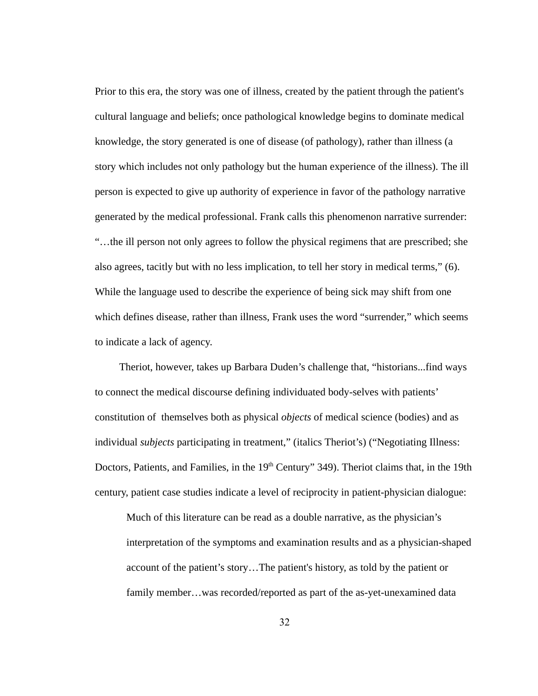Prior to this era, the story was one of illness, created by the patient through the patient's cultural language and beliefs; once pathological knowledge begins to dominate medical knowledge, the story generated is one of disease (of pathology), rather than illness (a story which includes not only pathology but the human experience of the illness). The ill person is expected to give up authority of experience in favor of the pathology narrative generated by the medical professional. Frank calls this phenomenon narrative surrender: "…the ill person not only agrees to follow the physical regimens that are prescribed; she also agrees, tacitly but with no less implication, to tell her story in medical terms," (6). While the language used to describe the experience of being sick may shift from one which defines disease, rather than illness, Frank uses the word "surrender," which seems to indicate a lack of agency.

Theriot, however, takes up Barbara Duden's challenge that, "historians...find ways to connect the medical discourse defining individuated body-selves with patients' constitution of themselves both as physical *objects* of medical science (bodies) and as individual *subjects* participating in treatment," (italics Theriot's) ("Negotiating Illness: Doctors, Patients, and Families, in the 19<sup>th</sup> Century" 349). Theriot claims that, in the 19th century, patient case studies indicate a level of reciprocity in patient-physician dialogue:

Much of this literature can be read as a double narrative, as the physician's interpretation of the symptoms and examination results and as a physician-shaped account of the patient's story…The patient's history, as told by the patient or family member...was recorded/reported as part of the as-yet-unexamined data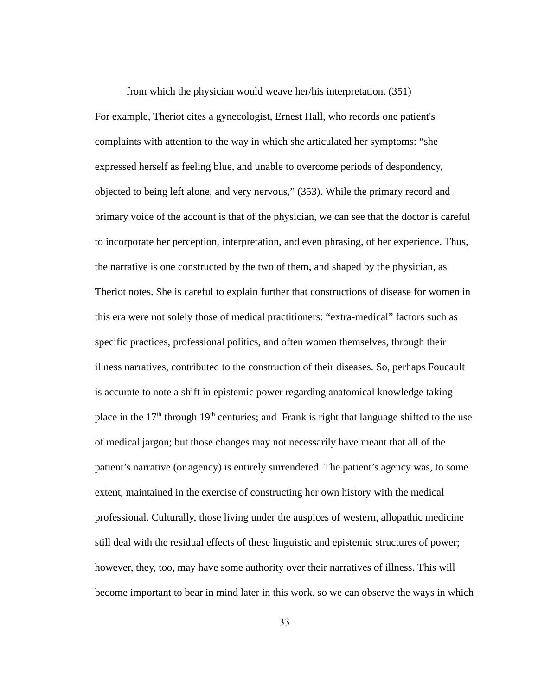from which the physician would weave her/his interpretation. (351) For example, Theriot cites a gynecologist, Ernest Hall, who records one patient's complaints with attention to the way in which she articulated her symptoms: "she expressed herself as feeling blue, and unable to overcome periods of despondency, objected to being left alone, and very nervous," (353). While the primary record and primary voice of the account is that of the physician, we can see that the doctor is careful to incorporate her perception, interpretation, and even phrasing, of her experience. Thus, the narrative is one constructed by the two of them, and shaped by the physician, as Theriot notes. She is careful to explain further that constructions of disease for women in this era were not solely those of medical practitioners: "extra-medical" factors such as specific practices, professional politics, and often women themselves, through their illness narratives, contributed to the construction of their diseases. So, perhaps Foucault is accurate to note a shift in epistemic power regarding anatomical knowledge taking place in the  $17<sup>th</sup>$  through  $19<sup>th</sup>$  centuries; and Frank is right that language shifted to the use of medical jargon; but those changes may not necessarily have meant that all of the patient's narrative (or agency) is entirely surrendered. The patient's agency was, to some extent, maintained in the exercise of constructing her own history with the medical professional. Culturally, those living under the auspices of western, allopathic medicine still deal with the residual effects of these linguistic and epistemic structures of power; however, they, too, may have some authority over their narratives of illness. This will become important to bear in mind later in this work, so we can observe the ways in which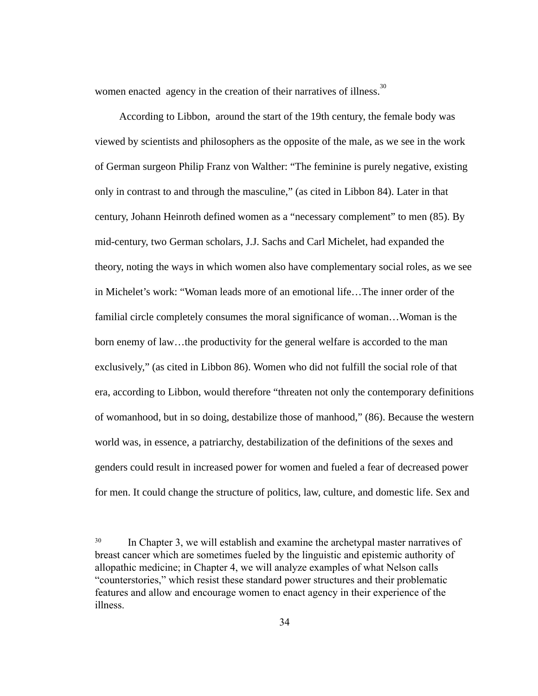women enacted  $\alpha$  agency in the creation of their narratives of illness.<sup>30</sup>

According to Libbon, around the start of the 19th century, the female body was viewed by scientists and philosophers as the opposite of the male, as we see in the work of German surgeon Philip Franz von Walther: "The feminine is purely negative, existing only in contrast to and through the masculine," (as cited in Libbon 84). Later in that century, Johann Heinroth defined women as a "necessary complement" to men (85). By mid-century, two German scholars, J.J. Sachs and Carl Michelet, had expanded the theory, noting the ways in which women also have complementary social roles, as we see in Michelet's work: "Woman leads more of an emotional life...The inner order of the familial circle completely consumes the moral significance of woman... Woman is the born enemy of law...the productivity for the general welfare is accorded to the man exclusively," (as cited in Libbon 86). Women who did not fulfill the social role of that era, according to Libbon, would therefore "threaten not only the contemporary definitions of womanhood, but in so doing, destabilize those of manhood," (86). Because the western world was, in essence, a patriarchy, destabilization of the definitions of the sexes and genders could result in increased power for women and fueled a fear of decreased power for men. It could change the structure of politics, law, culture, and domestic life. Sex and

<sup>&</sup>lt;sup>30</sup> In Chapter 3, we will establish and examine the archetypal master narratives of breast cancer which are sometimes fueled by the linguistic and epistemic authority of allopathic medicine; in Chapter 4, we will analyze examples of what Nelson calls "counterstories," which resist these standard power structures and their problematic features and allow and encourage women to enact agency in their experience of the illness.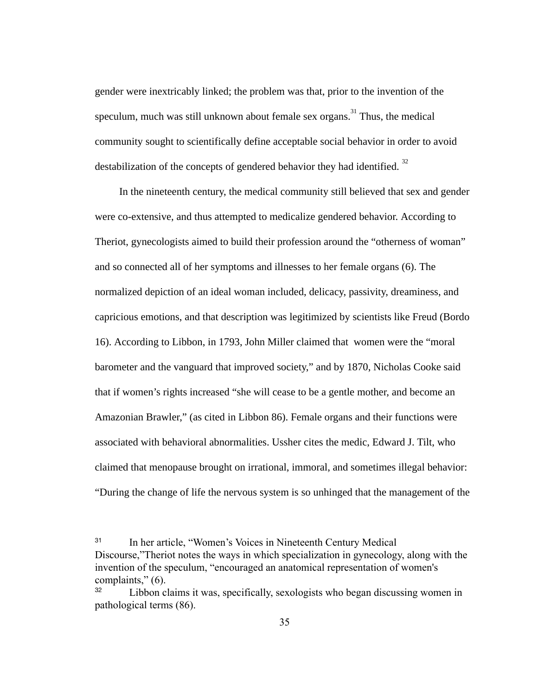gender were inextricably linked; the problem was that, prior to the invention of the speculum, much was still unknown about female sex organs.<sup>31</sup> Thus, the medical community sought to scientifically define acceptable social behavior in order to avoid destabilization of the concepts of gendered behavior they had identified.  $32$ 

In the nineteenth century, the medical community still believed that sex and gender were co-extensive, and thus attempted to medicalize gendered behavior. According to Theriot, gynecologists aimed to build their profession around the "otherness of woman" and so connected all of her symptoms and illnesses to her female organs (6). The normalized depiction of an ideal woman included, delicacy, passivity, dreaminess, and capricious emotions, and that description was legitimized by scientists like Freud (Bordo 16). According to Libbon, in 1793, John Miller claimed that women were the "moral barometer and the vanguard that improved society," and by 1870, Nicholas Cooke said that if women's rights increased "she will cease to be a gentle mother, and become an Amazonian Brawler," (as cited in Libbon 86). Female organs and their functions were associated with behavioral abnormalities. Ussher cites the medic, Edward J. Tilt, who claimed that menopause brought on irrational, immoral, and sometimes illegal behavior: "During the change of life the nervous system is so unhinged that the management of the

<sup>31</sup> In her article, "Women's Voices in Nineteenth Century Medical Discourse, Theriot notes the ways in which specialization in gynecology, along with the invention of the speculum, "encouraged an anatomical representation of women's complaints," (6).

<sup>32</sup> Libbon claims it was, specifically, sexologists who began discussing women in pathological terms (86).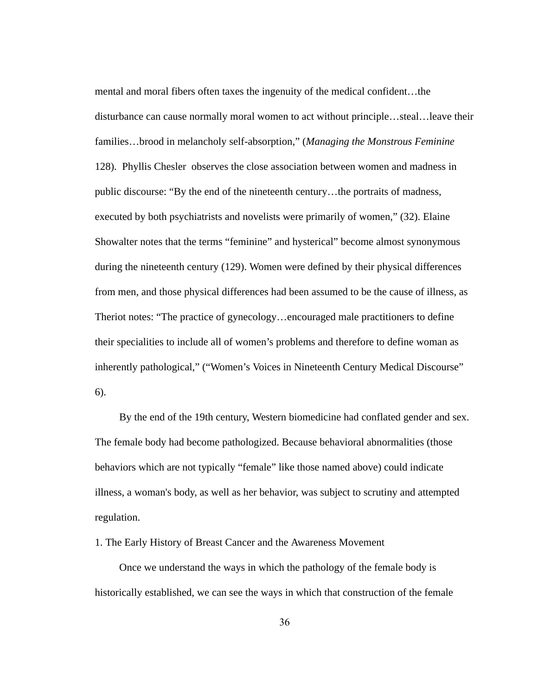mental and moral fibers often taxes the ingenuity of the medical confident...the disturbance can cause normally moral women to act without principle...steal...leave their families...brood in melancholy self-absorption," (*Managing the Monstrous Feminine* 128). Phyllis Chesler observes the close association between women and madness in public discourse: "By the end of the nineteenth century...the portraits of madness, executed by both psychiatrists and novelists were primarily of women," (32). Elaine Showalter notes that the terms "feminine" and hysterical" become almost synonymous during the nineteenth century (129). Women were defined by their physical differences from men, and those physical differences had been assumed to be the cause of illness, as Theriot notes: "The practice of gynecology…encouraged male practitioners to define their specialities to include all of women's problems and therefore to define woman as inherently pathological," ("Women's Voices in Nineteenth Century Medical Discourse" 6).

By the end of the 19th century, Western biomedicine had conflated gender and sex. The female body had become pathologized. Because behavioral abnormalities (those behaviors which are not typically "female" like those named above) could indicate illness, a woman's body, as well as her behavior, was subject to scrutiny and attempted regulation.

1. The Early History of Breast Cancer and the Awareness Movement

Once we understand the ways in which the pathology of the female body is historically established, we can see the ways in which that construction of the female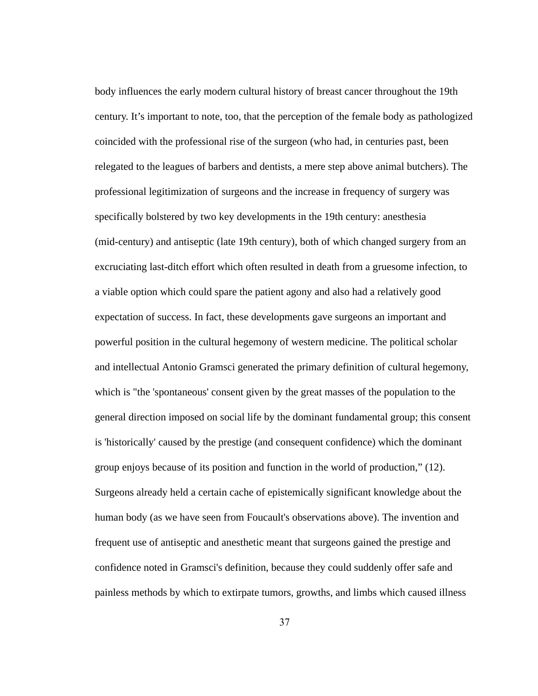body influences the early modern cultural history of breast cancer throughout the 19th century. It's important to note, too, that the perception of the female body as pathologized coincided with the professional rise of the surgeon (who had, in centuries past, been relegated to the leagues of barbers and dentists, a mere step above animal butchers). The professional legitimization of surgeons and the increase in frequency of surgery was specifically bolstered by two key developments in the 19th century: anesthesia (mid-century) and antiseptic (late 19th century), both of which changed surgery from an excruciating last-ditch effort which often resulted in death from a gruesome infection, to a viable option which could spare the patient agony and also had a relatively good expectation of success. In fact, these developments gave surgeons an important and powerful position in the cultural hegemony of western medicine. The political scholar and intellectual Antonio Gramsci generated the primary definition of cultural hegemony, which is "the 'spontaneous' consent given by the great masses of the population to the general direction imposed on social life by the dominant fundamental group; this consent is 'historically' caused by the prestige (and consequent confidence) which the dominant group enjoys because of its position and function in the world of production," (12). Surgeons already held a certain cache of epistemically significant knowledge about the human body (as we have seen from Foucault's observations above). The invention and frequent use of antiseptic and anesthetic meant that surgeons gained the prestige and confidence noted in Gramsci's definition, because they could suddenly offer safe and painless methods by which to extirpate tumors, growths, and limbs which caused illness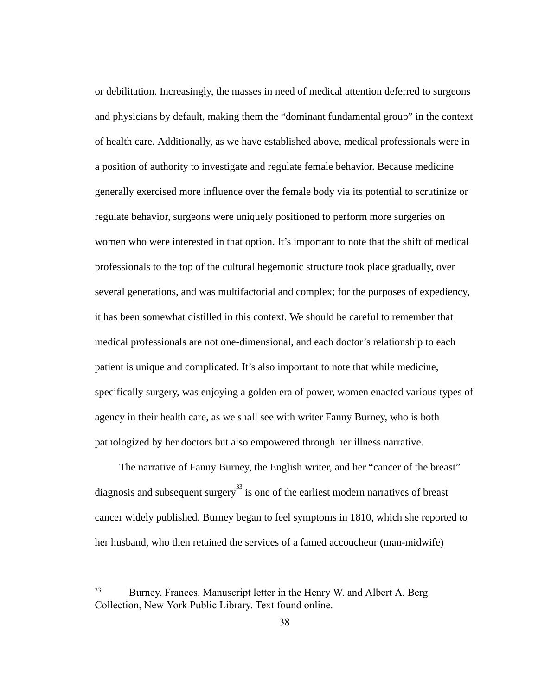or debilitation. Increasingly, the masses in need of medical attention deferred to surgeons and physicians by default, making them the "dominant fundamental group" in the context of health care. Additionally, as we have established above, medical professionals were in a position of authority to investigate and regulate female behavior. Because medicine generally exercised more influence over the female body via its potential to scrutinize or regulate behavior, surgeons were uniquely positioned to perform more surgeries on women who were interested in that option. It's important to note that the shift of medical professionals to the top of the cultural hegemonic structure took place gradually, over several generations, and was multifactorial and complex; for the purposes of expediency, it has been somewhat distilled in this context. We should be careful to remember that medical professionals are not one-dimensional, and each doctor's relationship to each patient is unique and complicated. It's also important to note that while medicine, specifically surgery, was enjoying a golden era of power, women enacted various types of agency in their health care, as we shall see with writer Fanny Burney, who is both pathologized by her doctors but also empowered through her illness narrative.

The narrative of Fanny Burney, the English writer, and her "cancer of the breast" diagnosis and subsequent surgery<sup>33</sup> is one of the earliest modern narratives of breast cancer widely published. Burney began to feel symptoms in 1810, which she reported to her husband, who then retained the services of a famed accoucheur (man-midwife)

<sup>33</sup> Burney, Frances. Manuscript letter in the Henry W. and Albert A. Berg Collection, New York Public Library. Text found online.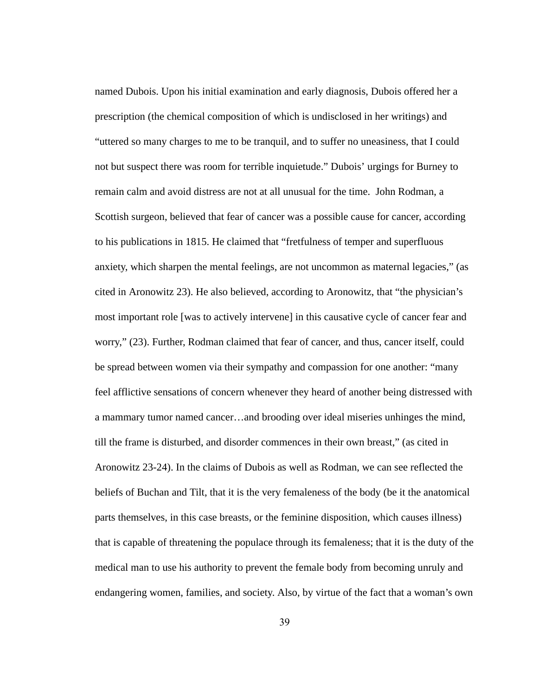named Dubois. Upon his initial examination and early diagnosis, Dubois offered her a prescription (the chemical composition of which is undisclosed in her writings) and "uttered so many charges to me to be tranquil, and to suffer no uneasiness, that I could not but suspect there was room for terrible inquietude." Dubois' urgings for Burney to remain calm and avoid distress are not at all unusual for the time. John Rodman, a Scottish surgeon, believed that fear of cancer was a possible cause for cancer, according to his publications in 1815. He claimed that "fretfulness of temper and superfluous anxiety, which sharpen the mental feelings, are not uncommon as maternal legacies," (as cited in Aronowitz 23). He also believed, according to Aronowitz, that "the physician's most important role [was to actively intervene] in this causative cycle of cancer fear and worry," (23). Further, Rodman claimed that fear of cancer, and thus, cancer itself, could be spread between women via their sympathy and compassion for one another: "many feel afflictive sensations of concern whenever they heard of another being distressed with a mammary tumor named cancer…and brooding over ideal miseries unhinges the mind, till the frame is disturbed, and disorder commences in their own breast," (as cited in Aronowitz 23-24). In the claims of Dubois as well as Rodman, we can see reflected the beliefs of Buchan and Tilt, that it is the very femaleness of the body (be it the anatomical parts themselves, in this case breasts, or the feminine disposition, which causes illness) that is capable of threatening the populace through its femaleness; that it is the duty of the medical man to use his authority to prevent the female body from becoming unruly and endangering women, families, and society. Also, by virtue of the fact that a woman's own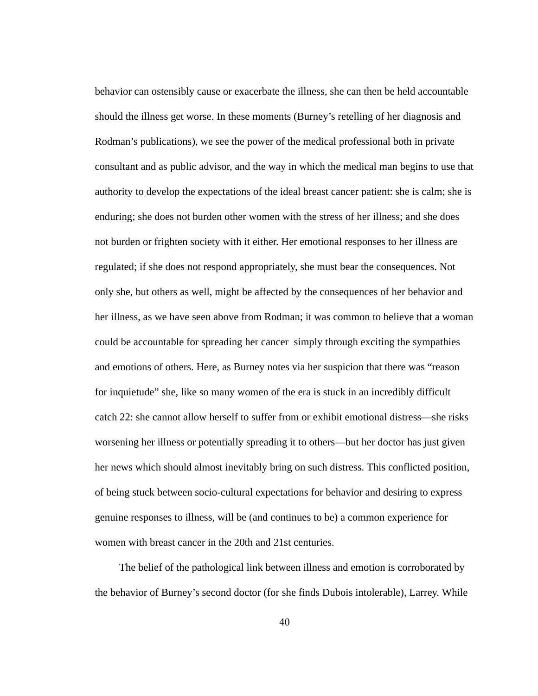behavior can ostensibly cause or exacerbate the illness, she can then be held accountable should the illness get worse. In these moments (Burney's retelling of her diagnosis and Rodman's publications), we see the power of the medical professional both in private consultant and as public advisor, and the way in which the medical man begins to use that authority to develop the expectations of the ideal breast cancer patient: she is calm; she is enduring; she does not burden other women with the stress of her illness; and she does not burden or frighten society with it either. Her emotional responses to her illness are regulated; if she does not respond appropriately, she must bear the consequences. Not only she, but others as well, might be affected by the consequences of her behavior and her illness, as we have seen above from Rodman; it was common to believe that a woman could be accountable for spreading her cancer simply through exciting the sympathies and emotions of others. Here, as Burney notes via her suspicion that there was "reason for inquietude" she, like so many women of the era is stuck in an incredibly difficult catch 22: she cannot allow herself to suffer from or exhibit emotional distress—she risks worsening her illness or potentially spreading it to others—but her doctor has just given her news which should almost inevitably bring on such distress. This conflicted position, of being stuck between socio-cultural expectations for behavior and desiring to express genuine responses to illness, will be (and continues to be) a common experience for women with breast cancer in the 20th and 21st centuries.

The belief of the pathological link between illness and emotion is corroborated by the behavior of Burney's second doctor (for she finds Dubois intolerable), Larrey. While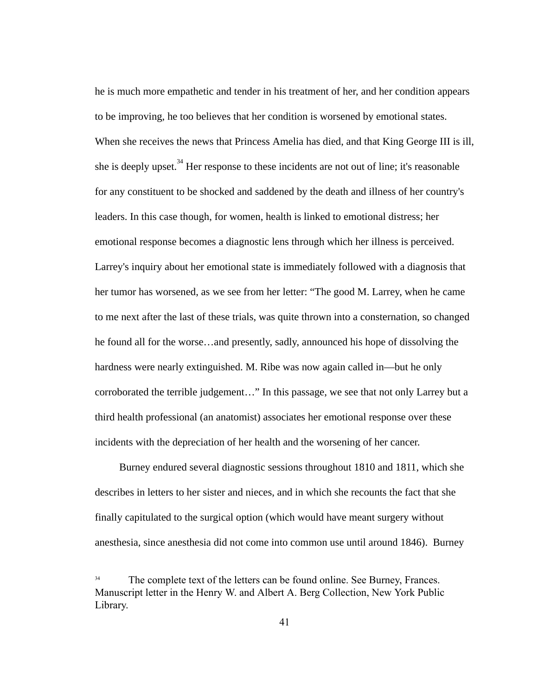he is much more empathetic and tender in his treatment of her, and her condition appears to be improving, he too believes that her condition is worsened by emotional states. When she receives the news that Princess Amelia has died, and that King George III is ill, she is deeply upset.  $34$  Her response to these incidents are not out of line; it's reasonable for any constituent to be shocked and saddened by the death and illness of her country's leaders. In this case though, for women, health is linked to emotional distress; her emotional response becomes a diagnostic lens through which her illness is perceived. Larrey's inquiry about her emotional state is immediately followed with a diagnosis that her tumor has worsened, as we see from her letter: "The good M. Larrey, when he came to me next after the last of these trials, was quite thrown into a consternation, so changed he found all for the worse…and presently, sadly, announced his hope of dissolving the hardness were nearly extinguished. M. Ribe was now again called in—but he only corroborated the terrible judgement…" In this passage, we see that not only Larrey but a third health professional (an anatomist) associates her emotional response over these incidents with the depreciation of her health and the worsening of her cancer.

Burney endured several diagnostic sessions throughout 1810 and 1811, which she describes in letters to her sister and nieces, and in which she recounts the fact that she finally capitulated to the surgical option (which would have meant surgery without anesthesia, since anesthesia did not come into common use until around 1846). Burney

<sup>34</sup> The complete text of the letters can be found online. See Burney, Frances. Manuscript letter in the Henry W. and Albert A. Berg Collection, New York Public Library.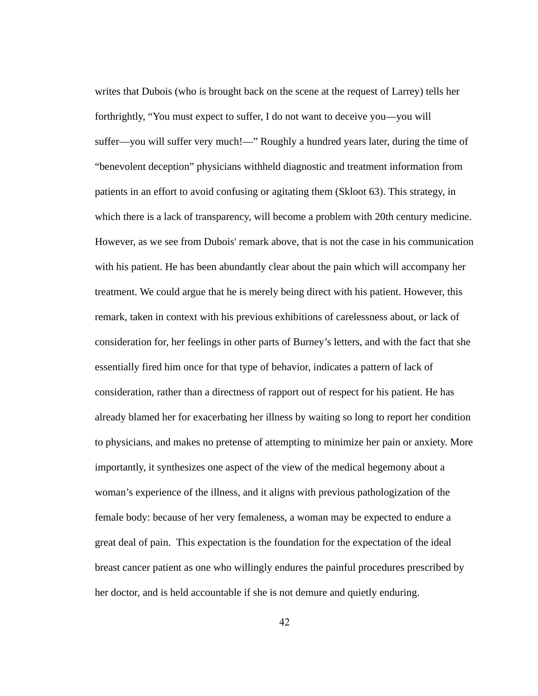writes that Dubois (who is brought back on the scene at the request of Larrey) tells her forthrightly, "You must expect to suffer, I do not want to deceive you—you will suffer—you will suffer very much!—" Roughly a hundred years later, during the time of "benevolent deception" physicians withheld diagnostic and treatment information from patients in an effort to avoid confusing or agitating them (Skloot 63). This strategy, in which there is a lack of transparency, will become a problem with 20th century medicine. However, as we see from Dubois' remark above, that is not the case in his communication with his patient. He has been abundantly clear about the pain which will accompany her treatment. We could argue that he is merely being direct with his patient. However, this remark, taken in context with his previous exhibitions of carelessness about, or lack of consideration for, her feelings in other parts of Burney's letters, and with the fact that she essentially fired him once for that type of behavior, indicates a pattern of lack of consideration, rather than a directness of rapport out of respect for his patient. He has already blamed her for exacerbating her illness by waiting so long to report her condition to physicians, and makes no pretense of attempting to minimize her pain or anxiety. More importantly, it synthesizes one aspect of the view of the medical hegemony about a woman's experience of the illness, and it aligns with previous pathologization of the female body: because of her very femaleness, a woman may be expected to endure a great deal of pain. This expectation is the foundation for the expectation of the ideal breast cancer patient as one who willingly endures the painful procedures prescribed by her doctor, and is held accountable if she is not demure and quietly enduring.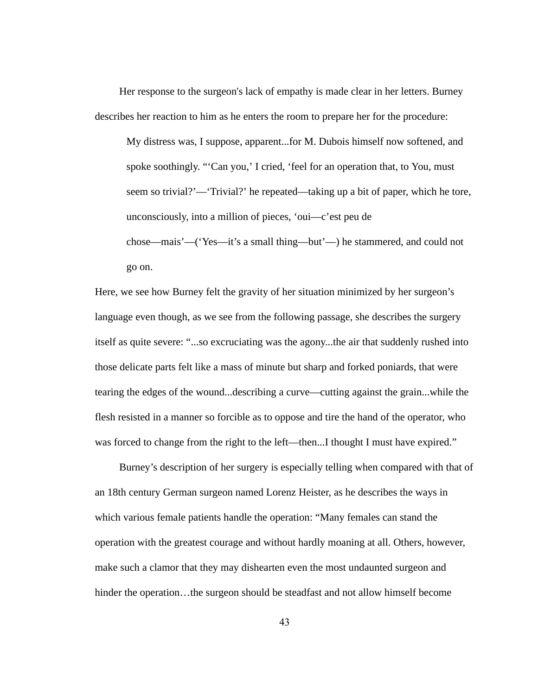Her response to the surgeon's lack of empathy is made clear in her letters. Burney describes her reaction to him as he enters the room to prepare her for the procedure:

My distress was, I suppose, apparent...for M. Dubois himself now softened, and spoke soothingly. "'Can you,' I cried, 'feel for an operation that, to You, must seem so trivial?'—'Trivial?' he repeated—taking up a bit of paper, which he tore, unconsciously, into a million of pieces, 'oui—c'est peu de chose—mais'—('Yes—it's a small thing—but'—) he stammered, and could not go on.

Here, we see how Burney felt the gravity of her situation minimized by her surgeon's language even though, as we see from the following passage, she describes the surgery itself as quite severe: "...so excruciating was the agony...the air that suddenly rushed into those delicate parts felt like a mass of minute but sharp and forked poniards, that were tearing the edges of the wound...describing a curve—cutting against the grain...while the flesh resisted in a manner so forcible as to oppose and tire the hand of the operator, who was forced to change from the right to the left—then...I thought I must have expired."

Burney's description of her surgery is especially telling when compared with that of an 18th century German surgeon named Lorenz Heister, as he describes the ways in which various female patients handle the operation: "Many females can stand the operation with the greatest courage and without hardly moaning at all. Others, however, make such a clamor that they may dishearten even the most undaunted surgeon and hinder the operation...the surgeon should be steadfast and not allow himself become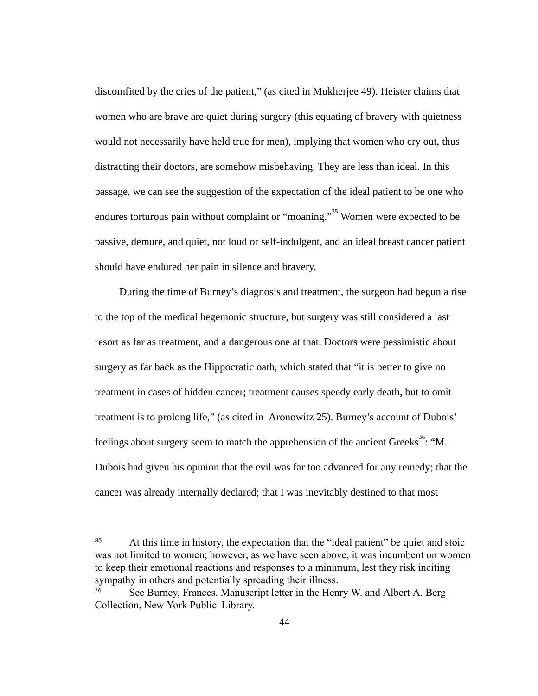discomfited by the cries of the patient," (as cited in Mukherjee 49). Heister claims that women who are brave are quiet during surgery (this equating of bravery with quietness would not necessarily have held true for men), implying that women who cry out, thus distracting their doctors, are somehow misbehaving. They are less than ideal. In this passage, we can see the suggestion of the expectation of the ideal patient to be one who endures torturous pain without complaint or "moaning."<sup>35</sup> Women were expected to be passive, demure, and quiet, not loud or self-indulgent, and an ideal breast cancer patient should have endured her pain in silence and bravery.

During the time of Burney's diagnosis and treatment, the surgeon had begun a rise to the top of the medical hegemonic structure, but surgery was still considered a last resort as far as treatment, and a dangerous one at that. Doctors were pessimistic about surgery as far back as the Hippocratic oath, which stated that "it is better to give no treatment in cases of hidden cancer; treatment causes speedy early death, but to omit treatment is to prolong life," (as cited in Aronowitz 25). Burney's account of Dubois' feelings about surgery seem to match the apprehension of the ancient Greeks<sup>36</sup>: "M. Dubois had given his opinion that the evil was far too advanced for any remedy; that the cancer was already internally declared; that I was inevitably destined to that most

<sup>35</sup> At this time in history, the expectation that the "ideal patient" be quiet and stoic was not limited to women; however, as we have seen above, it was incumbent on women to keep their emotional reactions and responses to a minimum, lest they risk inciting sympathy in others and potentially spreading their illness.

<sup>36</sup> See Burney, Frances. Manuscript letter in the Henry W. and Albert A. Berg Collection, New York Public Library.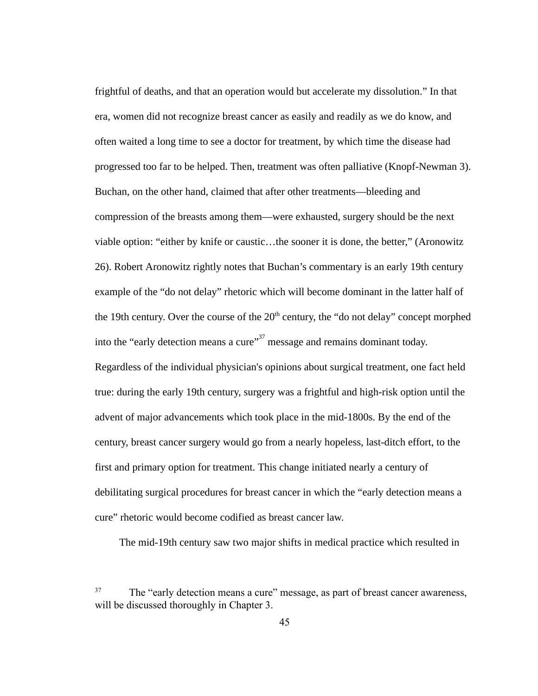frightful of deaths, and that an operation would but accelerate my dissolution." In that era, women did not recognize breast cancer as easily and readily as we do know, and often waited a long time to see a doctor for treatment, by which time the disease had progressed too far to be helped. Then, treatment was often palliative (Knopf-Newman 3). Buchan, on the other hand, claimed that after other treatments—bleeding and compression of the breasts among them—were exhausted, surgery should be the next viable option: "either by knife or caustic…the sooner it is done, the better," (Aronowitz 26). Robert Aronowitz rightly notes that Buchan's commentary is an early 19th century example of the "do not delay" rhetoric which will become dominant in the latter half of the 19th century. Over the course of the  $20<sup>th</sup>$  century, the "do not delay" concept morphed into the "early detection means a cure" $37$  message and remains dominant today. Regardless of the individual physician's opinions about surgical treatment, one fact held true: during the early 19th century, surgery was a frightful and high-risk option until the advent of major advancements which took place in the mid-1800s. By the end of the century, breast cancer surgery would go from a nearly hopeless, last-ditch effort, to the first and primary option for treatment. This change initiated nearly a century of debilitating surgical procedures for breast cancer in which the "early detection means a cure" rhetoric would become codified as breast cancer law.

The mid-19th century saw two major shifts in medical practice which resulted in

<sup>37</sup> The "early detection means a cure" message, as part of breast cancer awareness, will be discussed thoroughly in Chapter 3.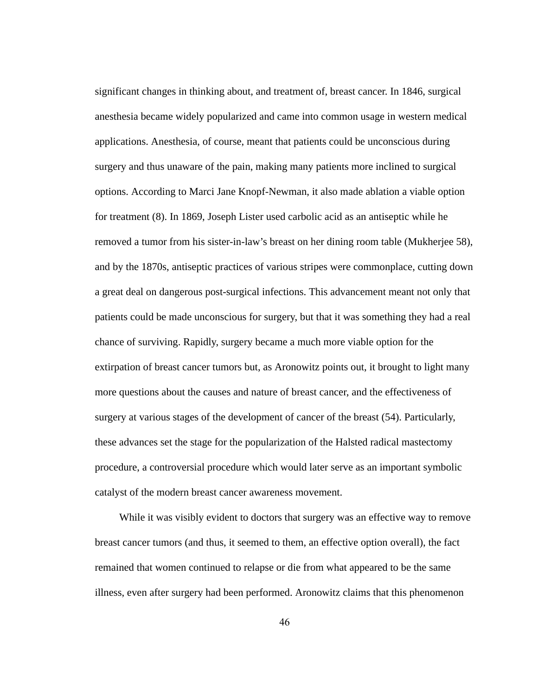significant changes in thinking about, and treatment of, breast cancer. In 1846, surgical anesthesia became widely popularized and came into common usage in western medical applications. Anesthesia, of course, meant that patients could be unconscious during surgery and thus unaware of the pain, making many patients more inclined to surgical options. According to Marci Jane Knopf-Newman, it also made ablation a viable option for treatment (8). In 1869, Joseph Lister used carbolic acid as an antiseptic while he removed a tumor from his sister-in-law's breast on her dining room table (Mukherjee 58), and by the 1870s, antiseptic practices of various stripes were commonplace, cutting down a great deal on dangerous post-surgical infections. This advancement meant not only that patients could be made unconscious for surgery, but that it was something they had a real chance of surviving. Rapidly, surgery became a much more viable option for the extirpation of breast cancer tumors but, as Aronowitz points out, it brought to light many more questions about the causes and nature of breast cancer, and the effectiveness of surgery at various stages of the development of cancer of the breast (54). Particularly, these advances set the stage for the popularization of the Halsted radical mastectomy procedure, a controversial procedure which would later serve as an important symbolic catalyst of the modern breast cancer awareness movement.

While it was visibly evident to doctors that surgery was an effective way to remove breast cancer tumors (and thus, it seemed to them, an effective option overall), the fact remained that women continued to relapse or die from what appeared to be the same illness, even after surgery had been performed. Aronowitz claims that this phenomenon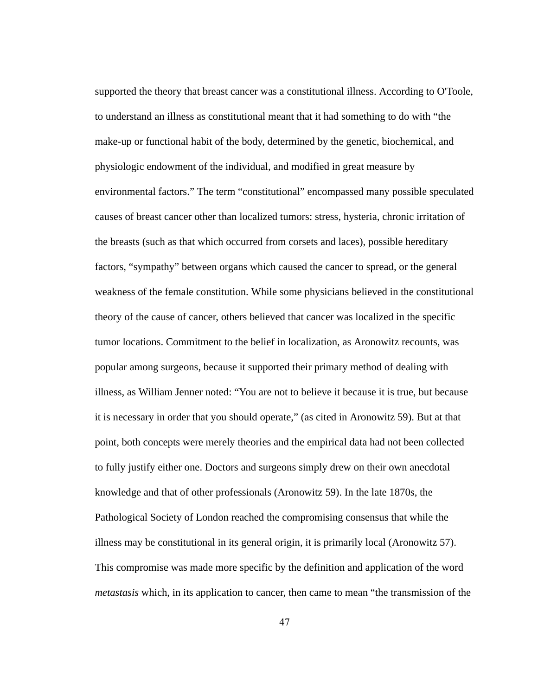supported the theory that breast cancer was a constitutional illness. According to O'Toole, to understand an illness as constitutional meant that it had something to do with "the make-up or functional habit of the body, determined by the genetic, biochemical, and physiologic endowment of the individual, and modified in great measure by environmental factors." The term "constitutional" encompassed many possible speculated causes of breast cancer other than localized tumors: stress, hysteria, chronic irritation of the breasts (such as that which occurred from corsets and laces), possible hereditary factors, "sympathy" between organs which caused the cancer to spread, or the general weakness of the female constitution. While some physicians believed in the constitutional theory of the cause of cancer, others believed that cancer was localized in the specific tumor locations. Commitment to the belief in localization, as Aronowitz recounts, was popular among surgeons, because it supported their primary method of dealing with illness, as William Jenner noted: "You are not to believe it because it is true, but because it is necessary in order that you should operate," (as cited in Aronowitz 59). But at that point, both concepts were merely theories and the empirical data had not been collected to fully justify either one. Doctors and surgeons simply drew on their own anecdotal knowledge and that of other professionals (Aronowitz 59). In the late 1870s, the Pathological Society of London reached the compromising consensus that while the illness may be constitutional in its general origin, it is primarily local (Aronowitz 57). This compromise was made more specific by the definition and application of the word *metastasis* which, in its application to cancer, then came to mean "the transmission of the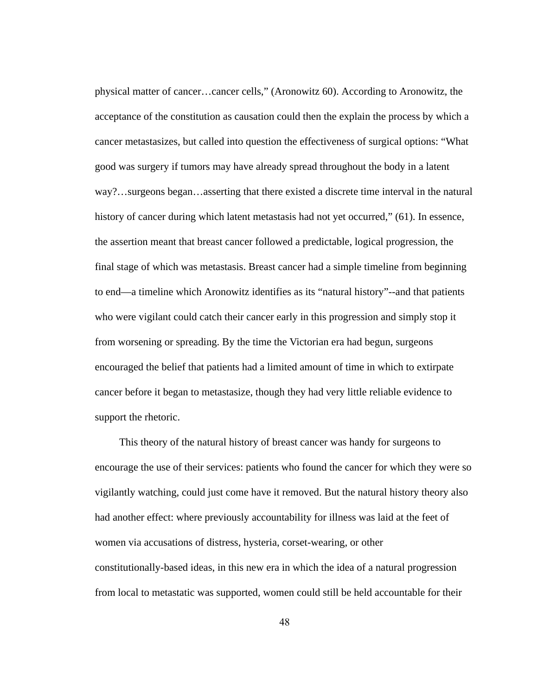physical matter of cancer…cancer cells," (Aronowitz 60). According to Aronowitz, the acceptance of the constitution as causation could then the explain the process by which a cancer metastasizes, but called into question the effectiveness of surgical options: "What good was surgery if tumors may have already spread throughout the body in a latent way?...surgeons began...asserting that there existed a discrete time interval in the natural history of cancer during which latent metastasis had not yet occurred," (61). In essence, the assertion meant that breast cancer followed a predictable, logical progression, the final stage of which was metastasis. Breast cancer had a simple timeline from beginning to end—a timeline which Aronowitz identifies as its "natural history"--and that patients who were vigilant could catch their cancer early in this progression and simply stop it from worsening or spreading. By the time the Victorian era had begun, surgeons encouraged the belief that patients had a limited amount of time in which to extirpate cancer before it began to metastasize, though they had very little reliable evidence to support the rhetoric.

This theory of the natural history of breast cancer was handy for surgeons to encourage the use of their services: patients who found the cancer for which they were so vigilantly watching, could just come have it removed. But the natural history theory also had another effect: where previously accountability for illness was laid at the feet of women via accusations of distress, hysteria, corset-wearing, or other constitutionally-based ideas, in this new era in which the idea of a natural progression from local to metastatic was supported, women could still be held accountable for their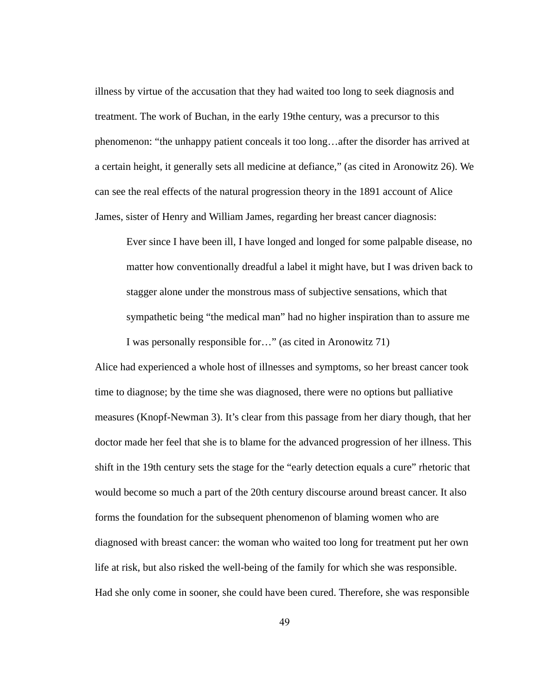illness by virtue of the accusation that they had waited too long to seek diagnosis and treatment. The work of Buchan, in the early 19the century, was a precursor to this phenomenon: "the unhappy patient conceals it too long…after the disorder has arrived at a certain height, it generally sets all medicine at defiance," (as cited in Aronowitz 26). We can see the real effects of the natural progression theory in the 1891 account of Alice James, sister of Henry and William James, regarding her breast cancer diagnosis:

Ever since I have been ill, I have longed and longed for some palpable disease, no matter how conventionally dreadful a label it might have, but I was driven back to stagger alone under the monstrous mass of subjective sensations, which that sympathetic being "the medical man" had no higher inspiration than to assure me I was personally responsible for…" (as cited in Aronowitz 71)

Alice had experienced a whole host of illnesses and symptoms, so her breast cancer took time to diagnose; by the time she was diagnosed, there were no options but palliative measures (Knopf-Newman 3). It's clear from this passage from her diary though, that her doctor made her feel that she is to blame for the advanced progression of her illness. This shift in the 19th century sets the stage for the "early detection equals a cure" rhetoric that would become so much a part of the 20th century discourse around breast cancer. It also forms the foundation for the subsequent phenomenon of blaming women who are diagnosed with breast cancer: the woman who waited too long for treatment put her own life at risk, but also risked the well-being of the family for which she was responsible. Had she only come in sooner, she could have been cured. Therefore, she was responsible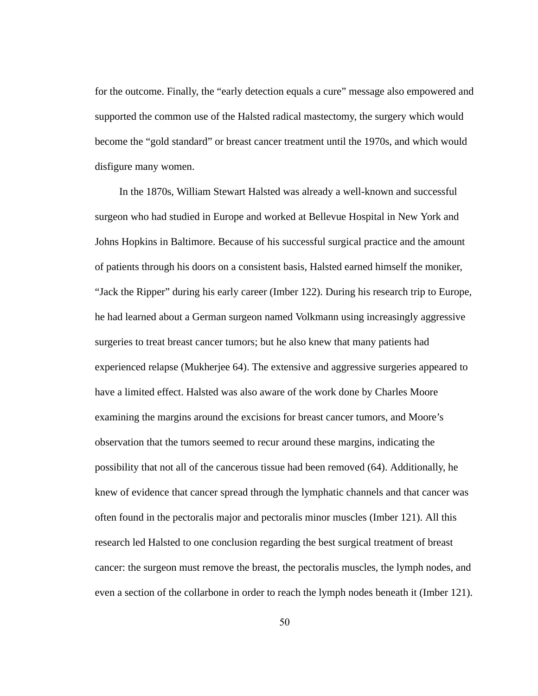for the outcome. Finally, the "early detection equals a cure" message also empowered and supported the common use of the Halsted radical mastectomy, the surgery which would become the "gold standard" or breast cancer treatment until the 1970s, and which would disfigure many women.

In the 1870s, William Stewart Halsted was already a well-known and successful surgeon who had studied in Europe and worked at Bellevue Hospital in New York and Johns Hopkins in Baltimore. Because of his successful surgical practice and the amount of patients through his doors on a consistent basis, Halsted earned himself the moniker, "Jack the Ripper" during his early career (Imber 122). During his research trip to Europe, he had learned about a German surgeon named Volkmann using increasingly aggressive surgeries to treat breast cancer tumors; but he also knew that many patients had experienced relapse (Mukherjee 64). The extensive and aggressive surgeries appeared to have a limited effect. Halsted was also aware of the work done by Charles Moore examining the margins around the excisions for breast cancer tumors, and Moore's observation that the tumors seemed to recur around these margins, indicating the possibility that not all of the cancerous tissue had been removed (64). Additionally, he knew of evidence that cancer spread through the lymphatic channels and that cancer was often found in the pectoralis major and pectoralis minor muscles (Imber 121). All this research led Halsted to one conclusion regarding the best surgical treatment of breast cancer: the surgeon must remove the breast, the pectoralis muscles, the lymph nodes, and even a section of the collarbone in order to reach the lymph nodes beneath it (Imber 121).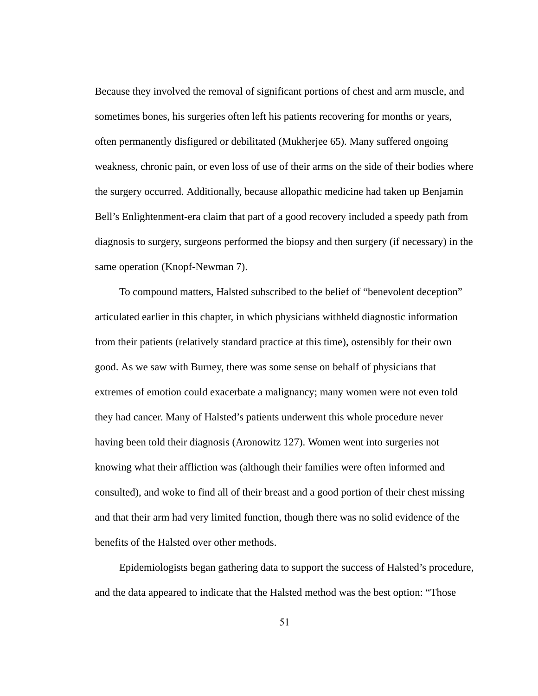Because they involved the removal of significant portions of chest and arm muscle, and sometimes bones, his surgeries often left his patients recovering for months or years, often permanently disfigured or debilitated (Mukherjee 65). Many suffered ongoing weakness, chronic pain, or even loss of use of their arms on the side of their bodies where the surgery occurred. Additionally, because allopathic medicine had taken up Benjamin Bell's Enlightenment-era claim that part of a good recovery included a speedy path from diagnosis to surgery, surgeons performed the biopsy and then surgery (if necessary) in the same operation (Knopf-Newman 7).

To compound matters, Halsted subscribed to the belief of "benevolent deception" articulated earlier in this chapter, in which physicians withheld diagnostic information from their patients (relatively standard practice at this time), ostensibly for their own good. As we saw with Burney, there was some sense on behalf of physicians that extremes of emotion could exacerbate a malignancy; many women were not even told they had cancer. Many of Halsted's patients underwent this whole procedure never having been told their diagnosis (Aronowitz 127). Women went into surgeries not knowing what their affliction was (although their families were often informed and consulted), and woke to find all of their breast and a good portion of their chest missing and that their arm had very limited function, though there was no solid evidence of the benefits of the Halsted over other methods.

Epidemiologists began gathering data to support the success of Halsted's procedure, and the data appeared to indicate that the Halsted method was the best option: "Those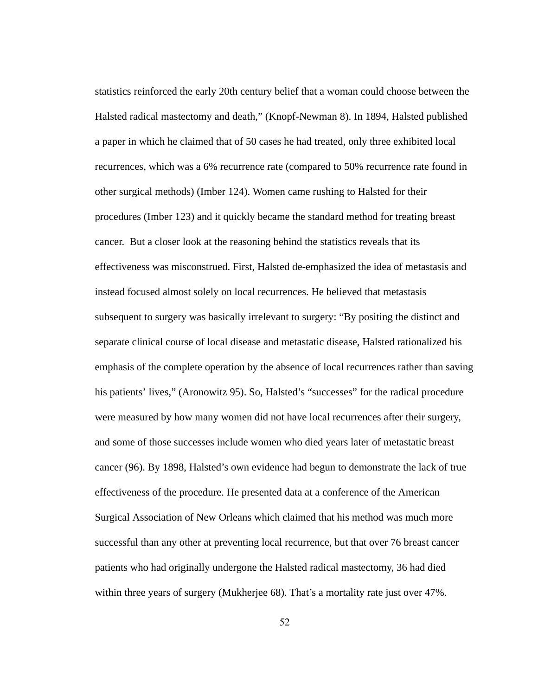statistics reinforced the early 20th century belief that a woman could choose between the Halsted radical mastectomy and death," (Knopf-Newman 8). In 1894, Halsted published a paper in which he claimed that of 50 cases he had treated, only three exhibited local recurrences, which was a 6% recurrence rate (compared to 50% recurrence rate found in other surgical methods) (Imber 124). Women came rushing to Halsted for their procedures (Imber 123) and it quickly became the standard method for treating breast cancer. But a closer look at the reasoning behind the statistics reveals that its effectiveness was misconstrued. First, Halsted de-emphasized the idea of metastasis and instead focused almost solely on local recurrences. He believed that metastasis subsequent to surgery was basically irrelevant to surgery: "By positing the distinct and separate clinical course of local disease and metastatic disease, Halsted rationalized his emphasis of the complete operation by the absence of local recurrences rather than saving his patients' lives," (Aronowitz 95). So, Halsted's "successes" for the radical procedure were measured by how many women did not have local recurrences after their surgery, and some of those successes include women who died years later of metastatic breast cancer (96). By 1898, Halsted's own evidence had begun to demonstrate the lack of true effectiveness of the procedure. He presented data at a conference of the American Surgical Association of New Orleans which claimed that his method was much more successful than any other at preventing local recurrence, but that over 76 breast cancer patients who had originally undergone the Halsted radical mastectomy, 36 had died within three years of surgery (Mukherjee 68). That's a mortality rate just over 47%.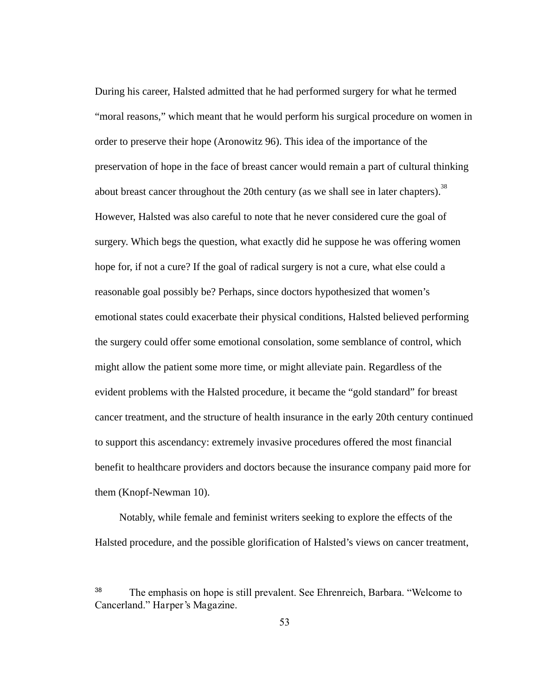During his career, Halsted admitted that he had performed surgery for what he termed "moral reasons," which meant that he would perform his surgical procedure on women in order to preserve their hope (Aronowitz 96). This idea of the importance of the preservation of hope in the face of breast cancer would remain a part of cultural thinking about breast cancer throughout the 20th century (as we shall see in later chapters).<sup>38</sup> However, Halsted was also careful to note that he never considered cure the goal of surgery. Which begs the question, what exactly did he suppose he was offering women hope for, if not a cure? If the goal of radical surgery is not a cure, what else could a reasonable goal possibly be? Perhaps, since doctors hypothesized that women's emotional states could exacerbate their physical conditions, Halsted believed performing the surgery could offer some emotional consolation, some semblance of control, which might allow the patient some more time, or might alleviate pain. Regardless of the evident problems with the Halsted procedure, it became the "gold standard" for breast cancer treatment, and the structure of health insurance in the early 20th century continued to support this ascendancy: extremely invasive procedures offered the most financial benefit to healthcare providers and doctors because the insurance company paid more for them (Knopf-Newman 10).

Notably, while female and feminist writers seeking to explore the effects of the Halsted procedure, and the possible glorification of Halsted's views on cancer treatment,

<sup>38</sup> The emphasis on hope is still prevalent. See Ehrenreich, Barbara. "Welcome to Cancerland." Harper's Magazine.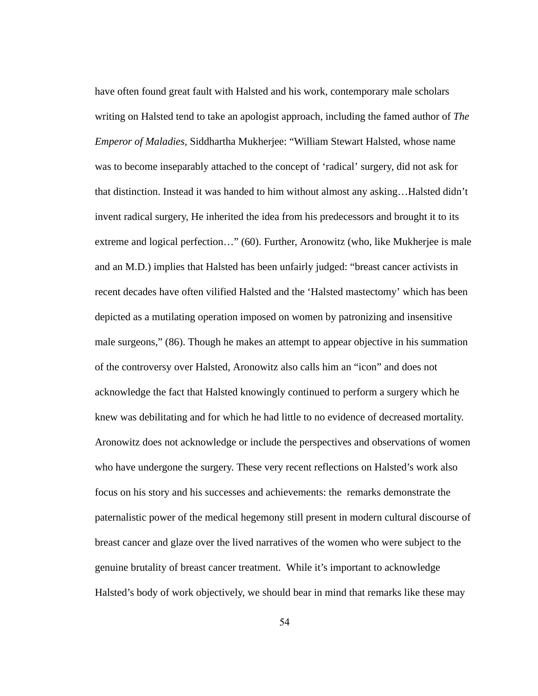have often found great fault with Halsted and his work, contemporary male scholars writing on Halsted tend to take an apologist approach, including the famed author of *The Emperor of Maladies,* Siddhartha Mukherjee: "William Stewart Halsted, whose name was to become inseparably attached to the concept of 'radical' surgery, did not ask for that distinction. Instead it was handed to him without almost any asking…Halsted didn't invent radical surgery, He inherited the idea from his predecessors and brought it to its extreme and logical perfection..." (60). Further, Aronowitz (who, like Mukherjee is male and an M.D.) implies that Halsted has been unfairly judged: "breast cancer activists in recent decades have often vilified Halsted and the 'Halsted mastectomy' which has been depicted as a mutilating operation imposed on women by patronizing and insensitive male surgeons," (86). Though he makes an attempt to appear objective in his summation of the controversy over Halsted, Aronowitz also calls him an "icon" and does not acknowledge the fact that Halsted knowingly continued to perform a surgery which he knew was debilitating and for which he had little to no evidence of decreased mortality. Aronowitz does not acknowledge or include the perspectives and observations of women who have undergone the surgery. These very recent reflections on Halsted's work also focus on his story and his successes and achievements: the remarks demonstrate the paternalistic power of the medical hegemony still present in modern cultural discourse of breast cancer and glaze over the lived narratives of the women who were subject to the genuine brutality of breast cancer treatment. While it's important to acknowledge Halsted's body of work objectively, we should bear in mind that remarks like these may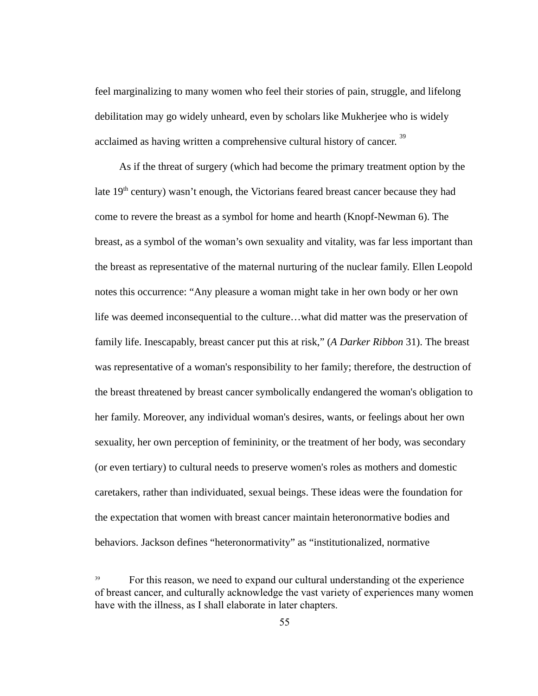feel marginalizing to many women who feel their stories of pain, struggle, and lifelong debilitation may go widely unheard, even by scholars like Mukherjee who is widely acclaimed as having written a comprehensive cultural history of cancer.<sup>39</sup>

As if the threat of surgery (which had become the primary treatment option by the late  $19<sup>th</sup>$  century) wasn't enough, the Victorians feared breast cancer because they had come to revere the breast as a symbol for home and hearth (Knopf-Newman 6). The breast, as a symbol of the woman's own sexuality and vitality, was far less important than the breast as representative of the maternal nurturing of the nuclear family. Ellen Leopold notes this occurrence: "Any pleasure a woman might take in her own body or her own life was deemed inconsequential to the culture…what did matter was the preservation of family life. Inescapably, breast cancer put this at risk," ( *A Darker Ribbon* 31). The breast was representative of a woman's responsibility to her family; therefore, the destruction of the breast threatened by breast cancer symbolically endangered the woman's obligation to her family. Moreover, any individual woman's desires, wants, or feelings about her own sexuality, her own perception of femininity, or the treatment of her body, was secondary (or even tertiary) to cultural needs to preserve women's roles as mothers and domestic caretakers, rather than individuated, sexual beings. These ideas were the foundation for the expectation that women with breast cancer maintain heteronormative bodies and behaviors. Jackson defines "heteronormativity" as "institutionalized, normative

<sup>39</sup> For this reason, we need to expand our cultural understanding ot the experience of breast cancer, and culturally acknowledge the vast variety of experiences many women have with the illness, as I shall elaborate in later chapters.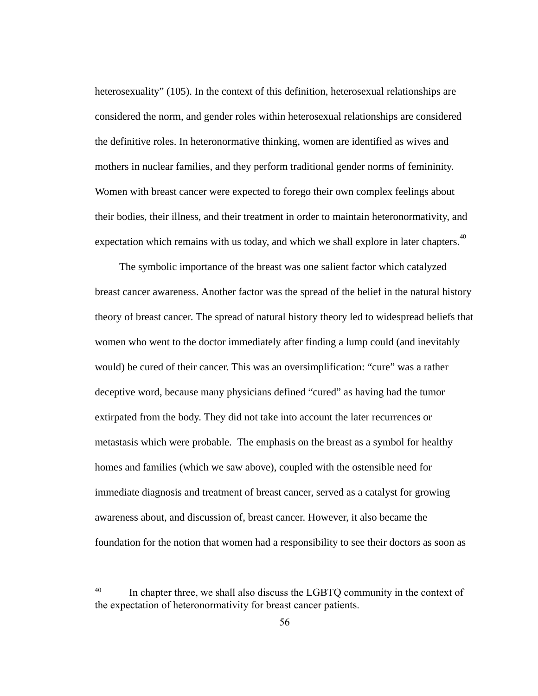heterosexuality" (105). In the context of this definition, heterosexual relationships are considered the norm, and gender roles within heterosexual relationships are considered the definitive roles. In heteronormative thinking, women are identified as wives and mothers in nuclear families, and they perform traditional gender norms of femininity. Women with breast cancer were expected to forego their own complex feelings about their bodies, their illness, and their treatment in order to maintain heteronormativity, and expectation which remains with us today, and which we shall explore in later chapters.<sup>40</sup>

The symbolic importance of the breast was one salient factor which catalyzed breast cancer awareness. Another factor was the spread of the belief in the natural history theory of breast cancer. The spread of natural history theory led to widespread beliefs that women who went to the doctor immediately after finding a lump could (and inevitably would) be cured of their cancer. This was an oversimplification: "cure" was a rather deceptive word, because many physicians defined "cured" as having had the tumor extirpated from the body. They did not take into account the later recurrences or metastasis which were probable. The emphasis on the breast as a symbol for healthy homes and families (which we saw above), coupled with the ostensible need for immediate diagnosis and treatment of breast cancer, served as a catalyst for growing awareness about, and discussion of, breast cancer. However, it also became the foundation for the notion that women had a responsibility to see their doctors as soon as

<sup>40</sup> In chapter three, we shall also discuss the LGBTQ community in the context of the expectation of heteronormativity for breast cancer patients.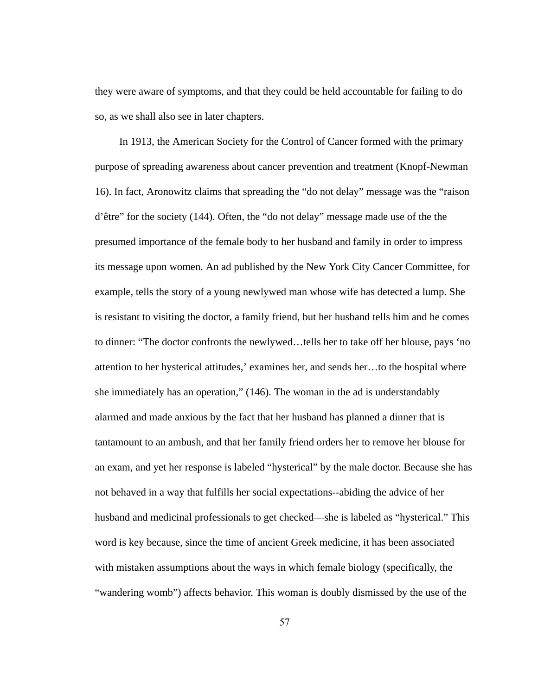they were aware of symptoms, and that they could be held accountable for failing to do so, as we shall also see in later chapters.

In 1913, the American Society for the Control of Cancer formed with the primary purpose of spreading awareness about cancer prevention and treatment (Knopf-Newman 16). In fact, Aronowitz claims that spreading the "do not delay" message was the "raison d'être" for the society (144). Often, the "do not delay" message made use of the the presumed importance of the female body to her husband and family in order to impress its message upon women. An ad published by the New York City Cancer Committee, for example, tells the story of a young newlywed man whose wife has detected a lump. She is resistant to visiting the doctor, a family friend, but her husband tells him and he comes to dinner: "The doctor confronts the newlywed…tells her to take off her blouse, pays 'no attention to her hysterical attitudes,' examines her, and sends her...to the hospital where she immediately has an operation," (146). The woman in the ad is understandably alarmed and made anxious by the fact that her husband has planned a dinner that is tantamount to an ambush, and that her family friend orders her to remove her blouse for an exam, and yet her response is labeled "hysterical" by the male doctor. Because she has not behaved in a way that fulfills her social expectations--abiding the advice of her husband and medicinal professionals to get checked—she is labeled as "hysterical." This word is key because, since the time of ancient Greek medicine, it has been associated with mistaken assumptions about the ways in which female biology (specifically, the "wandering womb") affects behavior. This woman is doubly dismissed by the use of the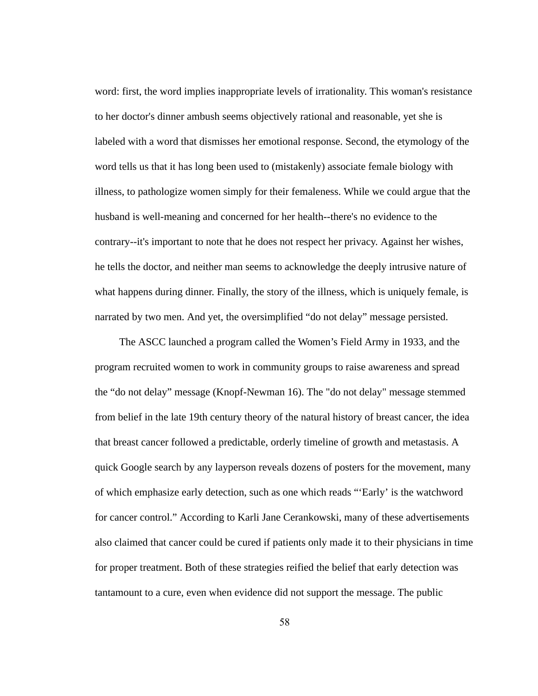word: first, the word implies inappropriate levels of irrationality. This woman's resistance to her doctor's dinner ambush seems objectively rational and reasonable, yet she is labeled with a word that dismisses her emotional response. Second, the etymology of the word tells us that it has long been used to (mistakenly) associate female biology with illness, to pathologize women simply for their femaleness. While we could argue that the husband is well-meaning and concerned for her health--there's no evidence to the contrary--it's important to note that he does not respect her privacy. Against her wishes, he tells the doctor, and neither man seems to acknowledge the deeply intrusive nature of what happens during dinner. Finally, the story of the illness, which is uniquely female, is narrated by two men. And yet, the oversimplified "do not delay" message persisted.

The ASCC launched a program called the Women's Field Army in 1933, and the program recruited women to work in community groups to raise awareness and spread the "do not delay" message (Knopf-Newman 16). The "do not delay" message stemmed from belief in the late 19th century theory of the natural history of breast cancer, the idea that breast cancer followed a predictable, orderly timeline of growth and metastasis. A quick Google search by any layperson reveals dozens of posters for the movement, many of which emphasize early detection, such as one which reads "'Early' is the watchword for cancer control." According to Karli Jane Cerankowski, many of these advertisements also claimed that cancer could be cured if patients only made it to their physicians in time for proper treatment. Both of these strategies reified the belief that early detection was tantamount to a cure, even when evidence did not support the message. The public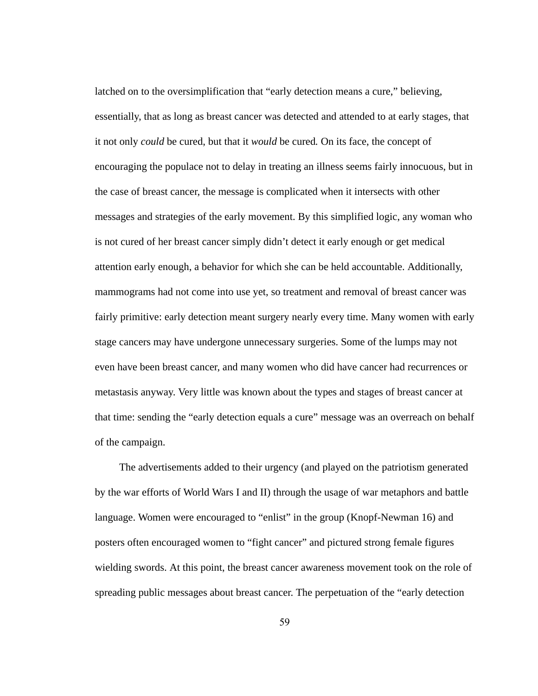latched on to the oversimplification that "early detection means a cure," believing, essentially, that as long as breast cancer was detected and attended to at early stages, that it not only *could* be cured, but that it *would* be cured *.* On its face, the concept of encouraging the populace not to delay in treating an illness seems fairly innocuous, but in the case of breast cancer, the message is complicated when it intersects with other messages and strategies of the early movement. By this simplified logic, any woman who is not cured of her breast cancer simply didn't detect it early enough or get medical attention early enough, a behavior for which she can be held accountable. Additionally, mammograms had not come into use yet, so treatment and removal of breast cancer was fairly primitive: early detection meant surgery nearly every time. Many women with early stage cancers may have undergone unnecessary surgeries. Some of the lumps may not even have been breast cancer, and many women who did have cancer had recurrences or metastasis anyway. Very little was known about the types and stages of breast cancer at that time: sending the "early detection equals a cure" message was an overreach on behalf of the campaign.

The advertisements added to their urgency (and played on the patriotism generated by the war efforts of World Wars I and II) through the usage of war metaphors and battle language. Women were encouraged to "enlist" in the group (Knopf-Newman 16) and posters often encouraged women to "fight cancer" and pictured strong female figures wielding swords. At this point, the breast cancer awareness movement took on the role of spreading public messages about breast cancer. The perpetuation of the "early detection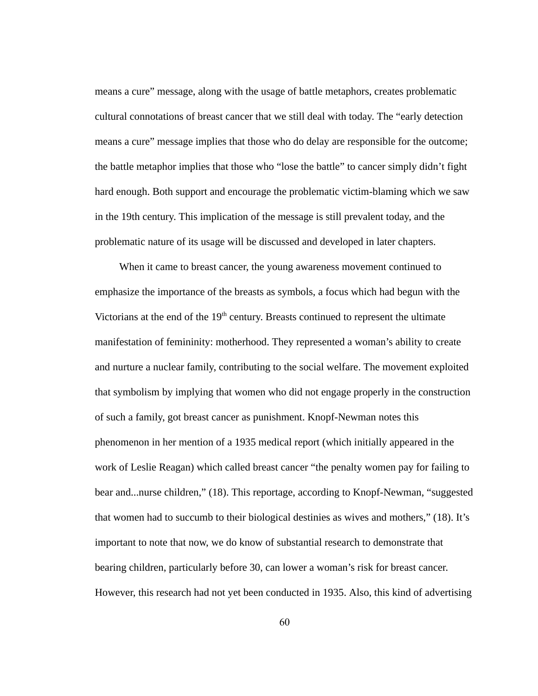means a cure" message, along with the usage of battle metaphors, creates problematic cultural connotations of breast cancer that we still deal with today. The "early detection means a cure" message implies that those who do delay are responsible for the outcome; the battle metaphor implies that those who "lose the battle" to cancer simply didn't fight hard enough. Both support and encourage the problematic victim-blaming which we saw in the 19th century. This implication of the message is still prevalent today, and the problematic nature of its usage will be discussed and developed in later chapters.

When it came to breast cancer, the young awareness movement continued to emphasize the importance of the breasts as symbols, a focus which had begun with the Victorians at the end of the  $19<sup>th</sup>$  century. Breasts continued to represent the ultimate manifestation of femininity: motherhood. They represented a woman's ability to create and nurture a nuclear family, contributing to the social welfare. The movement exploited that symbolism by implying that women who did not engage properly in the construction of such a family, got breast cancer as punishment. Knopf-Newman notes this phenomenon in her mention of a 1935 medical report (which initially appeared in the work of Leslie Reagan) which called breast cancer "the penalty women pay for failing to bear and...nurse children," (18). This reportage, according to Knopf-Newman, "suggested that women had to succumb to their biological destinies as wives and mothers," (18). It's important to note that now, we do know of substantial research to demonstrate that bearing children, particularly before 30, can lower a woman's risk for breast cancer. However, this research had not yet been conducted in 1935. Also, this kind of advertising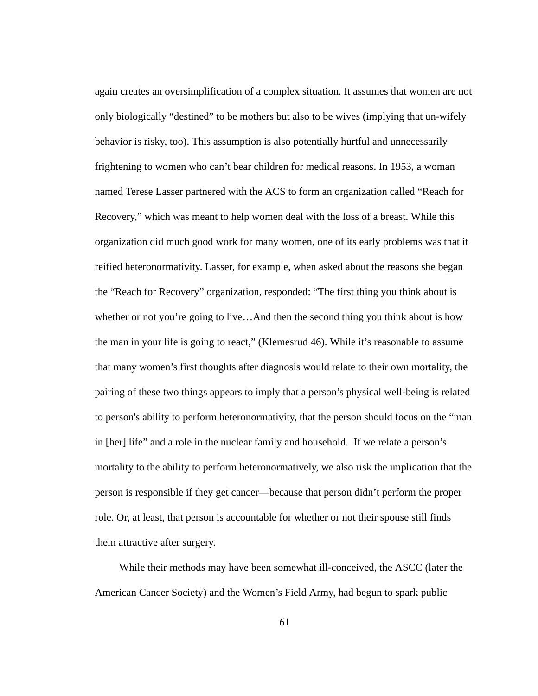again creates an oversimplification of a complex situation. It assumes that women are not only biologically "destined" to be mothers but also to be wives (implying that un-wifely behavior is risky, too). This assumption is also potentially hurtful and unnecessarily frightening to women who can't bear children for medical reasons. In 1953, a woman named Terese Lasser partnered with the ACS to form an organization called "Reach for Recovery," which was meant to help women deal with the loss of a breast. While this organization did much good work for many women, one of its early problems was that it reified heteronormativity. Lasser, for example, when asked about the reasons she began the "Reach for Recovery" organization, responded: "The first thing you think about is whether or not you're going to live...And then the second thing you think about is how the man in your life is going to react," (Klemesrud 46). While it's reasonable to assume that many women's first thoughts after diagnosis would relate to their own mortality, the pairing of these two things appears to imply that a person's physical well-being is related to person's ability to perform heteronormativity, that the person should focus on the "man in [her] life" and a role in the nuclear family and household. If we relate a person's mortality to the ability to perform heteronormatively, we also risk the implication that the person is responsible if they get cancer—because that person didn't perform the proper role. Or, at least, that person is accountable for whether or not their spouse still finds them attractive after surgery.

While their methods may have been somewhat ill-conceived, the ASCC (later the American Cancer Society) and the Women's Field Army, had begun to spark public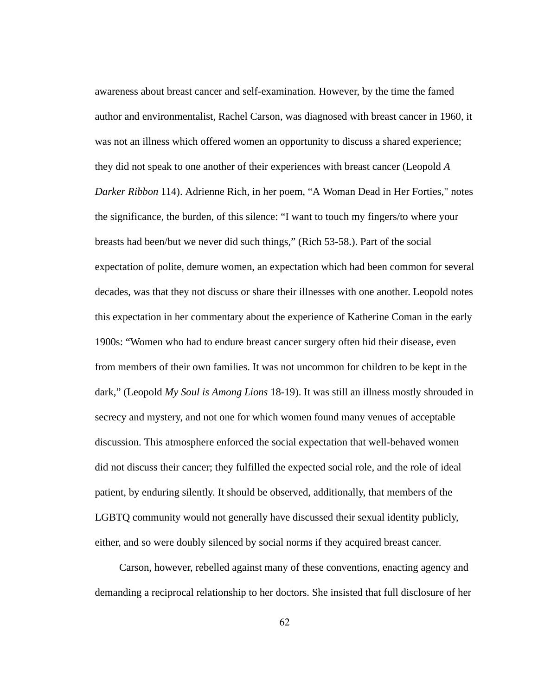awareness about breast cancer and self-examination. However, by the time the famed author and environmentalist, Rachel Carson, was diagnosed with breast cancer in 1960, it was not an illness which offered women an opportunity to discuss a shared experience; they did not speak to one another of their experiences with breast cancer (Leopold *A Darker Ribbon* 114). Adrienne Rich, in her poem, "A Woman Dead in Her Forties," notes the significance, the burden, of this silence: "I want to touch my fingers/to where your breasts had been/but we never did such things," (Rich 53-58.). Part of the social expectation of polite, demure women, an expectation which had been common for several decades, was that they not discuss or share their illnesses with one another. Leopold notes this expectation in her commentary about the experience of Katherine Coman in the early 1900s: "Women who had to endure breast cancer surgery often hid their disease, even from members of their own families. It was not uncommon for children to be kept in the dark," (Leopold My Soul is Among Lions 18-19). It was still an illness mostly shrouded in secrecy and mystery, and not one for which women found many venues of acceptable discussion. This atmosphere enforced the social expectation that well-behaved women did not discuss their cancer; they fulfilled the expected social role, and the role of ideal patient, by enduring silently. It should be observed, additionally, that members of the LGBTQ community would not generally have discussed their sexual identity publicly, either, and so were doubly silenced by social norms if they acquired breast cancer.

Carson, however, rebelled against many of these conventions, enacting agency and demanding a reciprocal relationship to her doctors. She insisted that full disclosure of her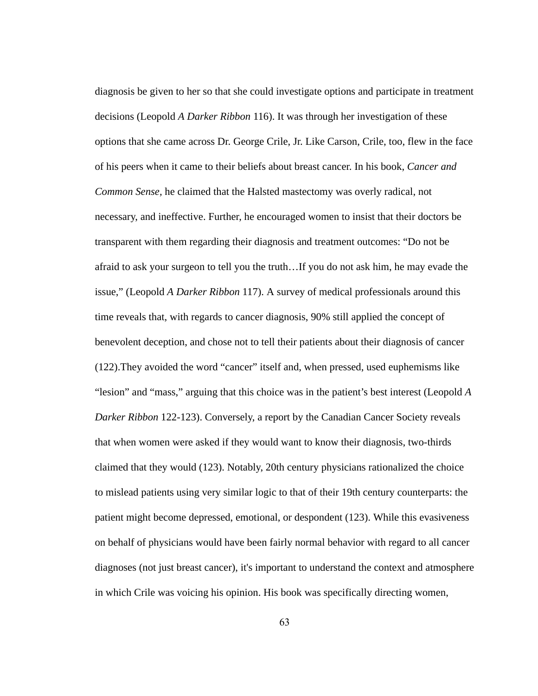diagnosis be given to her so that she could investigate options and participate in treatment decisions (Leopold *A Darker Ribbon* 116). It was through her investigation of these options that she came across Dr. George Crile, Jr. Like Carson, Crile, too, flew in the face of his peers when it came to their beliefs about breast cancer. In his book, *Cancer and Common Sense, he claimed that the Halsted mastectomy was overly radical, not* necessary, and ineffective. Further, he encouraged women to insist that their doctors be transparent with them regarding their diagnosis and treatment outcomes: "Do not be afraid to ask your surgeon to tell you the truth…If you do not ask him, he may evade the issue," (Leopold *A Darker Ribbon 117*). A survey of medical professionals around this time reveals that, with regards to cancer diagnosis, 90% still applied the concept of benevolent deception, and chose not to tell their patients about their diagnosis of cancer (122).They avoided the word "cancer" itself and, when pressed, used euphemisms like "lesion" and "mass," arguing that this choice was in the patient's best interest (Leopold *A Darker Ribbon 122-123*). Conversely, a report by the Canadian Cancer Society reveals that when women were asked if they would want to know their diagnosis, two-thirds claimed that they would (123). Notably, 20th century physicians rationalized the choice to mislead patients using very similar logic to that of their 19th century counterparts: the patient might become depressed, emotional, or despondent (123). While this evasiveness on behalf of physicians would have been fairly normal behavior with regard to all cancer diagnoses (not just breast cancer), it's important to understand the context and atmosphere in which Crile was voicing his opinion. His book was specifically directing women,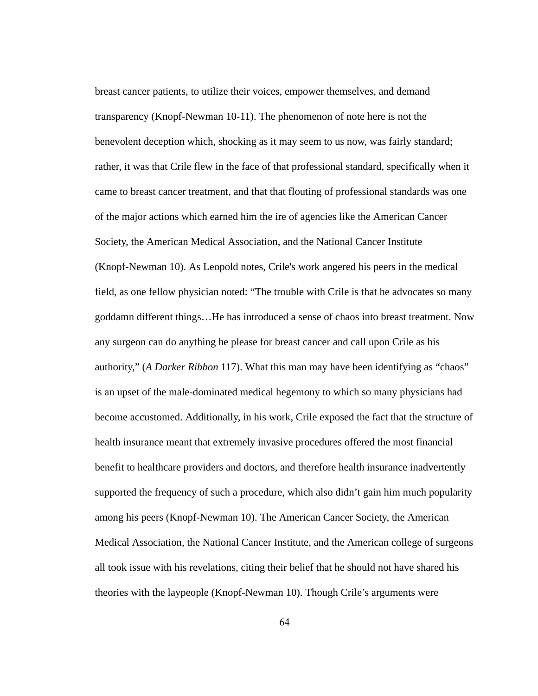breast cancer patients, to utilize their voices, empower themselves, and demand transparency (Knopf-Newman 10-11). The phenomenon of note here is not the benevolent deception which, shocking as it may seem to us now, was fairly standard; rather, it was that Crile flew in the face of that professional standard, specifically when it came to breast cancer treatment, and that that flouting of professional standards was one of the major actions which earned him the ire of agencies like the American Cancer Society, the American Medical Association, and the National Cancer Institute (Knopf-Newman 10). As Leopold notes, Crile's work angered his peers in the medical field, as one fellow physician noted: "The trouble with Crile is that he advocates so many goddamn different things…He has introduced a sense of chaos into breast treatment. Now any surgeon can do anything he please for breast cancer and call upon Crile as his authority," (A Darker Ribbon 117). What this man may have been identifying as "chaos" is an upset of the male-dominated medical hegemony to which so many physicians had become accustomed. Additionally, in his work, Crile exposed the fact that the structure of health insurance meant that extremely invasive procedures offered the most financial benefit to healthcare providers and doctors, and therefore health insurance inadvertently supported the frequency of such a procedure, which also didn't gain him much popularity among his peers (Knopf-Newman 10). The American Cancer Society, the American Medical Association, the National Cancer Institute, and the American college of surgeons all took issue with his revelations, citing their belief that he should not have shared his theories with the laypeople (Knopf-Newman 10). Though Crile's arguments were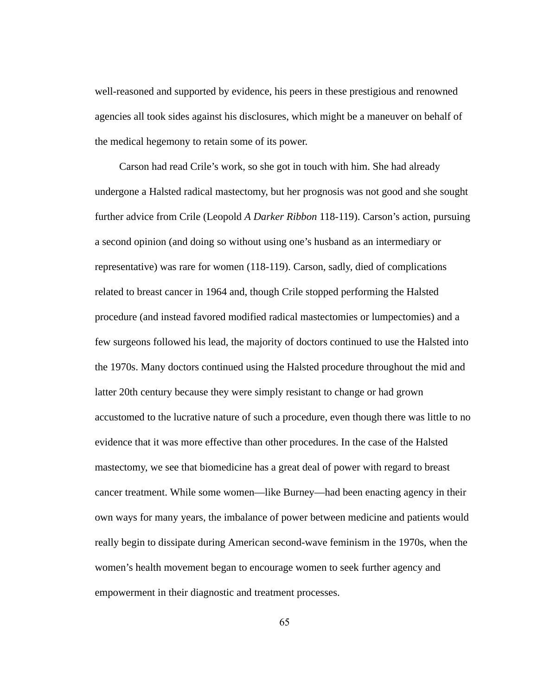well-reasoned and supported by evidence, his peers in these prestigious and renowned agencies all took sides against his disclosures, which might be a maneuver on behalf of the medical hegemony to retain some of its power.

Carson had read Crile's work, so she got in touch with him. She had already undergone a Halsted radical mastectomy, but her prognosis was not good and she sought further advice from Crile (Leopold A Darker Ribbon 118-119). Carson's action, pursuing a second opinion (and doing so without using one's husband as an intermediary or representative) was rare for women (118-119). Carson, sadly, died of complications related to breast cancer in 1964 and, though Crile stopped performing the Halsted procedure (and instead favored modified radical mastectomies or lumpectomies) and a few surgeons followed his lead, the majority of doctors continued to use the Halsted into the 1970s. Many doctors continued using the Halsted procedure throughout the mid and latter 20th century because they were simply resistant to change or had grown accustomed to the lucrative nature of such a procedure, even though there was little to no evidence that it was more effective than other procedures. In the case of the Halsted mastectomy, we see that biomedicine has a great deal of power with regard to breast cancer treatment. While some women—like Burney—had been enacting agency in their own ways for many years, the imbalance of power between medicine and patients would really begin to dissipate during American second-wave feminism in the 1970s, when the women's health movement began to encourage women to seek further agency and empowerment in their diagnostic and treatment processes.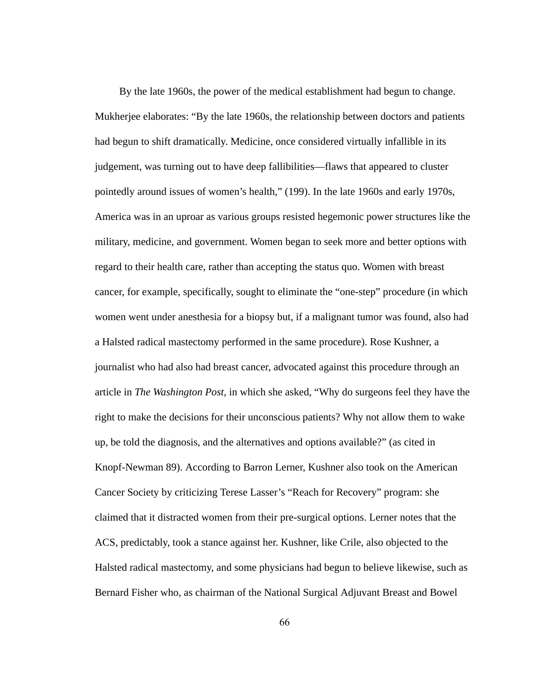By the late 1960s, the power of the medical establishment had begun to change. Mukherjee elaborates: "By the late 1960s, the relationship between doctors and patients had begun to shift dramatically. Medicine, once considered virtually infallible in its judgement, was turning out to have deep fallibilities—flaws that appeared to cluster pointedly around issues of women's health," (199). In the late 1960s and early 1970s, America was in an uproar as various groups resisted hegemonic power structures like the military, medicine, and government. Women began to seek more and better options with regard to their health care, rather than accepting the status quo. Women with breast cancer, for example, specifically, sought to eliminate the "one-step" procedure (in which women went under anesthesia for a biopsy but, if a malignant tumor was found, also had a Halsted radical mastectomy performed in the same procedure). Rose Kushner, a journalist who had also had breast cancer, advocated against this procedure through an article in *The Washington Post,* in which she asked, "Why do surgeons feel they have the right to make the decisions for their unconscious patients? Why not allow them to wake up, be told the diagnosis, and the alternatives and options available?" (as cited in Knopf-Newman 89). According to Barron Lerner, Kushner also took on the American Cancer Society by criticizing Terese Lasser's "Reach for Recovery" program: she claimed that it distracted women from their pre-surgical options. Lerner notes that the ACS, predictably, took a stance against her. Kushner, like Crile, also objected to the Halsted radical mastectomy, and some physicians had begun to believe likewise, such as Bernard Fisher who, as chairman of the National Surgical Adjuvant Breast and Bowel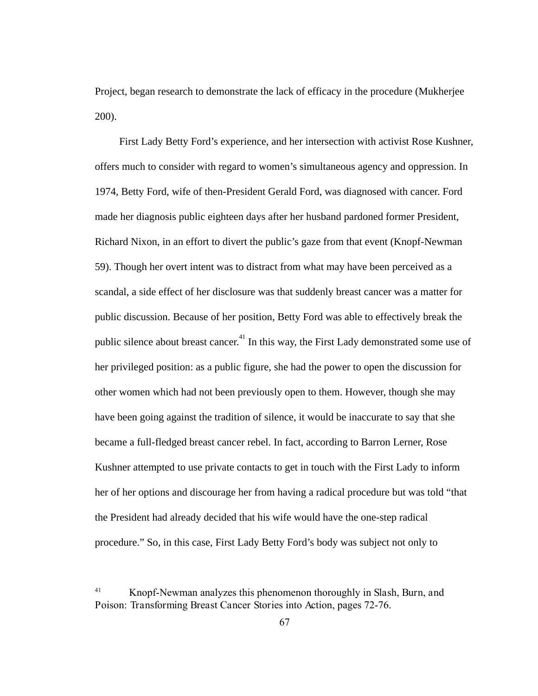Project, began research to demonstrate the lack of efficacy in the procedure (Mukherjee 200).

First Lady Betty Ford's experience, and her intersection with activist Rose Kushner, offers much to consider with regard to women's simultaneous agency and oppression. In 1974, Betty Ford, wife of then-President Gerald Ford, was diagnosed with cancer. Ford made her diagnosis public eighteen days after her husband pardoned former President, Richard Nixon, in an effort to divert the public's gaze from that event (Knopf-Newman 59). Though her overt intent was to distract from what may have been perceived as a scandal, a side effect of her disclosure was that suddenly breast cancer was a matter for public discussion. Because of her position, Betty Ford was able to effectively break the public silence about breast cancer.<sup>41</sup> In this way, the First Lady demonstrated some use of her privileged position: as a public figure, she had the power to open the discussion for other women which had not been previously open to them. However, though she may have been going against the tradition of silence, it would be inaccurate to say that she became a full-fledged breast cancer rebel. In fact, according to Barron Lerner, Rose Kushner attempted to use private contacts to get in touch with the First Lady to inform her of her options and discourage her from having a radical procedure but was told "that the President had already decided that his wife would have the one-step radical procedure." So, in this case, First Lady Betty Ford's body was subject not only to

<sup>41</sup> Knopf-Newman analyzes this phenomenon thoroughly in Slash,Burn,and Poison:TransformingBreastCancerStoriesintoAction,pages 72-76.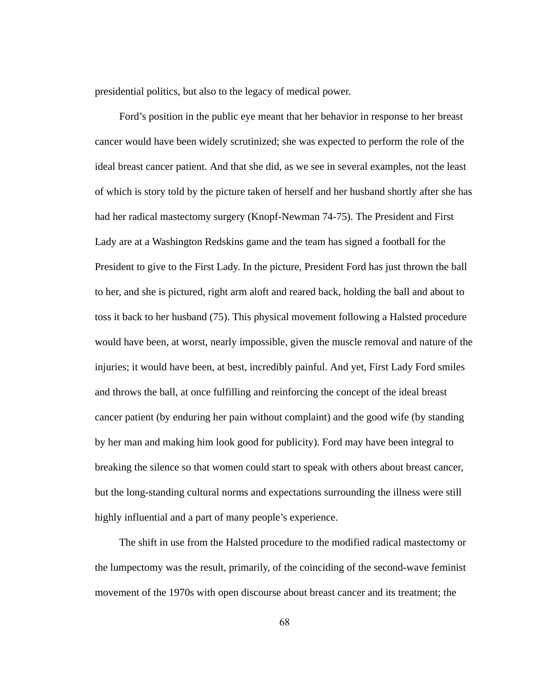presidential politics, but also to the legacy of medical power.

Ford's position in the public eye meant that her behavior in response to her breast cancer would have been widely scrutinized; she was expected to perform the role of the ideal breast cancer patient. And that she did, as we see in several examples, not the least of which is story told by the picture taken of herself and her husband shortly after she has had her radical mastectomy surgery (Knopf-Newman 74-75). The President and First Lady are at a Washington Redskins game and the team has signed a football for the President to give to the First Lady. In the picture, President Ford has just thrown the ball to her, and she is pictured, right arm aloft and reared back, holding the ball and about to toss it back to her husband (75). This physical movement following a Halsted procedure would have been, at worst, nearly impossible, given the muscle removal and nature of the injuries; it would have been, at best, incredibly painful. And yet, First Lady Ford smiles and throws the ball, at once fulfilling and reinforcing the concept of the ideal breast cancer patient (by enduring her pain without complaint) and the good wife (by standing by her man and making him look good for publicity). Ford may have been integral to breaking the silence so that women could start to speak with others about breast cancer, but the long-standing cultural norms and expectations surrounding the illness were still highly influential and a part of many people's experience.

The shift in use from the Halsted procedure to the modified radical mastectomy or the lumpectomy was the result, primarily, of the coinciding of the second-wave feminist movement of the 1970s with open discourse about breast cancer and its treatment; the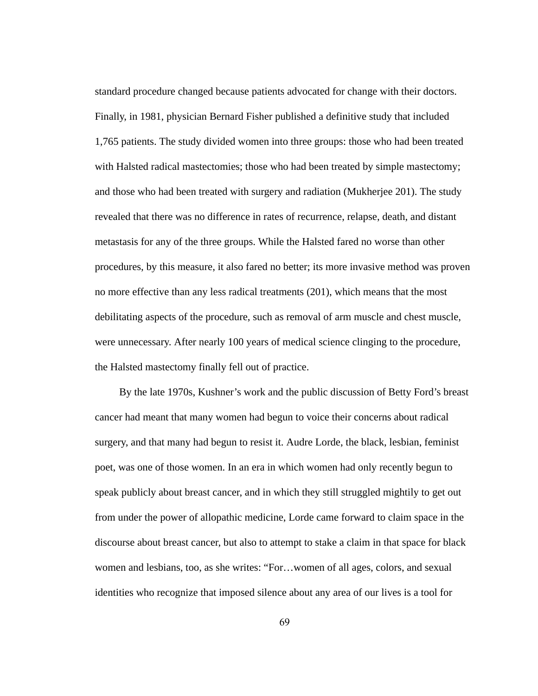standard procedure changed because patients advocated for change with their doctors. Finally, in 1981, physician Bernard Fisher published a definitive study that included 1,765 patients. The study divided women into three groups: those who had been treated with Halsted radical mastectomies; those who had been treated by simple mastectomy; and those who had been treated with surgery and radiation (Mukherjee 201). The study revealed that there was no difference in rates of recurrence, relapse, death, and distant metastasis for any of the three groups. While the Halsted fared no worse than other procedures, by this measure, it also fared no better; its more invasive method was proven no more effective than any less radical treatments (201), which means that the most debilitating aspects of the procedure, such as removal of arm muscle and chest muscle, were unnecessary. After nearly 100 years of medical science clinging to the procedure, the Halsted mastectomy finally fell out of practice.

By the late 1970s, Kushner's work and the public discussion of Betty Ford's breast cancer had meant that many women had begun to voice their concerns about radical surgery, and that many had begun to resist it. Audre Lorde, the black, lesbian, feminist poet, was one of those women. In an era in which women had only recently begun to speak publicly about breast cancer, and in which they still struggled mightily to get out from under the power of allopathic medicine, Lorde came forward to claim space in the discourse about breast cancer, but also to attempt to stake a claim in that space for black women and lesbians, too, as she writes: "For...women of all ages, colors, and sexual identities who recognize that imposed silence about any area of our lives is a tool for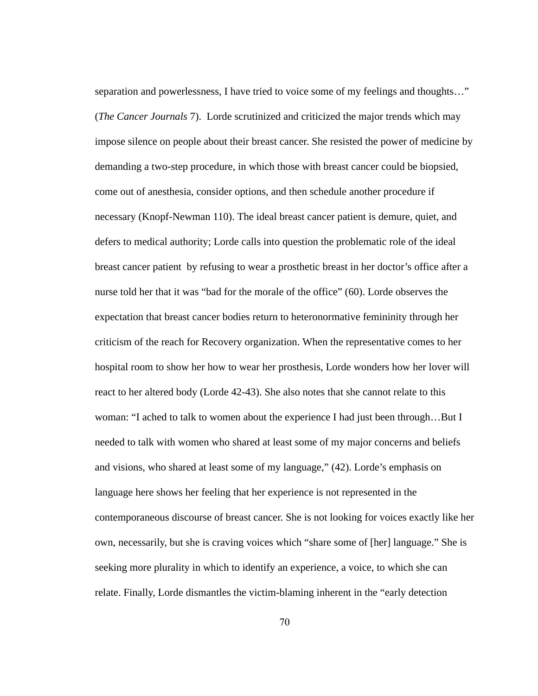separation and powerlessness, I have tried to voice some of my feelings and thoughts..." (*The Cancer Journals 7*). Lorde scrutinized and criticized the major trends which may impose silence on people about their breast cancer. She resisted the power of medicine by demanding a two-step procedure, in which those with breast cancer could be biopsied, come out of anesthesia, consider options, and then schedule another procedure if necessary (Knopf-Newman 110). The ideal breast cancer patient is demure, quiet, and defers to medical authority; Lorde calls into question the problematic role of the ideal breast cancer patient by refusing to wear a prosthetic breast in her doctor's office after a nurse told her that it was "bad for the morale of the office" (60). Lorde observes the expectation that breast cancer bodies return to heteronormative femininity through her criticism of the reach for Recovery organization. When the representative comes to her hospital room to show her how to wear her prosthesis, Lorde wonders how her lover will react to her altered body (Lorde 42-43). She also notes that she cannot relate to this woman: "I ached to talk to women about the experience I had just been through...But I needed to talk with women who shared at least some of my major concerns and beliefs and visions, who shared at least some of my language," (42). Lorde's emphasis on language here shows her feeling that her experience is not represented in the contemporaneous discourse of breast cancer. She is not looking for voices exactly like her own, necessarily, but she is craving voices which "share some of [her] language." She is seeking more plurality in which to identify an experience, a voice, to which she can relate. Finally, Lorde dismantles the victim-blaming inherent in the "early detection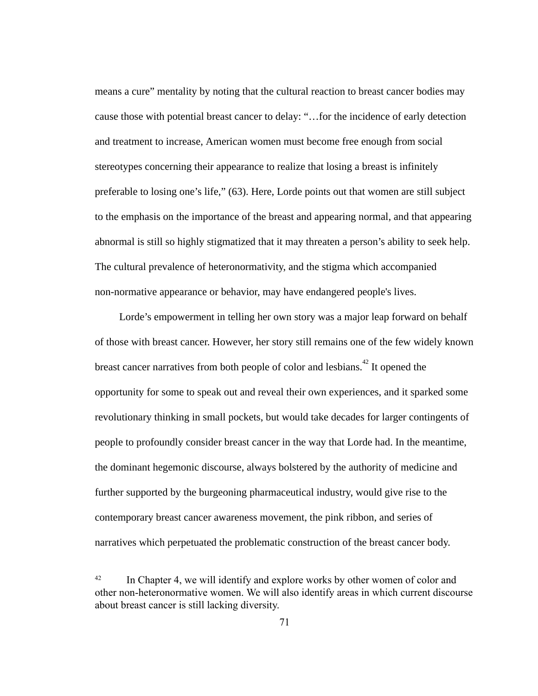means a cure" mentality by noting that the cultural reaction to breast cancer bodies may cause those with potential breast cancer to delay: "…for the incidence of early detection and treatment to increase, American women must become free enough from social stereotypes concerning their appearance to realize that losing a breast is infinitely preferable to losing one's life," (63). Here, Lorde points out that women are still subject to the emphasis on the importance of the breast and appearing normal, and that appearing abnormal is still so highly stigmatized that it may threaten a person's ability to seek help. The cultural prevalence of heteronormativity, and the stigma which accompanied non-normative appearance or behavior, may have endangered people's lives.

Lorde's empowerment in telling her own story was a major leap forward on behalf of those with breast cancer. However, her story still remains one of the few widely known breast cancer narratives from both people of color and lesbians.<sup> $42$ </sup> It opened the opportunity for some to speak out and reveal their own experiences, and it sparked some revolutionary thinking in small pockets, but would take decades for larger contingents of people to profoundly consider breast cancer in the way that Lorde had. In the meantime, the dominant hegemonic discourse, always bolstered by the authority of medicine and further supported by the burgeoning pharmaceutical industry, would give rise to the contemporary breast cancer awareness movement, the pink ribbon, and series of narratives which perpetuated the problematic construction of the breast cancer body.

<sup>&</sup>lt;sup>42</sup> In Chapter 4, we will identify and explore works by other women of color and other non-heteronormative women. We will also identify areas in which current discourse about breast cancer is still lacking diversity.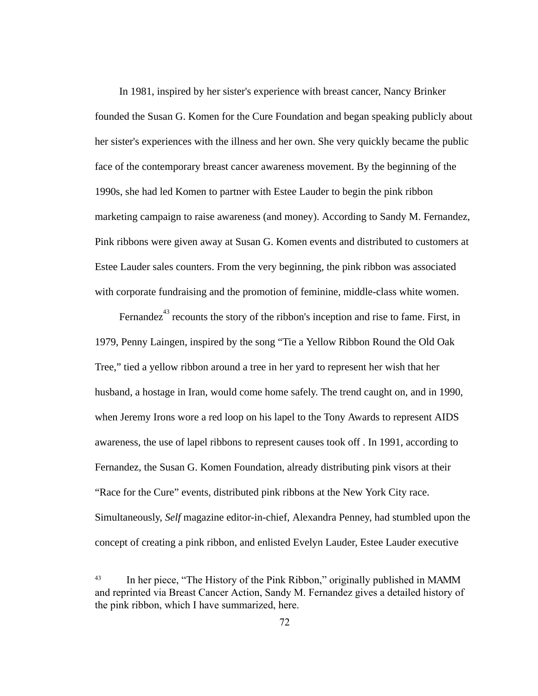In 1981, inspired by her sister's experience with breast cancer, Nancy Brinker founded the Susan G. Komen for the Cure Foundation and began speaking publicly about her sister's experiences with the illness and her own. She very quickly became the public face of the contemporary breast cancer awareness movement. By the beginning of the 1990s, she had led Komen to partner with Estee Lauder to begin the pink ribbon marketing campaign to raise awareness (and money). According to Sandy M. Fernandez, Pink ribbons were given away at Susan G. Komen events and distributed to customers at Estee Lauder sales counters. From the very beginning, the pink ribbon was associated with corporate fundraising and the promotion of feminine, middle-class white women.

Fernandez<sup>43</sup> recounts the story of the ribbon's inception and rise to fame. First, in 1979, Penny Laingen, inspired by the song "Tie a Yellow Ribbon Round the Old Oak Tree," tied a yellow ribbon around a tree in her yard to represent her wish that her husband, a hostage in Iran, would come home safely. The trend caught on, and in 1990, when Jeremy Irons wore a red loop on his lapel to the Tony Awards to represent AIDS awareness, the use of lapel ribbons to represent causes took off . In 1991, according to Fernandez, the Susan G. Komen Foundation, already distributing pink visors at their "Race for the Cure" events, distributed pink ribbons at the New York City race. Simultaneously, Self magazine editor-in-chief, Alexandra Penney, had stumbled upon the concept of creating a pink ribbon, and enlisted Evelyn Lauder, Estee Lauder executive

<sup>&</sup>lt;sup>43</sup> In her piece, "The History of the Pink Ribbon," originally published in MAMM and reprinted via Breast Cancer Action, Sandy M. Fernandez gives a detailed history of the pink ribbon, which I have summarized, here.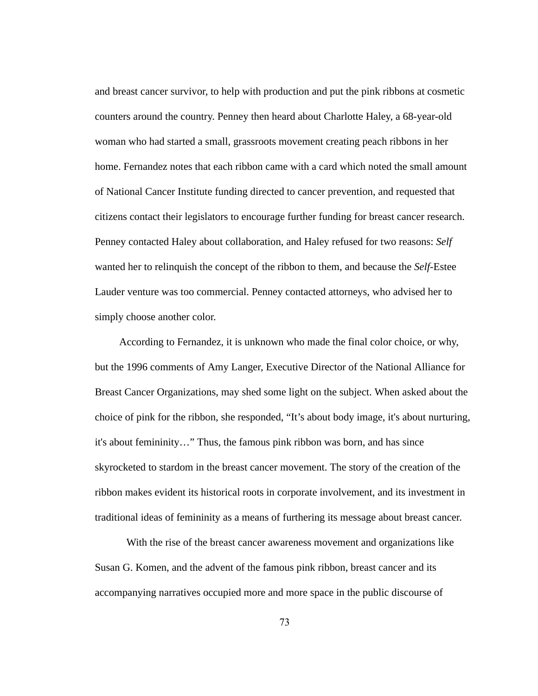and breast cancer survivor, to help with production and put the pink ribbons at cosmetic counters around the country. Penney then heard about Charlotte Haley, a  $68$ -year-old woman who had started a small, grassroots movement creating peach ribbons in her home. Fernandez notes that each ribbon came with a card which noted the small amount of National Cancer Institute funding directed to cancer prevention, and requested that citizens contact their legislators to encourage further funding for breast cancer research. Penney contacted Haley about collaboration, and Haley refused for two reasons: *Self*  wanted her to relinquish the concept of the ribbon to them, and because the *Self* Estee Lauder venture was too commercial. Penney contacted attorneys, who advised her to simply choose another color.

According to Fernandez, it is unknown who made the final color choice, or why, but the 1996 comments of Amy Langer, Executive Director of the National Alliance for Breast Cancer Organizations, may shed some light on the subject. When asked about the choice of pink for the ribbon, she responded, "It's about body image, it's about nurturing, it's about femininity…" Thus, the famous pink ribbon was born, and has since skyrocketed to stardom in the breast cancer movement. The story of the creation of the ribbon makes evident its historical roots in corporate involvement, and its investment in traditional ideas of femininity as a means of furthering its message about breast cancer.

With the rise of the breast cancer awareness movement and organizations like Susan G. Komen, and the advent of the famous pink ribbon, breast cancer and its accompanying narratives occupied more and more space in the public discourse of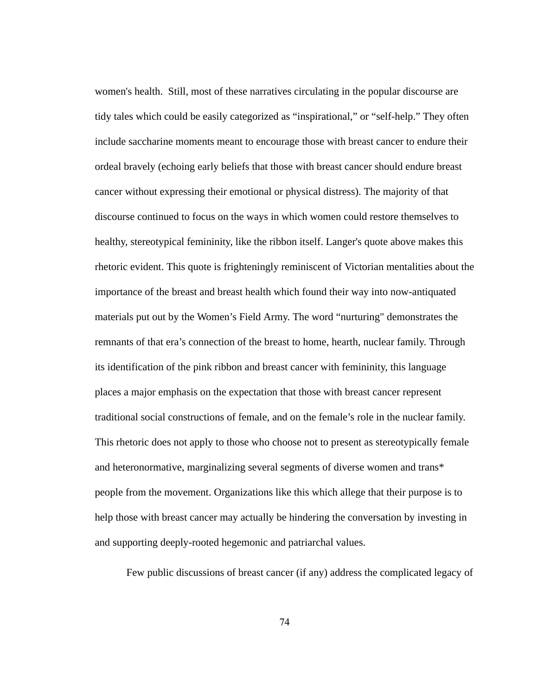women's health. Still, most of these narratives circulating in the popular discourse are tidy tales which could be easily categorized as "inspirational," or "self-help." They often include saccharine moments meant to encourage those with breast cancer to endure their ordeal bravely (echoing early beliefs that those with breast cancer should endure breast cancer without expressing their emotional or physical distress). The majority of that discourse continued to focus on the ways in which women could restore themselves to healthy, stereotypical femininity, like the ribbon itself. Langer's quote above makes this rhetoric evident. This quote is frighteningly reminiscent of Victorian mentalities about the importance of the breast and breast health which found their way into now-antiquated materials put out by the Women's Field Army. The word "nurturing" demonstrates the remnants of that era's connection of the breast to home, hearth, nuclear family. Through its identification of the pink ribbon and breast cancer with femininity, this language places a major emphasis on the expectation that those with breast cancer represent traditional social constructions of female, and on the female's role in the nuclear family. This rhetoric does not apply to those who choose not to present as stereotypically female and heteronormative, marginalizing several segments of diverse women and trans\* people from the movement. Organizations like this which allege that their purpose is to help those with breast cancer may actually be hindering the conversation by investing in and supporting deeply-rooted hegemonic and patriarchal values.

Few public discussions of breast cancer (if any) address the complicated legacy of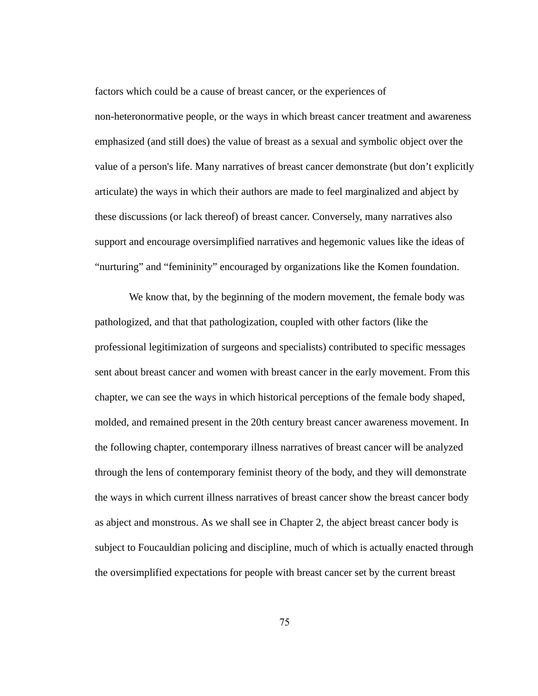factors which could be a cause of breast cancer, or the experiences of non-heteronormative people, or the ways in which breast cancer treatment and awareness emphasized (and still does) the value of breast as a sexual and symbolic object over the value of a person's life. Many narratives of breast cancer demonstrate (but don't explicitly articulate) the ways in which their authors are made to feel marginalized and abject by these discussions (or lack thereof) of breast cancer. Conversely, many narratives also support and encourage oversimplified narratives and hegemonic values like the ideas of "nurturing" and "femininity" encouraged by organizations like the Komen foundation.

We know that, by the beginning of the modern movement, the female body was pathologized, and that that pathologization, coupled with other factors (like the professional legitimization of surgeons and specialists) contributed to specific messages sent about breast cancer and women with breast cancer in the early movement. From this chapter, we can see the ways in which historical perceptions of the female body shaped, molded, and remained present in the 20th century breast cancer awareness movement. In the following chapter, contemporary illness narratives of breast cancer will be analyzed through the lens of contemporary feminist theory of the body, and they will demonstrate the ways in which current illness narratives of breast cancer show the breast cancer body as abject and monstrous. As we shall see in Chapter 2, the abject breast cancer body is subject to Foucauldian policing and discipline, much of which is actually enacted through the oversimplified expectations for people with breast cancer set by the current breast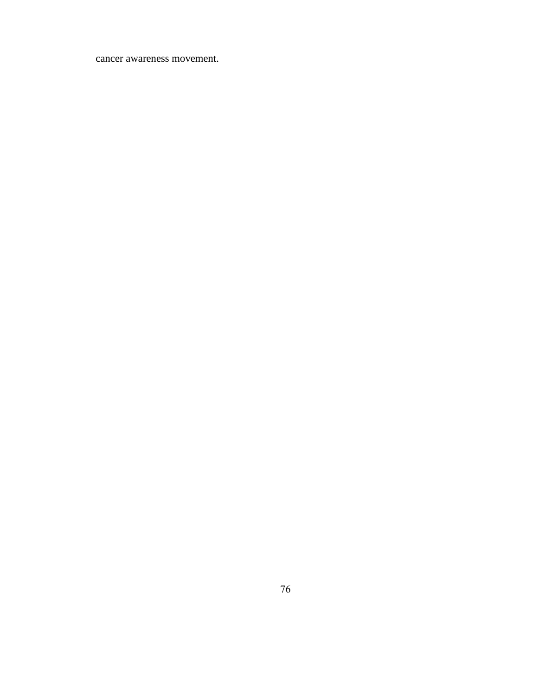## cancer awareness movement.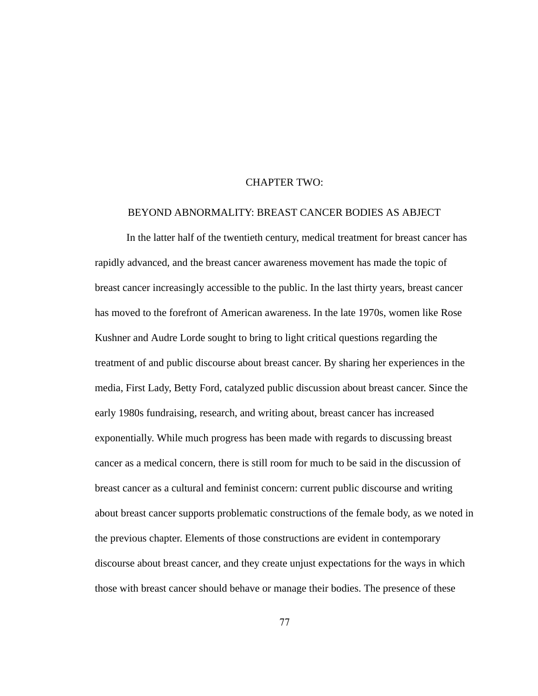## CHAPTER TWO:

## BEYOND ABNORMALITY: BREAST CANCER BODIES AS ABJECT

In the latter half of the twentieth century, medical treatment for breast cancer has rapidly advanced, and the breast cancer awareness movement has made the topic of breast cancer increasingly accessible to the public. In the last thirty years, breast cancer has moved to the forefront of American awareness. In the late 1970s, women like Rose Kushner and Audre Lorde sought to bring to light critical questions regarding the treatment of and public discourse about breast cancer. By sharing her experiences in the media, First Lady, Betty Ford, catalyzed public discussion about breast cancer. Since the early 1980s fundraising, research, and writing about, breast cancer has increased exponentially. While much progress has been made with regards to discussing breast cancer as a medical concern, there is still room for much to be said in the discussion of breast cancer as a cultural and feminist concern: current public discourse and writing about breast cancer supports problematic constructions of the female body, as we noted in the previous chapter. Elements of those constructions are evident in contemporary discourse about breast cancer, and they create unjust expectations for the ways in which those with breast cancer should behave or manage their bodies. The presence of these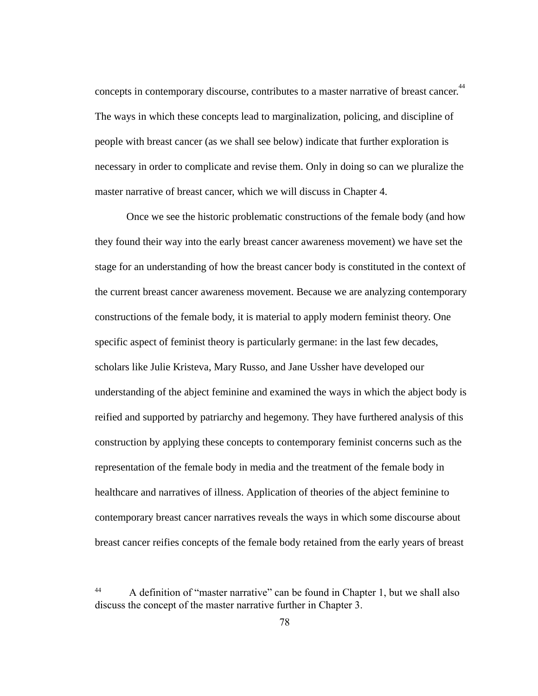concepts in contemporary discourse, contributes to a master narrative of breast cancer.<sup>44</sup> The ways in which these concepts lead to marginalization, policing, and discipline of people with breast cancer (as we shall see below) indicate that further exploration is necessary in order to complicate and revise them. Only in doing so can we pluralize the master narrative of breast cancer, which we will discuss in Chapter 4.

Once we see the historic problematic constructions of the female body (and how they found their way into the early breast cancer awareness movement) we have set the stage for an understanding of how the breast cancer body is constituted in the context of the current breast cancer awareness movement. Because we are analyzing contemporary constructions of the female body, it is material to apply modern feminist theory. One specific aspect of feminist theory is particularly germane: in the last few decades, scholars like Julie Kristeva, Mary Russo, and Jane Ussher have developed our understanding of the abject feminine and examined the ways in which the abject body is reified and supported by patriarchy and hegemony. They have furthered analysis of this construction by applying these concepts to contemporary feminist concerns such as the representation of the female body in media and the treatment of the female body in healthcare and narratives of illness. Application of theories of the abject feminine to contemporary breast cancer narratives reveals the ways in which some discourse about breast cancer reifies concepts of the female body retained from the early years of breast

<sup>44</sup> A definition of "master narrative" can be found in Chapter 1, but we shall also discuss the concept of the master narrative further in Chapter 3.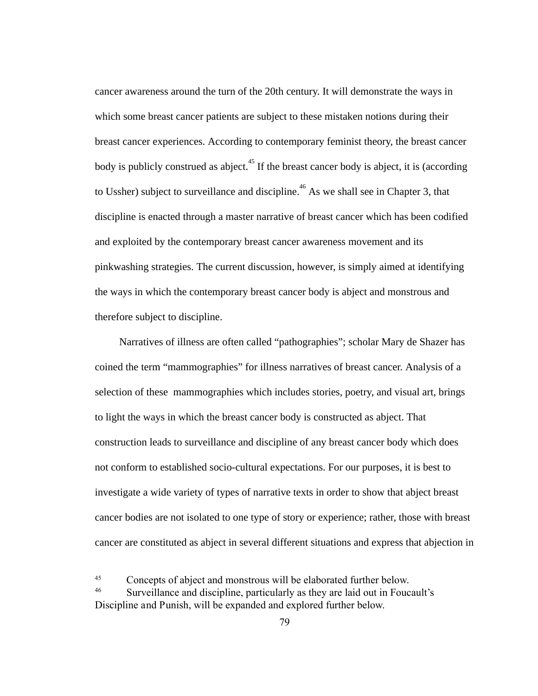cancer awareness around the turn of the 20th century. It will demonstrate the ways in which some breast cancer patients are subject to these mistaken notions during their breast cancer experiences. According to contemporary feminist theory, the breast cancer body is publicly construed as abject.<sup>45</sup> If the breast cancer body is abject, it is (according to Ussher) subject to surveillance and discipline.  $46$  As we shall see in Chapter 3, that discipline is enacted through a master narrative of breast cancer which has been codified and exploited by the contemporary breast cancer awareness movement and its pinkwashing strategies. The current discussion, however, is simply aimed at identifying the ways in which the contemporary breast cancer body is abject and monstrous and therefore subject to discipline.

Narratives of illness are often called "pathographies"; scholar Mary de Shazer has coined the term "mammographies" for illness narratives of breast cancer. Analysis of a selection of these mammographies which includes stories, poetry, and visual art, brings to light the ways in which the breast cancer body is constructed as abject. That construction leads to surveillance and discipline of any breast cancer body which does not conform to established socio-cultural expectations. For our purposes, it is best to investigate a wide variety of types of narrative texts in order to show that abject breast cancer bodies are not isolated to one type of story or experience; rather, those with breast cancer are constituted as abject in several different situations and express that abjection in

<sup>45</sup> Concepts of abject and monstrous will be elaborated further below.

<sup>46</sup> Surveillance and discipline, particularly as they are laid out in Foucault's Discipline and Punish, will be expanded and explored further below.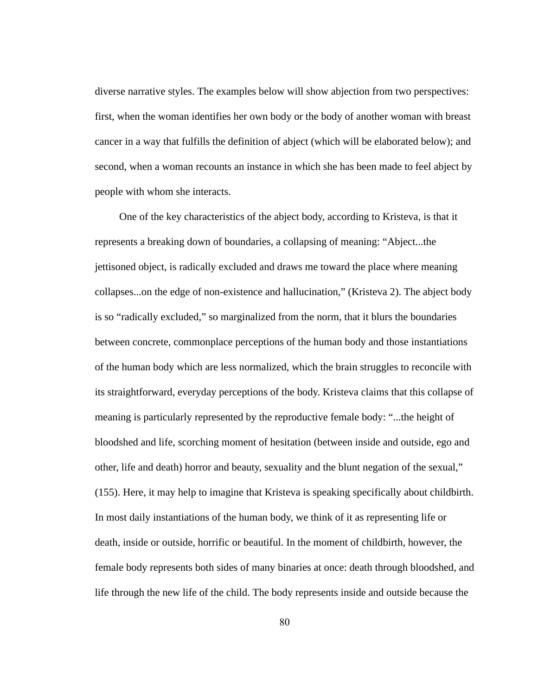diverse narrative styles. The examples below will show abjection from two perspectives: first, when the woman identifies her own body or the body of another woman with breast cancer in a way that fulfills the definition of abject (which will be elaborated below); and second, when a woman recounts an instance in which she has been made to feel abject by people with whom she interacts.

One of the key characteristics of the abject body, according to Kristeva, is that it represents a breaking down of boundaries, a collapsing of meaning: "Abject...the jettisoned object, is radically excluded and draws me toward the place where meaning collapses...on the edge of non-existence and hallucination," (Kristeva 2). The abject body is so "radically excluded," so marginalized from the norm, that it blurs the boundaries between concrete, commonplace perceptions of the human body and those instantiations of the human body which are less normalized, which the brain struggles to reconcile with its straightforward, everyday perceptions of the body. Kristeva claims that this collapse of meaning is particularly represented by the reproductive female body: "...the height of bloodshed and life, scorching moment of hesitation (between inside and outside, ego and other, life and death) horror and beauty, sexuality and the blunt negation of the sexual," (155). Here, it may help to imagine that Kristeva is speaking specifically about childbirth. In most daily instantiations of the human body, we think of it as representing life or death, inside or outside, horrific or beautiful. In the moment of childbirth, however, the female body represents both sides of many binaries at once: death through bloodshed, and life through the new life of the child. The body represents inside and outside because the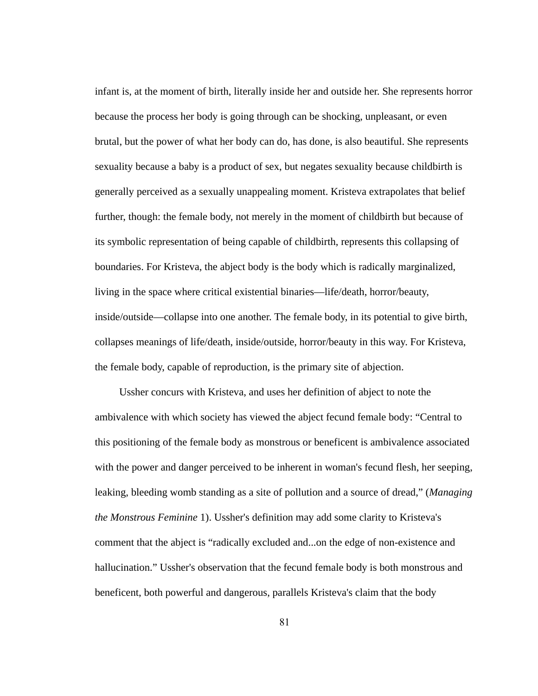infant is, at the moment of birth, literally inside her and outside her. She represents horror because the process her body is going through can be shocking, unpleasant, or even brutal, but the power of what her body can do, has done, is also beautiful. She represents sexuality because a baby is a product of sex, but negates sexuality because childbirth is generally perceived as a sexually unappealing moment. Kristeva extrapolates that belief further, though: the female body, not merely in the moment of childbirth but because of its symbolic representation of being capable of childbirth, represents this collapsing of boundaries. For Kristeva, the abject body is the body which is radically marginalized, living in the space where critical existential binaries—life/death, horror/beauty, inside/outside—collapse into one another. The female body, in its potential to give birth, collapses meanings of life/death, inside/outside, horror/beauty in this way. For Kristeva, the female body, capable of reproduction, is the primary site of abjection.

Ussher concurs with Kristeva, and uses her definition of abject to note the ambivalence with which society has viewed the abject fecund female body: "Central to this positioning of the female body as monstrous or beneficent is ambivalence associated with the power and danger perceived to be inherent in woman's fecund flesh, her seeping, leaking, bleeding womb standing as a site of pollution and a source of dread," ( *Managing the Monstrous Feminine 1*). Ussher's definition may add some clarity to Kristeva's comment that the abject is "radically excluded and...on the edge of non-existence and hallucination." Ussher's observation that the fecund female body is both monstrous and beneficent, both powerful and dangerous, parallels Kristeva's claim that the body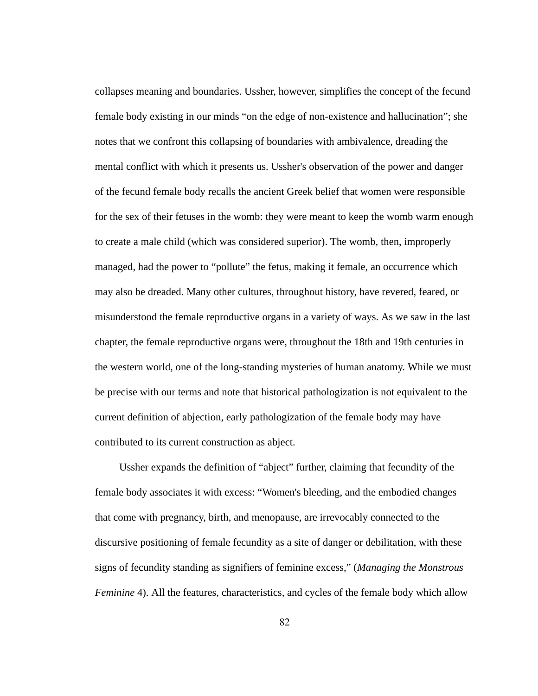collapses meaning and boundaries. Ussher, however, simplifies the concept of the fecund female body existing in our minds "on the edge of non-existence and hallucination"; she notes that we confront this collapsing of boundaries with ambivalence, dreading the mental conflict with which it presents us. Ussher's observation of the power and danger of the fecund female body recalls the ancient Greek belief that women were responsible for the sex of their fetuses in the womb: they were meant to keep the womb warm enough to create a male child (which was considered superior). The womb, then, improperly managed, had the power to "pollute" the fetus, making it female, an occurrence which may also be dreaded. Many other cultures, throughout history, have revered, feared, or misunderstood the female reproductive organs in a variety of ways. As we saw in the last chapter, the female reproductive organs were, throughout the 18th and 19th centuries in the western world, one of the long-standing mysteries of human anatomy. While we must be precise with our terms and note that historical pathologization is not equivalent to the current definition of abjection, early pathologization of the female body may have contributed to its current construction as abject.

Ussher expands the definition of "abject" further, claiming that fecundity of the female body associates it with excess: "Women's bleeding, and the embodied changes that come with pregnancy, birth, and menopause, are irrevocably connected to the discursive positioning of female fecundity as a site of danger or debilitation, with these signs of fecundity standing as signifiers of feminine excess," ( *Managing the Monstrous Feminine* 4). All the features, characteristics, and cycles of the female body which allow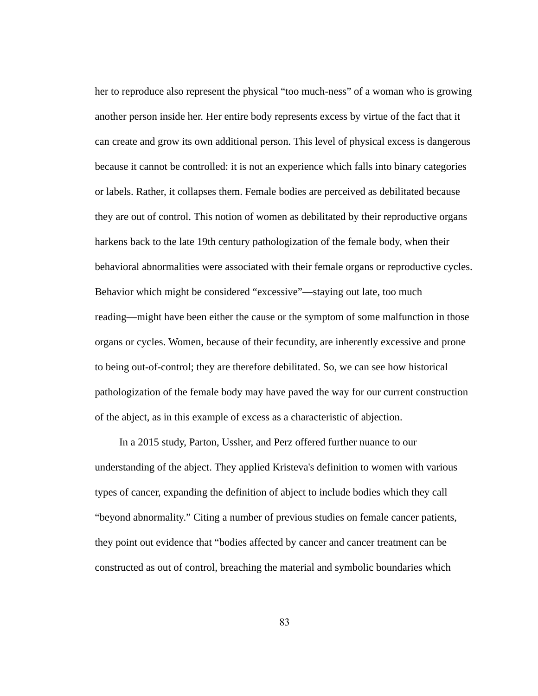her to reproduce also represent the physical "too much-ness" of a woman who is growing another person inside her. Her entire body represents excess by virtue of the fact that it can create and grow its own additional person. This level of physical excess is dangerous because it cannot be controlled: it is not an experience which falls into binary categories or labels. Rather, it collapses them. Female bodies are perceived as debilitated because they are out of control. This notion of women as debilitated by their reproductive organs harkens back to the late 19th century pathologization of the female body, when their behavioral abnormalities were associated with their female organs or reproductive cycles. Behavior which might be considered "excessive"—staying out late, too much reading—might have been either the cause or the symptom of some malfunction in those organs or cycles. Women, because of their fecundity, are inherently excessive and prone to being out-of-control; they are therefore debilitated. So, we can see how historical pathologization of the female body may have paved the way for our current construction of the abject, as in this example of excess as a characteristic of abjection.

In a 2015 study, Parton, Ussher, and Perz offered further nuance to our understanding of the abject. They applied Kristeva's definition to women with various types of cancer, expanding the definition of abject to include bodies which they call "beyond abnormality." Citing a number of previous studies on female cancer patients, they point out evidence that "bodies affected by cancer and cancer treatment can be constructed as out of control, breaching the material and symbolic boundaries which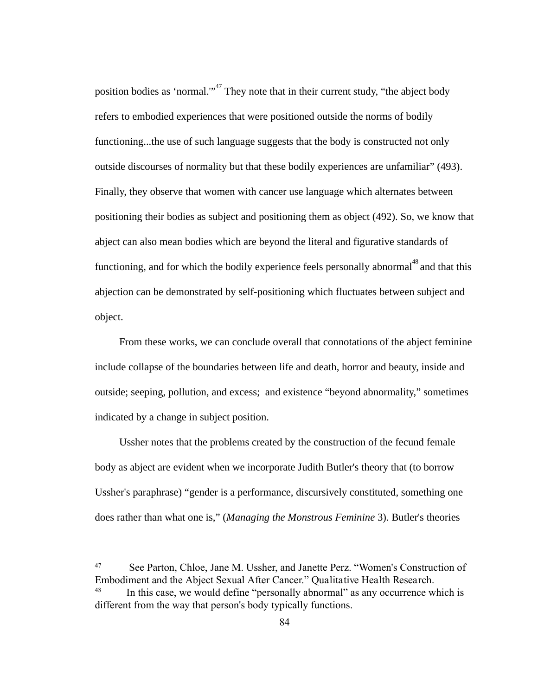position bodies as 'normal." $n^{47}$  They note that in their current study, "the abject body refers to embodied experiences that were positioned outside the norms of bodily functioning...the use of such language suggests that the body is constructed not only outside discourses of normality but that these bodily experiences are unfamiliar" (493). Finally, they observe that women with cancer use language which alternates between positioning their bodies as subject and positioning them as object (492). So, we know that abject can also mean bodies which are beyond the literal and figurative standards of functioning, and for which the bodily experience feels personally abnormal<sup>48</sup> and that this abjection can be demonstrated by self-positioning which fluctuates between subject and object.

From these works, we can conclude overall that connotations of the abject feminine include collapse of the boundaries between life and death, horror and beauty, inside and outside; seeping, pollution, and excess; and existence "beyond abnormality," sometimes indicated by a change in subject position.

Ussher notes that the problems created by the construction of the fecund female body as abject are evident when we incorporate Judith Butler's theory that (to borrow Ussher's paraphrase) "gender is a performance, discursively constituted, something one does rather than what one is," (*Managing the Monstrous Feminine 3*). Butler's theories

<sup>47</sup> See Parton, Chloe, Jane M. Ussher, and Janette Perz. "Women's Construction of Embodiment and the Abject Sexual After Cancer." QualitativeHealthResearch. In this case, we would define "personally abnormal" as any occurrence which is different from the way that person's body typically functions.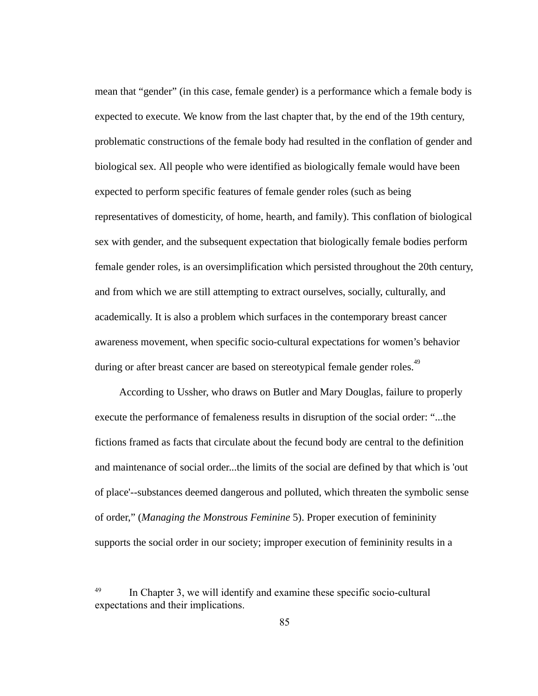mean that "gender" (in this case, female gender) is a performance which a female body is expected to execute. We know from the last chapter that, by the end of the 19th century, problematic constructions of the female body had resulted in the conflation of gender and biological sex. All people who were identified as biologically female would have been expected to perform specific features of female gender roles (such as being representatives of domesticity, of home, hearth, and family). This conflation of biological sex with gender, and the subsequent expectation that biologically female bodies perform female gender roles, is an oversimplification which persisted throughout the 20th century, and from which we are still attempting to extract ourselves, socially, culturally, and academically. It is also a problem which surfaces in the contemporary breast cancer awareness movement, when specific socio-cultural expectations for women's behavior during or after breast cancer are based on stereotypical female gender roles.<sup>49</sup>

According to Ussher, who draws on Butler and Mary Douglas, failure to properly execute the performance of femaleness results in disruption of the social order: "...the fictions framed as facts that circulate about the fecund body are central to the definition and maintenance of social order...the limits of the social are defined by that which is 'out of place'--substances deemed dangerous and polluted, which threaten the symbolic sense of order," ( *Managing the Monstrous Feminine* 5). Proper execution of femininity supports the social order in our society; improper execution of femininity results in a

<sup>49</sup> In Chapter 3, we will identify and examine these specific socio-cultural expectations and their implications.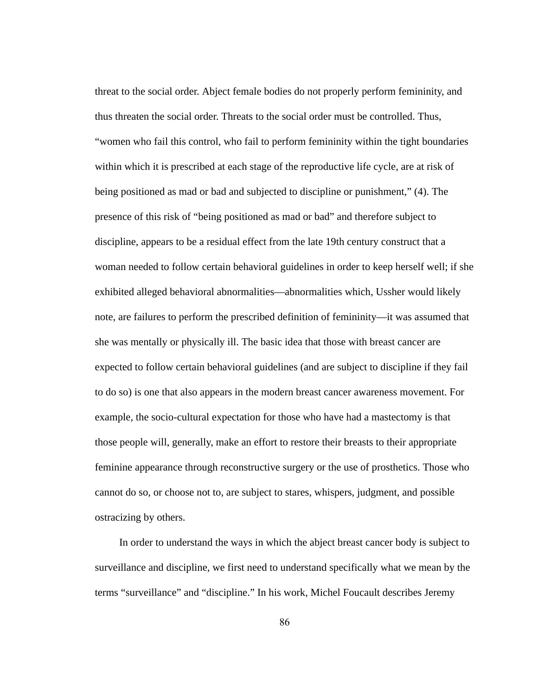threat to the social order. Abject female bodies do not properly perform femininity, and thus threaten the social order. Threats to the social order must be controlled. Thus, "women who fail this control, who fail to perform femininity within the tight boundaries within which it is prescribed at each stage of the reproductive life cycle, are at risk of being positioned as mad or bad and subjected to discipline or punishment," (4). The presence of this risk of "being positioned as mad or bad" and therefore subject to discipline, appears to be a residual effect from the late 19th century construct that a woman needed to follow certain behavioral guidelines in order to keep herself well; if she exhibited alleged behavioral abnormalities—abnormalities which, Ussher would likely note, are failures to perform the prescribed definition of femininity—it was assumed that she was mentally or physically ill. The basic idea that those with breast cancer are expected to follow certain behavioral guidelines (and are subject to discipline if they fail to do so) is one that also appears in the modern breast cancer awareness movement. For example, the socio-cultural expectation for those who have had a mastectomy is that those people will, generally, make an effort to restore their breasts to their appropriate feminine appearance through reconstructive surgery or the use of prosthetics. Those who cannot do so, or choose not to, are subject to stares, whispers, judgment, and possible ostracizing by others.

In order to understand the ways in which the abject breast cancer body is subject to surveillance and discipline, we first need to understand specifically what we mean by the terms "surveillance" and "discipline." In his work, Michel Foucault describes Jeremy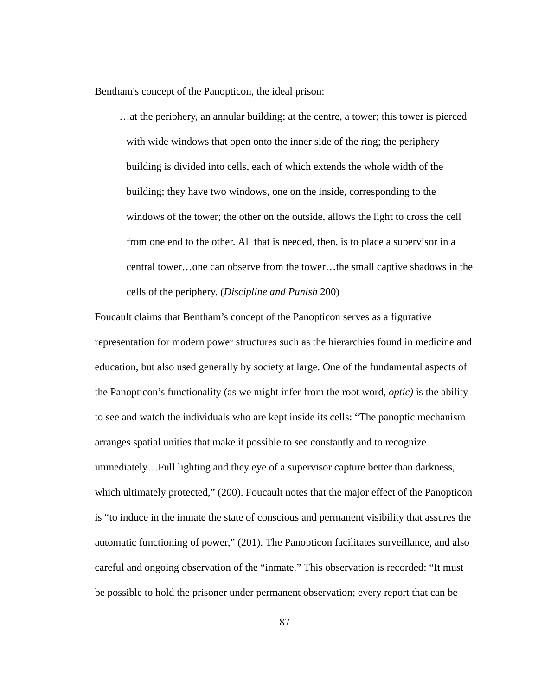Bentham's concept of the Panopticon, the ideal prison:

…at the periphery, an annular building; at the centre, a tower; this tower is pierced with wide windows that open onto the inner side of the ring; the periphery building is divided into cells, each of which extends the whole width of the building; they have two windows, one on the inside, corresponding to the windows of the tower; the other on the outside, allows the light to cross the cell from one end to the other. All that is needed, then, is to place a supervisor in a central tower…one can observe from the tower…the small captive shadows in the cells of the periphery. ( *Discipline and Punish* 200)

Foucault claims that Bentham's concept of the Panopticon serves as a figurative representation for modern power structures such as the hierarchies found in medicine and education, but also used generally by society at large. One of the fundamental aspects of the Panopticon's functionality (as we might infer from the root word, *optic)*  is the ability to see and watch the individuals who are kept inside its cells: "The panoptic mechanism arranges spatial unities that make it possible to see constantly and to recognize immediately...Full lighting and they eye of a supervisor capture better than darkness, which ultimately protected," (200). Foucault notes that the major effect of the Panopticon is "to induce in the inmate the state of conscious and permanent visibility that assures the automatic functioning of power," (201). The Panopticon facilitates surveillance, and also careful and ongoing observation of the "inmate." This observation is recorded: "It must be possible to hold the prisoner under permanent observation; every report that can be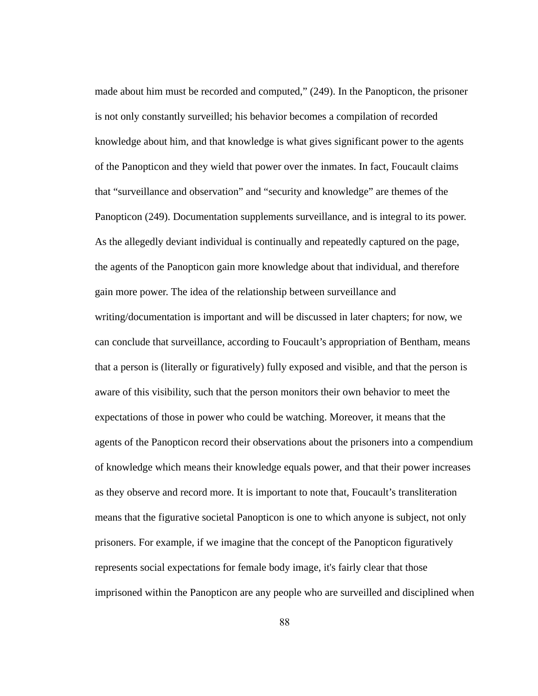made about him must be recorded and computed," (249). In the Panopticon, the prisoner is not only constantly surveilled; his behavior becomes a compilation of recorded knowledge about him, and that knowledge is what gives significant power to the agents of the Panopticon and they wield that power over the inmates. In fact, Foucault claims that "surveillance and observation" and "security and knowledge" are themes of the Panopticon (249). Documentation supplements surveillance, and is integral to its power. As the allegedly deviant individual is continually and repeatedly captured on the page, the agents of the Panopticon gain more knowledge about that individual, and therefore gain more power. The idea of the relationship between surveillance and writing/documentation is important and will be discussed in later chapters; for now, we can conclude that surveillance, according to Foucault's appropriation of Bentham, means that a person is (literally or figuratively) fully exposed and visible, and that the person is aware of this visibility, such that the person monitors their own behavior to meet the expectations of those in power who could be watching. Moreover, it means that the agents of the Panopticon record their observations about the prisoners into a compendium of knowledge which means their knowledge equals power, and that their power increases as they observe and record more. It is important to note that, Foucault's transliteration means that the figurative societal Panopticon is one to which anyone is subject, not only prisoners. For example, if we imagine that the concept of the Panopticon figuratively represents social expectations for female body image, it's fairly clear that those imprisoned within the Panopticon are any people who are surveilled and disciplined when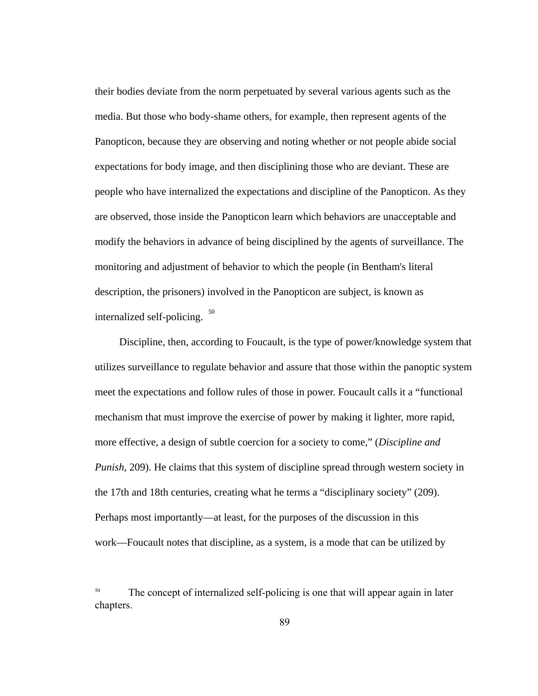their bodies deviate from the norm perpetuated by several various agents such as the media. But those who body-shame others, for example, then represent agents of the Panopticon, because they are observing and noting whether or not people abide social expectations for body image, and then disciplining those who are deviant. These are people who have internalized the expectations and discipline of the Panopticon. As they are observed, those inside the Panopticon learn which behaviors are unacceptable and modify the behaviors in advance of being disciplined by the agents of surveillance. The monitoring and adjustment of behavior to which the people (in Bentham's literal description, the prisoners) involved in the Panopticon are subject, is known as internalized self-policing.  $50$ 

Discipline, then, according to Foucault, is the type of power/knowledge system that utilizes surveillance to regulate behavior and assure that those within the panoptic system meet the expectations and follow rules of those in power. Foucault calls it a "functional mechanism that must improve the exercise of power by making it lighter, more rapid, more effective, a design of subtle coercion for a society to come," ( *Discipline and Punish*, 209). He claims that this system of discipline spread through western society in the 17th and 18th centuries, creating what he terms a "disciplinary society" (209). Perhaps most importantly—at least, for the purposes of the discussion in this work—Foucault notes that discipline, as a system, is a mode that can be utilized by

<sup>50</sup> The concept of internalized self-policing is one that will appear again in later chapters.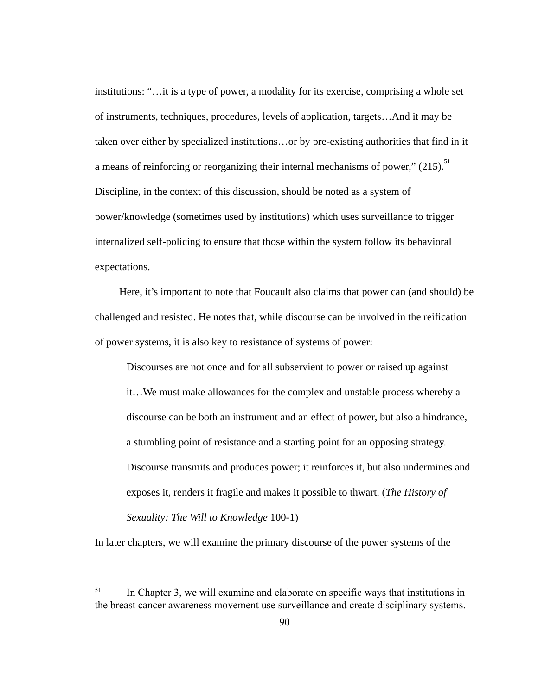institutions: "...it is a type of power, a modality for its exercise, comprising a whole set of instruments, techniques, procedures, levels of application, targets…And it may be taken over either by specialized institutions...or by pre-existing authorities that find in it a means of reinforcing or reorganizing their internal mechanisms of power," (215).<sup>51</sup> Discipline, in the context of this discussion, should be noted as a system of power/knowledge (sometimes used by institutions) which uses surveillance to trigger internalized self-policing to ensure that those within the system follow its behavioral expectations.

Here, it's important to note that Foucault also claims that power can (and should) be challenged and resisted. He notes that, while discourse can be involved in the reification of power systems, it is also key to resistance of systems of power:

Discourses are not once and for all subservient to power or raised up against it…We must make allowances for the complex and unstable process whereby a discourse can be both an instrument and an effect of power, but also a hindrance, a stumbling point of resistance and a starting point for an opposing strategy. Discourse transmits and produces power; it reinforces it, but also undermines and exposes it, renders it fragile and makes it possible to thwart. ( *The History of Sexuality: The Will to Knowledge 100-1)* 

In later chapters, we will examine the primary discourse of the power systems of the

<sup>&</sup>lt;sup>51</sup> In Chapter 3, we will examine and elaborate on specific ways that institutions in the breast cancer awareness movement use surveillance and create disciplinary systems.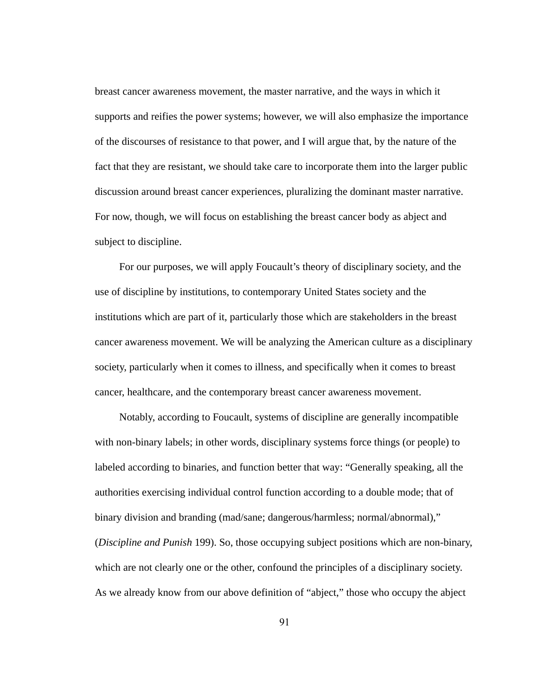breast cancer awareness movement, the master narrative, and the ways in which it supports and reifies the power systems; however, we will also emphasize the importance of the discourses of resistance to that power, and I will argue that, by the nature of the fact that they are resistant, we should take care to incorporate them into the larger public discussion around breast cancer experiences, pluralizing the dominant master narrative. For now, though, we will focus on establishing the breast cancer body as abject and subject to discipline.

For our purposes, we will apply Foucault's theory of disciplinary society, and the use of discipline by institutions, to contemporary United States society and the institutions which are part of it, particularly those which are stakeholders in the breast cancer awareness movement. We will be analyzing the American culture as a disciplinary society, particularly when it comes to illness, and specifically when it comes to breast cancer, healthcare, and the contemporary breast cancer awareness movement.

Notably, according to Foucault, systems of discipline are generally incompatible with non-binary labels; in other words, disciplinary systems force things (or people) to labeled according to binaries, and function better that way: "Generally speaking, all the authorities exercising individual control function according to a double mode; that of binary division and branding (mad/sane; dangerous/harmless; normal/abnormal)," (*Discipline and Punish 199*). So, those occupying subject positions which are non-binary, which are not clearly one or the other, confound the principles of a disciplinary society. As we already know from our above definition of "abject," those who occupy the abject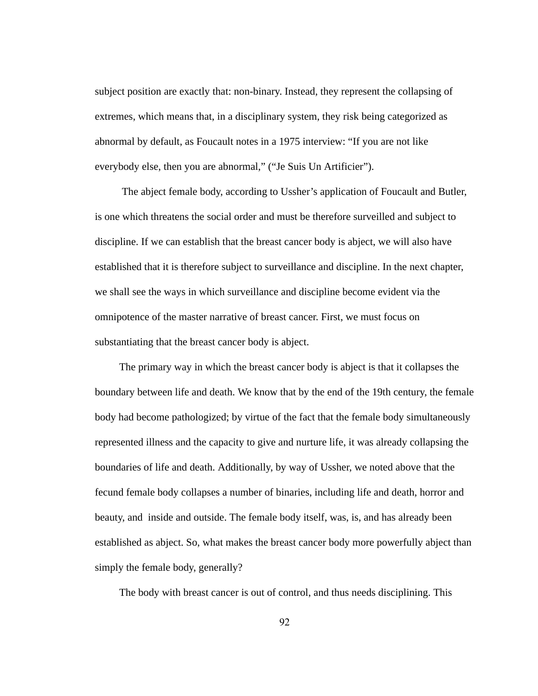subject position are exactly that: non-binary. Instead, they represent the collapsing of extremes, which means that, in a disciplinary system, they risk being categorized as abnormal by default, as Foucault notes in a 1975 interview: "If you are not like everybody else, then you are abnormal," ("Je Suis Un Artificier").

 The abject female body, according to Ussher's application of Foucault and Butler, is one which threatens the social order and must be therefore surveilled and subject to discipline. If we can establish that the breast cancer body is abject, we will also have established that it is therefore subject to surveillance and discipline. In the next chapter, we shall see the ways in which surveillance and discipline become evident via the omnipotence of the master narrative of breast cancer. First, we must focus on substantiating that the breast cancer body is abject.

The primary way in which the breast cancer body is abject is that it collapses the boundary between life and death. We know that by the end of the 19th century, the female body had become pathologized; by virtue of the fact that the female body simultaneously represented illness and the capacity to give and nurture life, it was already collapsing the boundaries of life and death. Additionally, by way of Ussher, we noted above that the fecund female body collapses a number of binaries, including life and death, horror and beauty, and inside and outside. The female body itself, was, is, and has already been established as abject. So, what makes the breast cancer body more powerfully abject than simply the female body, generally?

The body with breast cancer is out of control, and thus needs disciplining. This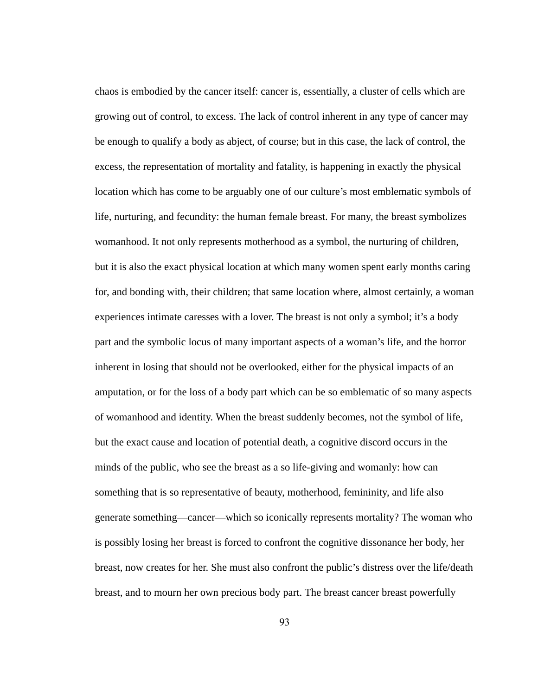chaos is embodied by the cancer itself: cancer is, essentially, a cluster of cells which are growing out of control, to excess. The lack of control inherent in any type of cancer may be enough to qualify a body as abject, of course; but in this case, the lack of control, the excess, the representation of mortality and fatality, is happening in exactly the physical location which has come to be arguably one of our culture's most emblematic symbols of life, nurturing, and fecundity: the human female breast. For many, the breast symbolizes womanhood. It not only represents motherhood as a symbol, the nurturing of children, but it is also the exact physical location at which many women spent early months caring for, and bonding with, their children; that same location where, almost certainly, a woman experiences intimate caresses with a lover. The breast is not only a symbol; it's a body part and the symbolic locus of many important aspects of a woman's life, and the horror inherent in losing that should not be overlooked, either for the physical impacts of an amputation, or for the loss of a body part which can be so emblematic of so many aspects of womanhood and identity. When the breast suddenly becomes, not the symbol of life, but the exact cause and location of potential death, a cognitive discord occurs in the minds of the public, who see the breast as a so life-giving and womanly: how can something that is so representative of beauty, motherhood, femininity, and life also generate something—cancer—which so iconically represents mortality? The woman who is possibly losing her breast is forced to confront the cognitive dissonance her body, her breast, now creates for her. She must also confront the public's distress over the life/death breast, and to mourn her own precious body part. The breast cancer breast powerfully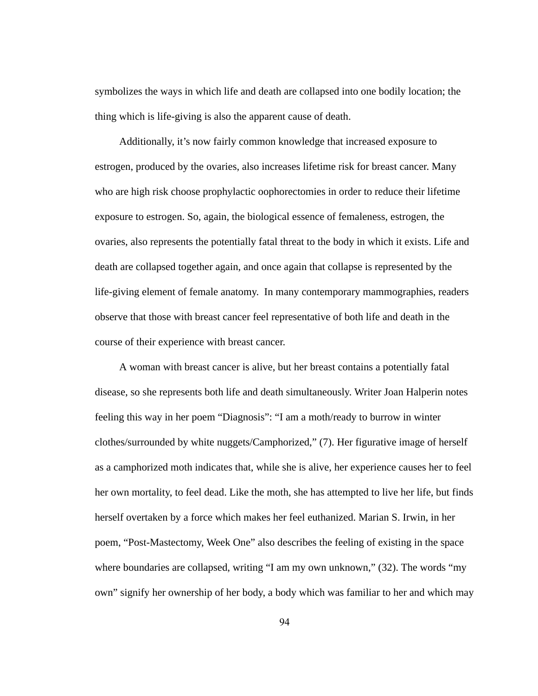symbolizes the ways in which life and death are collapsed into one bodily location; the thing which is life-giving is also the apparent cause of death.

Additionally, it's now fairly common knowledge that increased exposure to estrogen, produced by the ovaries, also increases lifetime risk for breast cancer. Many who are high risk choose prophylactic oophorectomies in order to reduce their lifetime exposure to estrogen. So, again, the biological essence of femaleness, estrogen, the ovaries, also represents the potentially fatal threat to the body in which it exists. Life and death are collapsed together again, and once again that collapse is represented by the life-giving element of female anatomy. In many contemporary mammographies, readers observe that those with breast cancer feel representative of both life and death in the course of their experience with breast cancer.

 A woman with breast cancer is alive, but her breast contains a potentially fatal disease, so she represents both life and death simultaneously. Writer Joan Halperin notes feeling this way in her poem "Diagnosis": "I am a moth/ready to burrow in winter clothes/surrounded by white nuggets/Camphorized," (7). Her figurative image of herself as a camphorized moth indicates that, while she is alive, her experience causes her to feel her own mortality, to feel dead. Like the moth, she has attempted to live her life, but finds herself overtaken by a force which makes her feel euthanized. Marian S. Irwin, in her poem, "Post-Mastectomy, Week One" also describes the feeling of existing in the space where boundaries are collapsed, writing "I am my own unknown," (32). The words "my own" signify her ownership of her body, a body which was familiar to her and which may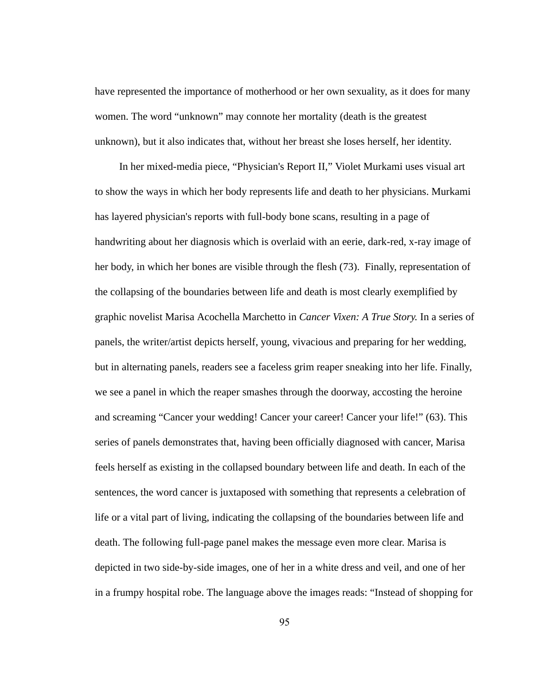have represented the importance of motherhood or her own sexuality, as it does for many women. The word "unknown" may connote her mortality (death is the greatest unknown), but it also indicates that, without her breast she loses herself, her identity.

In her mixed-media piece, "Physician's Report II," Violet Murkami uses visual art to show the ways in which her body represents life and death to her physicians. Murkami has layered physician's reports with full-body bone scans, resulting in a page of handwriting about her diagnosis which is overlaid with an eerie, dark-red, x-ray image of her body, in which her bones are visible through the flesh (73). Finally, representation of the collapsing of the boundaries between life and death is most clearly exemplified by graphic novelist Marisa Acochella Marchetto in *Cancer Vixen: A True Story.* In a series of panels, the writer/artist depicts herself, young, vivacious and preparing for her wedding, but in alternating panels, readers see a faceless grim reaper sneaking into her life. Finally, we see a panel in which the reaper smashes through the doorway, accosting the heroine and screaming "Cancer your wedding! Cancer your career! Cancer your life!" (63). This series of panels demonstrates that, having been officially diagnosed with cancer, Marisa feels herself as existing in the collapsed boundary between life and death. In each of the sentences, the word cancer is juxtaposed with something that represents a celebration of life or a vital part of living, indicating the collapsing of the boundaries between life and death. The following full-page panel makes the message even more clear. Marisa is depicted in two side-by-side images, one of her in a white dress and veil, and one of her in a frumpy hospital robe. The language above the images reads: "Instead of shopping for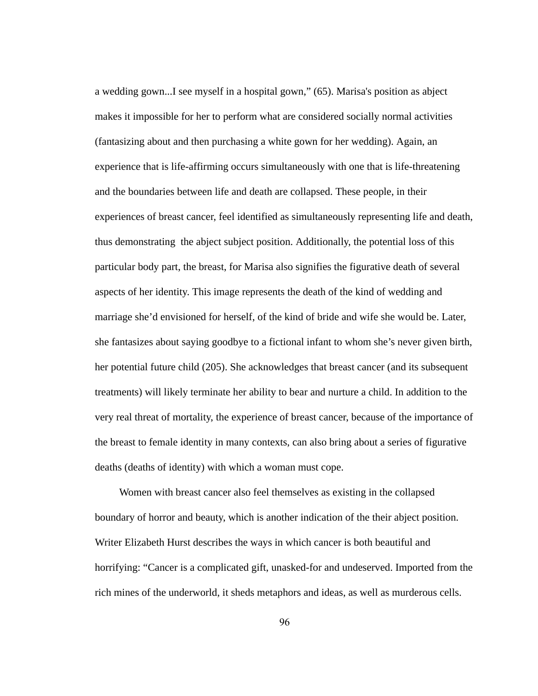a wedding gown...I see myself in a hospital gown," (65). Marisa's position as abject makes it impossible for her to perform what are considered socially normal activities (fantasizing about and then purchasing a white gown for her wedding). Again, an experience that is life-affirming occurs simultaneously with one that is life-threatening and the boundaries between life and death are collapsed. These people, in their experiences of breast cancer, feel identified as simultaneously representing life and death, thus demonstrating the abject subject position. Additionally, the potential loss of this particular body part, the breast, for Marisa also signifies the figurative death of several aspects of her identity. This image represents the death of the kind of wedding and marriage she'd envisioned for herself, of the kind of bride and wife she would be. Later, she fantasizes about saying goodbye to a fictional infant to whom she's never given birth, her potential future child (205). She acknowledges that breast cancer (and its subsequent treatments) will likely terminate her ability to bear and nurture a child. In addition to the very real threat of mortality, the experience of breast cancer, because of the importance of the breast to female identity in many contexts, can also bring about a series of figurative deaths (deaths of identity) with which a woman must cope.

Women with breast cancer also feel themselves as existing in the collapsed boundary of horror and beauty, which is another indication of the their abject position. Writer Elizabeth Hurst describes the ways in which cancer is both beautiful and horrifying: "Cancer is a complicated gift, unasked-for and undeserved. Imported from the rich mines of the underworld, it sheds metaphors and ideas, as well as murderous cells.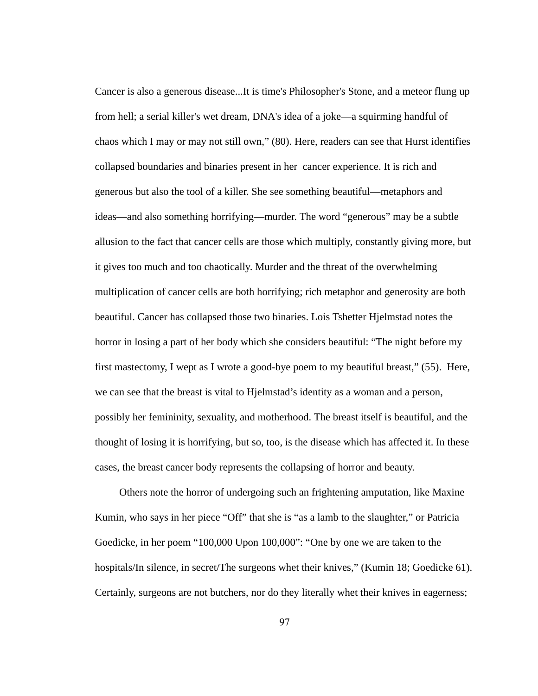Cancer is also a generous disease...It is time's Philosopher's Stone, and a meteor flung up from hell; a serial killer's wet dream, DNA's idea of a joke—a squirming handful of chaos which I may or may not still own,"  $(80)$ . Here, readers can see that Hurst identifies collapsed boundaries and binaries present in her cancer experience. It is rich and generous but also the tool of a killer. She see something beautiful—metaphors and ideas—and also something horrifying—murder. The word "generous" may be a subtle allusion to the fact that cancer cells are those which multiply, constantly giving more, but it gives too much and too chaotically. Murder and the threat of the overwhelming multiplication of cancer cells are both horrifying; rich metaphor and generosity are both beautiful. Cancer has collapsed those two binaries. Lois Tshetter Hjelmstad notes the horror in losing a part of her body which she considers beautiful: "The night before my first mastectomy, I wept as I wrote a good-bye poem to my beautiful breast," (55). Here, we can see that the breast is vital to Hjelmstad's identity as a woman and a person, possibly her femininity, sexuality, and motherhood. The breast itself is beautiful, and the thought of losing it is horrifying, but so, too, is the disease which has affected it. In these cases, the breast cancer body represents the collapsing of horror and beauty.

Others note the horror of undergoing such an frightening amputation, like Maxine Kumin, who says in her piece "Off" that she is "as a lamb to the slaughter," or Patricia Goedicke, in her poem "100,000 Upon 100,000": "One by one we are taken to the hospitals/In silence, in secret/The surgeons whet their knives," (Kumin 18; Goedicke 61). Certainly, surgeons are not butchers, nor do they literally whet their knives in eagerness;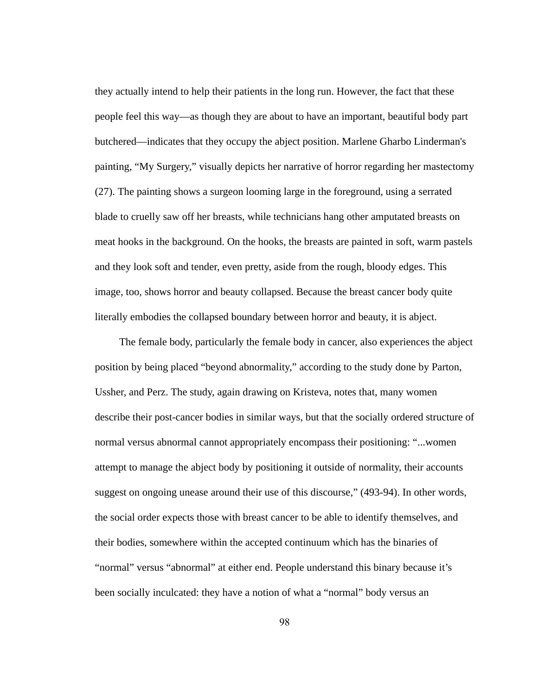they actually intend to help their patients in the long run. However, the fact that these people feel this way—as though they are about to have an important, beautiful body part butchered—indicates that they occupy the abject position. Marlene Gharbo Linderman's painting, "My Surgery," visually depicts her narrative of horror regarding her mastectomy (27). The painting shows a surgeon looming large in the foreground, using a serrated blade to cruelly saw off her breasts, while technicians hang other amputated breasts on meat hooks in the background. On the hooks, the breasts are painted in soft, warm pastels and they look soft and tender, even pretty, aside from the rough, bloody edges. This image, too, shows horror and beauty collapsed. Because the breast cancer body quite literally embodies the collapsed boundary between horror and beauty, it is abject.

The female body, particularly the female body in cancer, also experiences the abject position by being placed "beyond abnormality," according to the study done by Parton, Ussher, and Perz. The study, again drawing on Kristeva, notes that, many women describe their post-cancer bodies in similar ways, but that the socially ordered structure of normal versus abnormal cannot appropriately encompass their positioning: "...women attempt to manage the abject body by positioning it outside of normality, their accounts suggest on ongoing unease around their use of this discourse," (493-94). In other words, the social order expects those with breast cancer to be able to identify themselves, and their bodies, somewhere within the accepted continuum which has the binaries of "normal" versus "abnormal" at either end. People understand this binary because it's been socially inculcated: they have a notion of what a "normal" body versus an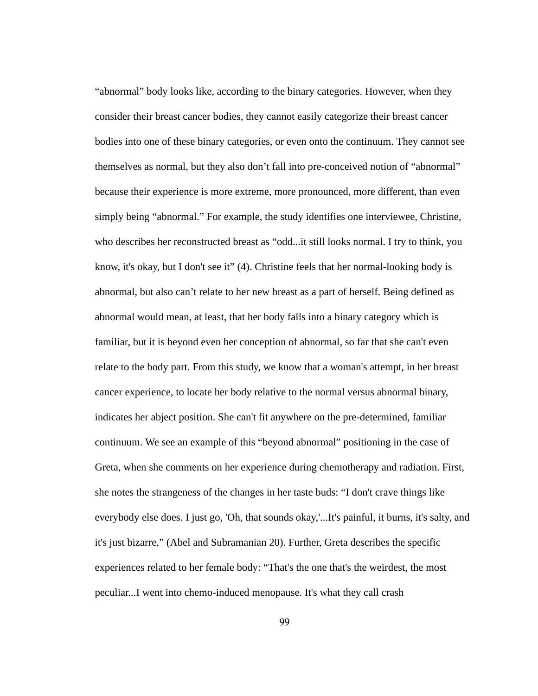"abnormal" body looks like, according to the binary categories. However, when they consider their breast cancer bodies, they cannot easily categorize their breast cancer bodies into one of these binary categories, or even onto the continuum. They cannot see themselves as normal, but they also don't fall into pre-conceived notion of "abnormal" because their experience is more extreme, more pronounced, more different, than even simply being "abnormal." For example, the study identifies one interviewee, Christine, who describes her reconstructed breast as "odd...it still looks normal. I try to think, you know, it's okay, but I don't see it" (4). Christine feels that her normal-looking body is abnormal, but also can't relate to her new breast as a part of herself. Being defined as abnormal would mean, at least, that her body falls into a binary category which is familiar, but it is beyond even her conception of abnormal, so far that she can't even relate to the body part. From this study, we know that a woman's attempt, in her breast cancer experience, to locate her body relative to the normal versus abnormal binary, indicates her abject position. She can't fit anywhere on the pre-determined, familiar continuum. We see an example of this "beyond abnormal" positioning in the case of Greta, when she comments on her experience during chemotherapy and radiation. First, she notes the strangeness of the changes in her taste buds: "I don't crave things like everybody else does. I just go, 'Oh, that sounds okay,'...It's painful, it burns, it's salty, and it's just bizarre," (Abel and Subramanian 20). Further, Greta describes the specific experiences related to her female body: "That's the one that's the weirdest, the most peculiar...I went into chemo-induced menopause. It's what they call crash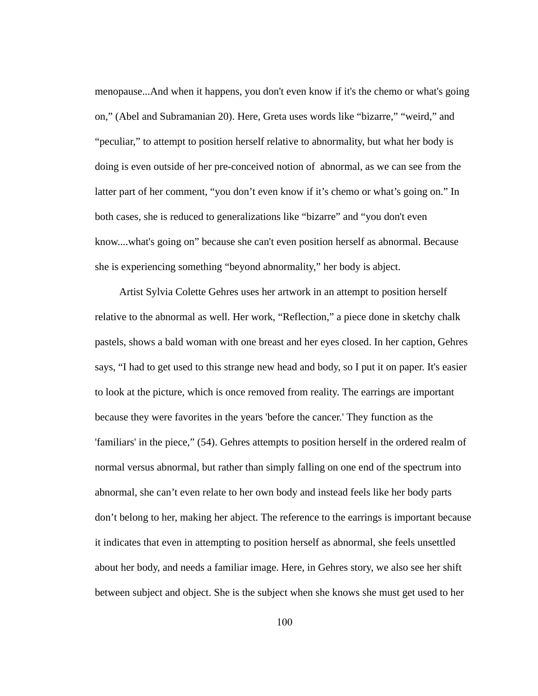menopause...And when it happens, you don't even know if it's the chemo or what's going on," (Abel and Subramanian 20). Here, Greta uses words like "bizarre," "weird," and "peculiar," to attempt to position herself relative to abnormality, but what her body is doing is even outside of her pre-conceived notion of abnormal, as we can see from the latter part of her comment, "you don't even know if it's chemo or what's going on." In both cases, she is reduced to generalizations like "bizarre" and "you don't even know....what's going on" because she can't even position herself as abnormal. Because she is experiencing something "beyond abnormality," her body is abject.

Artist Sylvia Colette Gehres uses her artwork in an attempt to position herself relative to the abnormal as well. Her work, "Reflection," a piece done in sketchy chalk pastels, shows a bald woman with one breast and her eyes closed. In her caption, Gehres says, "I had to get used to this strange new head and body, so I put it on paper. It's easier to look at the picture, which is once removed from reality. The earrings are important because they were favorites in the years 'before the cancer.' They function as the 'familiars' in the piece," (54). Gehres attempts to position herself in the ordered realm of normal versus abnormal, but rather than simply falling on one end of the spectrum into abnormal, she can't even relate to her own body and instead feels like her body parts don't belong to her, making her abject. The reference to the earrings is important because it indicates that even in attempting to position herself as abnormal, she feels unsettled about her body, and needs a familiar image. Here, in Gehres story, we also see her shift between subject and object. She is the subject when she knows she must get used to her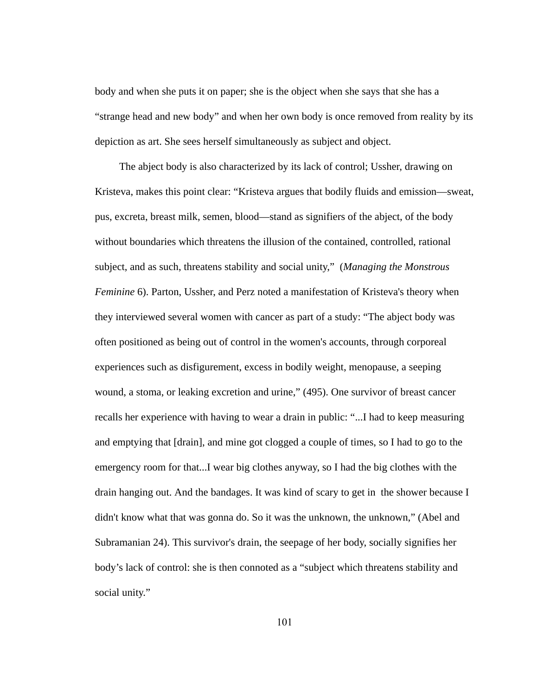body and when she puts it on paper; she is the object when she says that she has a "strange head and new body" and when her own body is once removed from reality by its depiction as art. She sees herself simultaneously as subject and object.

The abject body is also characterized by its lack of control; Ussher, drawing on Kristeva, makes this point clear: "Kristeva argues that bodily fluids and emission—sweat, pus, excreta, breast milk, semen, blood—stand as signifiers of the abject, of the body without boundaries which threatens the illusion of the contained, controlled, rational subject, and as such, threatens stability and social unity," ( *Managing the Monstrous Feminine* 6). Parton, Ussher, and Perz noted a manifestation of Kristeva's theory when they interviewed several women with cancer as part of a study: "The abject body was often positioned as being out of control in the women's accounts, through corporeal experiences such as disfigurement, excess in bodily weight, menopause, a seeping wound, a stoma, or leaking excretion and urine," (495). One survivor of breast cancer recalls her experience with having to wear a drain in public: "...I had to keep measuring and emptying that [drain], and mine got clogged a couple of times, so I had to go to the emergency room for that...I wear big clothes anyway, so I had the big clothes with the drain hanging out. And the bandages. It was kind of scary to get in the shower because I didn't know what that was gonna do. So it was the unknown, the unknown," (Abel and Subramanian 24). This survivor's drain, the seepage of her body, socially signifies her body's lack of control: she is then connoted as a "subject which threatens stability and social unity."

101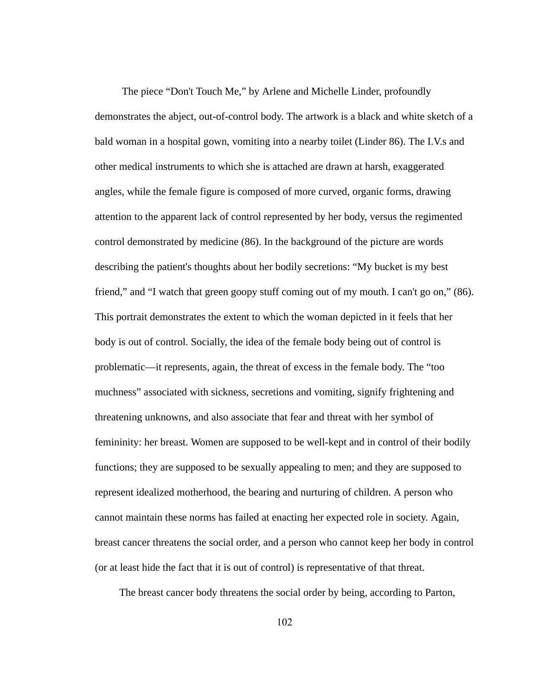The piece "Don't Touch Me," by Arlene and Michelle Linder, profoundly demonstrates the abject, out-of-control body. The artwork is a black and white sketch of a bald woman in a hospital gown, vomiting into a nearby toilet (Linder 86). The I.V.s and other medical instruments to which she is attached are drawn at harsh, exaggerated angles, while the female figure is composed of more curved, organic forms, drawing attention to the apparent lack of control represented by her body, versus the regimented control demonstrated by medicine (86). In the background of the picture are words describing the patient's thoughts about her bodily secretions: "My bucket is my best friend," and "I watch that green goopy stuff coming out of my mouth. I can't go on," (86). This portrait demonstrates the extent to which the woman depicted in it feels that her body is out of control. Socially, the idea of the female body being out of control is problematic—it represents, again, the threat of excess in the female body. The "too muchness" associated with sickness, secretions and vomiting, signify frightening and threatening unknowns, and also associate that fear and threat with her symbol of femininity: her breast. Women are supposed to be well-kept and in control of their bodily functions; they are supposed to be sexually appealing to men; and they are supposed to represent idealized motherhood, the bearing and nurturing of children. A person who cannot maintain these norms has failed at enacting her expected role in society. Again, breast cancer threatens the social order, and a person who cannot keep her body in control (or at least hide the fact that it is out of control) is representative of that threat.

The breast cancer body threatens the social order by being, according to Parton,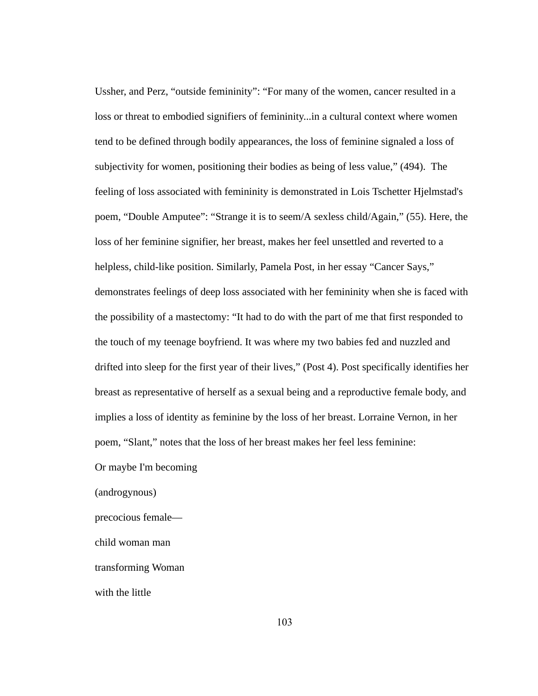Ussher, and Perz, "outside femininity": "For many of the women, cancer resulted in a loss or threat to embodied signifiers of femininity...in a cultural context where women tend to be defined through bodily appearances, the loss of feminine signaled a loss of subjectivity for women, positioning their bodies as being of less value," (494). The feeling of loss associated with femininity is demonstrated in Lois Tschetter Hjelmstad's poem, "Double Amputee": "Strange it is to seem/A sexless child/Again," (55). Here, the loss of her feminine signifier, her breast, makes her feel unsettled and reverted to a helpless, child-like position. Similarly, Pamela Post, in her essay "Cancer Says," demonstrates feelings of deep loss associated with her femininity when she is faced with the possibility of a mastectomy: "It had to do with the part of me that first responded to the touch of my teenage boyfriend. It was where my two babies fed and nuzzled and drifted into sleep for the first year of their lives," (Post 4). Post specifically identifies her breast as representative of herself as a sexual being and a reproductive female body, and implies a loss of identity as feminine by the loss of her breast. Lorraine Vernon, in her poem, "Slant," notes that the loss of her breast makes her feel less feminine:

Or maybe I'm becoming

(androgynous)

precocious female—

child woman man

transforming Woman

with the little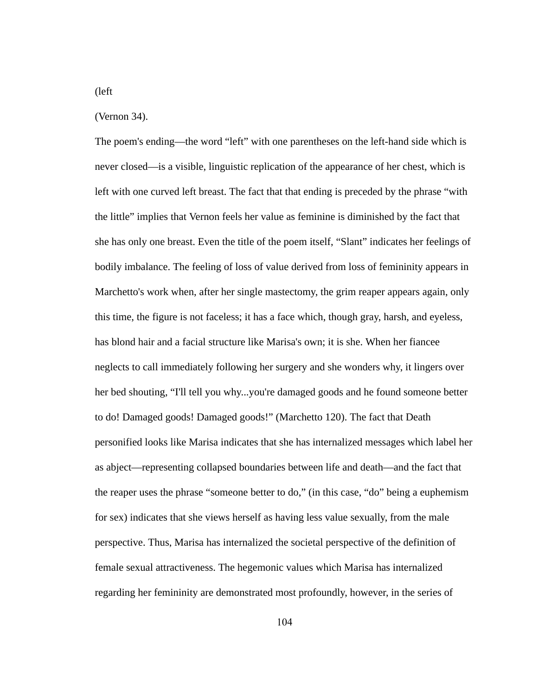## (left

## (Vernon 34).

The poem's ending—the word "left" with one parentheses on the left-hand side which is never closed—is a visible, linguistic replication of the appearance of her chest, which is left with one curved left breast. The fact that that ending is preceded by the phrase "with the little" implies that Vernon feels her value as feminine is diminished by the fact that she has only one breast. Even the title of the poem itself, "Slant" indicates her feelings of bodily imbalance. The feeling of loss of value derived from loss of femininity appears in Marchetto's work when, after her single mastectomy, the grim reaper appears again, only this time, the figure is not faceless; it has a face which, though gray, harsh, and eyeless, has blond hair and a facial structure like Marisa's own; it is she. When her fiancee neglects to call immediately following her surgery and she wonders why, it lingers over her bed shouting, "I'll tell you why...you're damaged goods and he found someone better to do! Damaged goods! Damaged goods!" (Marchetto 120). The fact that Death personified looks like Marisa indicates that she has internalized messages which label her as abject—representing collapsed boundaries between life and death—and the fact that the reaper uses the phrase "someone better to do," (in this case, "do" being a euphemism for sex) indicates that she views herself as having less value sexually, from the male perspective. Thus, Marisa has internalized the societal perspective of the definition of female sexual attractiveness. The hegemonic values which Marisa has internalized regarding her femininity are demonstrated most profoundly, however, in the series of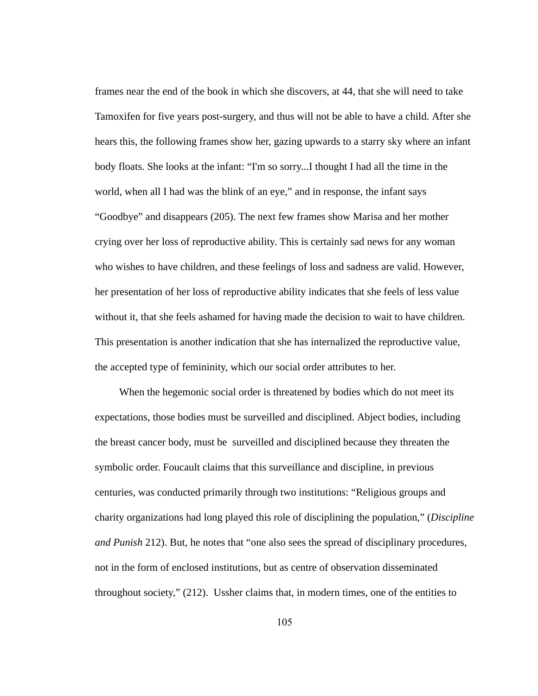frames near the end of the book in which she discovers, at 44, that she will need to take Tamoxifen for five years post-surgery, and thus will not be able to have a child. After she hears this, the following frames show her, gazing upwards to a starry sky where an infant body floats. She looks at the infant: "I'm so sorry...I thought I had all the time in the world, when all I had was the blink of an eye," and in response, the infant says "Goodbye" and disappears (205). The next few frames show Marisa and her mother crying over her loss of reproductive ability. This is certainly sad news for any woman who wishes to have children, and these feelings of loss and sadness are valid. However, her presentation of her loss of reproductive ability indicates that she feels of less value without it, that she feels ashamed for having made the decision to wait to have children. This presentation is another indication that she has internalized the reproductive value, the accepted type of femininity, which our social order attributes to her.

When the hegemonic social order is threatened by bodies which do not meet its expectations, those bodies must be surveilled and disciplined. Abject bodies, including the breast cancer body, must be surveilled and disciplined because they threaten the symbolic order. Foucault claims that this surveillance and discipline, in previous centuries, was conducted primarily through two institutions: "Religious groups and charity organizations had long played this role of disciplining the population," ( *Discipline and Punish 212*). But, he notes that "one also sees the spread of disciplinary procedures, not in the form of enclosed institutions, but as centre of observation disseminated throughout society," (212). Ussher claims that, in modern times, one of the entities to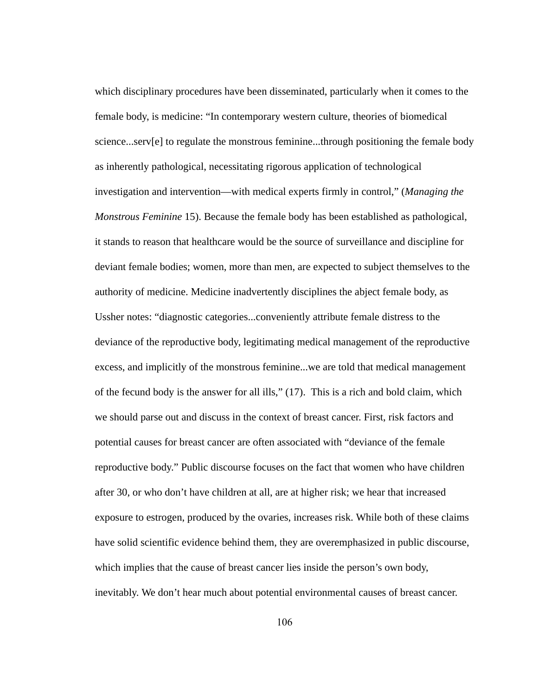which disciplinary procedures have been disseminated, particularly when it comes to the female body, is medicine: "In contemporary western culture, theories of biomedical science...serv[e] to regulate the monstrous feminine...through positioning the female body as inherently pathological, necessitating rigorous application of technological investigation and intervention—with medical experts firmly in control," ( *Managing the Monstrous Feminine* 15). Because the female body has been established as pathological, it stands to reason that healthcare would be the source of surveillance and discipline for deviant female bodies; women, more than men, are expected to subject themselves to the authority of medicine. Medicine inadvertently disciplines the abject female body, as Ussher notes: "diagnostic categories...conveniently attribute female distress to the deviance of the reproductive body, legitimating medical management of the reproductive excess, and implicitly of the monstrous feminine...we are told that medical management of the fecund body is the answer for all ills," (17). This is a rich and bold claim, which we should parse out and discuss in the context of breast cancer. First, risk factors and potential causes for breast cancer are often associated with "deviance of the female reproductive body." Public discourse focuses on the fact that women who have children after 30, or who don't have children at all, are at higher risk; we hear that increased exposure to estrogen, produced by the ovaries, increases risk. While both of these claims have solid scientific evidence behind them, they are overemphasized in public discourse, which implies that the cause of breast cancer lies inside the person's own body, inevitably. We don't hear much about potential environmental causes of breast cancer.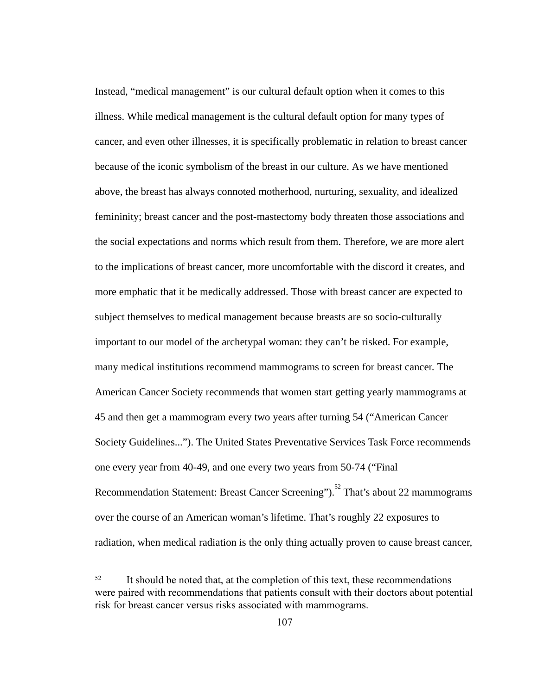Instead, "medical management" is our cultural default option when it comes to this illness. While medical management is the cultural default option for many types of cancer, and even other illnesses, it is specifically problematic in relation to breast cancer because of the iconic symbolism of the breast in our culture. As we have mentioned above, the breast has always connoted motherhood, nurturing, sexuality, and idealized femininity; breast cancer and the post-mastectomy body threaten those associations and the social expectations and norms which result from them. Therefore, we are more alert to the implications of breast cancer, more uncomfortable with the discord it creates, and more emphatic that it be medically addressed. Those with breast cancer are expected to subject themselves to medical management because breasts are so socio-culturally important to our model of the archetypal woman: they can't be risked. For example, many medical institutions recommend mammograms to screen for breast cancer. The American Cancer Society recommends that women start getting yearly mammograms at 45 and then get a mammogram every two years after turning 54 ("American Cancer Society Guidelines..."). The United States Preventative Services Task Force recommends one every year from 40-49, and one every two years from 50-74 ("Final Recommendation Statement: Breast Cancer Screening").<sup>52</sup> That's about 22 mammograms over the course of an American woman's lifetime. That's roughly 22 exposures to radiation, when medical radiation is the only thing actually proven to cause breast cancer,

<sup>&</sup>lt;sup>52</sup> It should be noted that, at the completion of this text, these recommendations were paired with recommendations that patients consult with their doctors about potential risk for breast cancer versus risks associated with mammograms.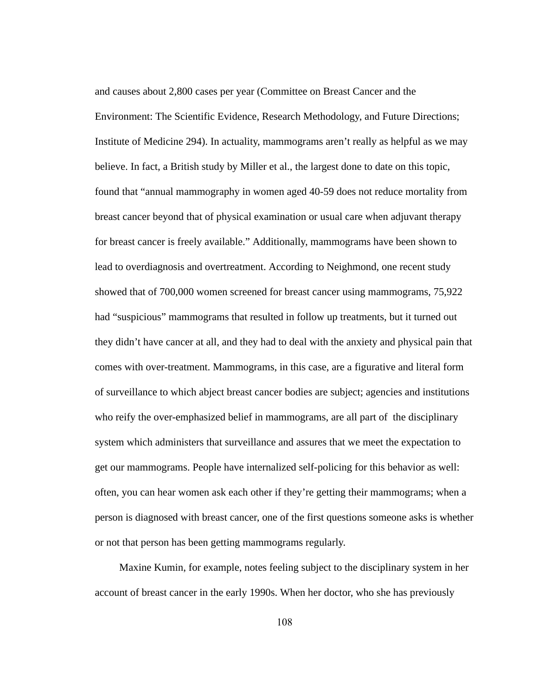and causes about 2,800 cases per year (Committee on Breast Cancer and the Environment: The Scientific Evidence, Research Methodology, and Future Directions; Institute of Medicine 294). In actuality, mammograms aren't really as helpful as we may believe. In fact, a British study by Miller et al., the largest done to date on this topic, found that "annual mammography in women aged 40-59 does not reduce mortality from breast cancer beyond that of physical examination or usual care when adjuvant therapy for breast cancer is freely available." Additionally, mammograms have been shown to lead to overdiagnosis and overtreatment. According to Neighmond, one recent study showed that of 700,000 women screened for breast cancer using mammograms, 75,922 had "suspicious" mammograms that resulted in follow up treatments, but it turned out they didn't have cancer at all, and they had to deal with the anxiety and physical pain that comes with over-treatment. Mammograms, in this case, are a figurative and literal form of surveillance to which abject breast cancer bodies are subject; agencies and institutions who reify the over-emphasized belief in mammograms, are all part of the disciplinary system which administers that surveillance and assures that we meet the expectation to get our mammograms. People have internalized self-policing for this behavior as well: often, you can hear women ask each other if they're getting their mammograms; when a person is diagnosed with breast cancer, one of the first questions someone asks is whether or not that person has been getting mammograms regularly.

Maxine Kumin, for example, notes feeling subject to the disciplinary system in her account of breast cancer in the early 1990s. When her doctor, who she has previously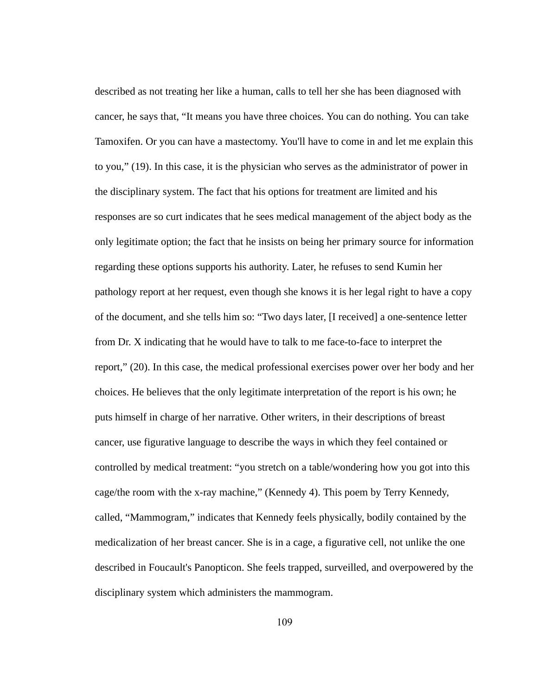described as not treating her like a human, calls to tell her she has been diagnosed with cancer, he says that, "It means you have three choices. You can do nothing. You can take Tamoxifen. Or you can have a mastectomy. You'll have to come in and let me explain this to you," (19). In this case, it is the physician who serves as the administrator of power in the disciplinary system. The fact that his options for treatment are limited and his responses are so curt indicates that he sees medical management of the abject body as the only legitimate option; the fact that he insists on being her primary source for information regarding these options supports his authority. Later, he refuses to send Kumin her pathology report at her request, even though she knows it is her legal right to have a copy of the document, and she tells him so: "Two days later, [I received] a one-sentence letter from Dr. X indicating that he would have to talk to me face-to-face to interpret the report," (20). In this case, the medical professional exercises power over her body and her choices. He believes that the only legitimate interpretation of the report is his own; he puts himself in charge of her narrative. Other writers, in their descriptions of breast cancer, use figurative language to describe the ways in which they feel contained or controlled by medical treatment: "you stretch on a table/wondering how you got into this cage/the room with the x-ray machine," (Kennedy 4). This poem by Terry Kennedy, called, "Mammogram," indicates that Kennedy feels physically, bodily contained by the medicalization of her breast cancer. She is in a cage, a figurative cell, not unlike the one described in Foucault's Panopticon. She feels trapped, surveilled, and overpowered by the disciplinary system which administers the mammogram.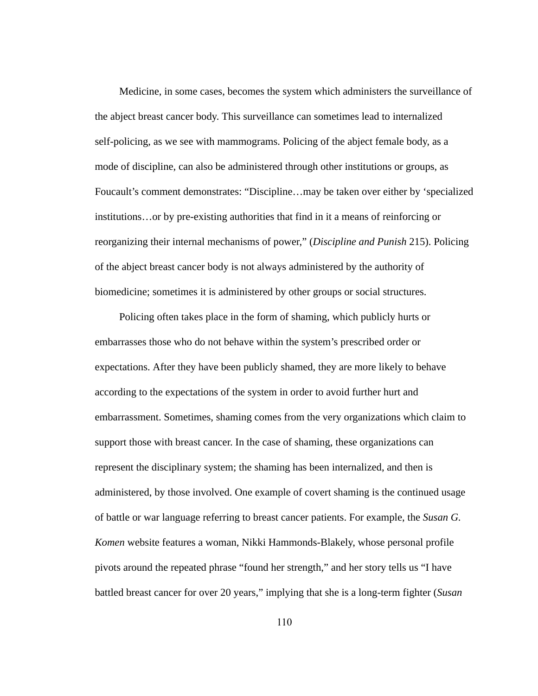Medicine, in some cases, becomes the system which administers the surveillance of the abject breast cancer body. This surveillance can sometimes lead to internalized self-policing, as we see with mammograms. Policing of the abject female body, as a mode of discipline, can also be administered through other institutions or groups, as Foucault's comment demonstrates: "Discipline…may be taken over either by 'specialized institutions...or by pre-existing authorities that find in it a means of reinforcing or reorganizing their internal mechanisms of power," ( *Discipline and Punish* 215). Policing of the abject breast cancer body is not always administered by the authority of biomedicine; sometimes it is administered by other groups or social structures.

Policing often takes place in the form of shaming, which publicly hurts or embarrasses those who do not behave within the system's prescribed order or expectations. After they have been publicly shamed, they are more likely to behave according to the expectations of the system in order to avoid further hurt and embarrassment. Sometimes, shaming comes from the very organizations which claim to support those with breast cancer. In the case of shaming, these organizations can represent the disciplinary system; the shaming has been internalized, and then is administered, by those involved. One example of covert shaming is the continued usage of battle or war language referring to breast cancer patients. For example, the *Susan G. Komen* website features a woman, Nikki Hammonds-Blakely, whose personal profile pivots around the repeated phrase "found her strength," and her story tells us "I have battled breast cancer for over 20 years," implying that she is a long-term fighter (Susan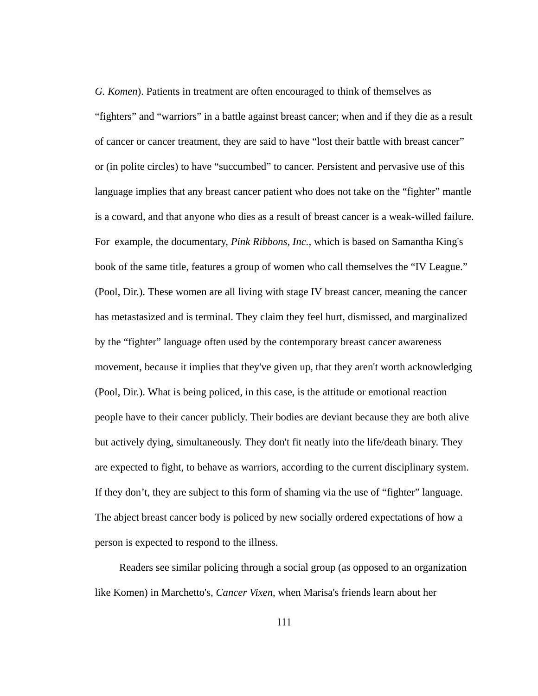*G. Komen*). Patients in treatment are often encouraged to think of themselves as "fighters" and "warriors" in a battle against breast cancer; when and if they die as a result of cancer or cancer treatment, they are said to have "lost their battle with breast cancer" or (in polite circles) to have "succumbed" to cancer. Persistent and pervasive use of this language implies that any breast cancer patient who does not take on the "fighter" mantle is a coward, and that anyone who dies as a result of breast cancer is a weak-willed failure. For example, the documentary, *Pink Ribbons*, *Inc.*, which is based on Samantha King's book of the same title, features a group of women who call themselves the "IV League." (Pool, Dir.). These women are all living with stage IV breast cancer, meaning the cancer has metastasized and is terminal. They claim they feel hurt, dismissed, and marginalized by the "fighter" language often used by the contemporary breast cancer awareness movement, because it implies that they've given up, that they aren't worth acknowledging (Pool, Dir.). What is being policed, in this case, is the attitude or emotional reaction people have to their cancer publicly. Their bodies are deviant because they are both alive but actively dying, simultaneously. They don't fit neatly into the life/death binary. They are expected to fight, to behave as warriors, according to the current disciplinary system. If they don't, they are subject to this form of shaming via the use of "fighter" language. The abject breast cancer body is policed by new socially ordered expectations of how a person is expected to respond to the illness.

Readers see similar policing through a social group (as opposed to an organization like Komen) in Marchetto's, *Cancer Vixen,* when Marisa's friends learn about her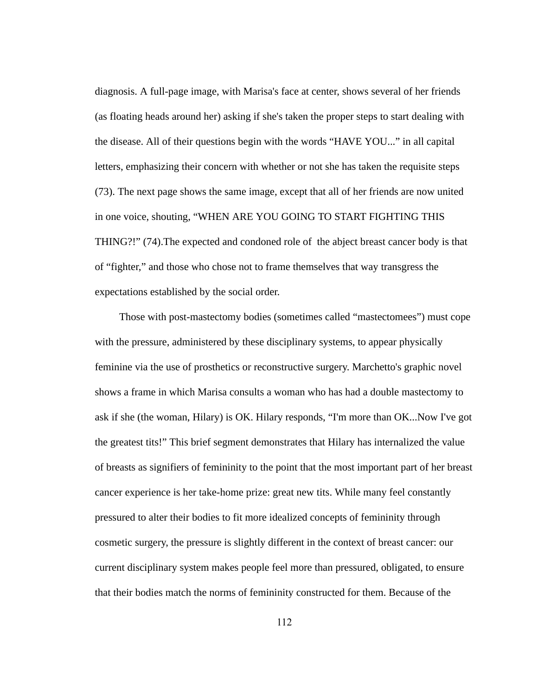diagnosis. A full-page image, with Marisa's face at center, shows several of her friends (as floating heads around her) asking if she's taken the proper steps to start dealing with the disease. All of their questions begin with the words "HAVE YOU..." in all capital letters, emphasizing their concern with whether or not she has taken the requisite steps (73). The next page shows the same image, except that all of her friends are now united in one voice, shouting, "WHEN ARE YOU GOING TO START FIGHTING THIS THING?!" (74).The expected and condoned role of the abject breast cancer body is that of "fighter," and those who chose not to frame themselves that way transgress the expectations established by the social order.

Those with post-mastectomy bodies (sometimes called "mastectomees") must cope with the pressure, administered by these disciplinary systems, to appear physically feminine via the use of prosthetics or reconstructive surgery. Marchetto's graphic novel shows a frame in which Marisa consults a woman who has had a double mastectomy to ask if she (the woman, Hilary) is OK. Hilary responds, "I'm more than OK...Now I've got the greatest tits!" This brief segment demonstrates that Hilary has internalized the value of breasts as signifiers of femininity to the point that the most important part of her breast cancer experience is her take-home prize: great new tits. While many feel constantly pressured to alter their bodies to fit more idealized concepts of femininity through cosmetic surgery, the pressure is slightly different in the context of breast cancer: our current disciplinary system makes people feel more than pressured, obligated, to ensure that their bodies match the norms of femininity constructed for them. Because of the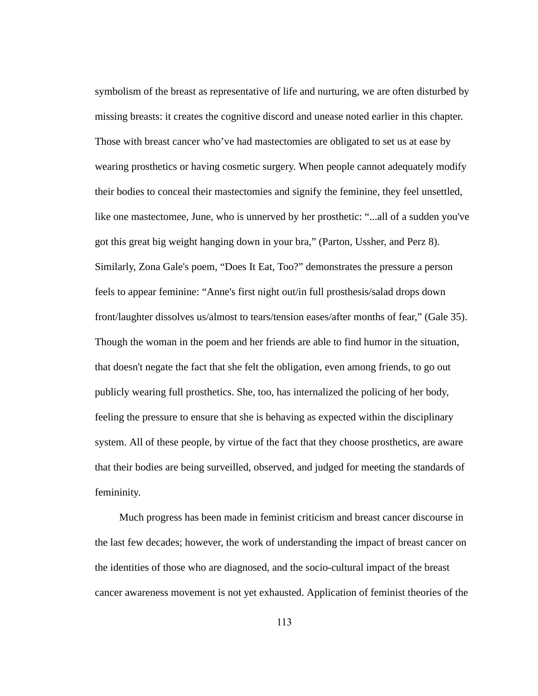symbolism of the breast as representative of life and nurturing, we are often disturbed by missing breasts: it creates the cognitive discord and unease noted earlier in this chapter. Those with breast cancer who've had mastectomies are obligated to set us at ease by wearing prosthetics or having cosmetic surgery. When people cannot adequately modify their bodies to conceal their mastectomies and signify the feminine, they feel unsettled, like one mastectomee, June, who is unnerved by her prosthetic: "...all of a sudden you've got this great big weight hanging down in your bra," (Parton, Ussher, and Perz 8). Similarly, Zona Gale's poem, "Does It Eat, Too?" demonstrates the pressure a person feels to appear feminine: "Anne's first night out/in full prosthesis/salad drops down front/laughter dissolves us/almost to tears/tension eases/after months of fear," (Gale 35). Though the woman in the poem and her friends are able to find humor in the situation, that doesn't negate the fact that she felt the obligation, even among friends, to go out publicly wearing full prosthetics. She, too, has internalized the policing of her body, feeling the pressure to ensure that she is behaving as expected within the disciplinary system. All of these people, by virtue of the fact that they choose prosthetics, are aware that their bodies are being surveilled, observed, and judged for meeting the standards of femininity.

Much progress has been made in feminist criticism and breast cancer discourse in the last few decades; however, the work of understanding the impact of breast cancer on the identities of those who are diagnosed, and the socio-cultural impact of the breast cancer awareness movement is not yet exhausted. Application of feminist theories of the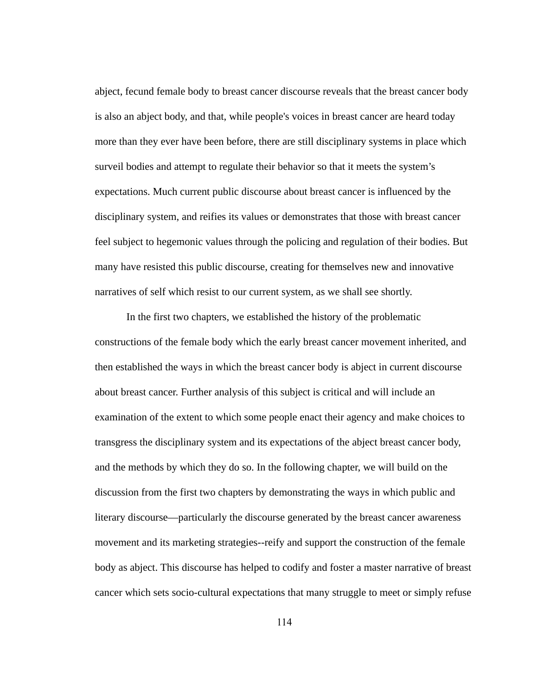abject, fecund female body to breast cancer discourse reveals that the breast cancer body is also an abject body, and that, while people's voices in breast cancer are heard today more than they ever have been before, there are still disciplinary systems in place which surveil bodies and attempt to regulate their behavior so that it meets the system's expectations. Much current public discourse about breast cancer is influenced by the disciplinary system, and reifies its values or demonstrates that those with breast cancer feel subject to hegemonic values through the policing and regulation of their bodies. But many have resisted this public discourse, creating for themselves new and innovative narratives of self which resist to our current system, as we shall see shortly.

In the first two chapters, we established the history of the problematic constructions of the female body which the early breast cancer movement inherited, and then established the ways in which the breast cancer body is abject in current discourse about breast cancer. Further analysis of this subject is critical and will include an examination of the extent to which some people enact their agency and make choices to transgress the disciplinary system and its expectations of the abject breast cancer body, and the methods by which they do so. In the following chapter, we will build on the discussion from the first two chapters by demonstrating the ways in which public and literary discourse—particularly the discourse generated by the breast cancer awareness movement and its marketing strategies--reify and support the construction of the female body as abject. This discourse has helped to codify and foster a master narrative of breast cancer which sets socio-cultural expectations that many struggle to meet or simply refuse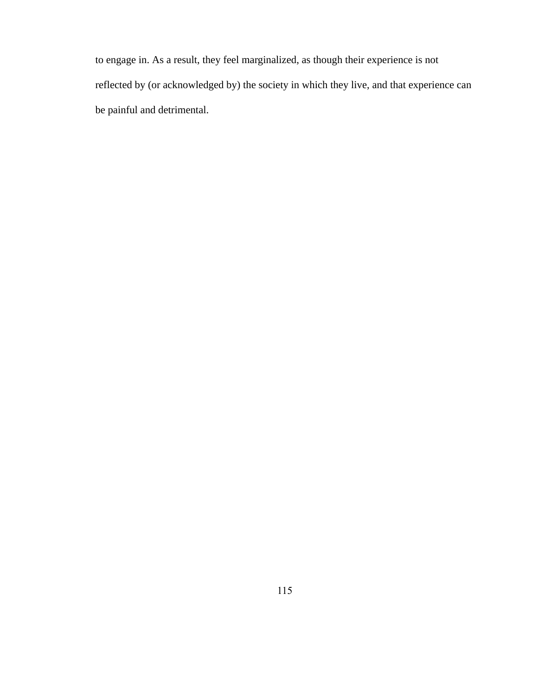to engage in. As a result, they feel marginalized, as though their experience is not reflected by (or acknowledged by) the society in which they live, and that experience can be painful and detrimental.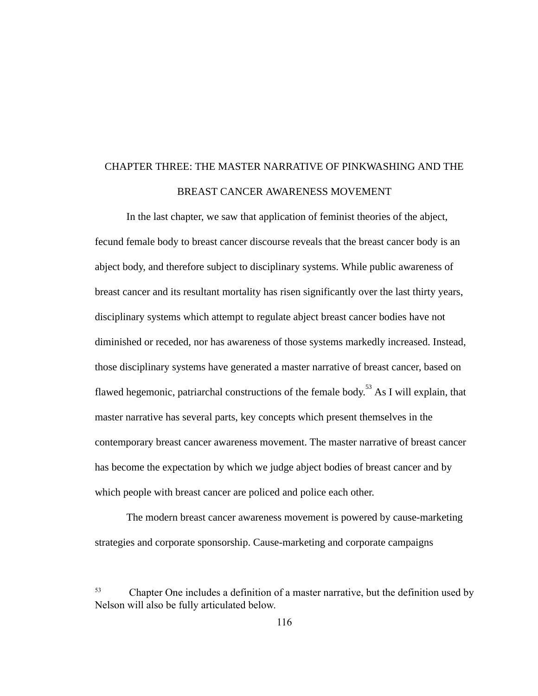# CHAPTER THREE: THE MASTER NARRATIVE OF PINKWASHING AND THE BREAST CANCER AWARENESS MOVEMENT

In the last chapter, we saw that application of feminist theories of the abject, fecund female body to breast cancer discourse reveals that the breast cancer body is an abject body, and therefore subject to disciplinary systems. While public awareness of breast cancer and its resultant mortality has risen significantly over the last thirty years, disciplinary systems which attempt to regulate abject breast cancer bodies have not diminished or receded, nor has awareness of those systems markedly increased. Instead, those disciplinary systems have generated a master narrative of breast cancer, based on flawed hegemonic, patriarchal constructions of the female body.<sup>53</sup> As I will explain, that master narrative has several parts, key concepts which present themselves in the contemporary breast cancer awareness movement. The master narrative of breast cancer has become the expectation by which we judge abject bodies of breast cancer and by which people with breast cancer are policed and police each other.

The modern breast cancer awareness movement is powered by cause-marketing strategies and corporate sponsorship. Cause-marketing and corporate campaigns

<sup>53</sup> Chapter One includes a definition of a master narrative, but the definition used by Nelson will also be fully articulated below.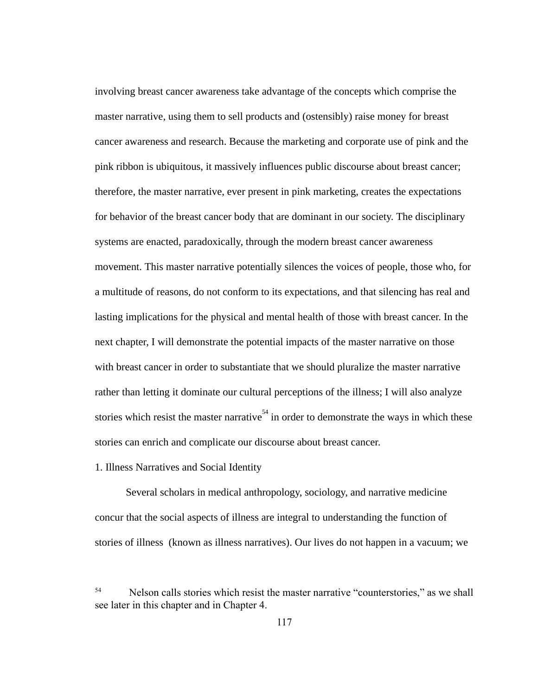involving breast cancer awareness take advantage of the concepts which comprise the master narrative, using them to sell products and (ostensibly) raise money for breast cancer awareness and research. Because the marketing and corporate use of pink and the pink ribbon is ubiquitous, it massively influences public discourse about breast cancer; therefore, the master narrative, ever present in pink marketing, creates the expectations for behavior of the breast cancer body that are dominant in our society. The disciplinary systems are enacted, paradoxically, through the modern breast cancer awareness movement. This master narrative potentially silences the voices of people, those who, for a multitude of reasons, do not conform to its expectations, and that silencing has real and lasting implications for the physical and mental health of those with breast cancer. In the next chapter, I will demonstrate the potential impacts of the master narrative on those with breast cancer in order to substantiate that we should pluralize the master narrative rather than letting it dominate our cultural perceptions of the illness; I will also analyze stories which resist the master narrative<sup>54</sup> in order to demonstrate the ways in which these stories can enrich and complicate our discourse about breast cancer.

### 1. Illness Narratives and Social Identity

Several scholars in medical anthropology, sociology, and narrative medicine concur that the social aspects of illness are integral to understanding the function of stories of illness (known as illness narratives). Our lives do not happen in a vacuum; we

<sup>54</sup> Nelson calls stories which resist the master narrative "counterstories," as we shall see later in this chapter and in Chapter 4.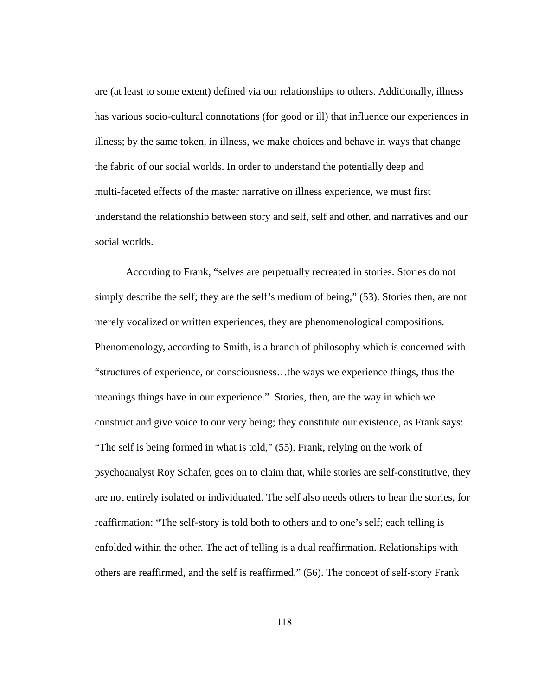are (at least to some extent) defined via our relationships to others. Additionally, illness has various socio-cultural connotations (for good or ill) that influence our experiences in illness; by the same token, in illness, we make choices and behave in ways that change the fabric of our social worlds. In order to understand the potentially deep and multi-faceted effects of the master narrative on illness experience, we must first understand the relationship between story and self, self and other, and narratives and our social worlds.

According to Frank, "selves are perpetually recreated in stories. Stories do not simply describe the self; they are the self's medium of being," (53). Stories then, are not merely vocalized or written experiences, they are phenomenological compositions. Phenomenology, according to Smith, is a branch of philosophy which is concerned with "structures of experience, or consciousness…the ways we experience things, thus the meanings things have in our experience." Stories, then, are the way in which we construct and give voice to our very being; they constitute our existence, as Frank says: "The self is being formed in what is told," (55). Frank, relying on the work of psychoanalyst Roy Schafer, goes on to claim that, while stories are self-constitutive, they are not entirely isolated or individuated. The self also needs others to hear the stories, for reaffirmation: "The self-story is told both to others and to one's self; each telling is enfolded within the other. The act of telling is a dual reaffirmation. Relationships with others are reaffirmed, and the self is reaffirmed," (56). The concept of self-story Frank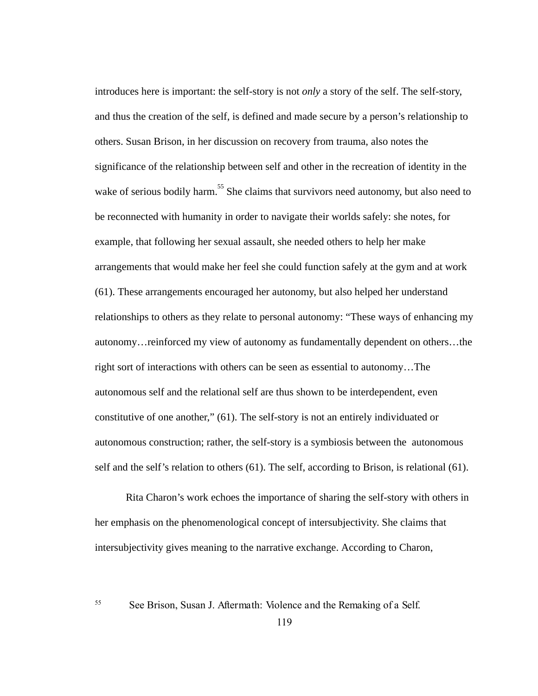introduces here is important: the self-story is not only a story of the self. The self-story, and thus the creation of the self, is defined and made secure by a person's relationship to others. Susan Brison, in her discussion on recovery from trauma, also notes the significance of the relationship between self and other in the recreation of identity in the wake of serious bodily harm.<sup>55</sup> She claims that survivors need autonomy, but also need to be reconnected with humanity in order to navigate their worlds safely: she notes, for example, that following her sexual assault, she needed others to help her make arrangements that would make her feel she could function safely at the gym and at work (61). These arrangements encouraged her autonomy, but also helped her understand relationships to others as they relate to personal autonomy: "These ways of enhancing my autonomy…reinforced my view of autonomy as fundamentally dependent on others…the right sort of interactions with others can be seen as essential to autonomy...The autonomous self and the relational self are thus shown to be interdependent, even constitutive of one another," (61). The self-story is not an entirely individuated or autonomous construction; rather, the self-story is a symbiosis between the autonomous self and the self's relation to others (61). The self, according to Brison, is relational (61).

Rita Charon's work echoes the importance of sharing the self-story with others in her emphasis on the phenomenological concept of intersubjectivity. She claims that intersubjectivity gives meaning to the narrative exchange. According to Charon,

55 See Brison, Susan J. Aftermath: Violence and the Remaking of a Self.

119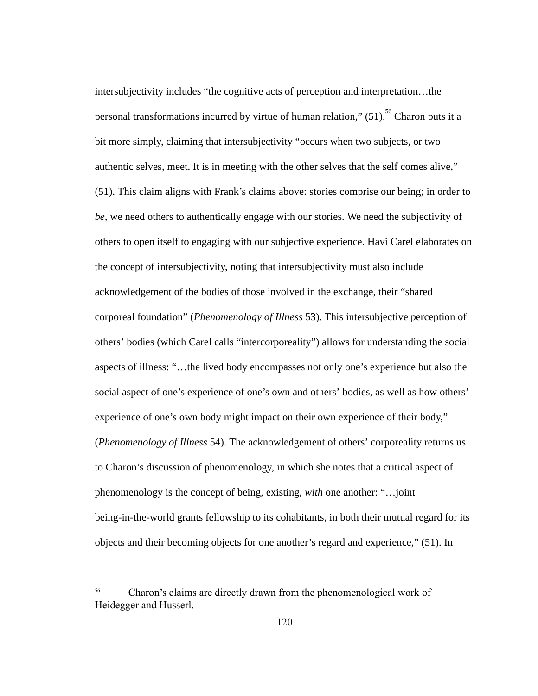intersubjectivity includes "the cognitive acts of perception and interpretation…the personal transformations incurred by virtue of human relation,"  $(51)$ ,  $^{56}$  Charon puts it a bit more simply, claiming that intersubjectivity "occurs when two subjects, or two authentic selves, meet. It is in meeting with the other selves that the self comes alive," (51). This claim aligns with Frank's claims above: stories comprise our being; in order to be, we need others to authentically engage with our stories. We need the subjectivity of others to open itself to engaging with our subjective experience. Havi Carel elaborates on the concept of intersubjectivity, noting that intersubjectivity must also include acknowledgement of the bodies of those involved in the exchange, their "shared corporeal foundation" ( *Phenomenology of Illness* 53). This intersubjective perception of others' bodies (which Carel calls "intercorporeality") allows for understanding the social aspects of illness: "…the lived body encompasses not only one's experience but also the social aspect of one's experience of one's own and others' bodies, as well as how others' experience of one's own body might impact on their own experience of their body," ( *Phenomenology of Illness* 54). The acknowledgement of others' corporeality returns us to Charon's discussion of phenomenology, in which she notes that a critical aspect of phenomenology is the concept of being, existing, with one another: "...joint being-in-the-world grants fellowship to its cohabitants, in both their mutual regard for its objects and their becoming objects for one another's regard and experience," (51). In

<sup>56</sup> Charon's claims are directly drawn from the phenomenological work of Heidegger and Husserl.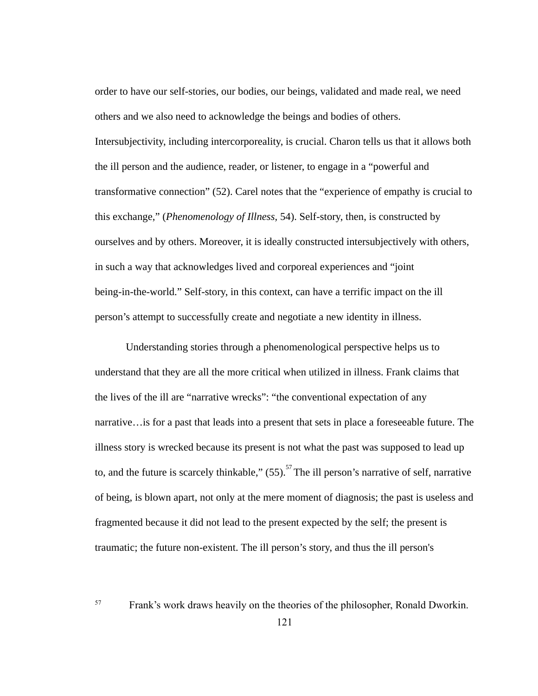order to have our self-stories, our bodies, our beings, validated and made real, we need others and we also need to acknowledge the beings and bodies of others. Intersubjectivity, including intercorporeality, is crucial. Charon tells us that it allows both the ill person and the audience, reader, or listener, to engage in a "powerful and transformative connection" (52). Carel notes that the "experience of empathy is crucial to this exchange," (*Phenomenology of Illness*, 54). Self-story, then, is constructed by ourselves and by others. Moreover, it is ideally constructed intersubjectively with others, in such a way that acknowledges lived and corporeal experiences and "joint being-in-the-world." Self-story, in this context, can have a terrific impact on the ill person's attempt to successfully create and negotiate a new identity in illness.

Understanding stories through a phenomenological perspective helps us to understand that they are all the more critical when utilized in illness. Frank claims that the lives of the ill are "narrative wrecks": "the conventional expectation of any narrative…is for a past that leads into a present that sets in place a foreseeable future. The illness story is wrecked because its present is not what the past was supposed to lead up to, and the future is scarcely thinkable,"  $(55)$ . <sup>57</sup>The ill person's narrative of self, narrative of being, is blown apart, not only at the mere moment of diagnosis; the past is useless and fragmented because it did not lead to the present expected by the self; the present is traumatic; the future non-existent. The ill person's story, and thus the ill person's

57 Frank's work draws heavily on the theories of the philosopher, Ronald Dworkin.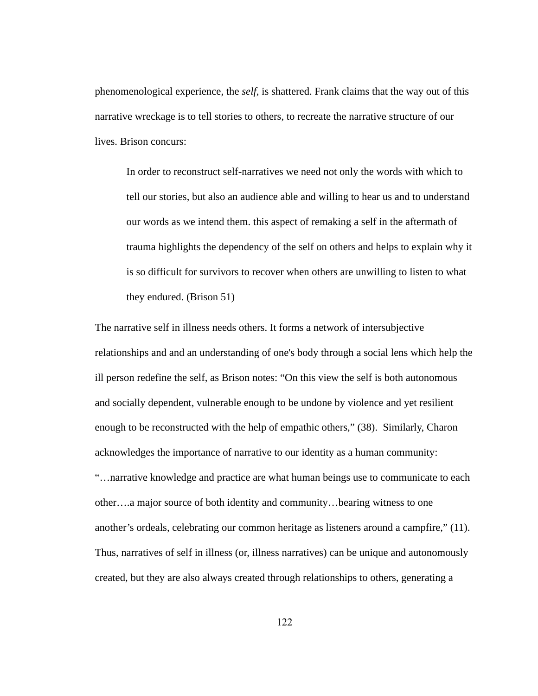phenomenological experience, the *self*, is shattered. Frank claims that the way out of this narrative wreckage is to tell stories to others, to recreate the narrative structure of our lives. Brison concurs:

In order to reconstruct self-narratives we need not only the words with which to tell our stories, but also an audience able and willing to hear us and to understand our words as we intend them. this aspect of remaking a self in the aftermath of trauma highlights the dependency of the self on others and helps to explain why it is so difficult for survivors to recover when others are unwilling to listen to what they endured. (Brison 51)

The narrative self in illness needs others. It forms a network of intersubjective relationships and and an understanding of one's body through a social lens which help the ill person redefine the self, as Brison notes: "On this view the self is both autonomous and socially dependent, vulnerable enough to be undone by violence and yet resilient enough to be reconstructed with the help of empathic others," (38). Similarly, Charon acknowledges the importance of narrative to our identity as a human community: "…narrative knowledge and practice are what human beings use to communicate to each other….a major source of both identity and community…bearing witness to one another's ordeals, celebrating our common heritage as listeners around a campfire," (11). Thus, narratives of self in illness (or, illness narratives) can be unique and autonomously created, but they are also always created through relationships to others, generating a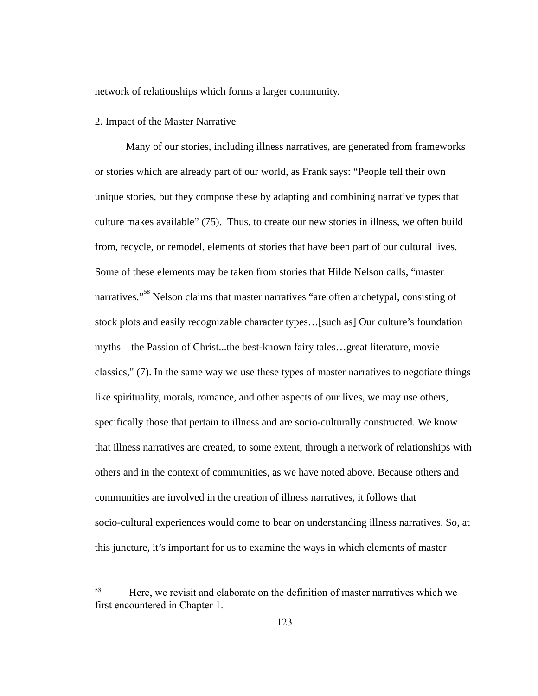network of relationships which forms a larger community.

#### 2. Impact of the Master Narrative

Many of our stories, including illness narratives, are generated from frameworks or stories which are already part of our world, as Frank says: "People tell their own unique stories, but they compose these by adapting and combining narrative types that culture makes available" (75). Thus, to create our new stories in illness, we often build from, recycle, or remodel, elements of stories that have been part of our cultural lives. Some of these elements may be taken from stories that Hilde Nelson calls, "master narratives."<sup>58</sup> Nelson claims that master narratives "are often archetypal, consisting of stock plots and easily recognizable character types…[such as] Our culture's foundation myths—the Passion of Christ...the best-known fairy tales...great literature, movie classics," (7). In the same way we use these types of master narratives to negotiate things like spirituality, morals, romance, and other aspects of our lives, we may use others, specifically those that pertain to illness and are socio-culturally constructed. We know that illness narratives are created, to some extent, through a network of relationships with others and in the context of communities, as we have noted above. Because others and communities are involved in the creation of illness narratives, it follows that socio-cultural experiences would come to bear on understanding illness narratives. So, at this juncture, it's important for us to examine the ways in which elements of master

<sup>58</sup> Here, we revisit and elaborate on the definition of master narratives which we first encountered in Chapter 1.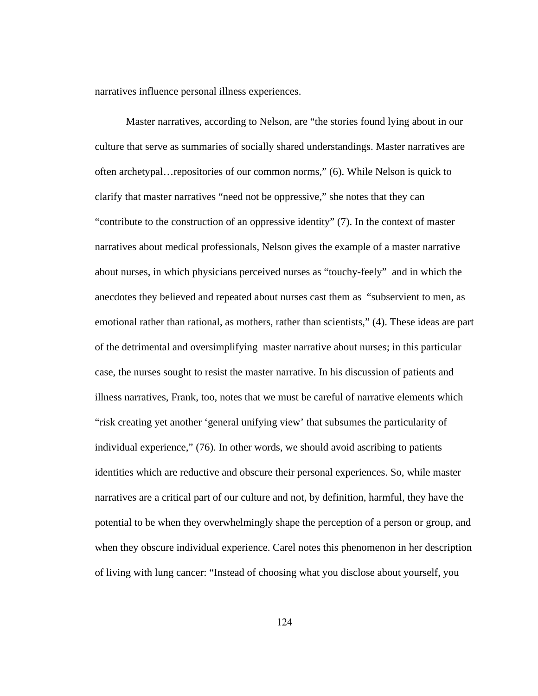narratives influence personal illness experiences.

Master narratives, according to Nelson, are "the stories found lying about in our culture that serve as summaries of socially shared understandings. Master narratives are often archetypal…repositories of our common norms," (6). While Nelson is quick to clarify that master narratives "need not be oppressive," she notes that they can "contribute to the construction of an oppressive identity" (7). In the context of master narratives about medical professionals, Nelson gives the example of a master narrative about nurses, in which physicians perceived nurses as "touchy-feely" and in which the anecdotes they believed and repeated about nurses cast them as "subservient to men, as emotional rather than rational, as mothers, rather than scientists," (4). These ideas are part of the detrimental and oversimplifying master narrative about nurses; in this particular case, the nurses sought to resist the master narrative. In his discussion of patients and illness narratives, Frank, too, notes that we must be careful of narrative elements which "risk creating yet another 'general unifying view' that subsumes the particularity of individual experience," (76). In other words, we should avoid ascribing to patients identities which are reductive and obscure their personal experiences. So, while master narratives are a critical part of our culture and not, by definition, harmful, they have the potential to be when they overwhelmingly shape the perception of a person or group, and when they obscure individual experience. Carel notes this phenomenon in her description of living with lung cancer: "Instead of choosing what you disclose about yourself, you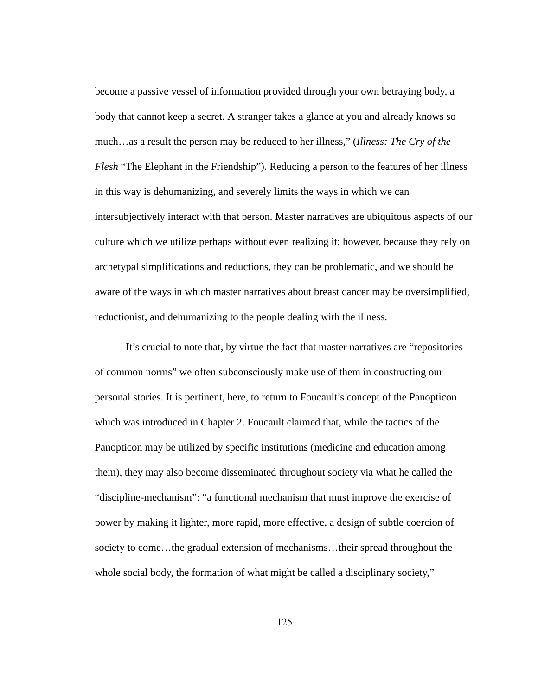become a passive vessel of information provided through your own betraying body, a body that cannot keep a secret. A stranger takes a glance at you and already knows so much…as a result the person may be reduced to her illness," ( *Illness: The Cry of the Flesh* "The Elephant in the Friendship"). Reducing a person to the features of her illness in this way is dehumanizing, and severely limits the ways in which we can intersubjectively interact with that person. Master narratives are ubiquitous aspects of our culture which we utilize perhaps without even realizing it; however, because they rely on archetypal simplifications and reductions, they can be problematic, and we should be aware of the ways in which master narratives about breast cancer may be oversimplified, reductionist, and dehumanizing to the people dealing with the illness.

It's crucial to note that, by virtue the fact that master narratives are "repositories" of common norms" we often subconsciously make use of them in constructing our personal stories. It is pertinent, here, to return to Foucault's concept of the Panopticon which was introduced in Chapter 2. Foucault claimed that, while the tactics of the Panopticon may be utilized by specific institutions (medicine and education among them), they may also become disseminated throughout society via what he called the "discipline-mechanism": "a functional mechanism that must improve the exercise of power by making it lighter, more rapid, more effective, a design of subtle coercion of society to come...the gradual extension of mechanisms...their spread throughout the whole social body, the formation of what might be called a disciplinary society,"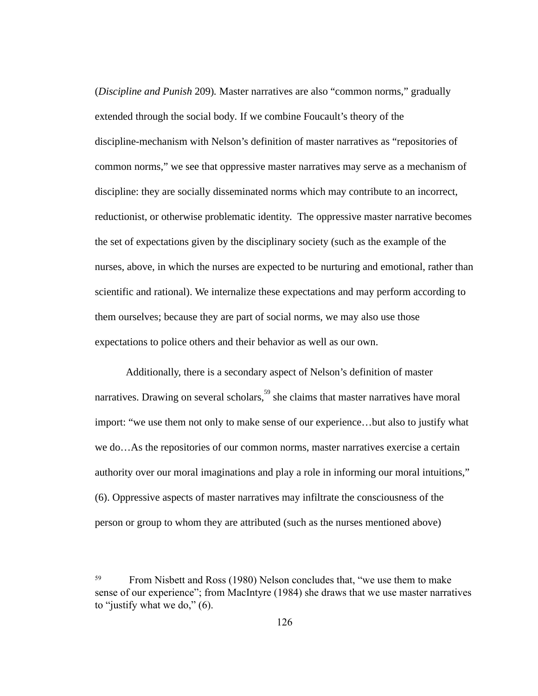( *Discipline and Punish* 209) *.* Master narratives are also "common norms," gradually extended through the social body. If we combine Foucault's theory of the discipline-mechanism with Nelson's definition of master narratives as "repositories of common norms," we see that oppressive master narratives may serve as a mechanism of discipline: they are socially disseminated norms which may contribute to an incorrect, reductionist, or otherwise problematic identity. The oppressive master narrative becomes the set of expectations given by the disciplinary society (such as the example of the nurses, above, in which the nurses are expected to be nurturing and emotional, rather than scientific and rational). We internalize these expectations and may perform according to them ourselves; because they are part of social norms, we may also use those expectations to police others and their behavior as well as our own.

Additionally, there is a secondary aspect of Nelson's definition of master narratives. Drawing on several scholars,  $59$  she claims that master narratives have moral import: "we use them not only to make sense of our experience...but also to justify what we do…As the repositories of our common norms, master narratives exercise a certain authority over our moral imaginations and play a role in informing our moral intuitions," (6). Oppressive aspects of master narratives may infiltrate the consciousness of the person or group to whom they are attributed (such as the nurses mentioned above)

<sup>59</sup> From Nisbett and Ross (1980) Nelson concludes that, "we use them to make sense of our experience"; from MacIntyre (1984) she draws that we use master narratives to "justify what we do,"  $(6)$ .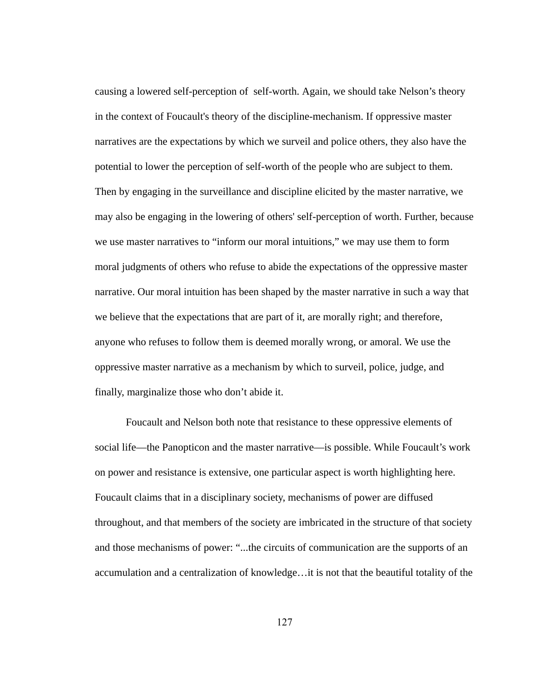causing a lowered self-perception of self-worth. Again, we should take Nelson's theory in the context of Foucault's theory of the discipline-mechanism. If oppressive master narratives are the expectations by which we surveil and police others, they also have the potential to lower the perception of self-worth of the people who are subject to them. Then by engaging in the surveillance and discipline elicited by the master narrative, we may also be engaging in the lowering of others' self-perception of worth. Further, because we use master narratives to "inform our moral intuitions," we may use them to form moral judgments of others who refuse to abide the expectations of the oppressive master narrative. Our moral intuition has been shaped by the master narrative in such a way that we believe that the expectations that are part of it, are morally right; and therefore, anyone who refuses to follow them is deemed morally wrong, or amoral. We use the oppressive master narrative as a mechanism by which to surveil, police, judge, and finally, marginalize those who don't abide it.

Foucault and Nelson both note that resistance to these oppressive elements of social life—the Panopticon and the master narrative—is possible. While Foucault's work on power and resistance is extensive, one particular aspect is worth highlighting here. Foucault claims that in a disciplinary society, mechanisms of power are diffused throughout, and that members of the society are imbricated in the structure of that society and those mechanisms of power: "...the circuits of communication are the supports of an accumulation and a centralization of knowledge…it is not that the beautiful totality of the

127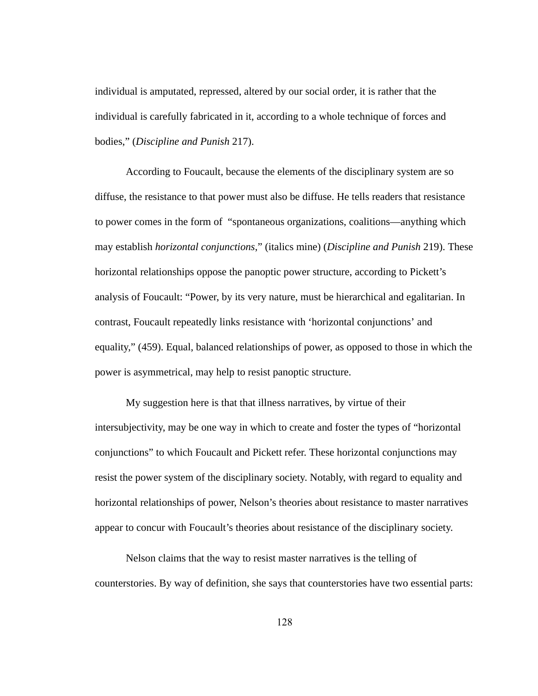individual is amputated, repressed, altered by our social order, it is rather that the individual is carefully fabricated in it, according to a whole technique of forces and bodies," ( *Discipline and Punish* 217).

According to Foucault, because the elements of the disciplinary system are so diffuse, the resistance to that power must also be diffuse. He tells readers that resistance to power comes in the form of "spontaneous organizations, coalitions—anything which may establish *horizontal conjunctions* ," (italics mine) ( *Discipline and Punish* 219). These horizontal relationships oppose the panoptic power structure, according to Pickett's analysis of Foucault: "Power, by its very nature, must be hierarchical and egalitarian. In contrast, Foucault repeatedly links resistance with 'horizontal conjunctions' and equality," (459). Equal, balanced relationships of power, as opposed to those in which the power is asymmetrical, may help to resist panoptic structure.

My suggestion here is that that illness narratives, by virtue of their intersubjectivity, may be one way in which to create and foster the types of "horizontal conjunctions" to which Foucault and Pickett refer. These horizontal conjunctions may resist the power system of the disciplinary society. Notably, with regard to equality and horizontal relationships of power, Nelson's theories about resistance to master narratives appear to concur with Foucault's theories about resistance of the disciplinary society.

Nelson claims that the way to resist master narratives is the telling of counterstories. By way of definition, she says that counterstories have two essential parts: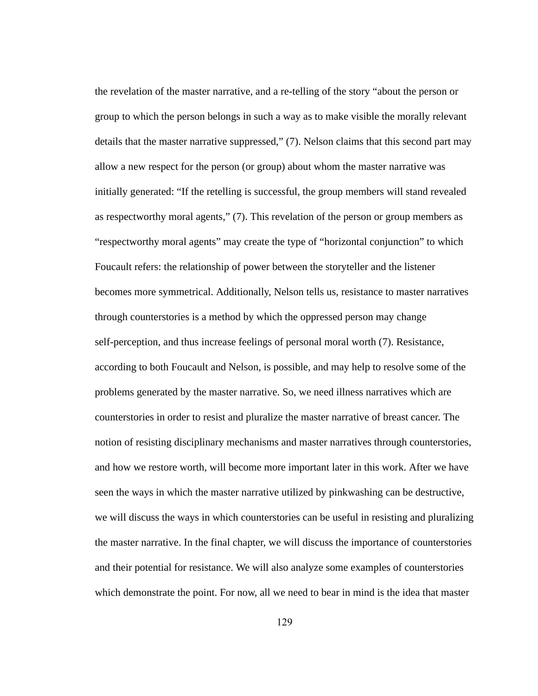the revelation of the master narrative, and a re-telling of the story "about the person or group to which the person belongs in such a way as to make visible the morally relevant details that the master narrative suppressed," (7). Nelson claims that this second part may allow a new respect for the person (or group) about whom the master narrative was initially generated: "If the retelling is successful, the group members will stand revealed as respectworthy moral agents," (7). This revelation of the person or group members as "respectworthy moral agents" may create the type of "horizontal conjunction" to which Foucault refers: the relationship of power between the storyteller and the listener becomes more symmetrical. Additionally, Nelson tells us, resistance to master narratives through counterstories is a method by which the oppressed person may change self-perception, and thus increase feelings of personal moral worth  $(7)$ . Resistance, according to both Foucault and Nelson, is possible, and may help to resolve some of the problems generated by the master narrative. So, we need illness narratives which are counterstories in order to resist and pluralize the master narrative of breast cancer. The notion of resisting disciplinary mechanisms and master narratives through counterstories, and how we restore worth, will become more important later in this work. After we have seen the ways in which the master narrative utilized by pinkwashing can be destructive, we will discuss the ways in which counterstories can be useful in resisting and pluralizing the master narrative. In the final chapter, we will discuss the importance of counterstories and their potential for resistance. We will also analyze some examples of counterstories which demonstrate the point. For now, all we need to bear in mind is the idea that master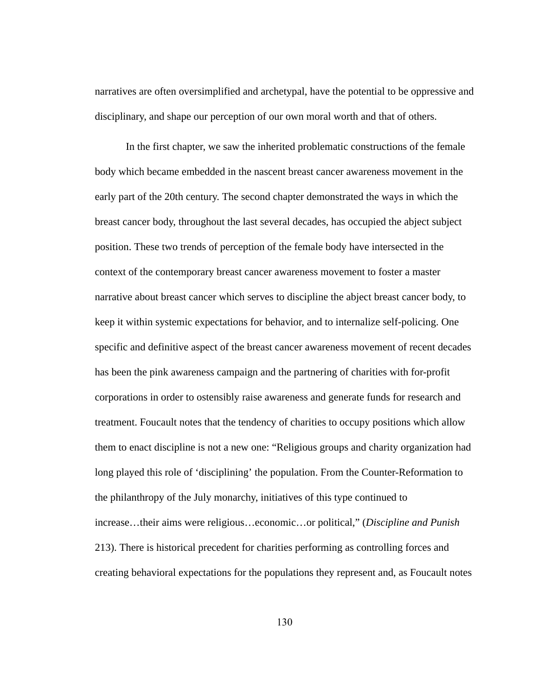narratives are often oversimplified and archetypal, have the potential to be oppressive and disciplinary, and shape our perception of our own moral worth and that of others.

In the first chapter, we saw the inherited problematic constructions of the female body which became embedded in the nascent breast cancer awareness movement in the early part of the 20th century. The second chapter demonstrated the ways in which the breast cancer body, throughout the last several decades, has occupied the abject subject position. These two trends of perception of the female body have intersected in the context of the contemporary breast cancer awareness movement to foster a master narrative about breast cancer which serves to discipline the abject breast cancer body, to keep it within systemic expectations for behavior, and to internalize self-policing. One specific and definitive aspect of the breast cancer awareness movement of recent decades has been the pink awareness campaign and the partnering of charities with for-profit corporations in order to ostensibly raise awareness and generate funds for research and treatment. Foucault notes that the tendency of charities to occupy positions which allow them to enact discipline is not a new one: "Religious groups and charity organization had long played this role of 'disciplining' the population. From the Counter-Reformation to the philanthropy of the July monarchy, initiatives of this type continued to increase…their aims were religious…economic…or political," ( *Discipline and Punish*  213). There is historical precedent for charities performing as controlling forces and creating behavioral expectations for the populations they represent and, as Foucault notes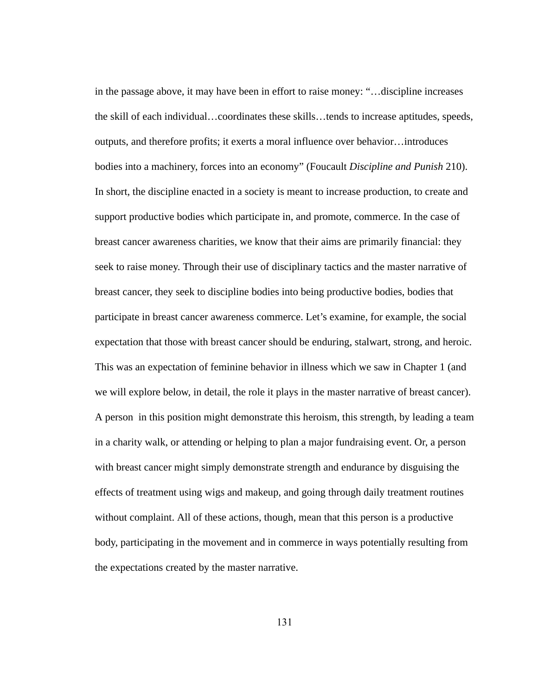in the passage above, it may have been in effort to raise money: "…discipline increases the skill of each individual…coordinates these skills…tends to increase aptitudes, speeds, outputs, and therefore profits; it exerts a moral influence over behavior…introduces bodies into a machinery, forces into an economy" (Foucault *Discipline and Punish*  210). In short, the discipline enacted in a society is meant to increase production, to create and support productive bodies which participate in, and promote, commerce. In the case of breast cancer awareness charities, we know that their aims are primarily financial: they seek to raise money. Through their use of disciplinary tactics and the master narrative of breast cancer, they seek to discipline bodies into being productive bodies, bodies that participate in breast cancer awareness commerce. Let's examine, for example, the social expectation that those with breast cancer should be enduring, stalwart, strong, and heroic. This was an expectation of feminine behavior in illness which we saw in Chapter 1 (and we will explore below, in detail, the role it plays in the master narrative of breast cancer). A person in this position might demonstrate this heroism, this strength, by leading a team in a charity walk, or attending or helping to plan a major fundraising event. Or, a person with breast cancer might simply demonstrate strength and endurance by disguising the effects of treatment using wigs and makeup, and going through daily treatment routines without complaint. All of these actions, though, mean that this person is a productive body, participating in the movement and in commerce in ways potentially resulting from the expectations created by the master narrative.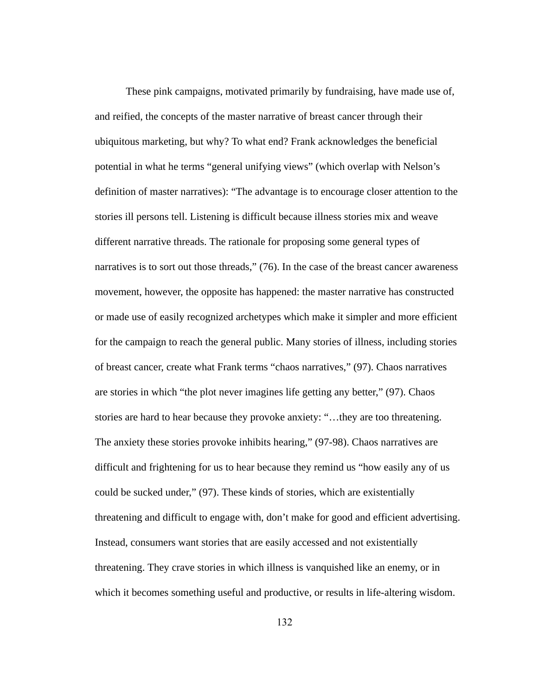These pink campaigns, motivated primarily by fundraising, have made use of, and reified, the concepts of the master narrative of breast cancer through their ubiquitous marketing, but why? To what end? Frank acknowledges the beneficial potential in what he terms "general unifying views" (which overlap with Nelson's definition of master narratives): "The advantage is to encourage closer attention to the stories ill persons tell. Listening is difficult because illness stories mix and weave different narrative threads. The rationale for proposing some general types of narratives is to sort out those threads," (76). In the case of the breast cancer awareness movement, however, the opposite has happened: the master narrative has constructed or made use of easily recognized archetypes which make it simpler and more efficient for the campaign to reach the general public. Many stories of illness, including stories of breast cancer, create what Frank terms "chaos narratives," (97). Chaos narratives are stories in which "the plot never imagines life getting any better," (97). Chaos stories are hard to hear because they provoke anxiety: "...they are too threatening. The anxiety these stories provoke inhibits hearing," (97-98). Chaos narratives are difficult and frightening for us to hear because they remind us "how easily any of us could be sucked under," (97). These kinds of stories, which are existentially threatening and difficult to engage with, don't make for good and efficient advertising. Instead, consumers want stories that are easily accessed and not existentially threatening. They crave stories in which illness is vanquished like an enemy, or in which it becomes something useful and productive, or results in life-altering wisdom.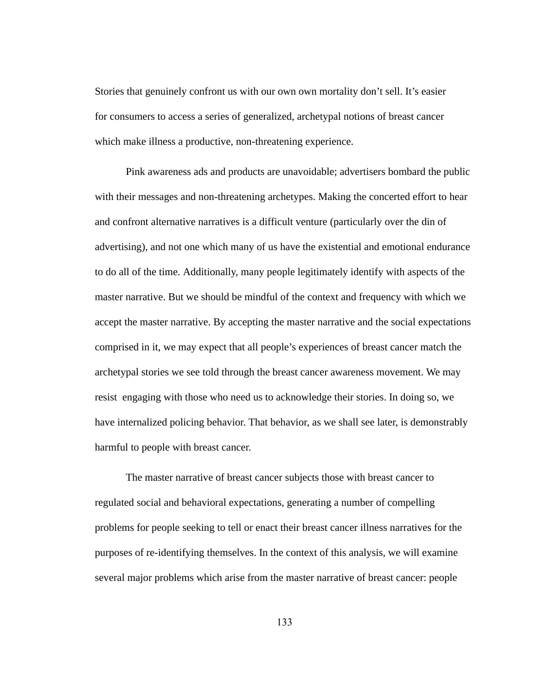Stories that genuinely confront us with our own own mortality don't sell. It's easier for consumers to access a series of generalized, archetypal notions of breast cancer which make illness a productive, non-threatening experience.

Pink awareness ads and products are unavoidable; advertisers bombard the public with their messages and non-threatening archetypes. Making the concerted effort to hear and confront alternative narratives is a difficult venture (particularly over the din of advertising), and not one which many of us have the existential and emotional endurance to do all of the time. Additionally, many people legitimately identify with aspects of the master narrative. But we should be mindful of the context and frequency with which we accept the master narrative. By accepting the master narrative and the social expectations comprised in it, we may expect that all people's experiences of breast cancer match the archetypal stories we see told through the breast cancer awareness movement. We may resist engaging with those who need us to acknowledge their stories. In doing so, we have internalized policing behavior. That behavior, as we shall see later, is demonstrably harmful to people with breast cancer.

The master narrative of breast cancer subjects those with breast cancer to regulated social and behavioral expectations, generating a number of compelling problems for people seeking to tell or enact their breast cancer illness narratives for the purposes of re-identifying themselves. In the context of this analysis, we will examine several major problems which arise from the master narrative of breast cancer: people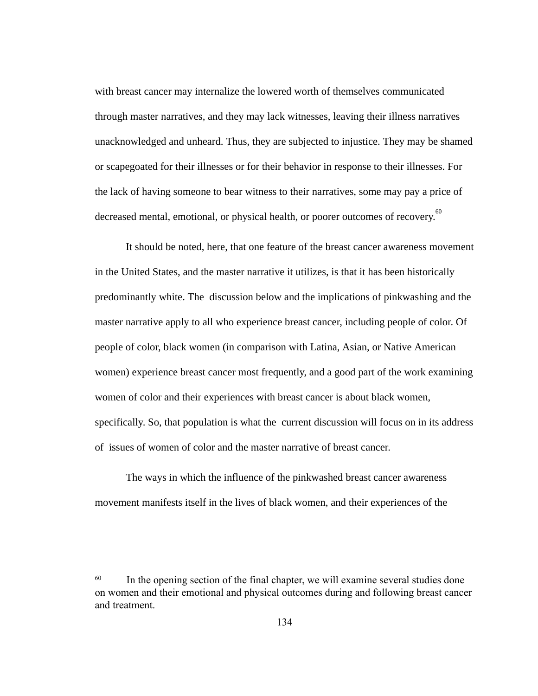with breast cancer may internalize the lowered worth of themselves communicated through master narratives, and they may lack witnesses, leaving their illness narratives unacknowledged and unheard. Thus, they are subjected to injustice. They may be shamed or scapegoated for their illnesses or for their behavior in response to their illnesses. For the lack of having someone to bear witness to their narratives, some may pay a price of decreased mental, emotional, or physical health, or poorer outcomes of recovery.<sup>60</sup>

It should be noted, here, that one feature of the breast cancer awareness movement in the United States, and the master narrative it utilizes, is that it has been historically predominantly white. The discussion below and the implications of pinkwashing and the master narrative apply to all who experience breast cancer, including people of color. Of people of color, black women (in comparison with Latina, Asian, or Native American women) experience breast cancer most frequently, and a good part of the work examining women of color and their experiences with breast cancer is about black women, specifically. So, that population is what the current discussion will focus on in its address of issues of women of color and the master narrative of breast cancer.

The ways in which the influence of the pinkwashed breast cancer awareness movement manifests itself in the lives of black women, and their experiences of the

 $60$  In the opening section of the final chapter, we will examine several studies done on women and their emotional and physical outcomes during and following breast cancer and treatment.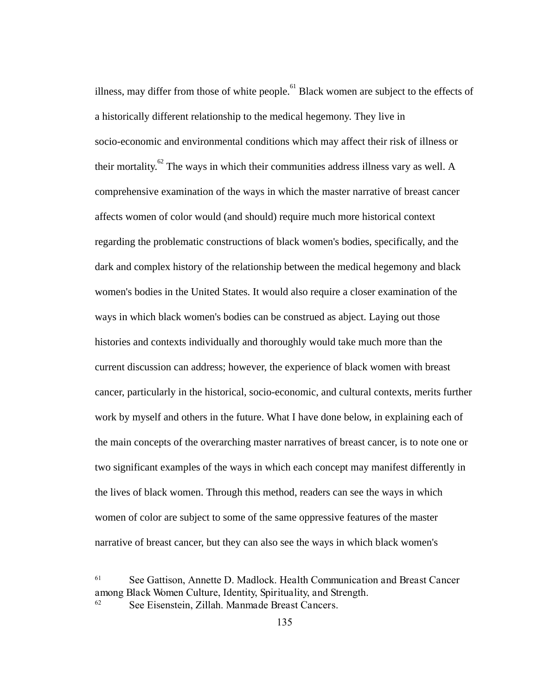illness, may differ from those of white  $people.<sup>61</sup>$  Black women are subject to the effects of a historically different relationship to the medical hegemony. They live in socio-economic and environmental conditions which may affect their risk of illness or their mortality.  ${}^{62}$  The ways in which their communities address illness vary as well. A comprehensive examination of the ways in which the master narrative of breast cancer affects women of color would (and should) require much more historical context regarding the problematic constructions of black women's bodies, specifically, and the dark and complex history of the relationship between the medical hegemony and black women's bodies in the United States. It would also require a closer examination of the ways in which black women's bodies can be construed as abject. Laying out those histories and contexts individually and thoroughly would take much more than the current discussion can address; however, the experience of black women with breast cancer, particularly in the historical, socio-economic, and cultural contexts, merits further work by myself and others in the future. What I have done below, in explaining each of the main concepts of the overarching master narratives of breast cancer, is to note one or two significant examples of the ways in which each concept may manifest differently in the lives of black women. Through this method, readers can see the ways in which women of color are subject to some of the same oppressive features of the master narrative of breast cancer, but they can also see the ways in which black women's

<sup>61</sup> See Gattison, Annette D. Madlock. HealthCommunicationandBreastCancer amongBlackWomenCulture,Identity,Spirituality,andStrength. 62 See Eisenstein, Zillah. ManmadeBreastCancers.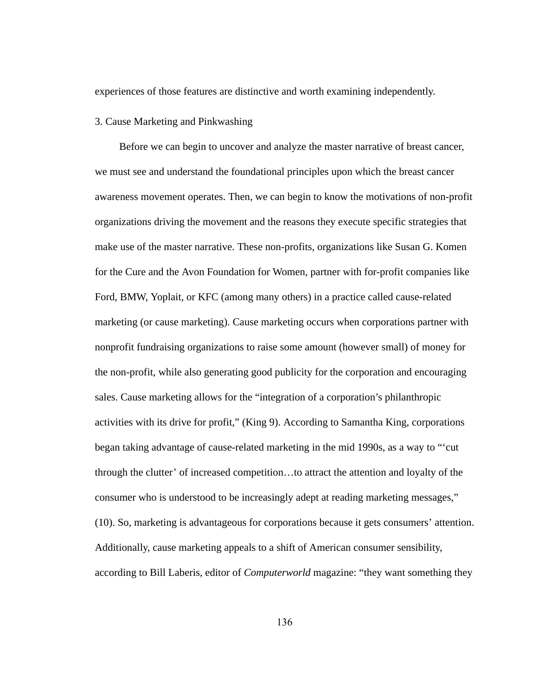experiences of those features are distinctive and worth examining independently.

## 3. Cause Marketing and Pinkwashing

Before we can begin to uncover and analyze the master narrative of breast cancer, we must see and understand the foundational principles upon which the breast cancer awareness movement operates. Then, we can begin to know the motivations of non-profit organizations driving the movement and the reasons they execute specific strategies that make use of the master narrative. These non-profits, organizations like Susan G. Komen for the Cure and the Avon Foundation for Women, partner with for-profit companies like Ford, BMW, Yoplait, or KFC (among many others) in a practice called cause-related marketing (or cause marketing). Cause marketing occurs when corporations partner with nonprofit fundraising organizations to raise some amount (however small) of money for the non-profit, while also generating good publicity for the corporation and encouraging sales. Cause marketing allows for the "integration of a corporation's philanthropic activities with its drive for profit," (King 9). According to Samantha King, corporations began taking advantage of cause-related marketing in the mid 1990s, as a way to "'cut through the clutter' of increased competition…to attract the attention and loyalty of the consumer who is understood to be increasingly adept at reading marketing messages," (10). So, marketing is advantageous for corporations because it gets consumers' attention. Additionally, cause marketing appeals to a shift of American consumer sensibility, according to Bill Laberis, editor of *Computerworld* magazine: "they want something they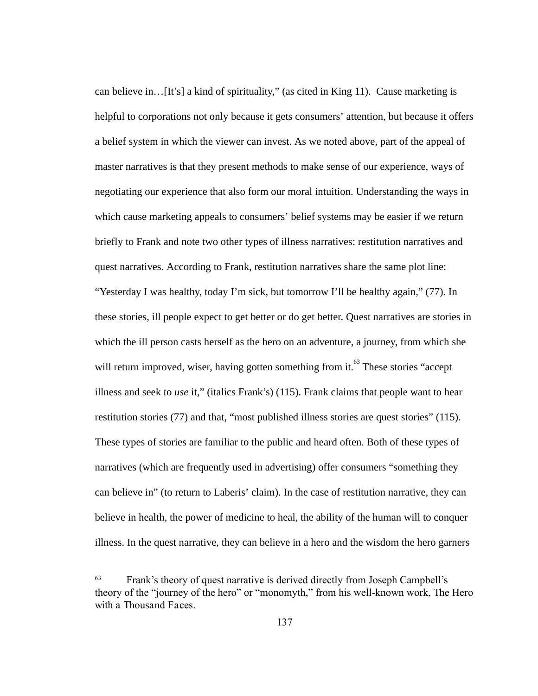can believe in…[It's] a kind of spirituality," (as cited in King 11). Cause marketing is helpful to corporations not only because it gets consumers' attention, but because it offers a belief system in which the viewer can invest. As we noted above, part of the appeal of master narratives is that they present methods to make sense of our experience, ways of negotiating our experience that also form our moral intuition. Understanding the ways in which cause marketing appeals to consumers' belief systems may be easier if we return briefly to Frank and note two other types of illness narratives: restitution narratives and quest narratives. According to Frank, restitution narratives share the same plot line: "Yesterday I was healthy, today I'm sick, but tomorrow I'll be healthy again," (77). In these stories, ill people expect to get better or do get better. Quest narratives are stories in which the ill person casts herself as the hero on an adventure, a journey, from which she will return improved, wiser, having gotten something from it.<sup>63</sup> These stories "accept illness and seek to *use* it," (italics Frank's) (115). Frank claims that people want to hear restitution stories (77) and that, "most published illness stories are quest stories" (115). These types of stories are familiar to the public and heard often. Both of these types of narratives (which are frequently used in advertising) offer consumers "something they can believe in" (to return to Laberis' claim). In the case of restitution narrative, they can believe in health, the power of medicine to heal, the ability of the human will to conquer illness. In the quest narrative, they can believe in a hero and the wisdom the hero garners

<sup>&</sup>lt;sup>63</sup> Frank's theory of quest narrative is derived directly from Joseph Campbell's theory of the "journey of the hero" or "monomyth," from his well-known work, The Hero with a Thousand Faces.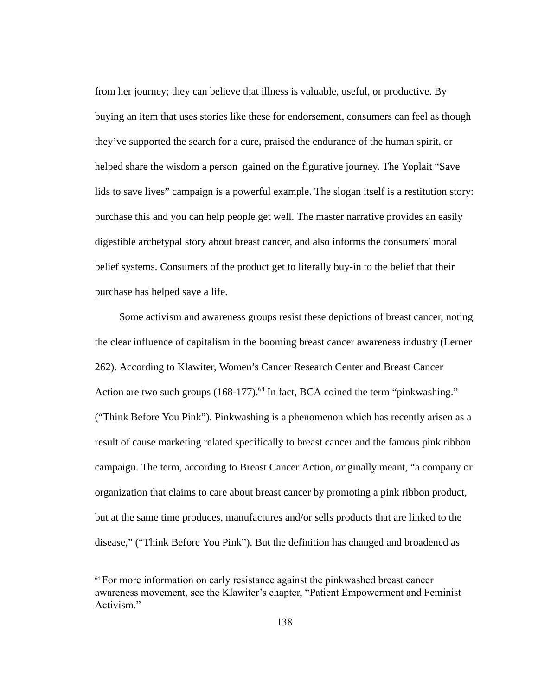from her journey; they can believe that illness is valuable, useful, or productive. By buying an item that uses stories like these for endorsement, consumers can feel as though they've supported the search for a cure, praised the endurance of the human spirit, or helped share the wisdom a person gained on the figurative journey. The Yoplait "Save lids to save lives" campaign is a powerful example. The slogan itself is a restitution story: purchase this and you can help people get well. The master narrative provides an easily digestible archetypal story about breast cancer, and also informs the consumers' moral belief systems. Consumers of the product get to literally buy-in to the belief that their purchase has helped save a life.

Some activism and awareness groups resist these depictions of breast cancer, noting the clear influence of capitalism in the booming breast cancer awareness industry (Lerner 262). According to Klawiter, Women's Cancer Research Center and Breast Cancer Action are two such groups (168-177).<sup>64</sup> In fact, BCA coined the term "pinkwashing." ("Think Before You Pink"). Pinkwashing is a phenomenon which has recently arisen as a result of cause marketing related specifically to breast cancer and the famous pink ribbon campaign. The term, according to Breast Cancer Action, originally meant, "a company or organization that claims to care about breast cancer by promoting a pink ribbon product, but at the same time produces, manufactures and/or sells products that are linked to the disease," ("Think Before You Pink"). But the definition has changed and broadened as

<sup>64</sup> For more information on early resistance against the pinkwashed breast cancer awareness movement, see the Klawiter's chapter, "Patient Empowerment and Feminist Activism."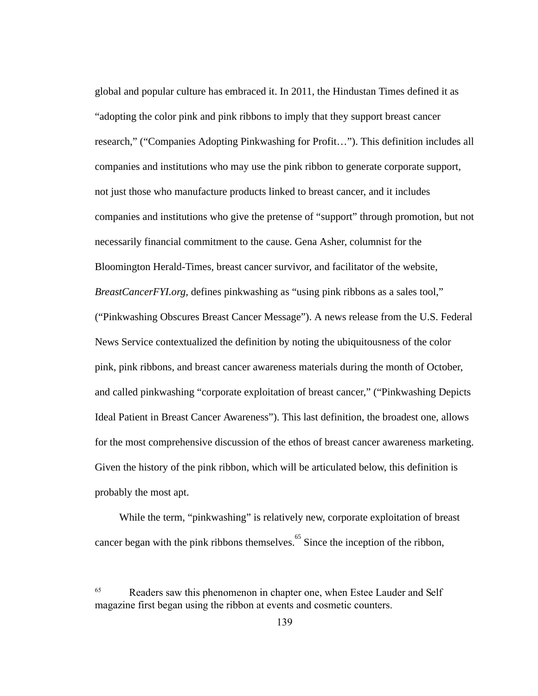global and popular culture has embraced it. In 2011, the Hindustan Times defined it as "adopting the color pink and pink ribbons to imply that they support breast cancer research," ("Companies Adopting Pinkwashing for Profit…"). This definition includes all companies and institutions who may use the pink ribbon to generate corporate support, not just those who manufacture products linked to breast cancer, and it includes companies and institutions who give the pretense of "support" through promotion, but not necessarily financial commitment to the cause. Gena Asher, columnist for the Bloomington Herald-Times, breast cancer survivor, and facilitator of the website, *BreastCancerFYI.org, defines pinkwashing as "using pink ribbons as a sales tool,"* ("Pinkwashing Obscures Breast Cancer Message"). A news release from the U.S. Federal News Service contextualized the definition by noting the ubiquitousness of the color pink, pink ribbons, and breast cancer awareness materials during the month of October, and called pinkwashing "corporate exploitation of breast cancer," ("Pinkwashing Depicts Ideal Patient in Breast Cancer Awareness"). This last definition, the broadest one, allows for the most comprehensive discussion of the ethos of breast cancer awareness marketing. Given the history of the pink ribbon, which will be articulated below, this definition is probably the most apt.

While the term, "pinkwashing" is relatively new, corporate exploitation of breast cancer began with the pink ribbons themselves.  $65$  Since the inception of the ribbon,

<sup>65</sup> Readers saw this phenomenon in chapter one, when Estee Lauder and Self magazine first began using the ribbon at events and cosmetic counters.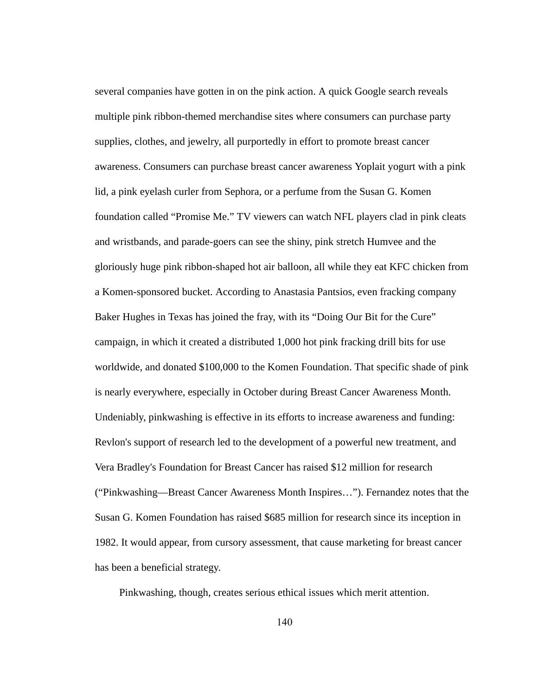several companies have gotten in on the pink action. A quick Google search reveals multiple pink ribbon-themed merchandise sites where consumers can purchase party supplies, clothes, and jewelry, all purportedly in effort to promote breast cancer awareness. Consumers can purchase breast cancer awareness Yoplait yogurt with a pink lid, a pink eyelash curler from Sephora, or a perfume from the Susan G. Komen foundation called "Promise Me." TV viewers can watch NFL players clad in pink cleats and wristbands, and parade-goers can see the shiny, pink stretch Humvee and the gloriously huge pink ribbon-shaped hot air balloon, all while they eat KFC chicken from a Komen-sponsored bucket. According to Anastasia Pantsios, even fracking company Baker Hughes in Texas has joined the fray, with its "Doing Our Bit for the Cure" campaign, in which it created a distributed 1,000 hot pink fracking drill bits for use worldwide, and donated \$100,000 to the Komen Foundation. That specific shade of pink is nearly everywhere, especially in October during Breast Cancer Awareness Month. Undeniably, pinkwashing is effective in its efforts to increase awareness and funding: Revlon's support of research led to the development of a powerful new treatment, and Vera Bradley's Foundation for Breast Cancer has raised \$12 million for research ("Pinkwashing—Breast Cancer Awareness Month Inspires…"). Fernandez notes that the Susan G. Komen Foundation has raised \$685 million for research since its inception in 1982. It would appear, from cursory assessment, that cause marketing for breast cancer has been a beneficial strategy.

Pinkwashing, though, creates serious ethical issues which merit attention.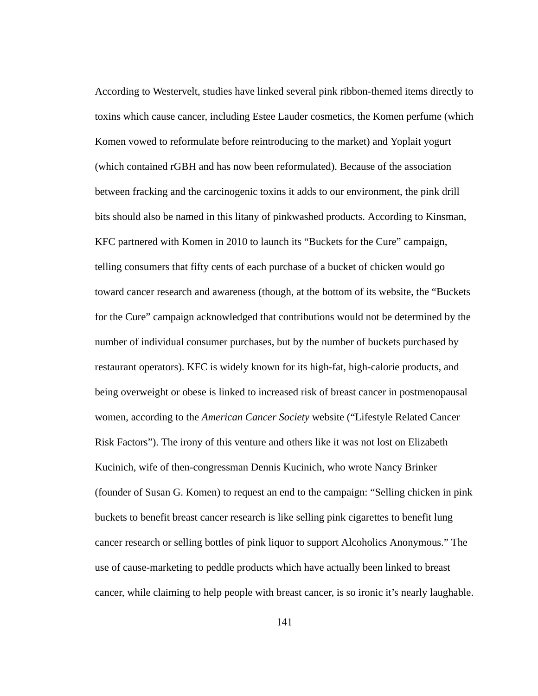According to Westervelt, studies have linked several pink ribbon-themed items directly to toxins which cause cancer, including Estee Lauder cosmetics, the Komen perfume (which Komen vowed to reformulate before reintroducing to the market) and Yoplait yogurt (which contained rGBH and has now been reformulated). Because of the association between fracking and the carcinogenic toxins it adds to our environment, the pink drill bits should also be named in this litany of pinkwashed products. According to Kinsman, KFC partnered with Komen in 2010 to launch its "Buckets for the Cure" campaign, telling consumers that fifty cents of each purchase of a bucket of chicken would go toward cancer research and awareness (though, at the bottom of its website, the "Buckets for the Cure" campaign acknowledged that contributions would not be determined by the number of individual consumer purchases, but by the number of buckets purchased by restaurant operators). KFC is widely known for its high-fat, high-calorie products, and being overweight or obese is linked to increased risk of breast cancer in postmenopausal women, according to the *American Cancer Society*  website ("Lifestyle Related Cancer Risk Factors"). The irony of this venture and others like it was not lost on Elizabeth Kucinich, wife of then-congressman Dennis Kucinich, who wrote Nancy Brinker (founder of Susan G. Komen) to request an end to the campaign: "Selling chicken in pink buckets to benefit breast cancer research is like selling pink cigarettes to benefit lung cancer research or selling bottles of pink liquor to support Alcoholics Anonymous." The use of cause-marketing to peddle products which have actually been linked to breast cancer, while claiming to help people with breast cancer, is so ironic it's nearly laughable.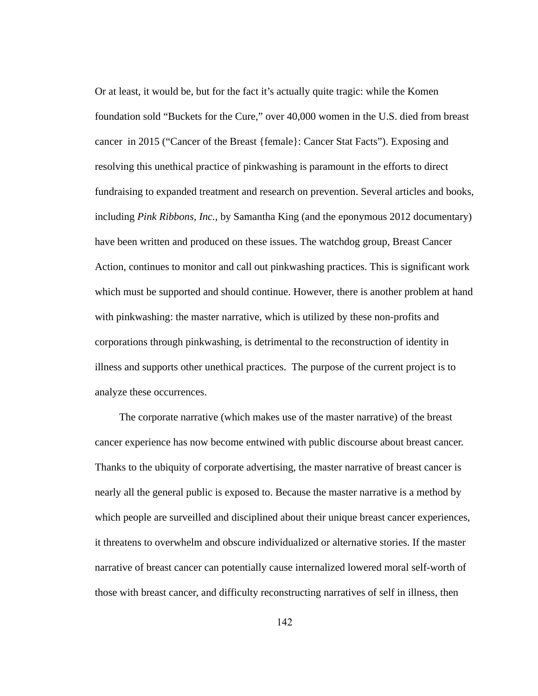Or at least, it would be, but for the fact it's actually quite tragic: while the Komen foundation sold "Buckets for the Cure," over 40,000 women in the U.S. died from breast cancer in 2015 ("Cancer of the Breast {female}: Cancer Stat Facts"). Exposing and resolving this unethical practice of pinkwashing is paramount in the efforts to direct fundraising to expanded treatment and research on prevention. Several articles and books, including *Pink Ribbons, Inc., by Samantha King (and the eponymous 2012 documentary)* have been written and produced on these issues. The watchdog group, Breast Cancer Action, continues to monitor and call out pinkwashing practices. This is significant work which must be supported and should continue. However, there is another problem at hand with pinkwashing: the master narrative, which is utilized by these non-profits and corporations through pinkwashing, is detrimental to the reconstruction of identity in illness and supports other unethical practices. The purpose of the current project is to analyze these occurrences.

The corporate narrative (which makes use of the master narrative) of the breast cancer experience has now become entwined with public discourse about breast cancer. Thanks to the ubiquity of corporate advertising, the master narrative of breast cancer is nearly all the general public is exposed to. Because the master narrative is a method by which people are surveilled and disciplined about their unique breast cancer experiences, it threatens to overwhelm and obscure individualized or alternative stories. If the master narrative of breast cancer can potentially cause internalized lowered moral self-worth of those with breast cancer, and difficulty reconstructing narratives of self in illness, then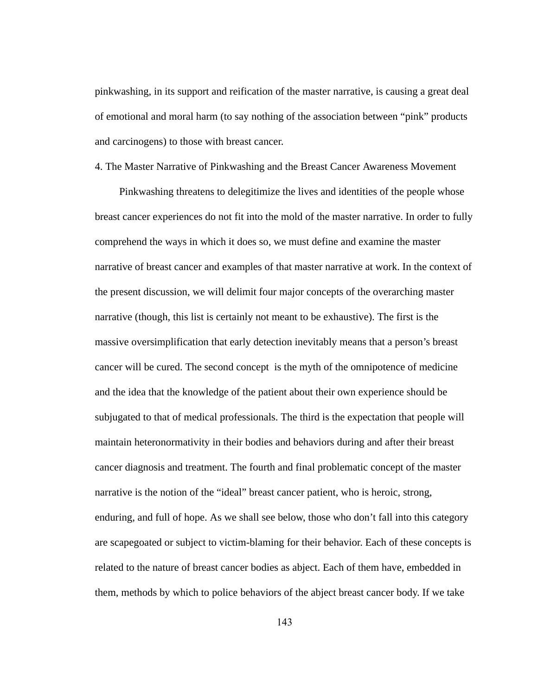pinkwashing, in its support and reification of the master narrative, is causing a great deal of emotional and moral harm (to say nothing of the association between "pink" products and carcinogens) to those with breast cancer.

## 4. The Master Narrative of Pinkwashing and the Breast Cancer Awareness Movement

Pinkwashing threatens to delegitimize the lives and identities of the people whose breast cancer experiences do not fit into the mold of the master narrative. In order to fully comprehend the ways in which it does so, we must define and examine the master narrative of breast cancer and examples of that master narrative at work. In the context of the present discussion, we will delimit four major concepts of the overarching master narrative (though, this list is certainly not meant to be exhaustive). The first is the massive oversimplification that early detection inevitably means that a person's breast cancer will be cured. The second concept is the myth of the omnipotence of medicine and the idea that the knowledge of the patient about their own experience should be subjugated to that of medical professionals. The third is the expectation that people will maintain heteronormativity in their bodies and behaviors during and after their breast cancer diagnosis and treatment. The fourth and final problematic concept of the master narrative is the notion of the "ideal" breast cancer patient, who is heroic, strong, enduring, and full of hope. As we shall see below, those who don't fall into this category are scapegoated or subject to victim-blaming for their behavior. Each of these concepts is related to the nature of breast cancer bodies as abject. Each of them have, embedded in them, methods by which to police behaviors of the abject breast cancer body. If we take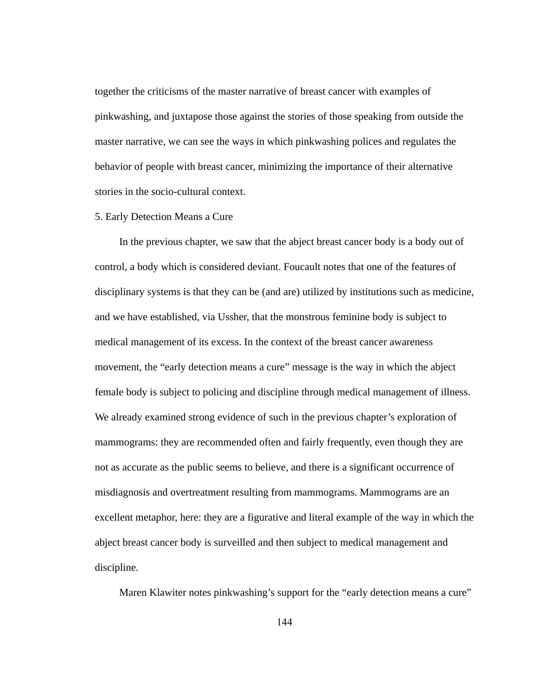together the criticisms of the master narrative of breast cancer with examples of pinkwashing, and juxtapose those against the stories of those speaking from outside the master narrative, we can see the ways in which pinkwashing polices and regulates the behavior of people with breast cancer, minimizing the importance of their alternative stories in the socio-cultural context.

## 5. Early Detection Means a Cure

In the previous chapter, we saw that the abject breast cancer body is a body out of control, a body which is considered deviant. Foucault notes that one of the features of disciplinary systems is that they can be (and are) utilized by institutions such as medicine, and we have established, via Ussher, that the monstrous feminine body is subject to medical management of its excess. In the context of the breast cancer awareness movement, the "early detection means a cure" message is the way in which the abject female body is subject to policing and discipline through medical management of illness. We already examined strong evidence of such in the previous chapter's exploration of mammograms: they are recommended often and fairly frequently, even though they are not as accurate as the public seems to believe, and there is a significant occurrence of misdiagnosis and overtreatment resulting from mammograms. Mammograms are an excellent metaphor, here: they are a figurative and literal example of the way in which the abject breast cancer body is surveilled and then subject to medical management and discipline.

Maren Klawiter notes pinkwashing's support for the "early detection means a cure"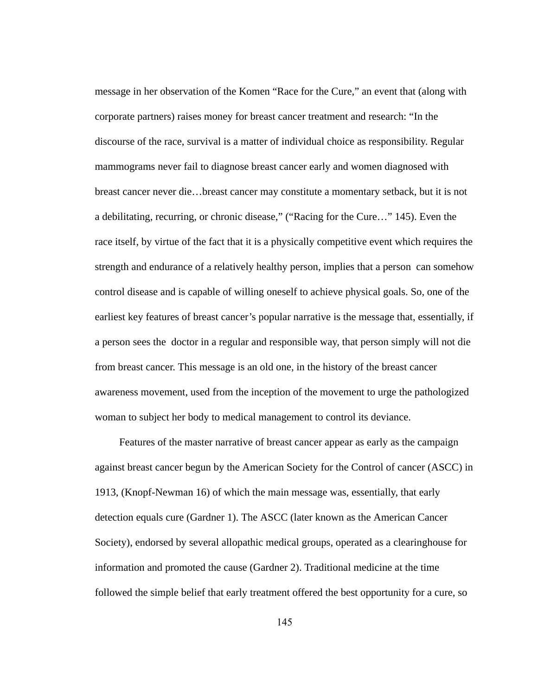message in her observation of the Komen "Race for the Cure," an event that (along with corporate partners) raises money for breast cancer treatment and research: "In the discourse of the race, survival is a matter of individual choice as responsibility. Regular mammograms never fail to diagnose breast cancer early and women diagnosed with breast cancer never die…breast cancer may constitute a momentary setback, but it is not a debilitating, recurring, or chronic disease," ("Racing for the Cure…" 145). Even the race itself, by virtue of the fact that it is a physically competitive event which requires the strength and endurance of a relatively healthy person, implies that a person can somehow control disease and is capable of willing oneself to achieve physical goals. So, one of the earliest key features of breast cancer's popular narrative is the message that, essentially, if a person sees the doctor in a regular and responsible way, that person simply will not die from breast cancer. This message is an old one, in the history of the breast cancer awareness movement, used from the inception of the movement to urge the pathologized woman to subject her body to medical management to control its deviance.

Features of the master narrative of breast cancer appear as early as the campaign against breast cancer begun by the American Society for the Control of cancer (ASCC) in 1913, (Knopf-Newman 16) of which the main message was, essentially, that early detection equals cure (Gardner 1). The ASCC (later known as the American Cancer Society), endorsed by several allopathic medical groups, operated as a clearinghouse for information and promoted the cause (Gardner 2). Traditional medicine at the time followed the simple belief that early treatment offered the best opportunity for a cure, so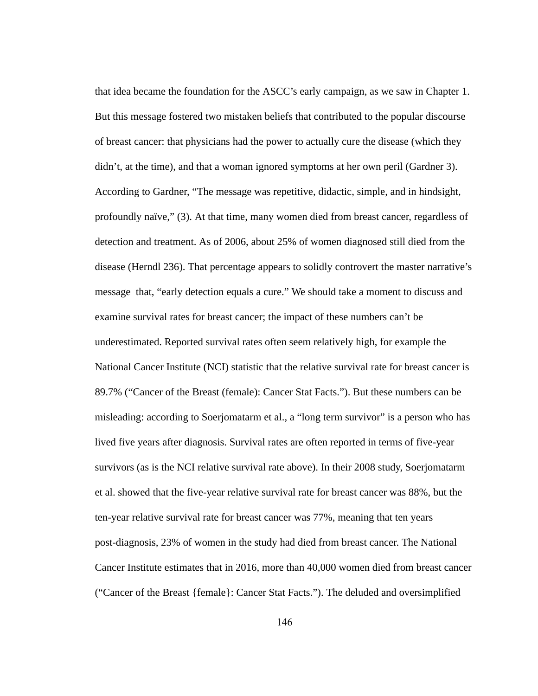that idea became the foundation for the ASCC's early campaign, as we saw in Chapter 1. But this message fostered two mistaken beliefs that contributed to the popular discourse of breast cancer: that physicians had the power to actually cure the disease (which they didn't, at the time), and that a woman ignored symptoms at her own peril (Gardner 3). According to Gardner, "The message was repetitive, didactic, simple, and in hindsight, profoundly naïve," (3). At that time, many women died from breast cancer, regardless of detection and treatment. As of 2006, about 25% of women diagnosed still died from the disease (Herndl 236). That percentage appears to solidly controvert the master narrative's message that, "early detection equals a cure." We should take a moment to discuss and examine survival rates for breast cancer; the impact of these numbers can't be underestimated. Reported survival rates often seem relatively high, for example the National Cancer Institute (NCI) statistic that the relative survival rate for breast cancer is 89.7% ("Cancer of the Breast (female): Cancer Stat Facts."). But these numbers can be misleading: according to Soerjomatarm et al., a "long term survivor" is a person who has lived five years after diagnosis. Survival rates are often reported in terms of five-year survivors (as is the NCI relative survival rate above). In their 2008 study, Soerjomatarm et al. showed that the five-year relative survival rate for breast cancer was 88%, but the ten-year relative survival rate for breast cancer was 77%, meaning that ten years post-diagnosis, 23% of women in the study had died from breast cancer. The National Cancer Institute estimates that in 2016, more than 40,000 women died from breast cancer ("Cancer of the Breast {female}: Cancer Stat Facts."). The deluded and oversimplified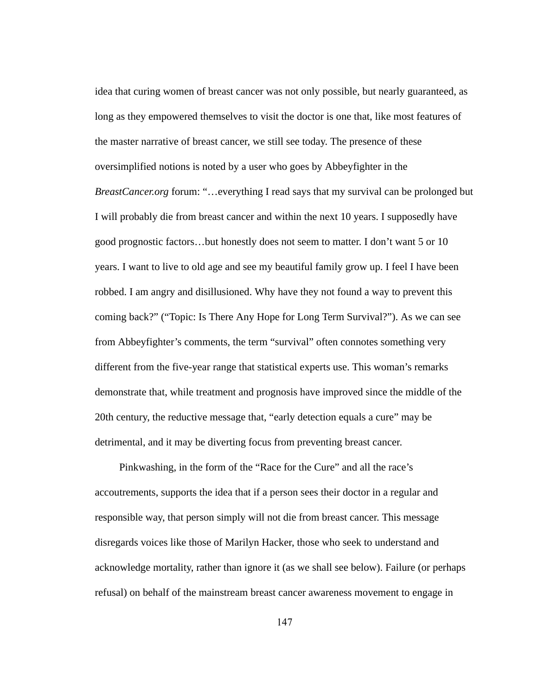idea that curing women of breast cancer was not only possible, but nearly guaranteed, as long as they empowered themselves to visit the doctor is one that, like most features of the master narrative of breast cancer, we still see today. The presence of these oversimplified notions is noted by a user who goes by Abbeyfighter in the *BreastCancer.org forum:* "...everything I read says that my survival can be prolonged but I will probably die from breast cancer and within the next 10 years. I supposedly have good prognostic factors…but honestly does not seem to matter. I don't want 5 or 10 years. I want to live to old age and see my beautiful family grow up. I feel I have been robbed. I am angry and disillusioned. Why have they not found a way to prevent this coming back?" ("Topic: Is There Any Hope for Long Term Survival?"). As we can see from Abbeyfighter's comments, the term "survival" often connotes something very different from the five-year range that statistical experts use. This woman's remarks demonstrate that, while treatment and prognosis have improved since the middle of the 20th century, the reductive message that, "early detection equals a cure" may be detrimental, and it may be diverting focus from preventing breast cancer.

Pinkwashing, in the form of the "Race for the Cure" and all the race's accoutrements, supports the idea that if a person sees their doctor in a regular and responsible way, that person simply will not die from breast cancer. This message disregards voices like those of Marilyn Hacker, those who seek to understand and acknowledge mortality, rather than ignore it (as we shall see below). Failure (or perhaps refusal) on behalf of the mainstream breast cancer awareness movement to engage in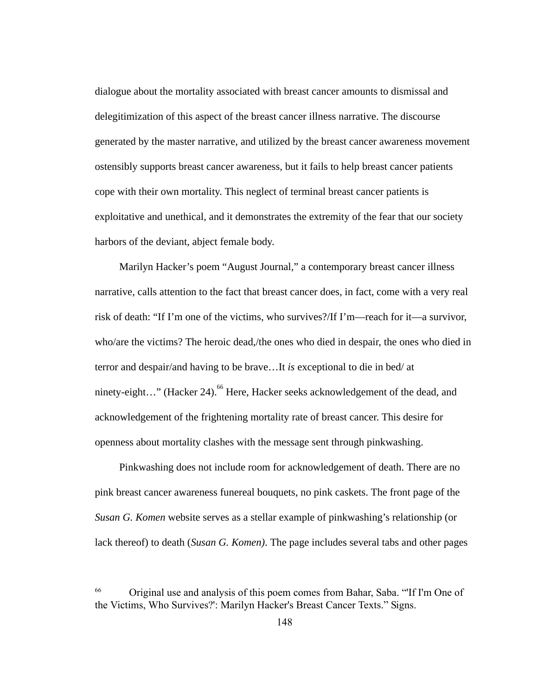dialogue about the mortality associated with breast cancer amounts to dismissal and delegitimization of this aspect of the breast cancer illness narrative. The discourse generated by the master narrative, and utilized by the breast cancer awareness movement ostensibly supports breast cancer awareness, but it fails to help breast cancer patients cope with their own mortality. This neglect of terminal breast cancer patients is exploitative and unethical, and it demonstrates the extremity of the fear that our society harbors of the deviant, abject female body.

 Marilyn Hacker's poem "August Journal," a contemporary breast cancer illness narrative, calls attention to the fact that breast cancer does, in fact, come with a very real risk of death: "If I'm one of the victims, who survives?/If I'm—reach for it—a survivor, who/are the victims? The heroic dead,/the ones who died in despair, the ones who died in terror and despair/and having to be brave...It is exceptional to die in bed/ at ninety-eight..." (Hacker 24).  $^{66}$  Here, Hacker seeks acknowledgement of the dead, and acknowledgement of the frightening mortality rate of breast cancer. This desire for openness about mortality clashes with the message sent through pinkwashing.

Pinkwashing does not include room for acknowledgement of death. There are no pink breast cancer awareness funereal bouquets, no pink caskets. The front page of the *Susan G. Komen*  website serves as a stellar example of pinkwashing's relationship (or lack thereof) to death ( *Susan G. Komen)* . The page includes several tabs and other pages

<sup>66</sup> Original use and analysis of this poem comes from Bahar, Saba. "'If I'm One of the Victims, Who Survives?': Marilyn Hacker's Breast Cancer Texts." Signs.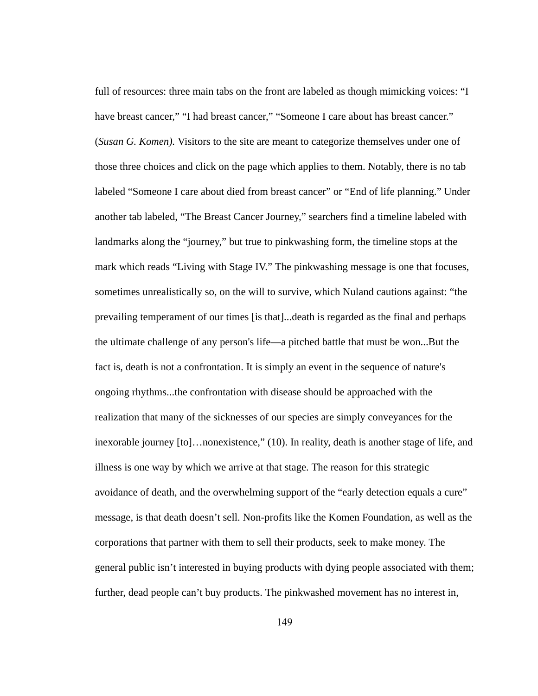full of resources: three main tabs on the front are labeled as though mimicking voices: "I have breast cancer," "I had breast cancer," "Someone I care about has breast cancer." (*Susan G. Komen*). Visitors to the site are meant to categorize themselves under one of those three choices and click on the page which applies to them. Notably, there is no tab labeled "Someone I care about died from breast cancer" or "End of life planning." Under another tab labeled, "The Breast Cancer Journey," searchers find a timeline labeled with landmarks along the "journey," but true to pinkwashing form, the timeline stops at the mark which reads "Living with Stage IV." The pinkwashing message is one that focuses, sometimes unrealistically so, on the will to survive, which Nuland cautions against: "the prevailing temperament of our times [is that]...death is regarded as the final and perhaps the ultimate challenge of any person's life—a pitched battle that must be won...But the fact is, death is not a confrontation. It is simply an event in the sequence of nature's ongoing rhythms...the confrontation with disease should be approached with the realization that many of the sicknesses of our species are simply conveyances for the inexorable journey [to]...nonexistence," (10). In reality, death is another stage of life, and illness is one way by which we arrive at that stage. The reason for this strategic avoidance of death, and the overwhelming support of the "early detection equals a cure" message, is that death doesn't sell. Non-profits like the Komen Foundation, as well as the corporations that partner with them to sell their products, seek to make money. The general public isn't interested in buying products with dying people associated with them; further, dead people can't buy products. The pinkwashed movement has no interest in,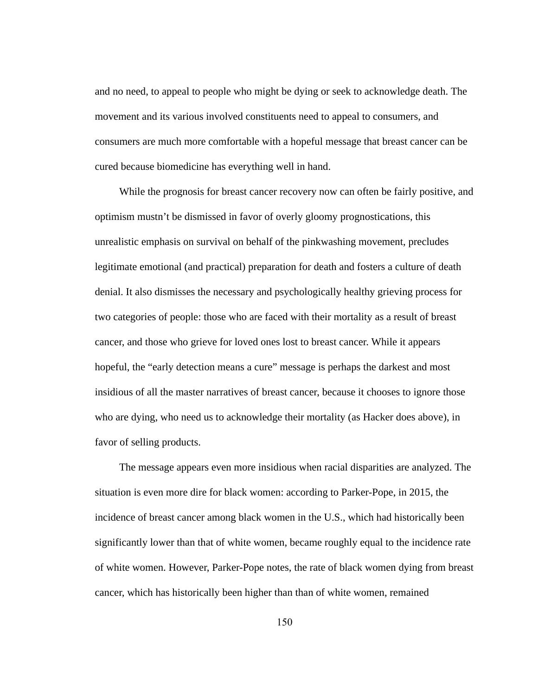and no need, to appeal to people who might be dying or seek to acknowledge death. The movement and its various involved constituents need to appeal to consumers, and consumers are much more comfortable with a hopeful message that breast cancer can be cured because biomedicine has everything well in hand.

While the prognosis for breast cancer recovery now can often be fairly positive, and optimism mustn't be dismissed in favor of overly gloomy prognostications, this unrealistic emphasis on survival on behalf of the pinkwashing movement, precludes legitimate emotional (and practical) preparation for death and fosters a culture of death denial. It also dismisses the necessary and psychologically healthy grieving process for two categories of people: those who are faced with their mortality as a result of breast cancer, and those who grieve for loved ones lost to breast cancer. While it appears hopeful, the "early detection means a cure" message is perhaps the darkest and most insidious of all the master narratives of breast cancer, because it chooses to ignore those who are dying, who need us to acknowledge their mortality (as Hacker does above), in favor of selling products.

The message appears even more insidious when racial disparities are analyzed. The situation is even more dire for black women: according to Parker-Pope, in 2015, the incidence of breast cancer among black women in the U.S., which had historically been significantly lower than that of white women, became roughly equal to the incidence rate of white women. However, Parker-Pope notes, the rate of black women dying from breast cancer, which has historically been higher than than of white women, remained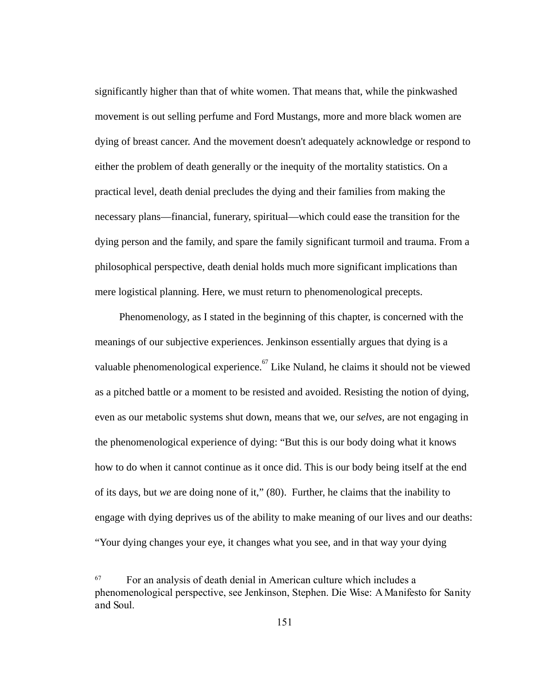significantly higher than that of white women. That means that, while the pinkwashed movement is out selling perfume and Ford Mustangs, more and more black women are dying of breast cancer. And the movement doesn't adequately acknowledge or respond to either the problem of death generally or the inequity of the mortality statistics. On a practical level, death denial precludes the dying and their families from making the necessary plans—financial, funerary, spiritual—which could ease the transition for the dying person and the family, and spare the family significant turmoil and trauma. From a philosophical perspective, death denial holds much more significant implications than mere logistical planning. Here, we must return to phenomenological precepts.

Phenomenology, as I stated in the beginning of this chapter, is concerned with the meanings of our subjective experiences. Jenkinson essentially argues that dying is a valuable phenomenological experience. <sup>67</sup> Like Nuland, he claims it should not be viewed as a pitched battle or a moment to be resisted and avoided. Resisting the notion of dying, even as our metabolic systems shut down, means that we, our *selves,* are not engaging in the phenomenological experience of dying: "But this is our body doing what it knows how to do when it cannot continue as it once did. This is our body being itself at the end of its days, but we are doing none of it," (80). Further, he claims that the inability to engage with dying deprives us of the ability to make meaning of our lives and our deaths: "Your dying changes your eye, it changes what you see, and in that way your dying

<sup>67</sup> For an analysis of death denial in American culture which includes a phenomenological perspective, see Jenkinson, Stephen. DieWise:AManifestoforSanity and Soul.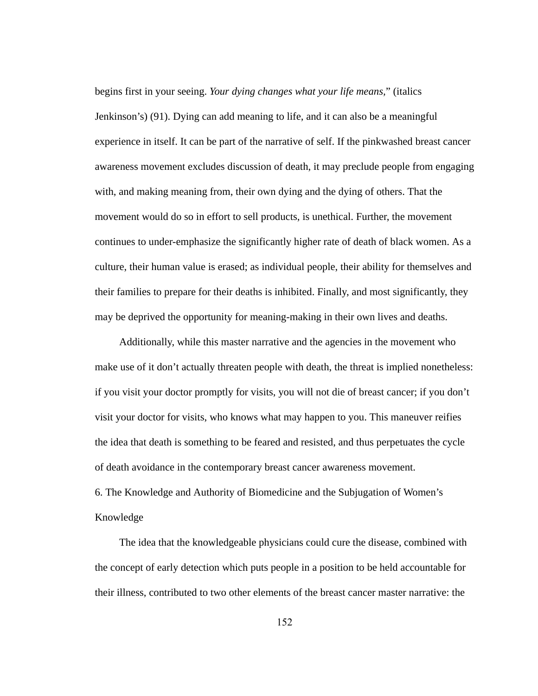begins first in your seeing. *Your dying changes what your life means,* " (italics Jenkinson's) (91). Dying can add meaning to life, and it can also be a meaningful experience in itself. It can be part of the narrative of self. If the pinkwashed breast cancer awareness movement excludes discussion of death, it may preclude people from engaging with, and making meaning from, their own dying and the dying of others. That the movement would do so in effort to sell products, is unethical. Further, the movement continues to under-emphasize the significantly higher rate of death of black women. As a culture, their human value is erased; as individual people, their ability for themselves and their families to prepare for their deaths is inhibited. Finally, and most significantly, they may be deprived the opportunity for meaning-making in their own lives and deaths.

Additionally, while this master narrative and the agencies in the movement who make use of it don't actually threaten people with death, the threat is implied nonetheless: if you visit your doctor promptly for visits, you will not die of breast cancer; if you don't visit your doctor for visits, who knows what may happen to you. This maneuver reifies the idea that death is something to be feared and resisted, and thus perpetuates the cycle of death avoidance in the contemporary breast cancer awareness movement. 6. The Knowledge and Authority of Biomedicine and the Subjugation of Women's Knowledge

The idea that the knowledgeable physicians could cure the disease, combined with the concept of early detection which puts people in a position to be held accountable for their illness, contributed to two other elements of the breast cancer master narrative: the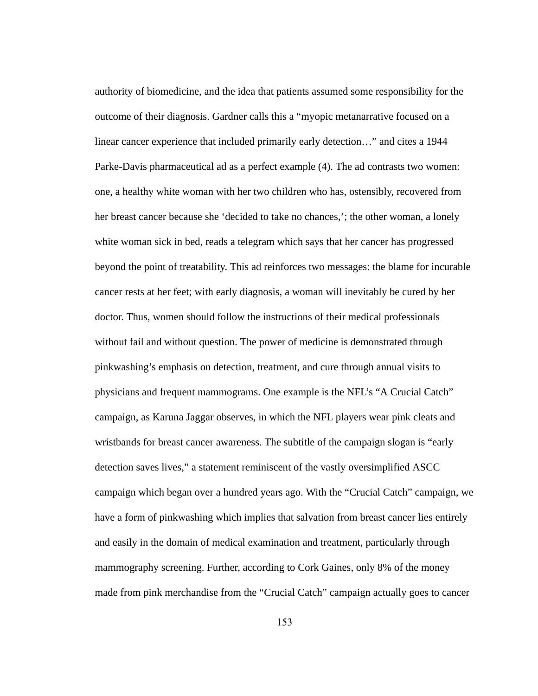authority of biomedicine, and the idea that patients assumed some responsibility for the outcome of their diagnosis. Gardner calls this a "myopic metanarrative focused on a linear cancer experience that included primarily early detection…" and cites a 1944 Parke-Davis pharmaceutical ad as a perfect example (4). The ad contrasts two women: one, a healthy white woman with her two children who has, ostensibly, recovered from her breast cancer because she 'decided to take no chances,'; the other woman, a lonely white woman sick in bed, reads a telegram which says that her cancer has progressed beyond the point of treatability. This ad reinforces two messages: the blame for incurable cancer rests at her feet; with early diagnosis, a woman will inevitably be cured by her doctor. Thus, women should follow the instructions of their medical professionals without fail and without question. The power of medicine is demonstrated through pinkwashing's emphasis on detection, treatment, and cure through annual visits to physicians and frequent mammograms. One example is the NFL's "A Crucial Catch" campaign, as Karuna Jaggar observes, in which the NFL players wear pink cleats and wristbands for breast cancer awareness. The subtitle of the campaign slogan is "early" detection saves lives," a statement reminiscent of the vastly oversimplified ASCC campaign which began over a hundred years ago. With the "Crucial Catch" campaign, we have a form of pinkwashing which implies that salvation from breast cancer lies entirely and easily in the domain of medical examination and treatment, particularly through mammography screening. Further, according to Cork Gaines, only 8% of the money made from pink merchandise from the "Crucial Catch" campaign actually goes to cancer

153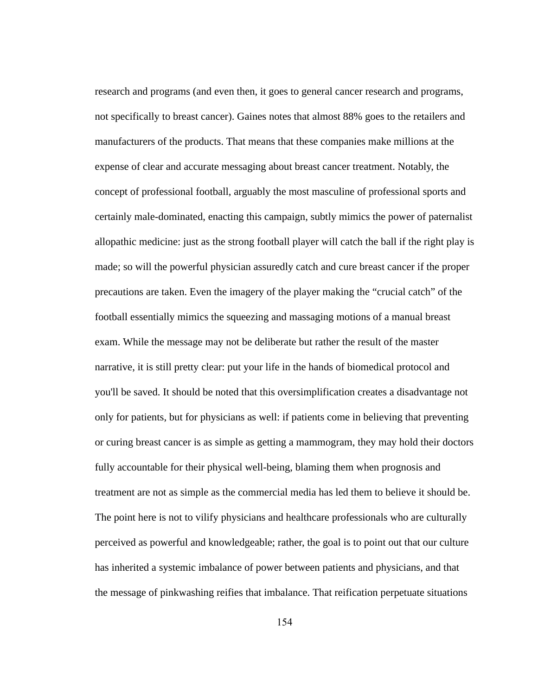research and programs (and even then, it goes to general cancer research and programs, not specifically to breast cancer). Gaines notes that almost 88% goes to the retailers and manufacturers of the products. That means that these companies make millions at the expense of clear and accurate messaging about breast cancer treatment. Notably, the concept of professional football, arguably the most masculine of professional sports and certainly male-dominated, enacting this campaign, subtly mimics the power of paternalist allopathic medicine: just as the strong football player will catch the ball if the right play is made; so will the powerful physician assuredly catch and cure breast cancer if the proper precautions are taken. Even the imagery of the player making the "crucial catch" of the football essentially mimics the squeezing and massaging motions of a manual breast exam. While the message may not be deliberate but rather the result of the master narrative, it is still pretty clear: put your life in the hands of biomedical protocol and you'll be saved. It should be noted that this oversimplification creates a disadvantage not only for patients, but for physicians as well: if patients come in believing that preventing or curing breast cancer is as simple as getting a mammogram, they may hold their doctors fully accountable for their physical well-being, blaming them when prognosis and treatment are not as simple as the commercial media has led them to believe it should be. The point here is not to vilify physicians and healthcare professionals who are culturally perceived as powerful and knowledgeable; rather, the goal is to point out that our culture has inherited a systemic imbalance of power between patients and physicians, and that the message of pinkwashing reifies that imbalance. That reification perpetuate situations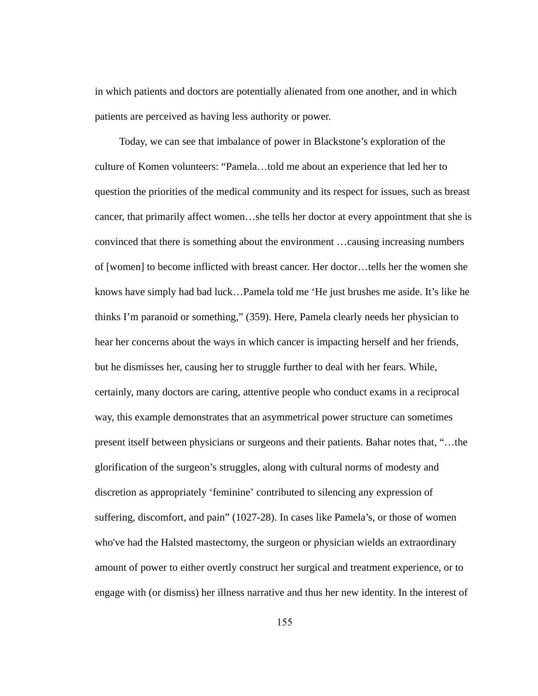in which patients and doctors are potentially alienated from one another, and in which patients are perceived as having less authority or power.

Today, we can see that imbalance of power in Blackstone's exploration of the culture of Komen volunteers: "Pamela…told me about an experience that led her to question the priorities of the medical community and its respect for issues, such as breast cancer, that primarily affect women…she tells her doctor at every appointment that she is convinced that there is something about the environment …causing increasing numbers of [women] to become inflicted with breast cancer. Her doctor…tells her the women she knows have simply had bad luck…Pamela told me 'He just brushes me aside. It's like he thinks I'm paranoid or something," (359). Here, Pamela clearly needs her physician to hear her concerns about the ways in which cancer is impacting herself and her friends, but he dismisses her, causing her to struggle further to deal with her fears. While, certainly, many doctors are caring, attentive people who conduct exams in a reciprocal way, this example demonstrates that an asymmetrical power structure can sometimes present itself between physicians or surgeons and their patients. Bahar notes that, "…the glorification of the surgeon's struggles, along with cultural norms of modesty and discretion as appropriately 'feminine' contributed to silencing any expression of suffering, discomfort, and pain" (1027-28). In cases like Pamela's, or those of women who've had the Halsted mastectomy, the surgeon or physician wields an extraordinary amount of power to either overtly construct her surgical and treatment experience, or to engage with (or dismiss) her illness narrative and thus her new identity. In the interest of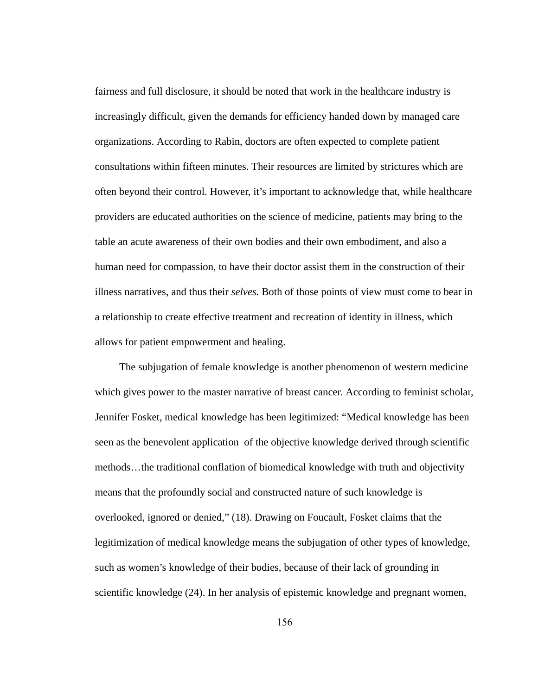fairness and full disclosure, it should be noted that work in the healthcare industry is increasingly difficult, given the demands for efficiency handed down by managed care organizations. According to Rabin, doctors are often expected to complete patient consultations within fifteen minutes. Their resources are limited by strictures which are often beyond their control. However, it's important to acknowledge that, while healthcare providers are educated authorities on the science of medicine, patients may bring to the table an acute awareness of their own bodies and their own embodiment, and also a human need for compassion, to have their doctor assist them in the construction of their illness narratives, and thus their *selves.*  Both of those points of view must come to bear in a relationship to create effective treatment and recreation of identity in illness, which allows for patient empowerment and healing.

The subjugation of female knowledge is another phenomenon of western medicine which gives power to the master narrative of breast cancer. According to feminist scholar, Jennifer Fosket, medical knowledge has been legitimized: "Medical knowledge has been seen as the benevolent application of the objective knowledge derived through scientific methods...the traditional conflation of biomedical knowledge with truth and objectivity means that the profoundly social and constructed nature of such knowledge is overlooked, ignored or denied," (18). Drawing on Foucault, Fosket claims that the legitimization of medical knowledge means the subjugation of other types of knowledge, such as women's knowledge of their bodies, because of their lack of grounding in scientific knowledge (24). In her analysis of epistemic knowledge and pregnant women,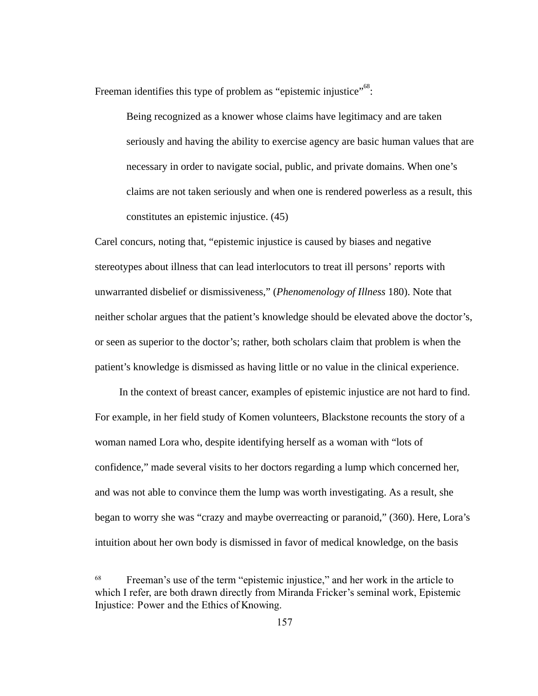Freeman identifies this type of problem as "epistemic injustice"  $^{68}$ :

Being recognized as a knower whose claims have legitimacy and are taken seriously and having the ability to exercise agency are basic human values that are necessary in order to navigate social, public, and private domains. When one's claims are not taken seriously and when one is rendered powerless as a result, this constitutes an epistemic injustice. (45)

Carel concurs, noting that, "epistemic injustice is caused by biases and negative stereotypes about illness that can lead interlocutors to treat ill persons' reports with unwarranted disbelief or dismissiveness," ( *Phenomenology of Illness* 180). Note that neither scholar argues that the patient's knowledge should be elevated above the doctor's, or seen as superior to the doctor's; rather, both scholars claim that problem is when the patient's knowledge is dismissed as having little or no value in the clinical experience.

In the context of breast cancer, examples of epistemic injustice are not hard to find. For example, in her field study of Komen volunteers, Blackstone recounts the story of a woman named Lora who, despite identifying herself as a woman with "lots of confidence," made several visits to her doctors regarding a lump which concerned her, and was not able to convince them the lump was worth investigating. As a result, she began to worry she was "crazy and maybe overreacting or paranoid," (360). Here, Lora's intuition about her own body is dismissed in favor of medical knowledge, on the basis

<sup>&</sup>lt;sup>68</sup> Freeman's use of the term "epistemic injustice," and her work in the article to which I refer, are both drawn directly from Miranda Fricker's seminal work, Epistemic Injustice:PowerandtheEthicsofKnowing.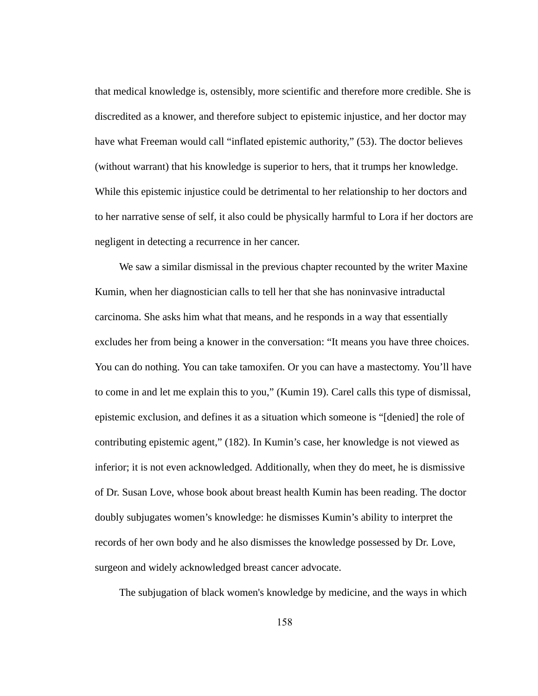that medical knowledge is, ostensibly, more scientific and therefore more credible. She is discredited as a knower, and therefore subject to epistemic injustice, and her doctor may have what Freeman would call "inflated epistemic authority," (53). The doctor believes (without warrant) that his knowledge is superior to hers, that it trumps her knowledge. While this epistemic injustice could be detrimental to her relationship to her doctors and to her narrative sense of self, it also could be physically harmful to Lora if her doctors are negligent in detecting a recurrence in her cancer.

We saw a similar dismissal in the previous chapter recounted by the writer Maxine Kumin, when her diagnostician calls to tell her that she has noninvasive intraductal carcinoma. She asks him what that means, and he responds in a way that essentially excludes her from being a knower in the conversation: "It means you have three choices. You can do nothing. You can take tamoxifen. Or you can have a mastectomy. You'll have to come in and let me explain this to you," (Kumin 19). Carel calls this type of dismissal, epistemic exclusion, and defines it as a situation which someone is "[denied] the role of contributing epistemic agent," (182). In Kumin's case, her knowledge is not viewed as inferior; it is not even acknowledged. Additionally, when they do meet, he is dismissive of Dr. Susan Love, whose book about breast health Kumin has been reading. The doctor doubly subjugates women's knowledge: he dismisses Kumin's ability to interpret the records of her own body and he also dismisses the knowledge possessed by Dr. Love, surgeon and widely acknowledged breast cancer advocate.

The subjugation of black women's knowledge by medicine, and the ways in which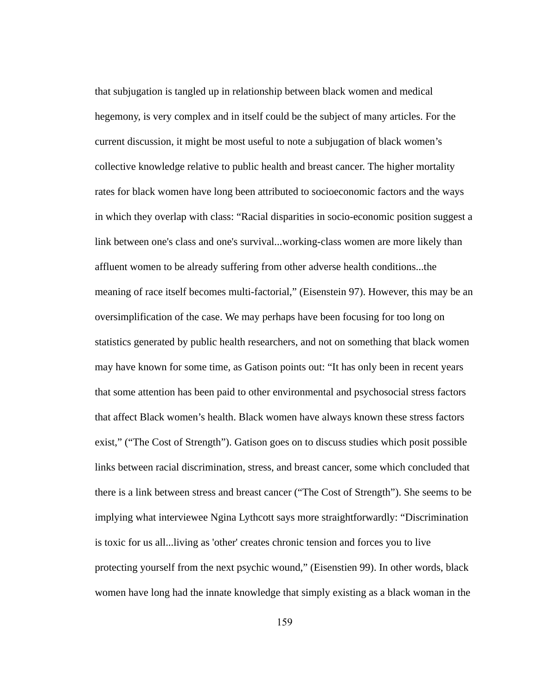that subjugation is tangled up in relationship between black women and medical hegemony, is very complex and in itself could be the subject of many articles. For the current discussion, it might be most useful to note a subjugation of black women's collective knowledge relative to public health and breast cancer. The higher mortality rates for black women have long been attributed to socioeconomic factors and the ways in which they overlap with class: "Racial disparities in socio-economic position suggest a link between one's class and one's survival...working-class women are more likely than affluent women to be already suffering from other adverse health conditions...the meaning of race itself becomes multi-factorial," (Eisenstein 97). However, this may be an oversimplification of the case. We may perhaps have been focusing for too long on statistics generated by public health researchers, and not on something that black women may have known for some time, as Gatison points out: "It has only been in recent years that some attention has been paid to other environmental and psychosocial stress factors that affect Black women's health. Black women have always known these stress factors exist," ("The Cost of Strength"). Gatison goes on to discuss studies which posit possible links between racial discrimination, stress, and breast cancer, some which concluded that there is a link between stress and breast cancer ("The Cost of Strength"). She seems to be implying what interviewee Ngina Lythcott says more straightforwardly: "Discrimination is toxic for us all...living as 'other' creates chronic tension and forces you to live protecting yourself from the next psychic wound," (Eisenstien 99). In other words, black women have long had the innate knowledge that simply existing as a black woman in the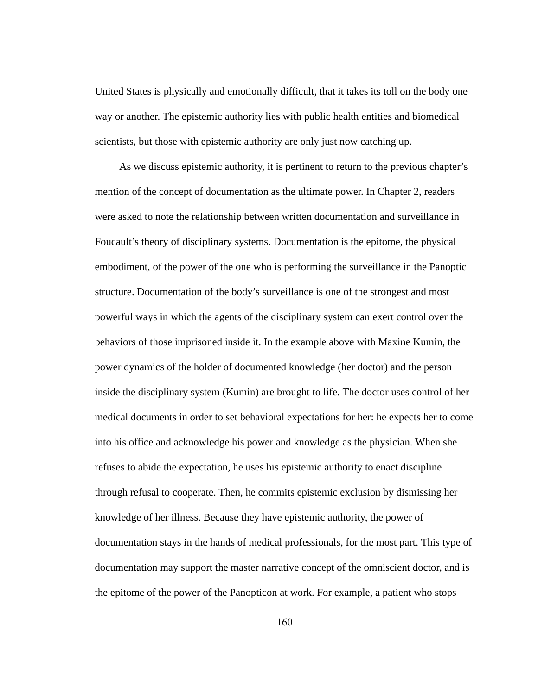United States is physically and emotionally difficult, that it takes its toll on the body one way or another. The epistemic authority lies with public health entities and biomedical scientists, but those with epistemic authority are only just now catching up.

As we discuss epistemic authority, it is pertinent to return to the previous chapter's mention of the concept of documentation as the ultimate power. In Chapter 2, readers were asked to note the relationship between written documentation and surveillance in Foucault's theory of disciplinary systems. Documentation is the epitome, the physical embodiment, of the power of the one who is performing the surveillance in the Panoptic structure. Documentation of the body's surveillance is one of the strongest and most powerful ways in which the agents of the disciplinary system can exert control over the behaviors of those imprisoned inside it. In the example above with Maxine Kumin, the power dynamics of the holder of documented knowledge (her doctor) and the person inside the disciplinary system (Kumin) are brought to life. The doctor uses control of her medical documents in order to set behavioral expectations for her: he expects her to come into his office and acknowledge his power and knowledge as the physician. When she refuses to abide the expectation, he uses his epistemic authority to enact discipline through refusal to cooperate. Then, he commits epistemic exclusion by dismissing her knowledge of her illness. Because they have epistemic authority, the power of documentation stays in the hands of medical professionals, for the most part. This type of documentation may support the master narrative concept of the omniscient doctor, and is the epitome of the power of the Panopticon at work. For example, a patient who stops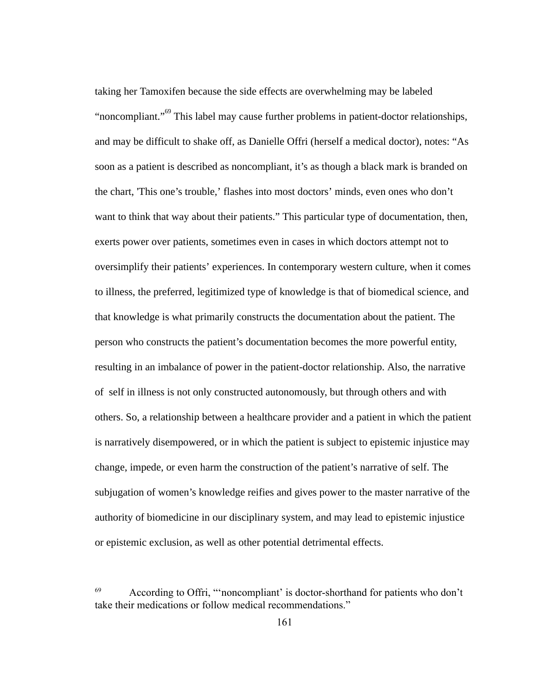taking her Tamoxifen because the side effects are overwhelming may be labeled "noncompliant."<sup>69</sup> This label may cause further problems in patient-doctor relationships, and may be difficult to shake off, as Danielle Offri (herself a medical doctor), notes: "As soon as a patient is described as noncompliant, it's as though a black mark is branded on the chart, 'This one's trouble,' flashes into most doctors' minds, even ones who don't want to think that way about their patients." This particular type of documentation, then, exerts power over patients, sometimes even in cases in which doctors attempt not to oversimplify their patients' experiences. In contemporary western culture, when it comes to illness, the preferred, legitimized type of knowledge is that of biomedical science, and that knowledge is what primarily constructs the documentation about the patient. The person who constructs the patient's documentation becomes the more powerful entity, resulting in an imbalance of power in the patient-doctor relationship. Also, the narrative of self in illness is not only constructed autonomously, but through others and with others. So, a relationship between a healthcare provider and a patient in which the patient is narratively disempowered, or in which the patient is subject to epistemic injustice may change, impede, or even harm the construction of the patient's narrative of self. The subjugation of women's knowledge reifies and gives power to the master narrative of the authority of biomedicine in our disciplinary system, and may lead to epistemic injustice or epistemic exclusion, as well as other potential detrimental effects.

<sup>69</sup> According to Offri, "'noncompliant' is doctor-shorthand for patients who don't take their medications or follow medical recommendations."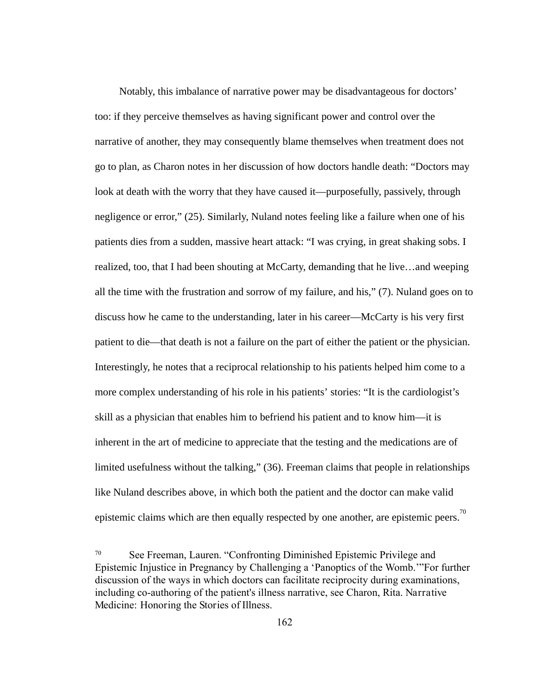Notably, this imbalance of narrative power may be disadvantageous for doctors' too: if they perceive themselves as having significant power and control over the narrative of another, they may consequently blame themselves when treatment does not go to plan, as Charon notes in her discussion of how doctors handle death: "Doctors may look at death with the worry that they have caused it—purposefully, passively, through negligence or error," (25). Similarly, Nuland notes feeling like a failure when one of his patients dies from a sudden, massive heart attack: "I was crying, in great shaking sobs. I realized, too, that I had been shouting at McCarty, demanding that he live...and weeping all the time with the frustration and sorrow of my failure, and his," (7). Nuland goes on to discuss how he came to the understanding, later in his career—McCarty is his very first patient to die—that death is not a failure on the part of either the patient or the physician. Interestingly, he notes that a reciprocal relationship to his patients helped him come to a more complex understanding of his role in his patients' stories: "It is the cardiologist's skill as a physician that enables him to befriend his patient and to know him—it is inherent in the art of medicine to appreciate that the testing and the medications are of limited usefulness without the talking," (36). Freeman claims that people in relationships like Nuland describes above, in which both the patient and the doctor can make valid epistemic claims which are then equally respected by one another, are epistemic peers.<sup>70</sup>

<sup>70</sup> See Freeman, Lauren. "Confronting Diminished Epistemic Privilege and Epistemic Injustice in Pregnancy by Challenging a 'Panoptics of the Womb.'"For further discussion of the ways in which doctors can facilitate reciprocity during examinations, including co-authoring of the patient's illness narrative, see Charon, Rita. Narrative Medicine:HonoringtheStoriesofIllness.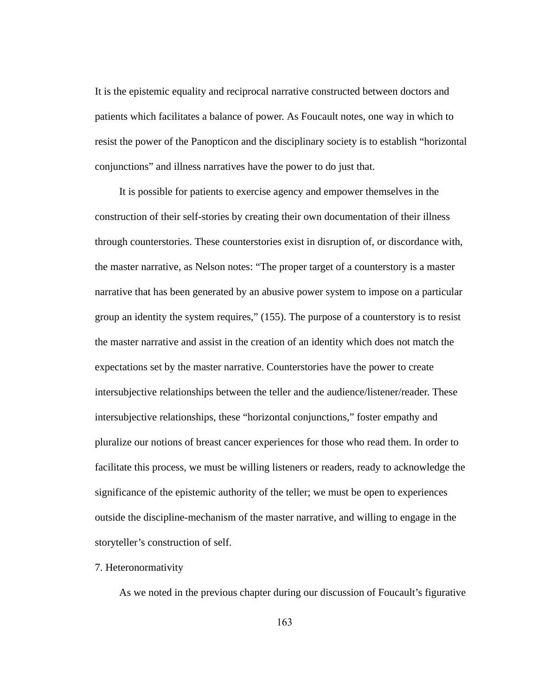It is the epistemic equality and reciprocal narrative constructed between doctors and patients which facilitates a balance of power. As Foucault notes, one way in which to resist the power of the Panopticon and the disciplinary society is to establish "horizontal conjunctions" and illness narratives have the power to do just that.

 It is possible for patients to exercise agency and empower themselves in the construction of their self-stories by creating their own documentation of their illness through counterstories. These counterstories exist in disruption of, or discordance with, the master narrative, as Nelson notes: "The proper target of a counterstory is a master narrative that has been generated by an abusive power system to impose on a particular group an identity the system requires," (155). The purpose of a counterstory is to resist the master narrative and assist in the creation of an identity which does not match the expectations set by the master narrative. Counterstories have the power to create intersubjective relationships between the teller and the audience/listener/reader. These intersubjective relationships, these "horizontal conjunctions," foster empathy and pluralize our notions of breast cancer experiences for those who read them. In order to facilitate this process, we must be willing listeners or readers, ready to acknowledge the significance of the epistemic authority of the teller; we must be open to experiences outside the discipline-mechanism of the master narrative, and willing to engage in the storyteller's construction of self.

## 7. Heteronormativity

As we noted in the previous chapter during our discussion of Foucault's figurative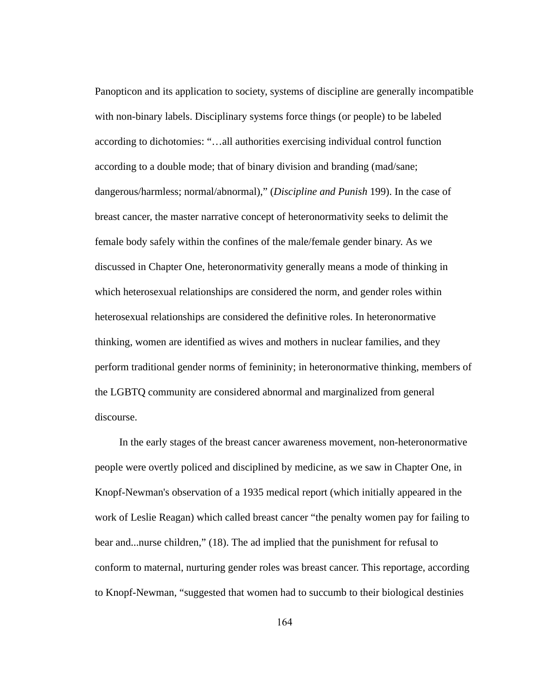Panopticon and its application to society, systems of discipline are generally incompatible with non-binary labels. Disciplinary systems force things (or people) to be labeled according to dichotomies: "…all authorities exercising individual control function according to a double mode; that of binary division and branding (mad/sane; dangerous/harmless; normal/abnormal)," ( *Discipline and Punish* 199). In the case of breast cancer, the master narrative concept of heteronormativity seeks to delimit the female body safely within the confines of the male/female gender binary. As we discussed in Chapter One, heteronormativity generally means a mode of thinking in which heterosexual relationships are considered the norm, and gender roles within heterosexual relationships are considered the definitive roles. In heteronormative thinking, women are identified as wives and mothers in nuclear families, and they perform traditional gender norms of femininity; in heteronormative thinking, members of the LGBTQ community are considered abnormal and marginalized from general discourse.

In the early stages of the breast cancer awareness movement, non-heteronormative people were overtly policed and disciplined by medicine, as we saw in Chapter One, in Knopf-Newman's observation of a 1935 medical report (which initially appeared in the work of Leslie Reagan) which called breast cancer "the penalty women pay for failing to bear and...nurse children," (18). The ad implied that the punishment for refusal to conform to maternal, nurturing gender roles was breast cancer. This reportage, according to Knopf-Newman, "suggested that women had to succumb to their biological destinies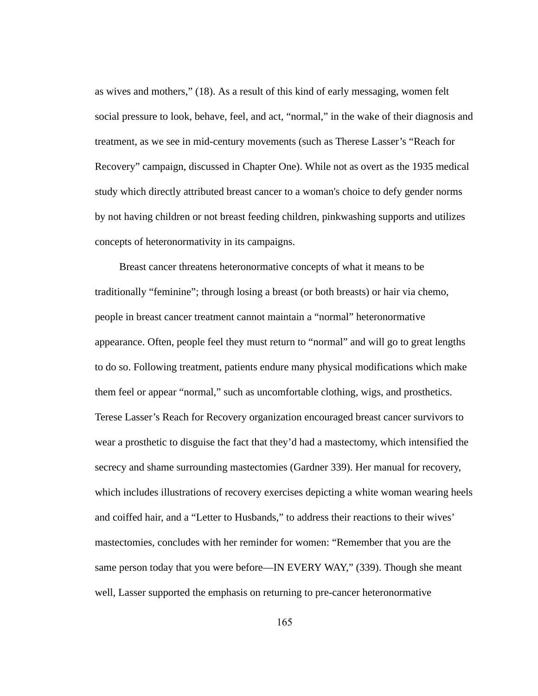as wives and mothers," (18). As a result of this kind of early messaging, women felt social pressure to look, behave, feel, and act, "normal," in the wake of their diagnosis and treatment, as we see in mid-century movements (such as Therese Lasser's "Reach for Recovery" campaign, discussed in Chapter One). While not as overt as the 1935 medical study which directly attributed breast cancer to a woman's choice to defy gender norms by not having children or not breast feeding children, pinkwashing supports and utilizes concepts of heteronormativity in its campaigns.

Breast cancer threatens heteronormative concepts of what it means to be traditionally "feminine"; through losing a breast (or both breasts) or hair via chemo, people in breast cancer treatment cannot maintain a "normal" heteronormative appearance. Often, people feel they must return to "normal" and will go to great lengths to do so. Following treatment, patients endure many physical modifications which make them feel or appear "normal," such as uncomfortable clothing, wigs, and prosthetics. Terese Lasser's Reach for Recovery organization encouraged breast cancer survivors to wear a prosthetic to disguise the fact that they'd had a mastectomy, which intensified the secrecy and shame surrounding mastectomies (Gardner 339). Her manual for recovery, which includes illustrations of recovery exercises depicting a white woman wearing heels and coiffed hair, and a "Letter to Husbands," to address their reactions to their wives' mastectomies, concludes with her reminder for women: "Remember that you are the same person today that you were before—IN EVERY WAY," (339). Though she meant well, Lasser supported the emphasis on returning to pre-cancer heteronormative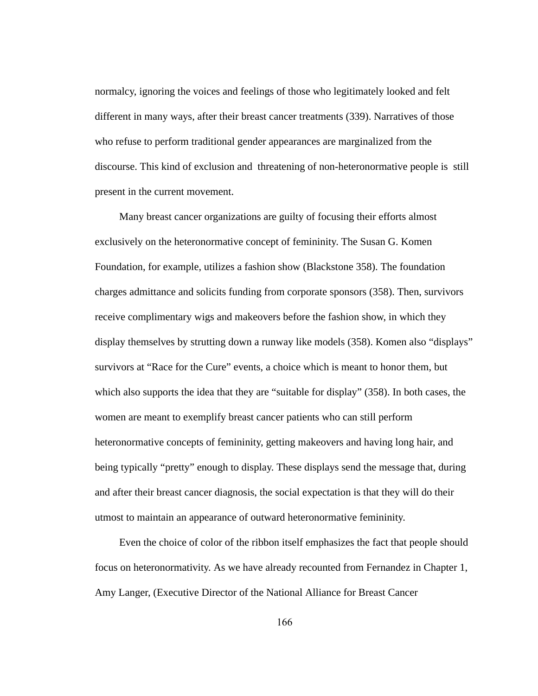normalcy, ignoring the voices and feelings of those who legitimately looked and felt different in many ways, after their breast cancer treatments (339). Narratives of those who refuse to perform traditional gender appearances are marginalized from the discourse. This kind of exclusion and threatening of non-heteronormative people is still present in the current movement.

Many breast cancer organizations are guilty of focusing their efforts almost exclusively on the heteronormative concept of femininity. The Susan G. Komen Foundation, for example, utilizes a fashion show (Blackstone 358). The foundation charges admittance and solicits funding from corporate sponsors (358). Then, survivors receive complimentary wigs and makeovers before the fashion show, in which they display themselves by strutting down a runway like models (358). Komen also "displays" survivors at "Race for the Cure" events, a choice which is meant to honor them, but which also supports the idea that they are "suitable for display" (358). In both cases, the women are meant to exemplify breast cancer patients who can still perform heteronormative concepts of femininity, getting makeovers and having long hair, and being typically "pretty" enough to display. These displays send the message that, during and after their breast cancer diagnosis, the social expectation is that they will do their utmost to maintain an appearance of outward heteronormative femininity.

Even the choice of color of the ribbon itself emphasizes the fact that people should focus on heteronormativity. As we have already recounted from Fernandez in Chapter 1, Amy Langer, (Executive Director of the National Alliance for Breast Cancer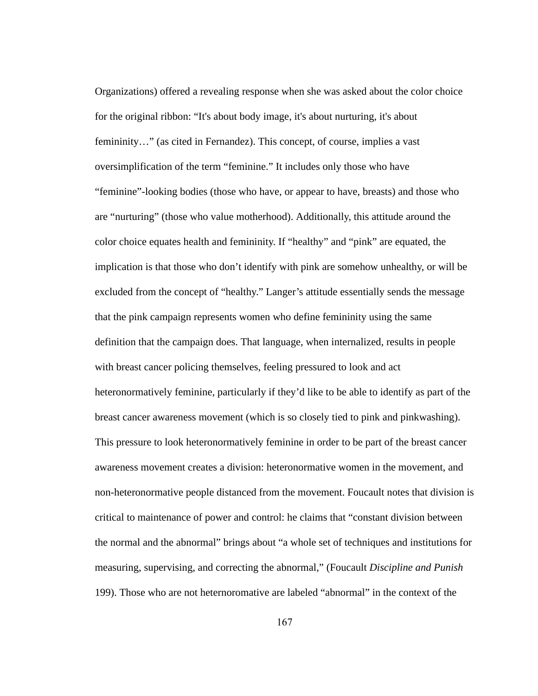Organizations) offered a revealing response when she was asked about the color choice for the original ribbon: "It's about body image, it's about nurturing, it's about femininity..." (as cited in Fernandez). This concept, of course, implies a vast oversimplification of the term "feminine." It includes only those who have "feminine"-looking bodies (those who have, or appear to have, breasts) and those who are "nurturing" (those who value motherhood). Additionally, this attitude around the color choice equates health and femininity. If "healthy" and "pink" are equated, the implication is that those who don't identify with pink are somehow unhealthy, or will be excluded from the concept of "healthy." Langer's attitude essentially sends the message that the pink campaign represents women who define femininity using the same definition that the campaign does. That language, when internalized, results in people with breast cancer policing themselves, feeling pressured to look and act heteronormatively feminine, particularly if they'd like to be able to identify as part of the breast cancer awareness movement (which is so closely tied to pink and pinkwashing). This pressure to look heteronormatively feminine in order to be part of the breast cancer awareness movement creates a division: heteronormative women in the movement, and non-heteronormative people distanced from the movement. Foucault notes that division is critical to maintenance of power and control: he claims that "constant division between the normal and the abnormal" brings about "a whole set of techniques and institutions for measuring, supervising, and correcting the abnormal," (Foucault *Discipline and Punish*  199). Those who are not heternoromative are labeled "abnormal" in the context of the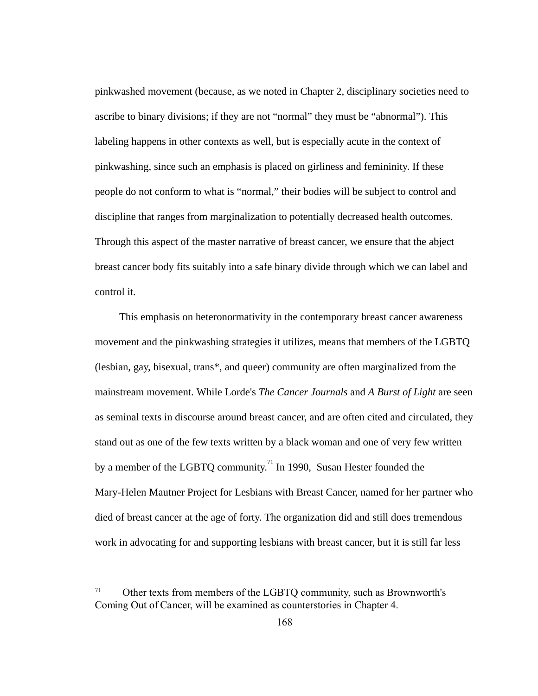pinkwashed movement (because, as we noted in Chapter 2, disciplinary societies need to ascribe to binary divisions; if they are not "normal" they must be "abnormal"). This labeling happens in other contexts as well, but is especially acute in the context of pinkwashing, since such an emphasis is placed on girliness and femininity. If these people do not conform to what is "normal," their bodies will be subject to control and discipline that ranges from marginalization to potentially decreased health outcomes. Through this aspect of the master narrative of breast cancer, we ensure that the abject breast cancer body fits suitably into a safe binary divide through which we can label and control it.

This emphasis on heteronormativity in the contemporary breast cancer awareness movement and the pinkwashing strategies it utilizes, means that members of the LGBTQ (lesbian, gay, bisexual, trans\*, and queer) community are often marginalized from the mainstream movement. While Lorde's *The Cancer Journals*  and *A Burst of Light* are seen as seminal texts in discourse around breast cancer, and are often cited and circulated, they stand out as one of the few texts written by a black woman and one of very few written by a member of the LGBTQ community.<sup>71</sup> In 1990, Susan Hester founded the Mary-Helen Mautner Project for Lesbians with Breast Cancer, named for her partner who died of breast cancer at the age of forty. The organization did and still does tremendous work in advocating for and supporting lesbians with breast cancer, but it is still far less

<sup>71</sup> Other texts from members of the LGBTQ community, such as Brownworth's ComingOutofCancer,will be examined as counterstories in Chapter 4.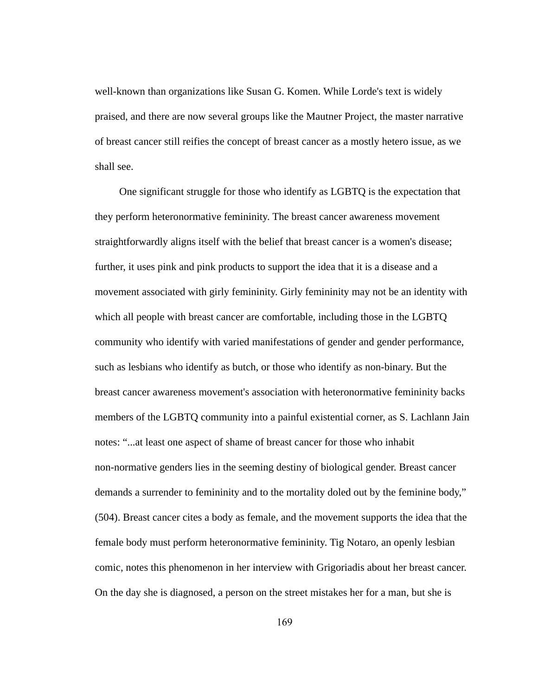well-known than organizations like Susan G. Komen. While Lorde's text is widely praised, and there are now several groups like the Mautner Project, the master narrative of breast cancer still reifies the concept of breast cancer as a mostly hetero issue, as we shall see.

One significant struggle for those who identify as LGBTQ is the expectation that they perform heteronormative femininity. The breast cancer awareness movement straightforwardly aligns itself with the belief that breast cancer is a women's disease; further, it uses pink and pink products to support the idea that it is a disease and a movement associated with girly femininity. Girly femininity may not be an identity with which all people with breast cancer are comfortable, including those in the LGBTQ community who identify with varied manifestations of gender and gender performance, such as lesbians who identify as butch, or those who identify as non-binary. But the breast cancer awareness movement's association with heteronormative femininity backs members of the LGBTQ community into a painful existential corner, as S. Lachlann Jain notes: "...at least one aspect of shame of breast cancer for those who inhabit non-normative genders lies in the seeming destiny of biological gender. Breast cancer demands a surrender to femininity and to the mortality doled out by the feminine body," (504). Breast cancer cites a body as female, and the movement supports the idea that the female body must perform heteronormative femininity. Tig Notaro, an openly lesbian comic, notes this phenomenon in her interview with Grigoriadis about her breast cancer. On the day she is diagnosed, a person on the street mistakes her for a man, but she is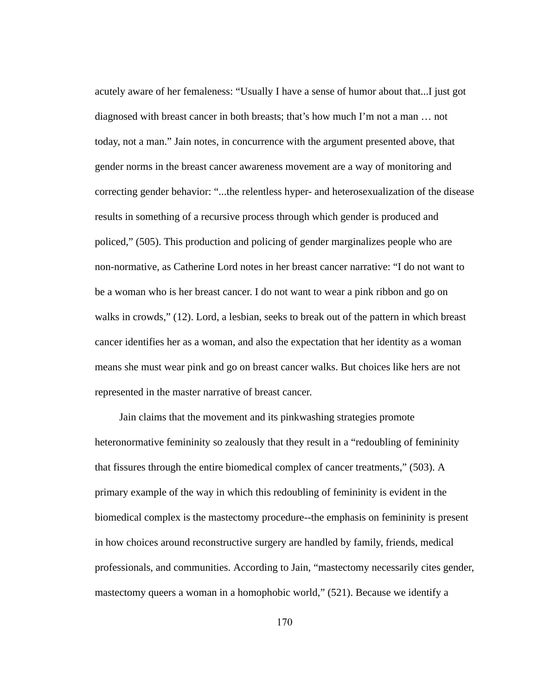acutely aware of her femaleness: "Usually I have a sense of humor about that...I just got diagnosed with breast cancer in both breasts; that's how much I'm not a man … not today, not a man." Jain notes, in concurrence with the argument presented above, that gender norms in the breast cancer awareness movement are a way of monitoring and correcting gender behavior: "...the relentless hyper- and heterosexualization of the disease results in something of a recursive process through which gender is produced and policed," (505). This production and policing of gender marginalizes people who are non-normative, as Catherine Lord notes in her breast cancer narrative: "I do not want to be a woman who is her breast cancer. I do not want to wear a pink ribbon and go on walks in crowds," (12). Lord, a lesbian, seeks to break out of the pattern in which breast cancer identifies her as a woman, and also the expectation that her identity as a woman means she must wear pink and go on breast cancer walks. But choices like hers are not represented in the master narrative of breast cancer.

Jain claims that the movement and its pinkwashing strategies promote heteronormative femininity so zealously that they result in a "redoubling of femininity that fissures through the entire biomedical complex of cancer treatments," (503). A primary example of the way in which this redoubling of femininity is evident in the biomedical complex is the mastectomy procedure--the emphasis on femininity is present in how choices around reconstructive surgery are handled by family, friends, medical professionals, and communities. According to Jain, "mastectomy necessarily cites gender, mastectomy queers a woman in a homophobic world," (521). Because we identify a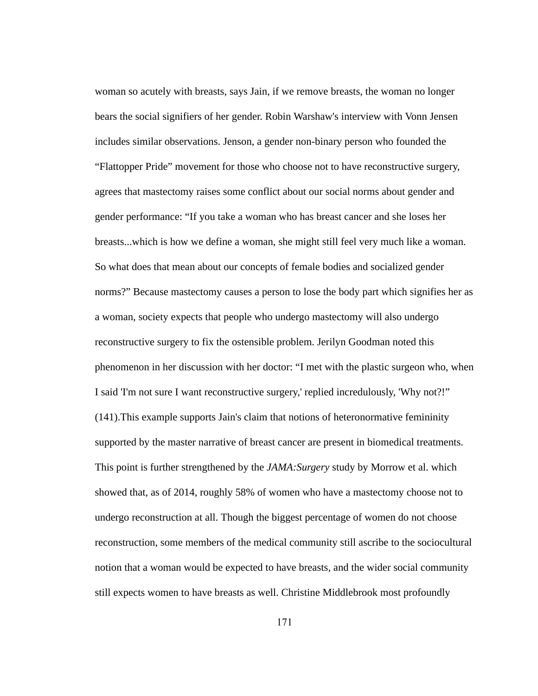woman so acutely with breasts, says Jain, if we remove breasts, the woman no longer bears the social signifiers of her gender. Robin Warshaw's interview with Vonn Jensen includes similar observations. Jenson, a gender non-binary person who founded the "Flattopper Pride" movement for those who choose not to have reconstructive surgery, agrees that mastectomy raises some conflict about our social norms about gender and gender performance: "If you take a woman who has breast cancer and she loses her breasts...which is how we define a woman, she might still feel very much like a woman. So what does that mean about our concepts of female bodies and socialized gender norms?" Because mastectomy causes a person to lose the body part which signifies her as a woman, society expects that people who undergo mastectomy will also undergo reconstructive surgery to fix the ostensible problem. Jerilyn Goodman noted this phenomenon in her discussion with her doctor: "I met with the plastic surgeon who, when I said 'I'm not sure I want reconstructive surgery,' replied incredulously, 'Why not?!" (141).This example supports Jain's claim that notions of heteronormative femininity supported by the master narrative of breast cancer are present in biomedical treatments. This point is further strengthened by the *JAMA: Surgery* study by Morrow et al. which showed that, as of 2014, roughly 58% of women who have a mastectomy choose not to undergo reconstruction at all. Though the biggest percentage of women do not choose reconstruction, some members of the medical community still ascribe to the sociocultural notion that a woman would be expected to have breasts, and the wider social community still expects women to have breasts as well. Christine Middlebrook most profoundly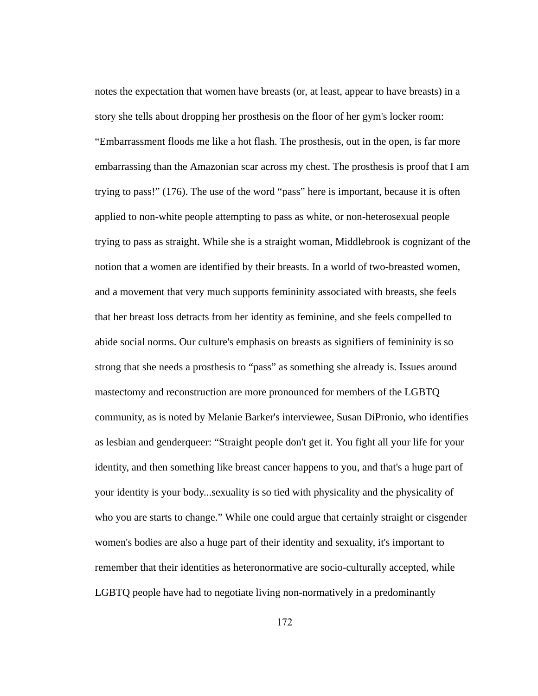notes the expectation that women have breasts (or, at least, appear to have breasts) in a story she tells about dropping her prosthesis on the floor of her gym's locker room: "Embarrassment floods me like a hot flash. The prosthesis, out in the open, is far more embarrassing than the Amazonian scar across my chest. The prosthesis is proof that I am trying to pass!" (176). The use of the word "pass" here is important, because it is often applied to non-white people attempting to pass as white, or non-heterosexual people trying to pass as straight. While she is a straight woman, Middlebrook is cognizant of the notion that a women are identified by their breasts. In a world of two-breasted women, and a movement that very much supports femininity associated with breasts, she feels that her breast loss detracts from her identity as feminine, and she feels compelled to abide social norms. Our culture's emphasis on breasts as signifiers of femininity is so strong that she needs a prosthesis to "pass" as something she already is. Issues around mastectomy and reconstruction are more pronounced for members of the LGBTQ community, as is noted by Melanie Barker's interviewee, Susan DiPronio, who identifies as lesbian and genderqueer: "Straight people don't get it. You fight all your life for your identity, and then something like breast cancer happens to you, and that's a huge part of your identity is your body...sexuality is so tied with physicality and the physicality of who you are starts to change." While one could argue that certainly straight or cisgender women's bodies are also a huge part of their identity and sexuality, it's important to remember that their identities as heteronormative are socio-culturally accepted, while LGBTQ people have had to negotiate living non-normatively in a predominantly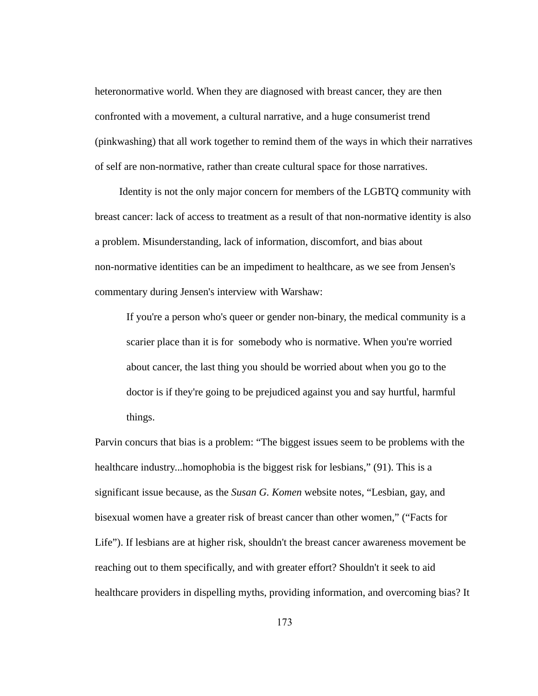heteronormative world. When they are diagnosed with breast cancer, they are then confronted with a movement, a cultural narrative, and a huge consumerist trend (pinkwashing) that all work together to remind them of the ways in which their narratives of self are non-normative, rather than create cultural space for those narratives.

Identity is not the only major concern for members of the LGBTQ community with breast cancer: lack of access to treatment as a result of that non-normative identity is also a problem. Misunderstanding, lack of information, discomfort, and bias about non-normative identities can be an impediment to healthcare, as we see from Jensen's commentary during Jensen's interview with Warshaw:

If you're a person who's queer or gender non-binary, the medical community is a scarier place than it is for somebody who is normative. When you're worried about cancer, the last thing you should be worried about when you go to the doctor is if they're going to be prejudiced against you and say hurtful, harmful things.

Parvin concurs that bias is a problem: "The biggest issues seem to be problems with the healthcare industry...homophobia is the biggest risk for lesbians," (91). This is a significant issue because, as the *Susan G. Komen*  website notes, "Lesbian, gay, and bisexual women have a greater risk of breast cancer than other women," ("Facts for Life"). If lesbians are at higher risk, shouldn't the breast cancer awareness movement be reaching out to them specifically, and with greater effort? Shouldn't it seek to aid healthcare providers in dispelling myths, providing information, and overcoming bias? It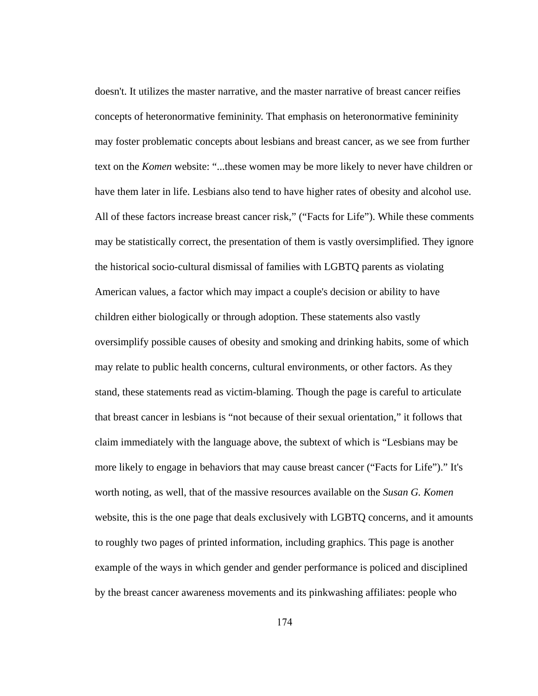doesn't. It utilizes the master narrative, and the master narrative of breast cancer reifies concepts of heteronormative femininity. That emphasis on heteronormative femininity may foster problematic concepts about lesbians and breast cancer, as we see from further text on the *Komen* website: "...these women may be more likely to never have children or have them later in life. Lesbians also tend to have higher rates of obesity and alcohol use. All of these factors increase breast cancer risk," ("Facts for Life"). While these comments may be statistically correct, the presentation of them is vastly oversimplified. They ignore the historical socio-cultural dismissal of families with LGBTQ parents as violating American values, a factor which may impact a couple's decision or ability to have children either biologically or through adoption. These statements also vastly oversimplify possible causes of obesity and smoking and drinking habits, some of which may relate to public health concerns, cultural environments, or other factors. As they stand, these statements read as victim-blaming. Though the page is careful to articulate that breast cancer in lesbians is "not because of their sexual orientation," it follows that claim immediately with the language above, the subtext of which is "Lesbians may be more likely to engage in behaviors that may cause breast cancer ("Facts for Life")." It's worth noting, as well, that of the massive resources available on the *Susan G. Komen* website, this is the one page that deals exclusively with LGBTQ concerns, and it amounts to roughly two pages of printed information, including graphics. This page is another example of the ways in which gender and gender performance is policed and disciplined by the breast cancer awareness movements and its pinkwashing affiliates: people who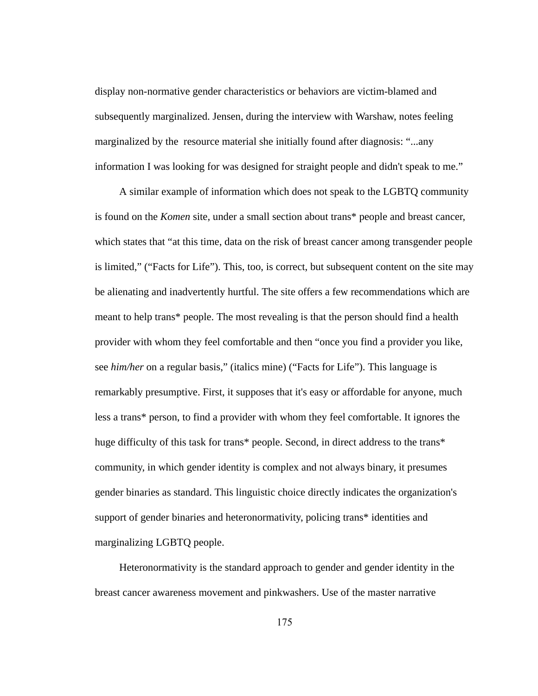display non-normative gender characteristics or behaviors are victim-blamed and subsequently marginalized. Jensen, during the interview with Warshaw, notes feeling marginalized by the resource material she initially found after diagnosis: "...any information I was looking for was designed for straight people and didn't speak to me."

A similar example of information which does not speak to the LGBTQ community is found on the *Komen* site, under a small section about trans\* people and breast cancer, which states that "at this time, data on the risk of breast cancer among transgender people is limited," ("Facts for Life"). This, too, is correct, but subsequent content on the site may be alienating and inadvertently hurtful. The site offers a few recommendations which are meant to help trans\* people. The most revealing is that the person should find a health provider with whom they feel comfortable and then "once you find a provider you like, see *him/her* on a regular basis," (italics mine) ("Facts for Life"). This language is remarkably presumptive. First, it supposes that it's easy or affordable for anyone, much less a trans\* person, to find a provider with whom they feel comfortable. It ignores the huge difficulty of this task for trans\* people. Second, in direct address to the trans\* community, in which gender identity is complex and not always binary, it presumes gender binaries as standard. This linguistic choice directly indicates the organization's support of gender binaries and heteronormativity, policing trans\* identities and marginalizing LGBTQ people.

Heteronormativity is the standard approach to gender and gender identity in the breast cancer awareness movement and pinkwashers. Use of the master narrative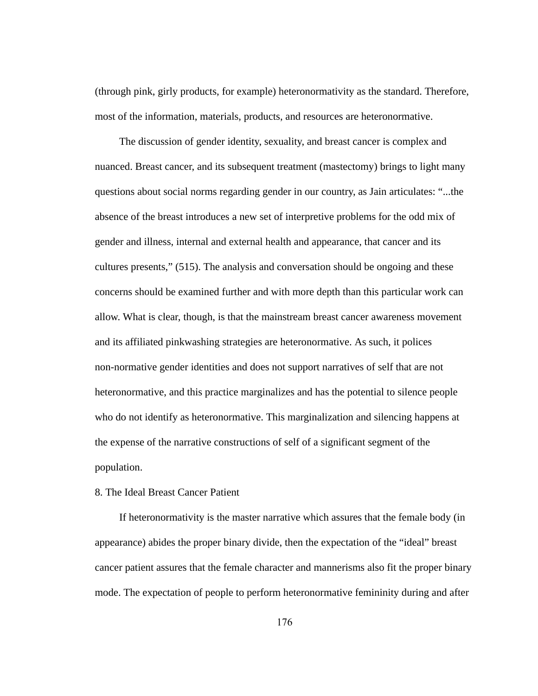(through pink, girly products, for example) heteronormativity as the standard. Therefore, most of the information, materials, products, and resources are heteronormative.

The discussion of gender identity, sexuality, and breast cancer is complex and nuanced. Breast cancer, and its subsequent treatment (mastectomy) brings to light many questions about social norms regarding gender in our country, as Jain articulates: "...the absence of the breast introduces a new set of interpretive problems for the odd mix of gender and illness, internal and external health and appearance, that cancer and its cultures presents," (515). The analysis and conversation should be ongoing and these concerns should be examined further and with more depth than this particular work can allow. What is clear, though, is that the mainstream breast cancer awareness movement and its affiliated pinkwashing strategies are heteronormative. As such, it polices non-normative gender identities and does not support narratives of self that are not heteronormative, and this practice marginalizes and has the potential to silence people who do not identify as heteronormative. This marginalization and silencing happens at the expense of the narrative constructions of self of a significant segment of the population.

## 8. The Ideal Breast Cancer Patient

If heteronormativity is the master narrative which assures that the female body (in appearance) abides the proper binary divide, then the expectation of the "ideal" breast cancer patient assures that the female character and mannerisms also fit the proper binary mode. The expectation of people to perform heteronormative femininity during and after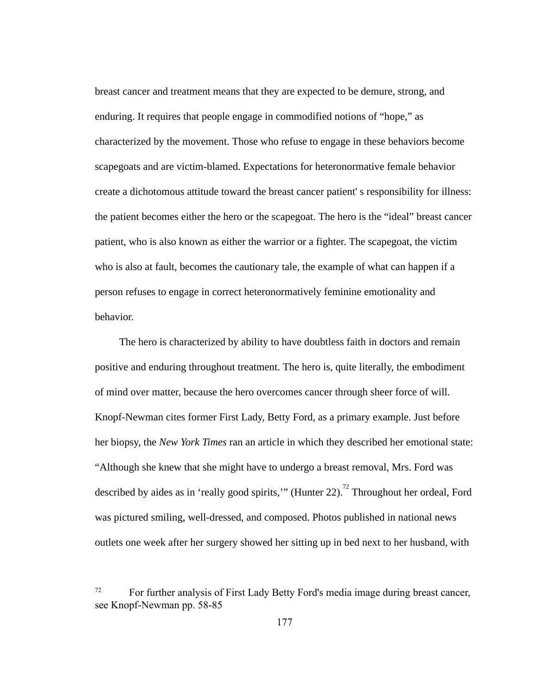breast cancer and treatment means that they are expected to be demure, strong, and enduring. It requires that people engage in commodified notions of "hope," as characterized by the movement. Those who refuse to engage in these behaviors become scapegoats and are victim-blamed. Expectations for heteronormative female behavior create a dichotomous attitude toward the breast cancer patient' s responsibility for illness: the patient becomes either the hero or the scapegoat. The hero is the "ideal" breast cancer patient, who is also known as either the warrior or a fighter. The scapegoat, the victim who is also at fault, becomes the cautionary tale, the example of what can happen if a person refuses to engage in correct heteronormatively feminine emotionality and behavior.

The hero is characterized by ability to have doubtless faith in doctors and remain positive and enduring throughout treatment. The hero is, quite literally, the embodiment of mind over matter, because the hero overcomes cancer through sheer force of will. Knopf-Newman cites former First Lady, Betty Ford, as a primary example. Just before her biopsy, the *New York Times* ran an article in which they described her emotional state: "Although she knew that she might have to undergo a breast removal, Mrs. Ford was described by aides as in 'really good spirits,'" (Hunter 22).<sup>72</sup> Throughout her ordeal, Ford was pictured smiling, well-dressed, and composed. Photos published in national news outlets one week after her surgery showed her sitting up in bed next to her husband, with

<sup>72</sup> For further analysis of First Lady Betty Ford's media image during breast cancer, see Knopf-Newman pp. 58-85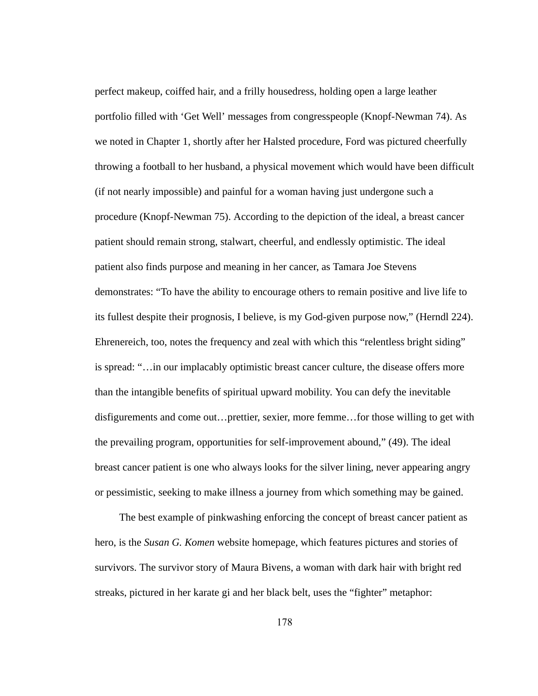perfect makeup, coiffed hair, and a frilly housedress, holding open a large leather portfolio filled with 'Get Well' messages from congresspeople (Knopf-Newman 74). As we noted in Chapter 1, shortly after her Halsted procedure, Ford was pictured cheerfully throwing a football to her husband, a physical movement which would have been difficult (if not nearly impossible) and painful for a woman having just undergone such a procedure (Knopf-Newman 75). According to the depiction of the ideal, a breast cancer patient should remain strong, stalwart, cheerful, and endlessly optimistic. The ideal patient also finds purpose and meaning in her cancer, as Tamara Joe Stevens demonstrates: "To have the ability to encourage others to remain positive and live life to its fullest despite their prognosis, I believe, is my God-given purpose now," (Herndl 224). Ehrenereich, too, notes the frequency and zeal with which this "relentless bright siding" is spread: "...in our implacably optimistic breast cancer culture, the disease offers more than the intangible benefits of spiritual upward mobility. You can defy the inevitable disfigurements and come out...prettier, sexier, more femme...for those willing to get with the prevailing program, opportunities for self-improvement abound," (49). The ideal breast cancer patient is one who always looks for the silver lining, never appearing angry or pessimistic, seeking to make illness a journey from which something may be gained.

The best example of pinkwashing enforcing the concept of breast cancer patient as hero, is the *Susan G. Komen* website homepage, which features pictures and stories of survivors. The survivor story of Maura Bivens, a woman with dark hair with bright red streaks, pictured in her karate gi and her black belt, uses the "fighter" metaphor: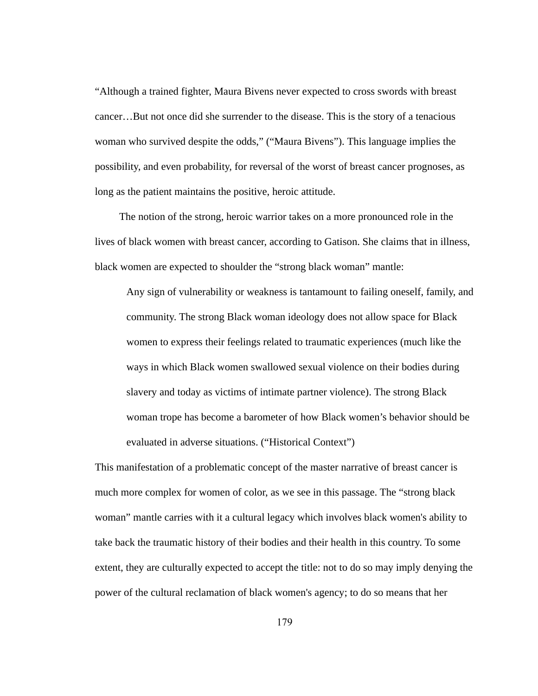"Although a trained fighter, Maura Bivens never expected to cross swords with breast cancer...But not once did she surrender to the disease. This is the story of a tenacious woman who survived despite the odds," ("Maura Bivens"). This language implies the possibility, and even probability, for reversal of the worst of breast cancer prognoses, as long as the patient maintains the positive, heroic attitude.

The notion of the strong, heroic warrior takes on a more pronounced role in the lives of black women with breast cancer, according to Gatison. She claims that in illness, black women are expected to shoulder the "strong black woman" mantle:

Any sign of vulnerability or weakness is tantamount to failing oneself, family, and community. The strong Black woman ideology does not allow space for Black women to express their feelings related to traumatic experiences (much like the ways in which Black women swallowed sexual violence on their bodies during slavery and today as victims of intimate partner violence). The strong Black woman trope has become a barometer of how Black women's behavior should be evaluated in adverse situations. ("Historical Context")

This manifestation of a problematic concept of the master narrative of breast cancer is much more complex for women of color, as we see in this passage. The "strong black woman" mantle carries with it a cultural legacy which involves black women's ability to take back the traumatic history of their bodies and their health in this country. To some extent, they are culturally expected to accept the title: not to do so may imply denying the power of the cultural reclamation of black women's agency; to do so means that her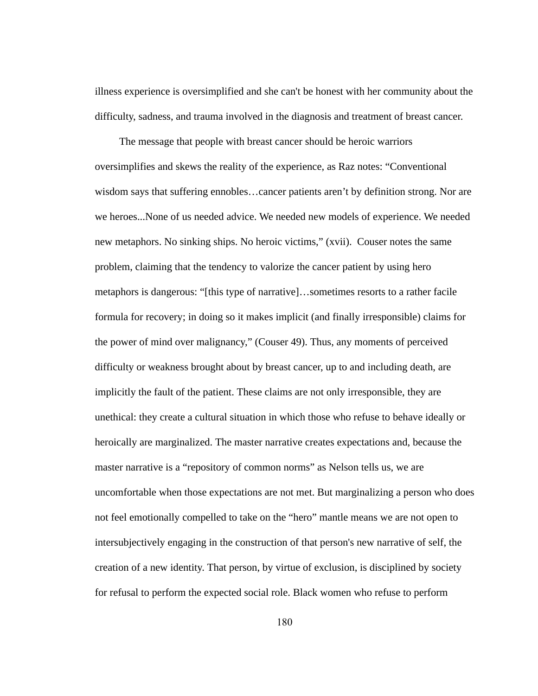illness experience is oversimplified and she can't be honest with her community about the difficulty, sadness, and trauma involved in the diagnosis and treatment of breast cancer.

The message that people with breast cancer should be heroic warriors oversimplifies and skews the reality of the experience, as Raz notes: "Conventional wisdom says that suffering ennobles... cancer patients aren't by definition strong. Nor are we heroes...None of us needed advice. We needed new models of experience. We needed new metaphors. No sinking ships. No heroic victims," (xvii). Couser notes the same problem, claiming that the tendency to valorize the cancer patient by using hero metaphors is dangerous: "[this type of narrative]…sometimes resorts to a rather facile formula for recovery; in doing so it makes implicit (and finally irresponsible) claims for the power of mind over malignancy," (Couser 49). Thus, any moments of perceived difficulty or weakness brought about by breast cancer, up to and including death, are implicitly the fault of the patient. These claims are not only irresponsible, they are unethical: they create a cultural situation in which those who refuse to behave ideally or heroically are marginalized. The master narrative creates expectations and, because the master narrative is a "repository of common norms" as Nelson tells us, we are uncomfortable when those expectations are not met. But marginalizing a person who does not feel emotionally compelled to take on the "hero" mantle means we are not open to intersubjectively engaging in the construction of that person's new narrative of self, the creation of a new identity. That person, by virtue of exclusion, is disciplined by society for refusal to perform the expected social role. Black women who refuse to perform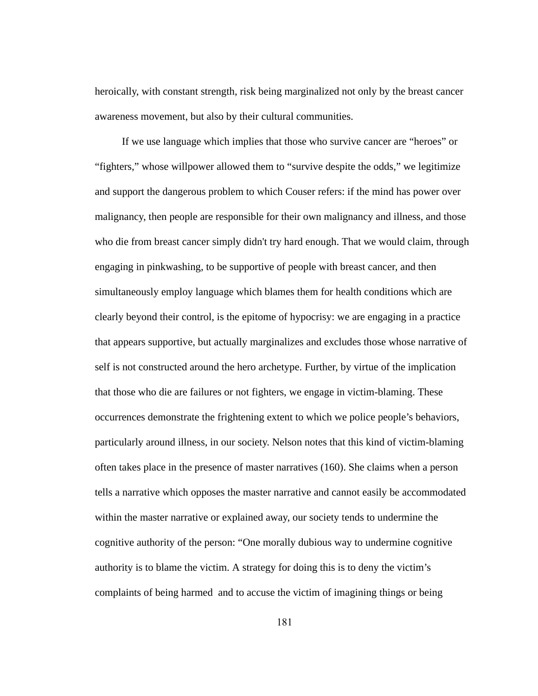heroically, with constant strength, risk being marginalized not only by the breast cancer awareness movement, but also by their cultural communities.

If we use language which implies that those who survive cancer are "heroes" or "fighters," whose willpower allowed them to "survive despite the odds," we legitimize and support the dangerous problem to which Couser refers: if the mind has power over malignancy, then people are responsible for their own malignancy and illness, and those who die from breast cancer simply didn't try hard enough. That we would claim, through engaging in pinkwashing, to be supportive of people with breast cancer, and then simultaneously employ language which blames them for health conditions which are clearly beyond their control, is the epitome of hypocrisy: we are engaging in a practice that appears supportive, but actually marginalizes and excludes those whose narrative of self is not constructed around the hero archetype. Further, by virtue of the implication that those who die are failures or not fighters, we engage in victim-blaming. These occurrences demonstrate the frightening extent to which we police people's behaviors, particularly around illness, in our society. Nelson notes that this kind of victim-blaming often takes place in the presence of master narratives (160). She claims when a person tells a narrative which opposes the master narrative and cannot easily be accommodated within the master narrative or explained away, our society tends to undermine the cognitive authority of the person: "One morally dubious way to undermine cognitive authority is to blame the victim. A strategy for doing this is to deny the victim's complaints of being harmed and to accuse the victim of imagining things or being

181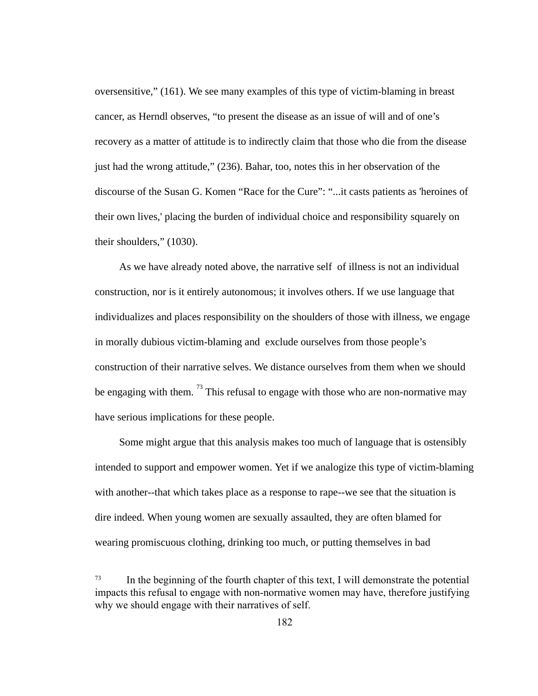oversensitive," (161). We see many examples of this type of victim-blaming in breast cancer, as Herndl observes, "to present the disease as an issue of will and of one's recovery as a matter of attitude is to indirectly claim that those who die from the disease just had the wrong attitude," (236). Bahar, too, notes this in her observation of the discourse of the Susan G. Komen "Race for the Cure": "...it casts patients as 'heroines of their own lives,' placing the burden of individual choice and responsibility squarely on their shoulders," (1030).

As we have already noted above, the narrative self of illness is not an individual construction, nor is it entirely autonomous; it involves others. If we use language that individualizes and places responsibility on the shoulders of those with illness, we engage in morally dubious victim-blaming and exclude ourselves from those people's construction of their narrative selves. We distance ourselves from them when we should be engaging with them.  $^{73}$  This refusal to engage with those who are non-normative may have serious implications for these people.

Some might argue that this analysis makes too much of language that is ostensibly intended to support and empower women. Yet if we analogize this type of victim-blaming with another--that which takes place as a response to rape--we see that the situation is dire indeed. When young women are sexually assaulted, they are often blamed for wearing promiscuous clothing, drinking too much, or putting themselves in bad

<sup>&</sup>lt;sup>73</sup> In the beginning of the fourth chapter of this text, I will demonstrate the potential impacts this refusal to engage with non-normative women may have, therefore justifying why we should engage with their narratives of self.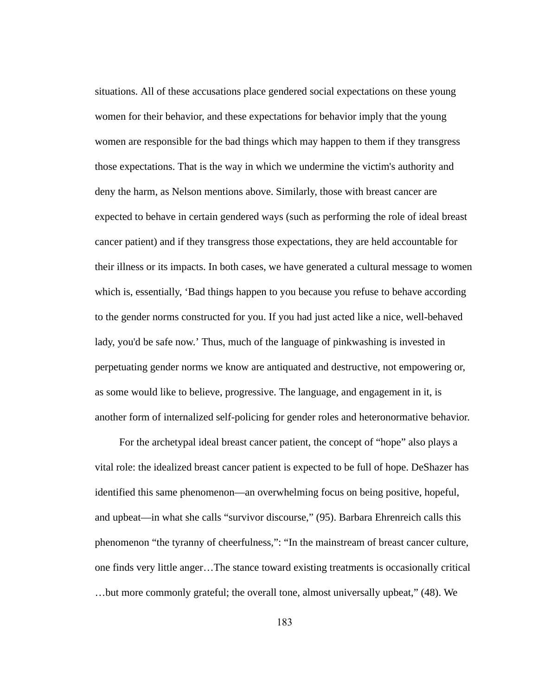situations. All of these accusations place gendered social expectations on these young women for their behavior, and these expectations for behavior imply that the young women are responsible for the bad things which may happen to them if they transgress those expectations. That is the way in which we undermine the victim's authority and deny the harm, as Nelson mentions above. Similarly, those with breast cancer are expected to behave in certain gendered ways (such as performing the role of ideal breast cancer patient) and if they transgress those expectations, they are held accountable for their illness or its impacts. In both cases, we have generated a cultural message to women which is, essentially, 'Bad things happen to you because you refuse to behave according to the gender norms constructed for you. If you had just acted like a nice, well-behaved lady, you'd be safe now.' Thus, much of the language of pinkwashing is invested in perpetuating gender norms we know are antiquated and destructive, not empowering or, as some would like to believe, progressive. The language, and engagement in it, is another form of internalized self-policing for gender roles and heteronormative behavior.

For the archetypal ideal breast cancer patient, the concept of "hope" also plays a vital role: the idealized breast cancer patient is expected to be full of hope. DeShazer has identified this same phenomenon—an overwhelming focus on being positive, hopeful, and upbeat—in what she calls "survivor discourse," (95). Barbara Ehrenreich calls this phenomenon "the tyranny of cheerfulness,": "In the mainstream of breast cancer culture, one finds very little anger...The stance toward existing treatments is occasionally critical …but more commonly grateful; the overall tone, almost universally upbeat," (48). We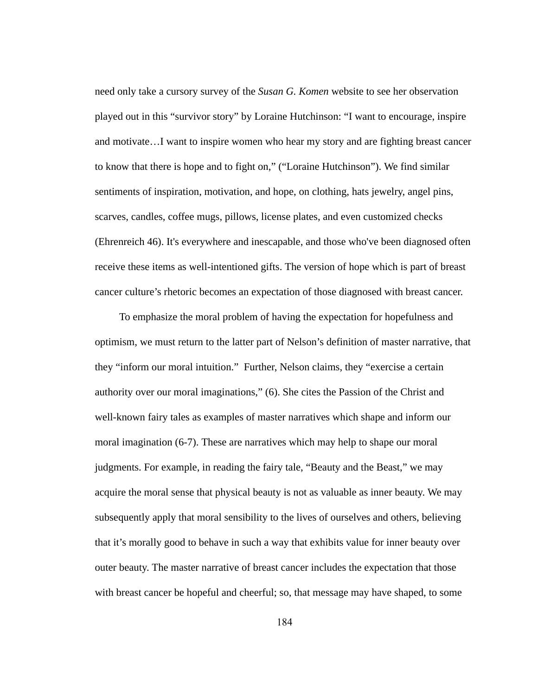need only take a cursory survey of the *Susan G. Komen*  website to see her observation played out in this "survivor story" by Loraine Hutchinson: "I want to encourage, inspire and motivate...I want to inspire women who hear my story and are fighting breast cancer to know that there is hope and to fight on," ("Loraine Hutchinson"). We find similar sentiments of inspiration, motivation, and hope, on clothing, hats jewelry, angel pins, scarves, candles, coffee mugs, pillows, license plates, and even customized checks (Ehrenreich 46). It's everywhere and inescapable, and those who've been diagnosed often receive these items as well-intentioned gifts. The version of hope which is part of breast cancer culture's rhetoric becomes an expectation of those diagnosed with breast cancer.

To emphasize the moral problem of having the expectation for hopefulness and optimism, we must return to the latter part of Nelson's definition of master narrative, that they "inform our moral intuition." Further, Nelson claims, they "exercise a certain authority over our moral imaginations," (6). She cites the Passion of the Christ and well-known fairy tales as examples of master narratives which shape and inform our moral imagination (6-7). These are narratives which may help to shape our moral judgments. For example, in reading the fairy tale, "Beauty and the Beast," we may acquire the moral sense that physical beauty is not as valuable as inner beauty. We may subsequently apply that moral sensibility to the lives of ourselves and others, believing that it's morally good to behave in such a way that exhibits value for inner beauty over outer beauty. The master narrative of breast cancer includes the expectation that those with breast cancer be hopeful and cheerful; so, that message may have shaped, to some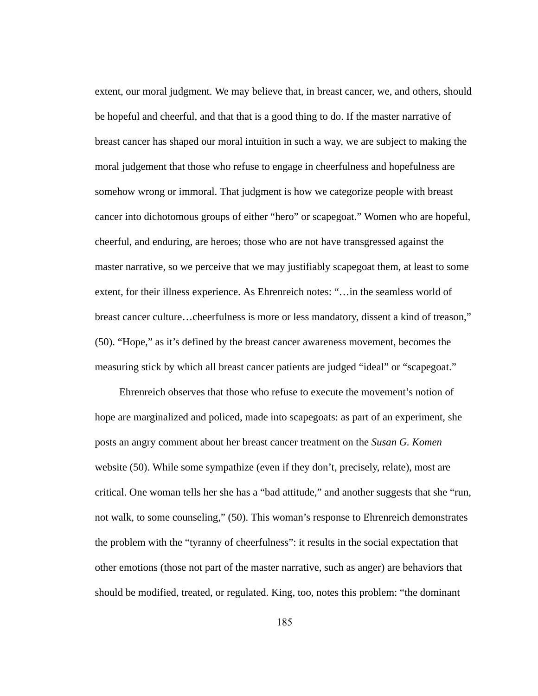extent, our moral judgment. We may believe that, in breast cancer, we, and others, should be hopeful and cheerful, and that that is a good thing to do. If the master narrative of breast cancer has shaped our moral intuition in such a way, we are subject to making the moral judgement that those who refuse to engage in cheerfulness and hopefulness are somehow wrong or immoral. That judgment is how we categorize people with breast cancer into dichotomous groups of either "hero" or scapegoat." Women who are hopeful, cheerful, and enduring, are heroes; those who are not have transgressed against the master narrative, so we perceive that we may justifiably scapegoat them, at least to some extent, for their illness experience. As Ehrenreich notes: "...in the seamless world of breast cancer culture…cheerfulness is more or less mandatory, dissent a kind of treason," (50). "Hope," as it's defined by the breast cancer awareness movement, becomes the measuring stick by which all breast cancer patients are judged "ideal" or "scapegoat."

Ehrenreich observes that those who refuse to execute the movement's notion of hope are marginalized and policed, made into scapegoats: as part of an experiment, she posts an angry comment about her breast cancer treatment on the *Susan G. Komen* website (50). While some sympathize (even if they don't, precisely, relate), most are critical. One woman tells her she has a "bad attitude," and another suggests that she "run, not walk, to some counseling," (50). This woman's response to Ehrenreich demonstrates the problem with the "tyranny of cheerfulness": it results in the social expectation that other emotions (those not part of the master narrative, such as anger) are behaviors that should be modified, treated, or regulated. King, too, notes this problem: "the dominant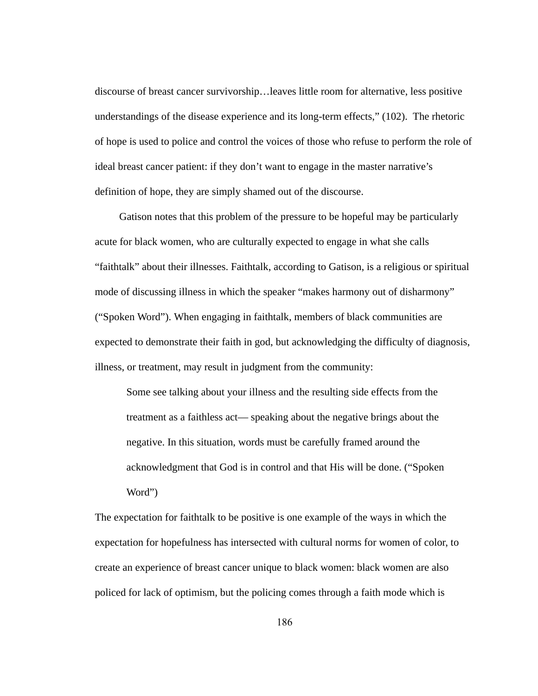discourse of breast cancer survivorship…leaves little room for alternative, less positive understandings of the disease experience and its long-term effects,"  $(102)$ . The rhetoric of hope is used to police and control the voices of those who refuse to perform the role of ideal breast cancer patient: if they don't want to engage in the master narrative's definition of hope, they are simply shamed out of the discourse.

Gatison notes that this problem of the pressure to be hopeful may be particularly acute for black women, who are culturally expected to engage in what she calls "faithtalk" about their illnesses. Faithtalk, according to Gatison, is a religious or spiritual mode of discussing illness in which the speaker "makes harmony out of disharmony" ("Spoken Word"). When engaging in faithtalk, members of black communities are expected to demonstrate their faith in god, but acknowledging the difficulty of diagnosis, illness, or treatment, may result in judgment from the community:

Some see talking about your illness and the resulting side effects from the treatment as a faithless act— speaking about the negative brings about the negative. In this situation, words must be carefully framed around the acknowledgment that God is in control and that His will be done. ("Spoken Word")

The expectation for faithtalk to be positive is one example of the ways in which the expectation for hopefulness has intersected with cultural norms for women of color, to create an experience of breast cancer unique to black women: black women are also policed for lack of optimism, but the policing comes through a faith mode which is

186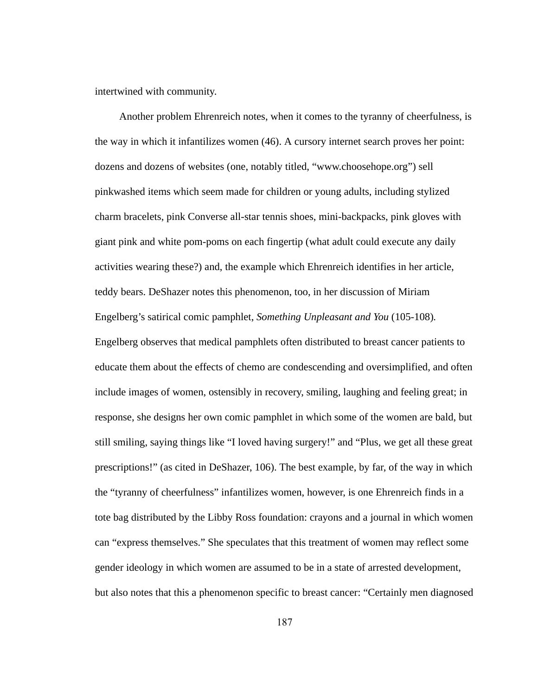intertwined with community.

Another problem Ehrenreich notes, when it comes to the tyranny of cheerfulness, is the way in which it infantilizes women (46). A cursory internet search proves her point: dozens and dozens of websites (one, notably titled, "www.choosehope.org") sell pinkwashed items which seem made for children or young adults, including stylized charm bracelets, pink Converse all-star tennis shoes, mini-backpacks, pink gloves with giant pink and white pom-poms on each fingertip (what adult could execute any daily activities wearing these?) and, the example which Ehrenreich identifies in her article, teddy bears. DeShazer notes this phenomenon, too, in her discussion of Miriam Engelberg's satirical comic pamphlet, *Something Unpleasant and You* (105-108). Engelberg observes that medical pamphlets often distributed to breast cancer patients to educate them about the effects of chemo are condescending and oversimplified, and often include images of women, ostensibly in recovery, smiling, laughing and feeling great; in response, she designs her own comic pamphlet in which some of the women are bald, but still smiling, saying things like "I loved having surgery!" and "Plus, we get all these great prescriptions!" (as cited in DeShazer, 106). The best example, by far, of the way in which the "tyranny of cheerfulness" infantilizes women, however, is one Ehrenreich finds in a tote bag distributed by the Libby Ross foundation: crayons and a journal in which women can "express themselves." She speculates that this treatment of women may reflect some gender ideology in which women are assumed to be in a state of arrested development, but also notes that this a phenomenon specific to breast cancer: "Certainly men diagnosed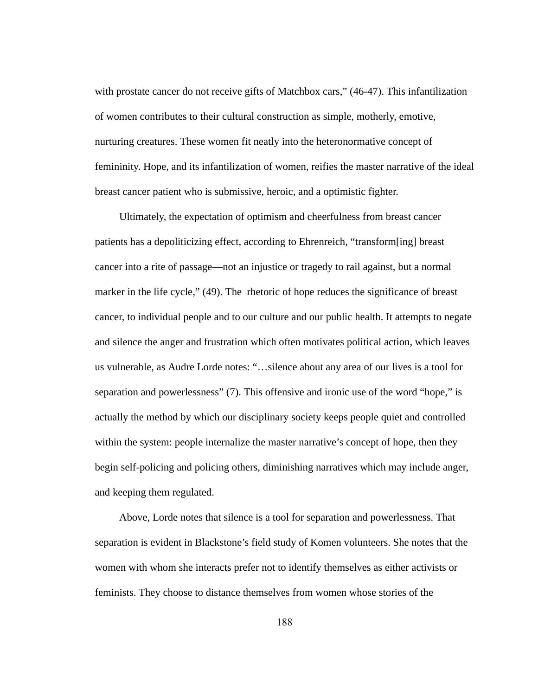with prostate cancer do not receive gifts of Matchbox cars," (46-47). This infantilization of women contributes to their cultural construction as simple, motherly, emotive, nurturing creatures. These women fit neatly into the heteronormative concept of femininity. Hope, and its infantilization of women, reifies the master narrative of the ideal breast cancer patient who is submissive, heroic, and a optimistic fighter.

Ultimately, the expectation of optimism and cheerfulness from breast cancer patients has a depoliticizing effect, according to Ehrenreich, "transform[ing] breast cancer into a rite of passage—not an injustice or tragedy to rail against, but a normal marker in the life cycle," (49). The rhetoric of hope reduces the significance of breast cancer, to individual people and to our culture and our public health. It attempts to negate and silence the anger and frustration which often motivates political action, which leaves us vulnerable, as Audre Lorde notes: "…silence about any area of our lives is a tool for separation and powerlessness" (7). This offensive and ironic use of the word "hope," is actually the method by which our disciplinary society keeps people quiet and controlled within the system: people internalize the master narrative's concept of hope, then they begin self-policing and policing others, diminishing narratives which may include anger, and keeping them regulated.

Above, Lorde notes that silence is a tool for separation and powerlessness. That separation is evident in Blackstone's field study of Komen volunteers. She notes that the women with whom she interacts prefer not to identify themselves as either activists or feminists. They choose to distance themselves from women whose stories of the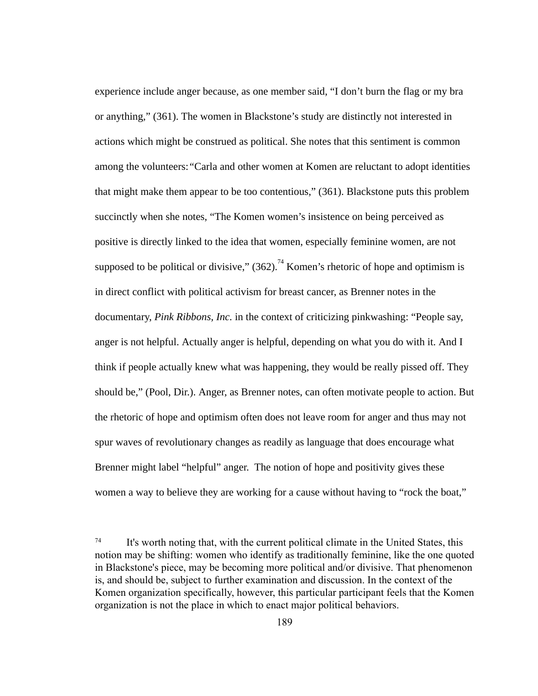experience include anger because, as one member said, "I don't burn the flag or my bra or anything," (361). The women in Blackstone's study are distinctly not interested in actions which might be construed as political. She notes that this sentiment is common among the volunteers: *"* Carla and other women at Komen are reluctant to adopt identities that might make them appear to be too contentious," (361). Blackstone puts this problem succinctly when she notes, "The Komen women's insistence on being perceived as positive is directly linked to the idea that women, especially feminine women, are not supposed to be political or divisive,"  $(362)$ ,  $^{74}$  Komen's rhetoric of hope and optimism is in direct conflict with political activism for breast cancer, as Brenner notes in the documentary, Pink Ribbons, Inc. in the context of criticizing pinkwashing: "People say, anger is not helpful. Actually anger is helpful, depending on what you do with it. And I think if people actually knew what was happening, they would be really pissed off. They should be," (Pool, Dir.). Anger, as Brenner notes, can often motivate people to action. But the rhetoric of hope and optimism often does not leave room for anger and thus may not spur waves of revolutionary changes as readily as language that does encourage what Brenner might label "helpful" anger. The notion of hope and positivity gives these women a way to believe they are working for a cause without having to "rock the boat,"

 $74$  It's worth noting that, with the current political climate in the United States, this notion may be shifting: women who identify as traditionally feminine, like the one quoted in Blackstone's piece, may be becoming more political and/or divisive. That phenomenon is, and should be, subject to further examination and discussion. In the context of the Komen organization specifically, however, this particular participant feels that the Komen organization is not the place in which to enact major political behaviors.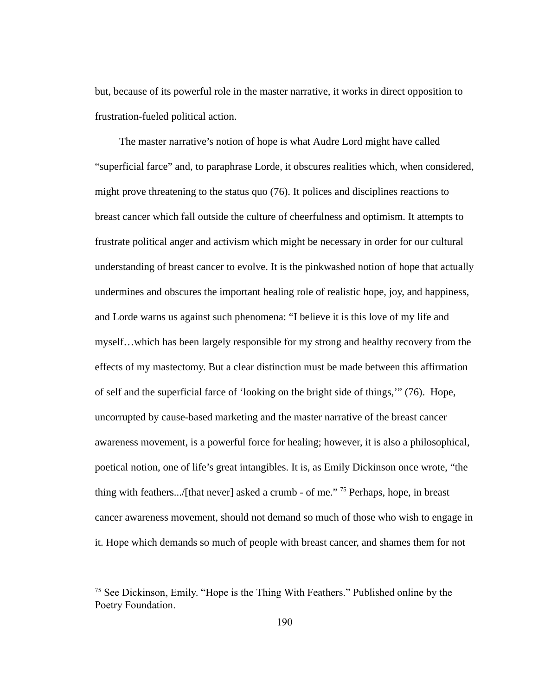but, because of its powerful role in the master narrative, it works in direct opposition to frustration-fueled political action.

The master narrative's notion of hope is what Audre Lord might have called "superficial farce" and, to paraphrase Lorde, it obscures realities which, when considered, might prove threatening to the status quo (76). It polices and disciplines reactions to breast cancer which fall outside the culture of cheerfulness and optimism. It attempts to frustrate political anger and activism which might be necessary in order for our cultural understanding of breast cancer to evolve. It is the pinkwashed notion of hope that actually undermines and obscures the important healing role of realistic hope, joy, and happiness, and Lorde warns us against such phenomena: "I believe it is this love of my life and myself…which has been largely responsible for my strong and healthy recovery from the effects of my mastectomy. But a clear distinction must be made between this affirmation of self and the superficial farce of 'looking on the bright side of things,'" (76). Hope, uncorrupted by cause-based marketing and the master narrative of the breast cancer awareness movement, is a powerful force for healing; however, it is also a philosophical, poetical notion, one of life's great intangibles. It is, as Emily Dickinson once wrote, "the thing with feathers.../[that never] asked a crumb - of me."  $75$  Perhaps, hope, in breast cancer awareness movement, should not demand so much of those who wish to engage in it. Hope which demands so much of people with breast cancer, and shames them for not

<sup>&</sup>lt;sup>75</sup> See Dickinson, Emily. "Hope is the Thing With Feathers." Published online by the Poetry Foundation.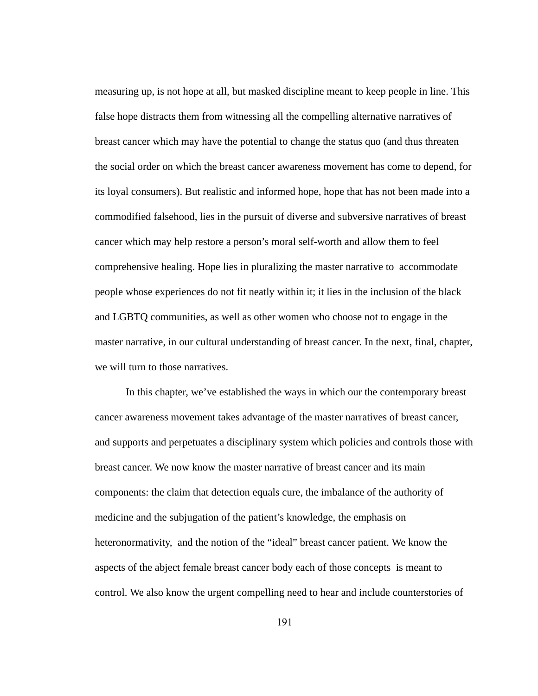measuring up, is not hope at all, but masked discipline meant to keep people in line. This false hope distracts them from witnessing all the compelling alternative narratives of breast cancer which may have the potential to change the status quo (and thus threaten the social order on which the breast cancer awareness movement has come to depend, for its loyal consumers). But realistic and informed hope, hope that has not been made into a commodified falsehood, lies in the pursuit of diverse and subversive narratives of breast cancer which may help restore a person's moral self-worth and allow them to feel comprehensive healing. Hope lies in pluralizing the master narrative to accommodate people whose experiences do not fit neatly within it; it lies in the inclusion of the black and LGBTQ communities, as well as other women who choose not to engage in the master narrative, in our cultural understanding of breast cancer. In the next, final, chapter, we will turn to those narratives.

In this chapter, we've established the ways in which our the contemporary breast cancer awareness movement takes advantage of the master narratives of breast cancer, and supports and perpetuates a disciplinary system which policies and controls those with breast cancer. We now know the master narrative of breast cancer and its main components: the claim that detection equals cure, the imbalance of the authority of medicine and the subjugation of the patient's knowledge, the emphasis on heteronormativity, and the notion of the "ideal" breast cancer patient. We know the aspects of the abject female breast cancer body each of those concepts is meant to control. We also know the urgent compelling need to hear and include counterstories of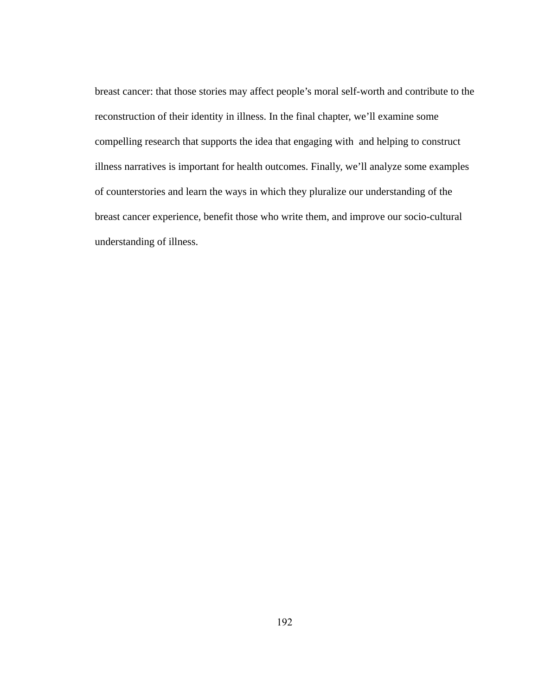breast cancer: that those stories may affect people's moral self-worth and contribute to the reconstruction of their identity in illness. In the final chapter, we'll examine some compelling research that supports the idea that engaging with and helping to construct illness narratives is important for health outcomes. Finally, we'll analyze some examples of counterstories and learn the ways in which they pluralize our understanding of the breast cancer experience, benefit those who write them, and improve our socio-cultural understanding of illness.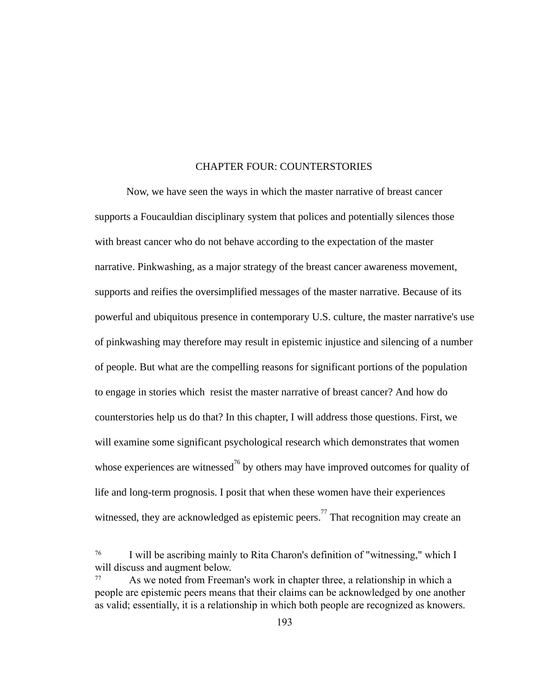## CHAPTER FOUR: COUNTERSTORIES

Now, we have seen the ways in which the master narrative of breast cancer supports a Foucauldian disciplinary system that polices and potentially silences those with breast cancer who do not behave according to the expectation of the master narrative. Pinkwashing, as a major strategy of the breast cancer awareness movement, supports and reifies the oversimplified messages of the master narrative. Because of its powerful and ubiquitous presence in contemporary U.S. culture, the master narrative's use of pinkwashing may therefore may result in epistemic injustice and silencing of a number of people. But what are the compelling reasons for significant portions of the population to engage in stories which resist the master narrative of breast cancer? And how do counterstories help us do that? In this chapter, I will address those questions. First, we will examine some significant psychological research which demonstrates that women whose experiences are witnessed<sup>76</sup> by others may have improved outcomes for quality of life and long-term prognosis. I posit that when these women have their experiences witnessed, they are acknowledged as epistemic peers.<sup> $77$ </sup> That recognition may create an

<sup>76</sup> I will be ascribing mainly to Rita Charon's definition of "witnessing," which I will discuss and augment below.

<sup>77</sup> As we noted from Freeman's work in chapter three, a relationship in which a people are epistemic peers means that their claims can be acknowledged by one another as valid; essentially, it is a relationship in which both people are recognized as knowers.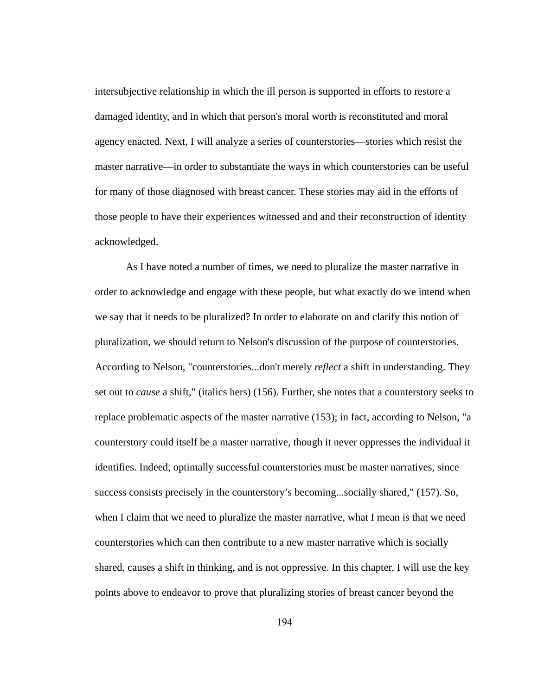intersubjective relationship in which the ill person is supported in efforts to restore a damaged identity, and in which that person's moral worth is reconstituted and moral agency enacted. Next, I will analyze a series of counterstories—stories which resist the master narrative—in order to substantiate the ways in which counterstories can be useful for many of those diagnosed with breast cancer. These stories may aid in the efforts of those people to have their experiences witnessed and and their reconstruction of identity acknowledged.

As I have noted a number of times, we need to pluralize the master narrative in order to acknowledge and engage with these people, but what exactly do we intend when we say that it needs to be pluralized? In order to elaborate on and clarify this notion of pluralization, we should return to Nelson's discussion of the purpose of counterstories. According to Nelson, "counterstories...don't merely *reflect* a shift in understanding. They set out to *cause* a shift," (italics hers) (156). Further, she notes that a counterstory seeks to replace problematic aspects of the master narrative (153); in fact, according to Nelson, "a counterstory could itself be a master narrative, though it never oppresses the individual it identifies. Indeed, optimally successful counterstories must be master narratives, since success consists precisely in the counterstory's becoming...socially shared," (157). So, when I claim that we need to pluralize the master narrative, what I mean is that we need counterstories which can then contribute to a new master narrative which is socially shared, causes a shift in thinking, and is not oppressive. In this chapter, I will use the key points above to endeavor to prove that pluralizing stories of breast cancer beyond the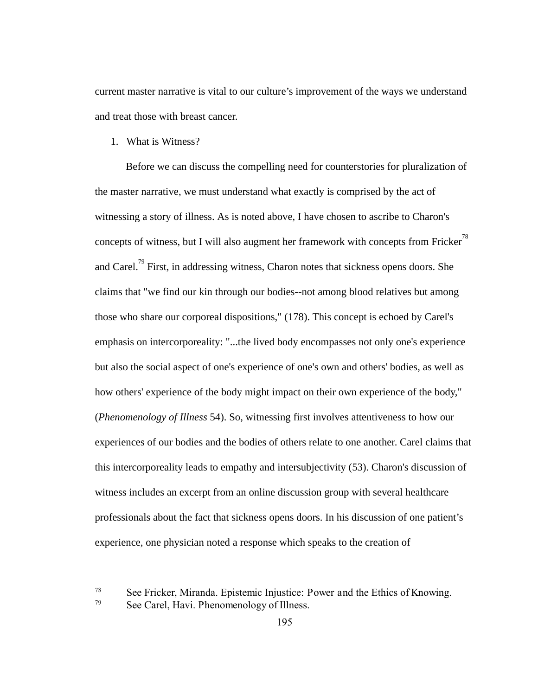current master narrative is vital to our culture's improvement of the ways we understand and treat those with breast cancer.

1. What is Witness?

Before we can discuss the compelling need for counterstories for pluralization of the master narrative, we must understand what exactly is comprised by the act of witnessing a story of illness. As is noted above, I have chosen to ascribe to Charon's concepts of witness, but I will also augment her framework with concepts from Fricker<sup>78</sup> and Carel.<sup>79</sup> First, in addressing witness, Charon notes that sickness opens doors. She claims that "we find our kin through our bodies--not among blood relatives but among those who share our corporeal dispositions," (178). This concept is echoed by Carel's emphasis on intercorporeality: "...the lived body encompasses not only one's experience but also the social aspect of one's experience of one's own and others' bodies, as well as how others' experience of the body might impact on their own experience of the body," ( *Phenomenology of Illness* 54). So, witnessing first involves attentiveness to how our experiences of our bodies and the bodies of others relate to one another. Carel claims that this intercorporeality leads to empathy and intersubjectivity (53). Charon's discussion of witness includes an excerpt from an online discussion group with several healthcare professionals about the fact that sickness opens doors. In his discussion of one patient's experience, one physician noted a response which speaks to the creation of

<sup>78</sup> See Fricker, Miranda. EpistemicInjustice:PowerandtheEthicsofKnowing.

<sup>79</sup> See Carel, Havi. PhenomenologyofIllness.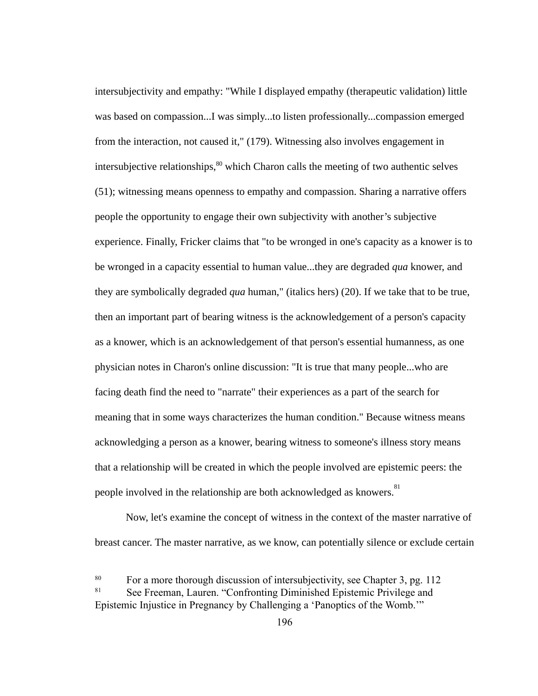intersubjectivity and empathy: "While I displayed empathy (therapeutic validation) little was based on compassion...I was simply...to listen professionally...compassion emerged from the interaction, not caused it," (179). Witnessing also involves engagement in intersubjective relationships,  $80$  which Charon calls the meeting of two authentic selves (51); witnessing means openness to empathy and compassion. Sharing a narrative offers people the opportunity to engage their own subjectivity with another's subjective experience. Finally, Fricker claims that "to be wronged in one's capacity as a knower is to be wronged in a capacity essential to human value...they are degraded *qua* knower, and they are symbolically degraded *qua* human," (italics hers) (20). If we take that to be true, then an important part of bearing witness is the acknowledgement of a person's capacity as a knower, which is an acknowledgement of that person's essential humanness, as one physician notes in Charon's online discussion: "It is true that many people...who are facing death find the need to "narrate" their experiences as a part of the search for meaning that in some ways characterizes the human condition." Because witness means acknowledging a person as a knower, bearing witness to someone's illness story means that a relationship will be created in which the people involved are epistemic peers: the people involved in the relationship are both acknowledged as knowers.<sup>81</sup>

Now, let's examine the concept of witness in the context of the master narrative of breast cancer. The master narrative, as we know, can potentially silence or exclude certain

<sup>&</sup>lt;sup>80</sup> For a more thorough discussion of intersubjectivity, see Chapter 3, pg. 112<br><sup>81</sup> See Freeman Lauren "Confronting Diminished Enistenic Privilege and See Freeman, Lauren. "Confronting Diminished Epistemic Privilege and Epistemic Injustice in Pregnancy by Challenging a 'Panoptics of the Womb.'"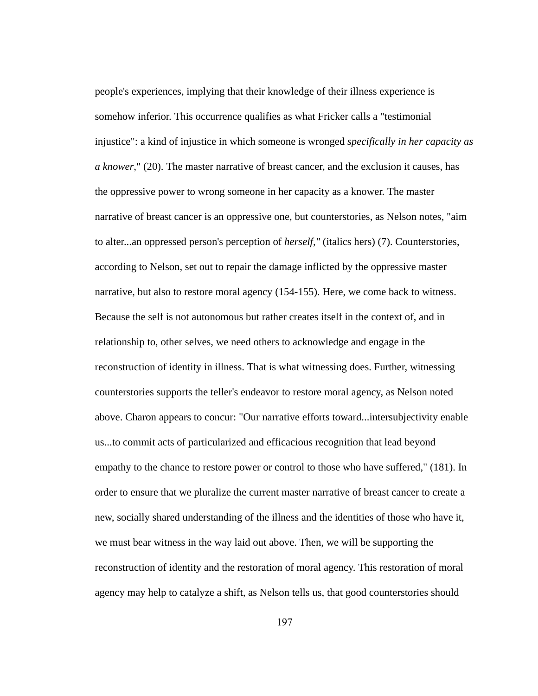people's experiences, implying that their knowledge of their illness experience is somehow inferior. This occurrence qualifies as what Fricker calls a "testimonial injustice": a kind of injustice in which someone is wronged *specifically in her capacity as a knower* ," (20). The master narrative of breast cancer, and the exclusion it causes, has the oppressive power to wrong someone in her capacity as a knower. The master narrative of breast cancer is an oppressive one, but counterstories, as Nelson notes, "aim to alter...an oppressed person's perception of *herself,"* (italics hers) (7). Counterstories, according to Nelson, set out to repair the damage inflicted by the oppressive master narrative, but also to restore moral agency (154-155). Here, we come back to witness. Because the self is not autonomous but rather creates itself in the context of, and in relationship to, other selves, we need others to acknowledge and engage in the reconstruction of identity in illness. That is what witnessing does. Further, witnessing counterstories supports the teller's endeavor to restore moral agency, as Nelson noted above. Charon appears to concur: "Our narrative efforts toward...intersubjectivity enable us...to commit acts of particularized and efficacious recognition that lead beyond empathy to the chance to restore power or control to those who have suffered," (181). In order to ensure that we pluralize the current master narrative of breast cancer to create a new, socially shared understanding of the illness and the identities of those who have it, we must bear witness in the way laid out above. Then, we will be supporting the reconstruction of identity and the restoration of moral agency. This restoration of moral agency may help to catalyze a shift, as Nelson tells us, that good counterstories should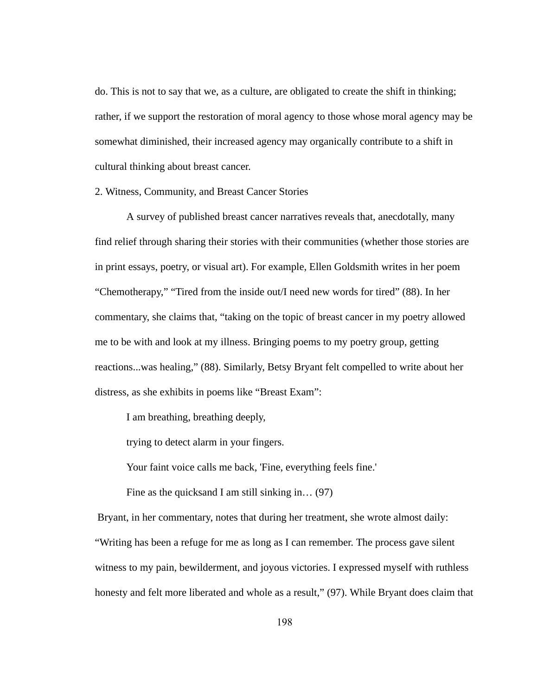do. This is not to say that we, as a culture, are obligated to create the shift in thinking; rather, if we support the restoration of moral agency to those whose moral agency may be somewhat diminished, their increased agency may organically contribute to a shift in cultural thinking about breast cancer.

2. Witness, Community, and Breast Cancer Stories

A survey of published breast cancer narratives reveals that, anecdotally, many find relief through sharing their stories with their communities (whether those stories are in print essays, poetry, or visual art). For example, Ellen Goldsmith writes in her poem "Chemotherapy," "Tired from the inside out/I need new words for tired" (88). In her commentary, she claims that, "taking on the topic of breast cancer in my poetry allowed me to be with and look at my illness. Bringing poems to my poetry group, getting reactions...was healing," (88). Similarly, Betsy Bryant felt compelled to write about her distress, as she exhibits in poems like "Breast Exam":

I am breathing, breathing deeply,

trying to detect alarm in your fingers.

Your faint voice calls me back, 'Fine, everything feels fine.'

Fine as the quicksand I am still sinking in...  $(97)$ 

Bryant, in her commentary, notes that during her treatment, she wrote almost daily: "Writing has been a refuge for me as long as I can remember. The process gave silent witness to my pain, bewilderment, and joyous victories. I expressed myself with ruthless honesty and felt more liberated and whole as a result," (97). While Bryant does claim that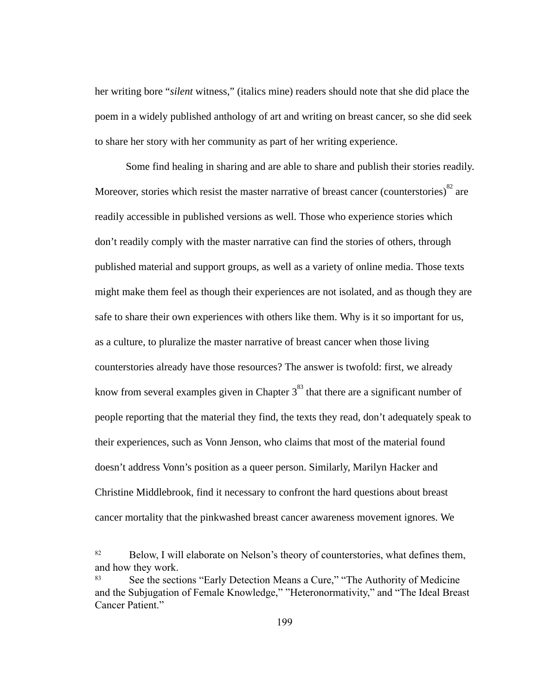her writing bore "silent witness," (italics mine) readers should note that she did place the poem in a widely published anthology of art and writing on breast cancer, so she did seek to share her story with her community as part of her writing experience.

Some find healing in sharing and are able to share and publish their stories readily. Moreover, stories which resist the master narrative of breast cancer (counterstories) $^{82}$  are readily accessible in published versions as well. Those who experience stories which don't readily comply with the master narrative can find the stories of others, through published material and support groups, as well as a variety of online media. Those texts might make them feel as though their experiences are not isolated, and as though they are safe to share their own experiences with others like them. Why is it so important for us, as a culture, to pluralize the master narrative of breast cancer when those living counterstories already have those resources? The answer is twofold: first, we already know from several examples given in Chapter  $3^{83}$  that there are a significant number of people reporting that the material they find, the texts they read, don't adequately speak to their experiences, such as Vonn Jenson, who claims that most of the material found doesn't address Vonn's position as a queer person. Similarly, Marilyn Hacker and Christine Middlebrook, find it necessary to confront the hard questions about breast cancer mortality that the pinkwashed breast cancer awareness movement ignores. We

<sup>82</sup> Below, I will elaborate on Nelson's theory of counterstories, what defines them, and how they work.

<sup>83</sup> See the sections "Early Detection Means a Cure," "The Authority of Medicine and the Subjugation of Female Knowledge," "Heteronormativity," and "The Ideal Breast Cancer Patient."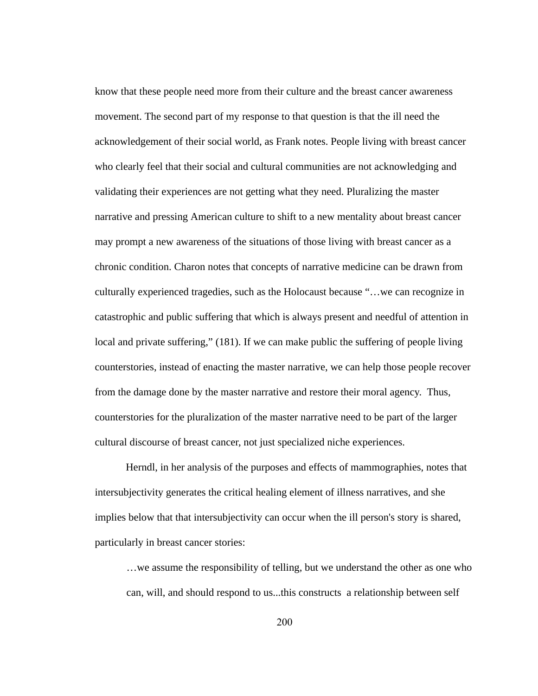know that these people need more from their culture and the breast cancer awareness movement. The second part of my response to that question is that the ill need the acknowledgement of their social world, as Frank notes. People living with breast cancer who clearly feel that their social and cultural communities are not acknowledging and validating their experiences are not getting what they need. Pluralizing the master narrative and pressing American culture to shift to a new mentality about breast cancer may prompt a new awareness of the situations of those living with breast cancer as a chronic condition. Charon notes that concepts of narrative medicine can be drawn from culturally experienced tragedies, such as the Holocaust because "…we can recognize in catastrophic and public suffering that which is always present and needful of attention in local and private suffering," (181). If we can make public the suffering of people living counterstories, instead of enacting the master narrative, we can help those people recover from the damage done by the master narrative and restore their moral agency. Thus, counterstories for the pluralization of the master narrative need to be part of the larger cultural discourse of breast cancer, not just specialized niche experiences.

Herndl, in her analysis of the purposes and effects of mammographies, notes that intersubjectivity generates the critical healing element of illness narratives, and she implies below that that intersubjectivity can occur when the ill person's story is shared, particularly in breast cancer stories:

…we assume the responsibility of telling, but we understand the other as one who can, will, and should respond to us...this constructs a relationship between self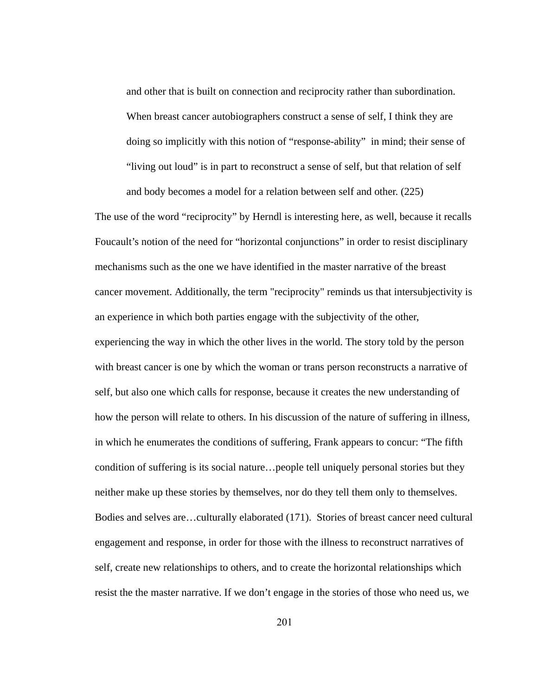and other that is built on connection and reciprocity rather than subordination. When breast cancer autobiographers construct a sense of self, I think they are doing so implicitly with this notion of "response-ability" in mind; their sense of "living out loud" is in part to reconstruct a sense of self, but that relation of self and body becomes a model for a relation between self and other. (225)

The use of the word "reciprocity" by Herndl is interesting here, as well, because it recalls Foucault's notion of the need for "horizontal conjunctions" in order to resist disciplinary mechanisms such as the one we have identified in the master narrative of the breast cancer movement. Additionally, the term "reciprocity" reminds us that intersubjectivity is an experience in which both parties engage with the subjectivity of the other, experiencing the way in which the other lives in the world. The story told by the person with breast cancer is one by which the woman or trans person reconstructs a narrative of self, but also one which calls for response, because it creates the new understanding of how the person will relate to others. In his discussion of the nature of suffering in illness, in which he enumerates the conditions of suffering, Frank appears to concur: "The fifth condition of suffering is its social nature...people tell uniquely personal stories but they neither make up these stories by themselves, nor do they tell them only to themselves. Bodies and selves are...culturally elaborated (171). Stories of breast cancer need cultural engagement and response, in order for those with the illness to reconstruct narratives of self, create new relationships to others, and to create the horizontal relationships which resist the the master narrative. If we don't engage in the stories of those who need us, we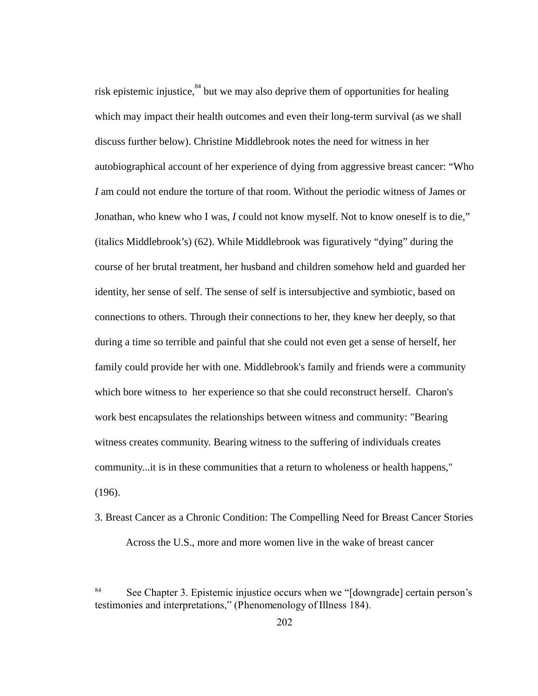risk epistemic injustice,  $84$  but we may also deprive them of opportunities for healing which may impact their health outcomes and even their long-term survival (as we shall discuss further below). Christine Middlebrook notes the need for witness in her autobiographical account of her experience of dying from aggressive breast cancer: "Who *I* am could not endure the torture of that room. Without the periodic witness of James or Jonathan, who knew who I was, I could not know myself. Not to know oneself is to die," (italics Middlebrook's) (62). While Middlebrook was figuratively "dying" during the course of her brutal treatment, her husband and children somehow held and guarded her identity, her sense of self. The sense of self is intersubjective and symbiotic, based on connections to others. Through their connections to her, they knew her deeply, so that during a time so terrible and painful that she could not even get a sense of herself, her family could provide her with one. Middlebrook's family and friends were a community which bore witness to her experience so that she could reconstruct herself. Charon's work best encapsulates the relationships between witness and community: "Bearing witness creates community. Bearing witness to the suffering of individuals creates community...it is in these communities that a return to wholeness or health happens," (196).

3. Breast Cancer as a Chronic Condition: The Compelling Need for Breast Cancer Stories Across the U.S., more and more women live in the wake of breast cancer

<sup>&</sup>lt;sup>84</sup> See Chapter 3. Epistemic injustice occurs when we "[downgrade] certain person's testimonies and interpretations," (PhenomenologyofIllness184).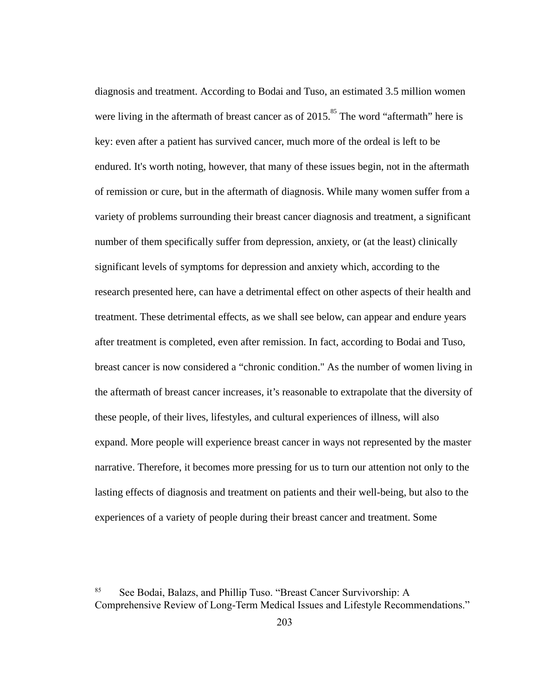diagnosis and treatment. According to Bodai and Tuso, an estimated 3.5 million women were living in the aftermath of breast cancer as of  $2015$ .<sup>85</sup> The word "aftermath" here is key: even after a patient has survived cancer, much more of the ordeal is left to be endured. It's worth noting, however, that many of these issues begin, not in the aftermath of remission or cure, but in the aftermath of diagnosis. While many women suffer from a variety of problems surrounding their breast cancer diagnosis and treatment, a significant number of them specifically suffer from depression, anxiety, or (at the least) clinically significant levels of symptoms for depression and anxiety which, according to the research presented here, can have a detrimental effect on other aspects of their health and treatment. These detrimental effects, as we shall see below, can appear and endure years after treatment is completed, even after remission. In fact, according to Bodai and Tuso, breast cancer is now considered a "chronic condition." As the number of women living in the aftermath of breast cancer increases, it's reasonable to extrapolate that the diversity of these people, of their lives, lifestyles, and cultural experiences of illness, will also expand. More people will experience breast cancer in ways not represented by the master narrative. Therefore, it becomes more pressing for us to turn our attention not only to the lasting effects of diagnosis and treatment on patients and their well-being, but also to the experiences of a variety of people during their breast cancer and treatment. Some

<sup>85</sup> See Bodai, Balazs, and Phillip Tuso. "Breast Cancer Survivorship: A Comprehensive Review of Long-Term Medical Issues and Lifestyle Recommendations."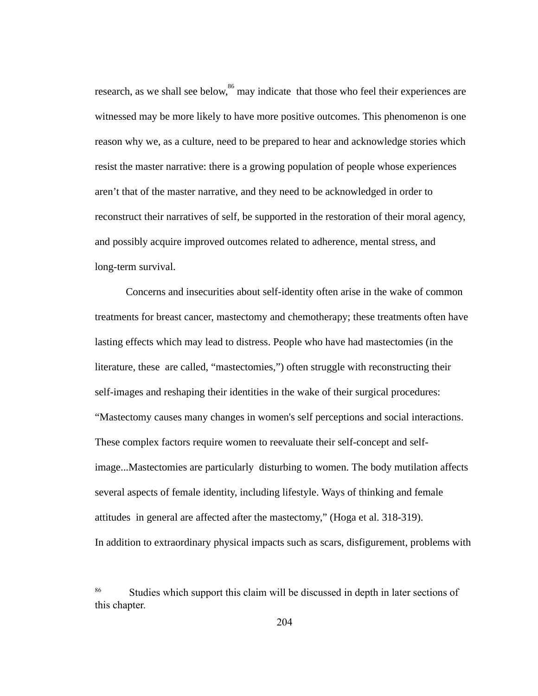research, as we shall see below,  $^{86}$  may indicate that those who feel their experiences are witnessed may be more likely to have more positive outcomes. This phenomenon is one reason why we, as a culture, need to be prepared to hear and acknowledge stories which resist the master narrative: there is a growing population of people whose experiences aren't that of the master narrative, and they need to be acknowledged in order to reconstruct their narratives of self, be supported in the restoration of their moral agency, and possibly acquire improved outcomes related to adherence, mental stress, and long-term survival.

Concerns and insecurities about self-identity often arise in the wake of common treatments for breast cancer, mastectomy and chemotherapy; these treatments often have lasting effects which may lead to distress. People who have had mastectomies (in the literature, these are called, "mastectomies,") often struggle with reconstructing their self-images and reshaping their identities in the wake of their surgical procedures: "Mastectomy causes many changes in women's self perceptions and social interactions. These complex factors require women to reevaluate their self-concept and selfimage...Mastectomies are particularly disturbing to women. The body mutilation affects several aspects of female identity, including lifestyle. Ways of thinking and female attitudes in general are affected after the mastectomy," (Hoga et al. 318-319). In addition to extraordinary physical impacts such as scars, disfigurement, problems with

<sup>86</sup> Studies which support this claim will be discussed in depth in later sections of this chapter.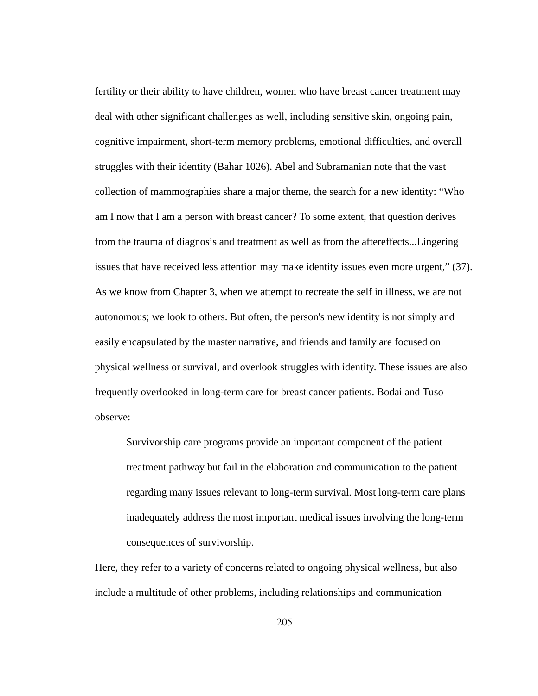fertility or their ability to have children, women who have breast cancer treatment may deal with other significant challenges as well, including sensitive skin, ongoing pain, cognitive impairment, short-term memory problems, emotional difficulties, and overall struggles with their identity (Bahar 1026). Abel and Subramanian note that the vast collection of mammographies share a major theme, the search for a new identity: "Who am I now that I am a person with breast cancer? To some extent, that question derives from the trauma of diagnosis and treatment as well as from the aftereffects...Lingering issues that have received less attention may make identity issues even more urgent," (37). As we know from Chapter 3, when we attempt to recreate the self in illness, we are not autonomous; we look to others. But often, the person's new identity is not simply and easily encapsulated by the master narrative, and friends and family are focused on physical wellness or survival, and overlook struggles with identity. These issues are also frequently overlooked in long-term care for breast cancer patients. Bodai and Tuso observe:

Survivorship care programs provide an important component of the patient treatment pathway but fail in the elaboration and communication to the patient regarding many issues relevant to long-term survival. Most long-term care plans inadequately address the most important medical issues involving the long-term consequences of survivorship.

Here, they refer to a variety of concerns related to ongoing physical wellness, but also include a multitude of other problems, including relationships and communication

205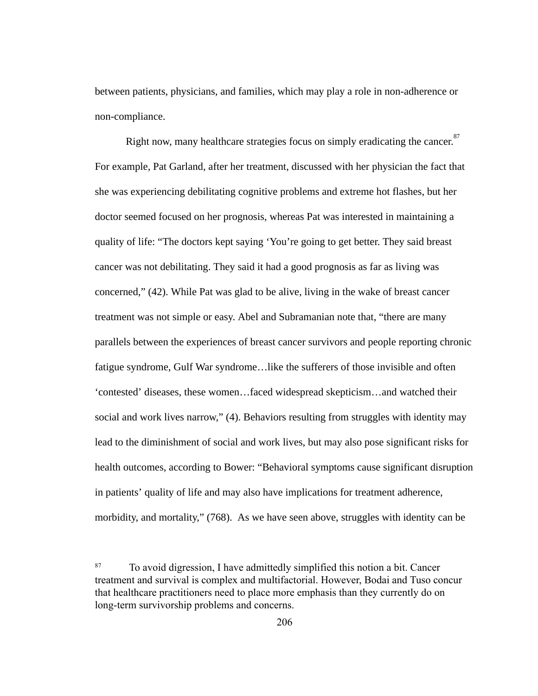between patients, physicians, and families, which may play a role in non-adherence or non-compliance.

Right now, many healthcare strategies focus on simply eradicating the cancer.<sup>87</sup> For example, Pat Garland, after her treatment, discussed with her physician the fact that she was experiencing debilitating cognitive problems and extreme hot flashes, but her doctor seemed focused on her prognosis, whereas Pat was interested in maintaining a quality of life: "The doctors kept saying 'You're going to get better. They said breast cancer was not debilitating. They said it had a good prognosis as far as living was concerned," (42). While Pat was glad to be alive, living in the wake of breast cancer treatment was not simple or easy. Abel and Subramanian note that, "there are many parallels between the experiences of breast cancer survivors and people reporting chronic fatigue syndrome, Gulf War syndrome...like the sufferers of those invisible and often 'contested' diseases, these women…faced widespread skepticism…and watched their social and work lives narrow," (4). Behaviors resulting from struggles with identity may lead to the diminishment of social and work lives, but may also pose significant risks for health outcomes, according to Bower: "Behavioral symptoms cause significant disruption in patients' quality of life and may also have implications for treatment adherence, morbidity, and mortality," (768). As we have seen above, struggles with identity can be

<sup>87</sup> To avoid digression, I have admittedly simplified this notion a bit. Cancer treatment and survival is complex and multifactorial. However, Bodai and Tuso concur that healthcare practitioners need to place more emphasis than they currently do on long-term survivorship problems and concerns.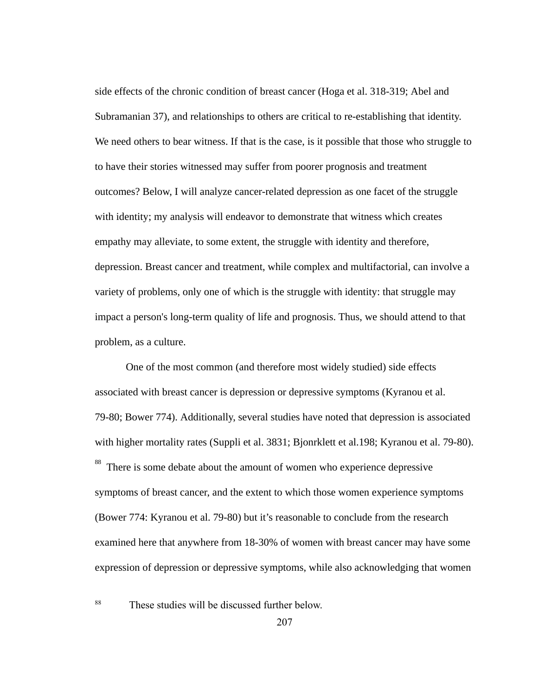side effects of the chronic condition of breast cancer (Hoga et al. 318-319; Abel and Subramanian 37), and relationships to others are critical to re-establishing that identity. We need others to bear witness. If that is the case, is it possible that those who struggle to to have their stories witnessed may suffer from poorer prognosis and treatment outcomes? Below, I will analyze cancer-related depression as one facet of the struggle with identity; my analysis will endeavor to demonstrate that witness which creates empathy may alleviate, to some extent, the struggle with identity and therefore, depression. Breast cancer and treatment, while complex and multifactorial, can involve a variety of problems, only one of which is the struggle with identity: that struggle may impact a person's long-term quality of life and prognosis. Thus, we should attend to that problem, as a culture.

One of the most common (and therefore most widely studied) side effects associated with breast cancer is depression or depressive symptoms (Kyranou et al. 79-80; Bower 774). Additionally, several studies have noted that depression is associated with higher mortality rates (Suppli et al. 3831; Bjonrklett et al. 198; Kyranou et al. 79-80). There is some debate about the amount of women who experience depressive

symptoms of breast cancer, and the extent to which those women experience symptoms (Bower 774: Kyranou et al. 79-80) but it's reasonable to conclude from the research examined here that anywhere from 18-30% of women with breast cancer may have some expression of depression or depressive symptoms, while also acknowledging that women

#### 88

These studies will be discussed further below.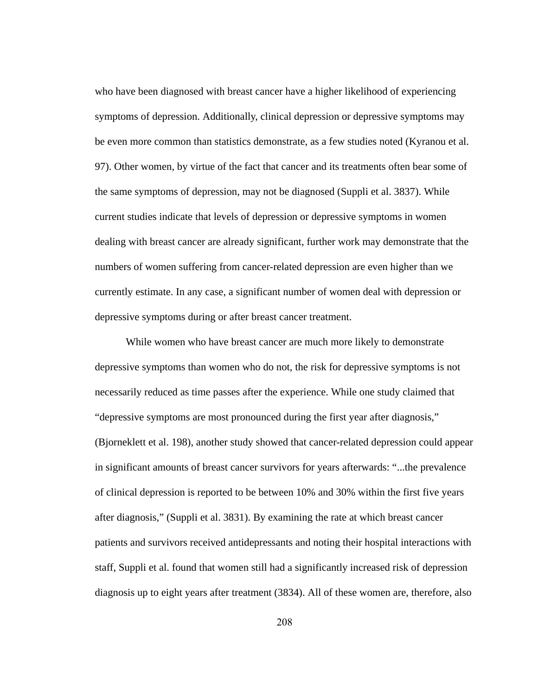who have been diagnosed with breast cancer have a higher likelihood of experiencing symptoms of depression. Additionally, clinical depression or depressive symptoms may be even more common than statistics demonstrate, as a few studies noted (Kyranou et al. 97). Other women, by virtue of the fact that cancer and its treatments often bear some of the same symptoms of depression, may not be diagnosed (Suppli et al. 3837). While current studies indicate that levels of depression or depressive symptoms in women dealing with breast cancer are already significant, further work may demonstrate that the numbers of women suffering from cancer-related depression are even higher than we currently estimate. In any case, a significant number of women deal with depression or depressive symptoms during or after breast cancer treatment.

While women who have breast cancer are much more likely to demonstrate depressive symptoms than women who do not, the risk for depressive symptoms is not necessarily reduced as time passes after the experience. While one study claimed that "depressive symptoms are most pronounced during the first year after diagnosis," (Bjorneklett et al. 198), another study showed that cancer-related depression could appear in significant amounts of breast cancer survivors for years afterwards: "...the prevalence of clinical depression is reported to be between 10% and 30% within the first five years after diagnosis," (Suppli et al. 3831). By examining the rate at which breast cancer patients and survivors received antidepressants and noting their hospital interactions with staff, Suppli et al. found that women still had a significantly increased risk of depression diagnosis up to eight years after treatment (3834). All of these women are, therefore, also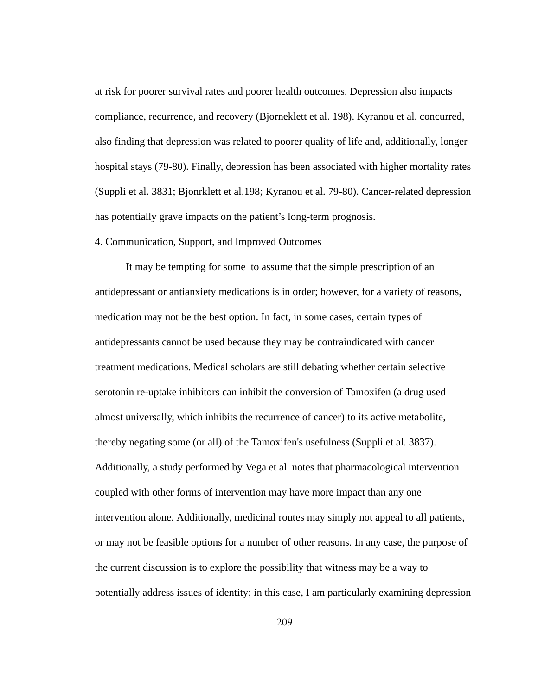at risk for poorer survival rates and poorer health outcomes. Depression also impacts compliance, recurrence, and recovery (Bjorneklett et al. 198). Kyranou et al. concurred, also finding that depression was related to poorer quality of life and, additionally, longer hospital stays (79-80). Finally, depression has been associated with higher mortality rates (Suppli et al. 3831; Bjonrklett et al.198; Kyranou et al. 79-80). Cancer-related depression has potentially grave impacts on the patient's long-term prognosis.

# 4. Communication, Support, and Improved Outcomes

It may be tempting for some to assume that the simple prescription of an antidepressant or antianxiety medications is in order; however, for a variety of reasons, medication may not be the best option. In fact, in some cases, certain types of antidepressants cannot be used because they may be contraindicated with cancer treatment medications. Medical scholars are still debating whether certain selective serotonin re-uptake inhibitors can inhibit the conversion of Tamoxifen (a drug used almost universally, which inhibits the recurrence of cancer) to its active metabolite, thereby negating some (or all) of the Tamoxifen's usefulness (Suppli et al. 3837). Additionally, a study performed by Vega et al. notes that pharmacological intervention coupled with other forms of intervention may have more impact than any one intervention alone. Additionally, medicinal routes may simply not appeal to all patients, or may not be feasible options for a number of other reasons. In any case, the purpose of the current discussion is to explore the possibility that witness may be a way to potentially address issues of identity; in this case, I am particularly examining depression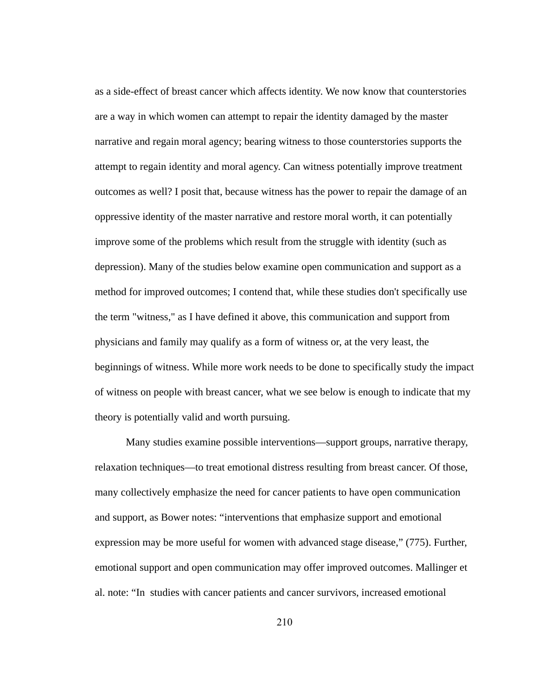as a side-effect of breast cancer which affects identity. We now know that counterstories are a way in which women can attempt to repair the identity damaged by the master narrative and regain moral agency; bearing witness to those counterstories supports the attempt to regain identity and moral agency. Can witness potentially improve treatment outcomes as well? I posit that, because witness has the power to repair the damage of an oppressive identity of the master narrative and restore moral worth, it can potentially improve some of the problems which result from the struggle with identity (such as depression). Many of the studies below examine open communication and support as a method for improved outcomes; I contend that, while these studies don't specifically use the term "witness," as I have defined it above, this communication and support from physicians and family may qualify as a form of witness or, at the very least, the beginnings of witness. While more work needs to be done to specifically study the impact of witness on people with breast cancer, what we see below is enough to indicate that my theory is potentially valid and worth pursuing.

Many studies examine possible interventions—support groups, narrative therapy, relaxation techniques—to treat emotional distress resulting from breast cancer. Of those, many collectively emphasize the need for cancer patients to have open communication and support, as Bower notes: "interventions that emphasize support and emotional expression may be more useful for women with advanced stage disease," (775). Further, emotional support and open communication may offer improved outcomes. Mallinger et al. note: "In studies with cancer patients and cancer survivors, increased emotional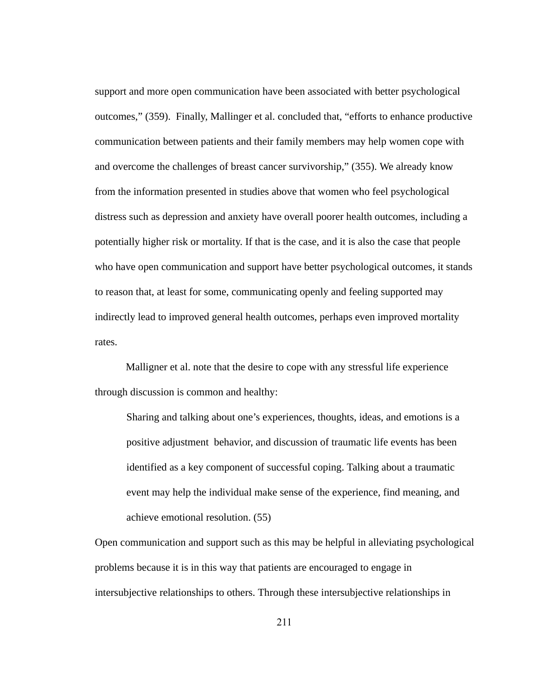support and more open communication have been associated with better psychological outcomes," (359). Finally, Mallinger et al. concluded that, "efforts to enhance productive communication between patients and their family members may help women cope with and overcome the challenges of breast cancer survivorship," (355). We already know from the information presented in studies above that women who feel psychological distress such as depression and anxiety have overall poorer health outcomes, including a potentially higher risk or mortality. If that is the case, and it is also the case that people who have open communication and support have better psychological outcomes, it stands to reason that, at least for some, communicating openly and feeling supported may indirectly lead to improved general health outcomes, perhaps even improved mortality rates.

Malligner et al. note that the desire to cope with any stressful life experience through discussion is common and healthy:

Sharing and talking about one's experiences, thoughts, ideas, and emotions is a positive adjustment behavior, and discussion of traumatic life events has been identified as a key component of successful coping. Talking about a traumatic event may help the individual make sense of the experience, find meaning, and achieve emotional resolution. (55)

Open communication and support such as this may be helpful in alleviating psychological problems because it is in this way that patients are encouraged to engage in intersubjective relationships to others. Through these intersubjective relationships in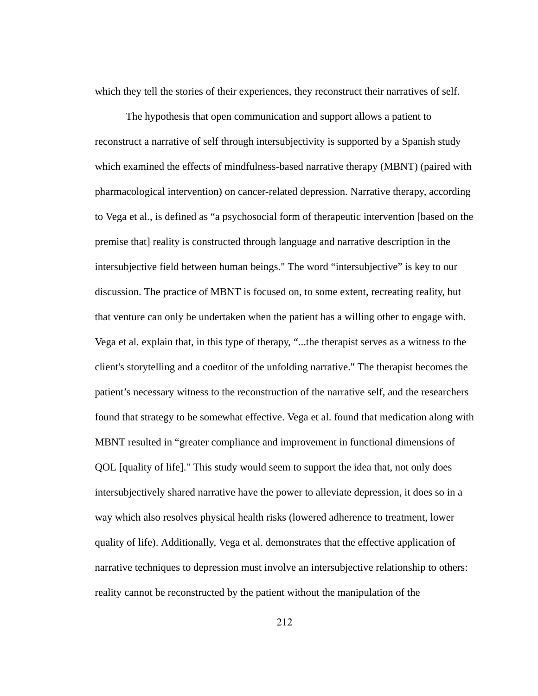which they tell the stories of their experiences, they reconstruct their narratives of self.

The hypothesis that open communication and support allows a patient to reconstruct a narrative of self through intersubjectivity is supported by a Spanish study which examined the effects of mindfulness-based narrative therapy (MBNT) (paired with pharmacological intervention) on cancer-related depression. Narrative therapy, according to Vega et al., is defined as "a psychosocial form of therapeutic intervention [based on the premise that] reality is constructed through language and narrative description in the intersubjective field between human beings." The word "intersubjective" is key to our discussion. The practice of MBNT is focused on, to some extent, recreating reality, but that venture can only be undertaken when the patient has a willing other to engage with. Vega et al. explain that, in this type of therapy, "...the therapist serves as a witness to the client's storytelling and a coeditor of the unfolding narrative." The therapist becomes the patient's necessary witness to the reconstruction of the narrative self, and the researchers found that strategy to be somewhat effective. Vega et al. found that medication along with MBNT resulted in "greater compliance and improvement in functional dimensions of QOL [quality of life]." This study would seem to support the idea that, not only does intersubjectively shared narrative have the power to alleviate depression, it does so in a way which also resolves physical health risks (lowered adherence to treatment, lower quality of life). Additionally, Vega et al. demonstrates that the effective application of narrative techniques to depression must involve an intersubjective relationship to others: reality cannot be reconstructed by the patient without the manipulation of the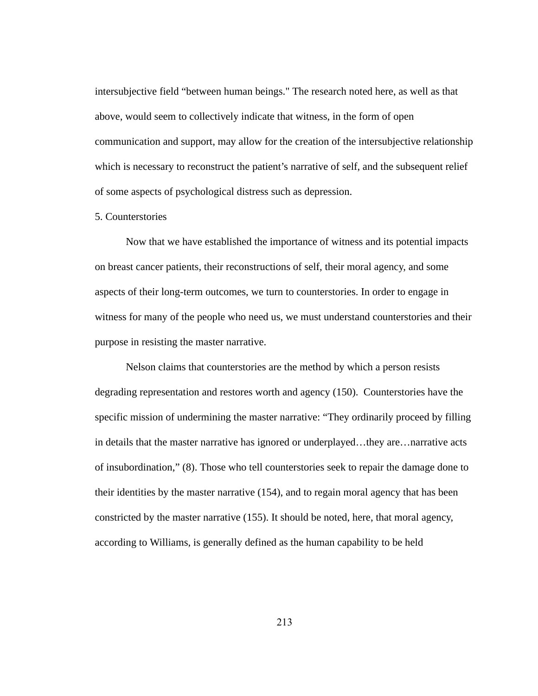intersubjective field "between human beings." The research noted here, as well as that above, would seem to collectively indicate that witness, in the form of open communication and support, may allow for the creation of the intersubjective relationship which is necessary to reconstruct the patient's narrative of self, and the subsequent relief of some aspects of psychological distress such as depression.

### 5. Counterstories

Now that we have established the importance of witness and its potential impacts on breast cancer patients, their reconstructions of self, their moral agency, and some aspects of their long-term outcomes, we turn to counterstories. In order to engage in witness for many of the people who need us, we must understand counterstories and their purpose in resisting the master narrative.

Nelson claims that counterstories are the method by which a person resists degrading representation and restores worth and agency (150). Counterstories have the specific mission of undermining the master narrative: "They ordinarily proceed by filling in details that the master narrative has ignored or underplayed...they are...narrative acts of insubordination," (8). Those who tell counterstories seek to repair the damage done to their identities by the master narrative (154), and to regain moral agency that has been constricted by the master narrative (155). It should be noted, here, that moral agency, according to Williams, is generally defined as the human capability to be held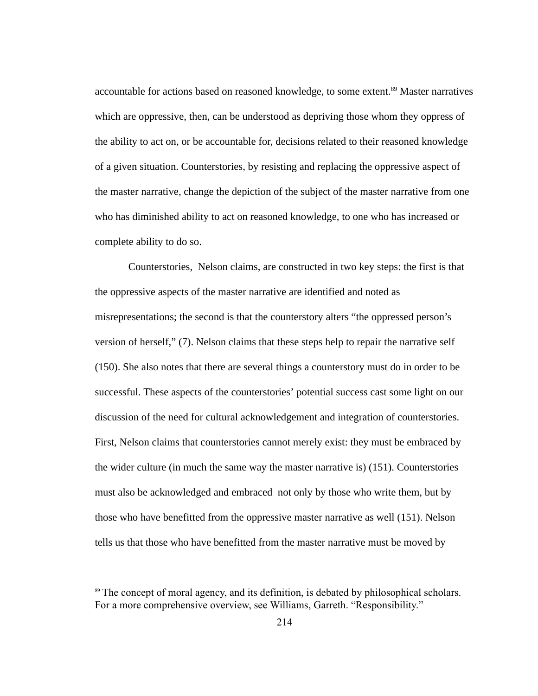accountable for actions based on reasoned knowledge, to some extent.<sup>89</sup> Master narratives which are oppressive, then, can be understood as depriving those whom they oppress of the ability to act on, or be accountable for, decisions related to their reasoned knowledge of a given situation. Counterstories, by resisting and replacing the oppressive aspect of the master narrative, change the depiction of the subject of the master narrative from one who has diminished ability to act on reasoned knowledge, to one who has increased or complete ability to do so.

Counterstories, Nelson claims, are constructed in two key steps: the first is that the oppressive aspects of the master narrative are identified and noted as misrepresentations; the second is that the counterstory alters "the oppressed person's version of herself," (7). Nelson claims that these steps help to repair the narrative self (150). She also notes that there are several things a counterstory must do in order to be successful. These aspects of the counterstories' potential success cast some light on our discussion of the need for cultural acknowledgement and integration of counterstories. First, Nelson claims that counterstories cannot merely exist: they must be embraced by the wider culture (in much the same way the master narrative is) (151). Counterstories must also be acknowledged and embraced not only by those who write them, but by those who have benefitted from the oppressive master narrative as well (151). Nelson tells us that those who have benefitted from the master narrative must be moved by

<sup>&</sup>lt;sup>89</sup> The concept of moral agency, and its definition, is debated by philosophical scholars. For a more comprehensive overview, see Williams, Garreth. "Responsibility."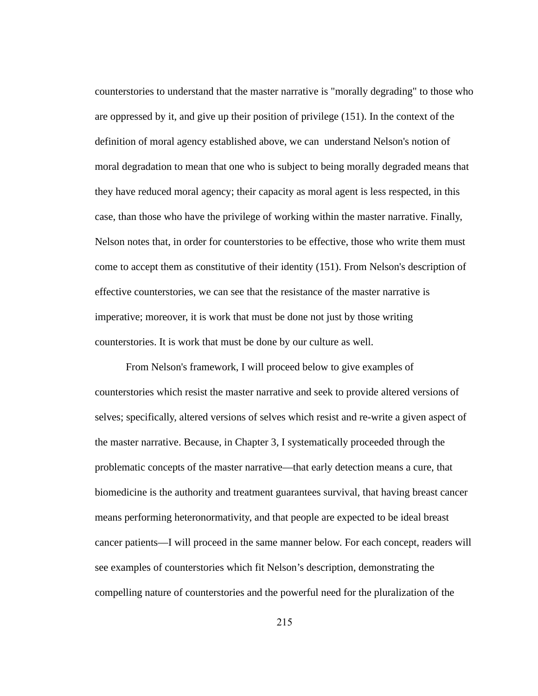counterstories to understand that the master narrative is "morally degrading" to those who are oppressed by it, and give up their position of privilege (151). In the context of the definition of moral agency established above, we can understand Nelson's notion of moral degradation to mean that one who is subject to being morally degraded means that they have reduced moral agency; their capacity as moral agent is less respected, in this case, than those who have the privilege of working within the master narrative. Finally, Nelson notes that, in order for counterstories to be effective, those who write them must come to accept them as constitutive of their identity (151). From Nelson's description of effective counterstories, we can see that the resistance of the master narrative is imperative; moreover, it is work that must be done not just by those writing counterstories. It is work that must be done by our culture as well.

From Nelson's framework, I will proceed below to give examples of counterstories which resist the master narrative and seek to provide altered versions of selves; specifically, altered versions of selves which resist and re-write a given aspect of the master narrative. Because, in Chapter 3, I systematically proceeded through the problematic concepts of the master narrative—that early detection means a cure, that biomedicine is the authority and treatment guarantees survival, that having breast cancer means performing heteronormativity, and that people are expected to be ideal breast cancer patients—I will proceed in the same manner below. For each concept, readers will see examples of counterstories which fit Nelson's description, demonstrating the compelling nature of counterstories and the powerful need for the pluralization of the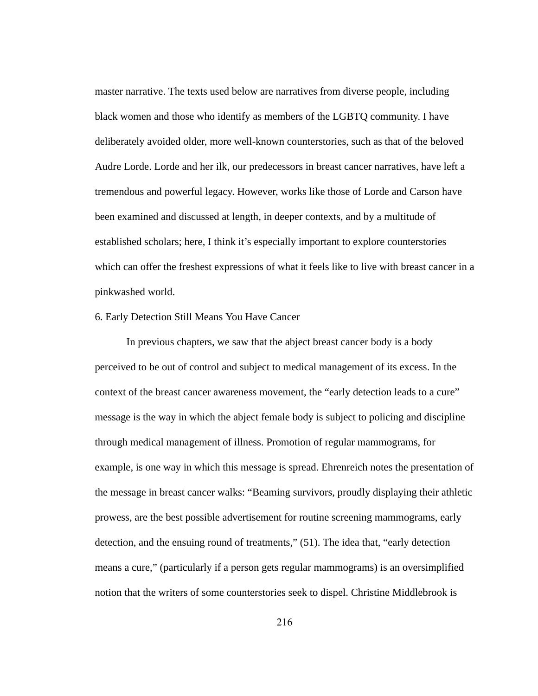master narrative. The texts used below are narratives from diverse people, including black women and those who identify as members of the LGBTQ community. I have deliberately avoided older, more well-known counterstories, such as that of the beloved Audre Lorde. Lorde and her ilk, our predecessors in breast cancer narratives, have left a tremendous and powerful legacy. However, works like those of Lorde and Carson have been examined and discussed at length, in deeper contexts, and by a multitude of established scholars; here, I think it's especially important to explore counterstories which can offer the freshest expressions of what it feels like to live with breast cancer in a pinkwashed world.

# 6. Early Detection Still Means You Have Cancer

In previous chapters, we saw that the abject breast cancer body is a body perceived to be out of control and subject to medical management of its excess. In the context of the breast cancer awareness movement, the "early detection leads to a cure" message is the way in which the abject female body is subject to policing and discipline through medical management of illness. Promotion of regular mammograms, for example, is one way in which this message is spread. Ehrenreich notes the presentation of the message in breast cancer walks: "Beaming survivors, proudly displaying their athletic prowess, are the best possible advertisement for routine screening mammograms, early detection, and the ensuing round of treatments," (51). The idea that, "early detection means a cure," (particularly if a person gets regular mammograms) is an oversimplified notion that the writers of some counterstories seek to dispel. Christine Middlebrook is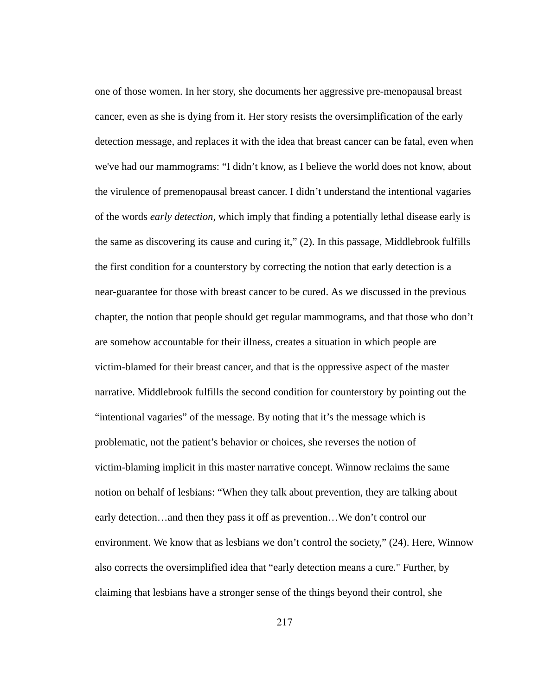one of those women. In her story, she documents her aggressive pre-menopausal breast cancer, even as she is dying from it. Her story resists the oversimplification of the early detection message, and replaces it with the idea that breast cancer can be fatal, even when we've had our mammograms: "I didn't know, as I believe the world does not know, about the virulence of premenopausal breast cancer. I didn't understand the intentional vagaries of the words *early detection,* which imply that finding a potentially lethal disease early is the same as discovering its cause and curing it," (2). In this passage, Middlebrook fulfills the first condition for a counterstory by correcting the notion that early detection is a near-guarantee for those with breast cancer to be cured. As we discussed in the previous chapter, the notion that people should get regular mammograms, and that those who don't are somehow accountable for their illness, creates a situation in which people are victim-blamed for their breast cancer, and that is the oppressive aspect of the master narrative. Middlebrook fulfills the second condition for counterstory by pointing out the "intentional vagaries" of the message. By noting that it's the message which is problematic, not the patient's behavior or choices, she reverses the notion of victim-blaming implicit in this master narrative concept. Winnow reclaims the same notion on behalf of lesbians: "When they talk about prevention, they are talking about early detection...and then they pass it off as prevention...We don't control our environment. We know that as lesbians we don't control the society," (24). Here, Winnow also corrects the oversimplified idea that "early detection means a cure." Further, by claiming that lesbians have a stronger sense of the things beyond their control, she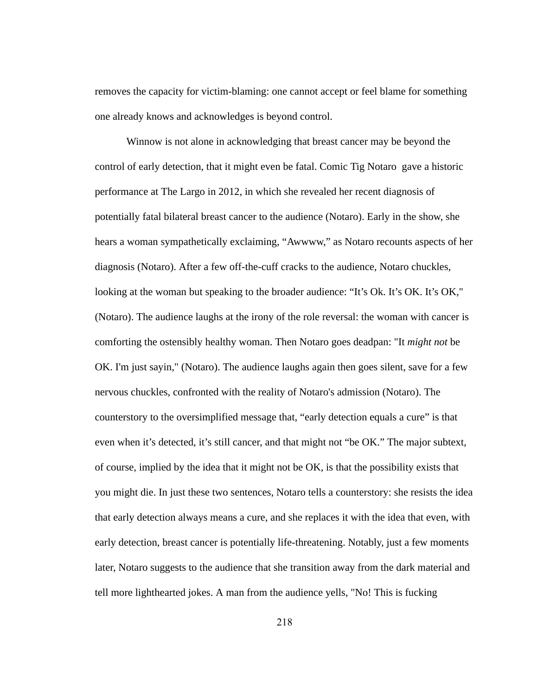removes the capacity for victim-blaming: one cannot accept or feel blame for something one already knows and acknowledges is beyond control.

Winnow is not alone in acknowledging that breast cancer may be beyond the control of early detection, that it might even be fatal. Comic Tig Notaro gave a historic performance at The Largo in 2012, in which she revealed her recent diagnosis of potentially fatal bilateral breast cancer to the audience (Notaro). Early in the show, she hears a woman sympathetically exclaiming, "Awwww," as Notaro recounts aspects of her diagnosis (Notaro). After a few off-the-cuff cracks to the audience, Notaro chuckles, looking at the woman but speaking to the broader audience: "It's Ok. It's OK. It's OK," (Notaro). The audience laughs at the irony of the role reversal: the woman with cancer is comforting the ostensibly healthy woman. Then Notaro goes deadpan: "It *might not* be OK. I'm just sayin," (Notaro). The audience laughs again then goes silent, save for a few nervous chuckles, confronted with the reality of Notaro's admission (Notaro). The counterstory to the oversimplified message that, "early detection equals a cure" is that even when it's detected, it's still cancer, and that might not "be OK." The major subtext, of course, implied by the idea that it might not be OK, is that the possibility exists that you might die. In just these two sentences, Notaro tells a counterstory: she resists the idea that early detection always means a cure, and she replaces it with the idea that even, with early detection, breast cancer is potentially life-threatening. Notably, just a few moments later, Notaro suggests to the audience that she transition away from the dark material and tell more lighthearted jokes. A man from the audience yells, "No! This is fucking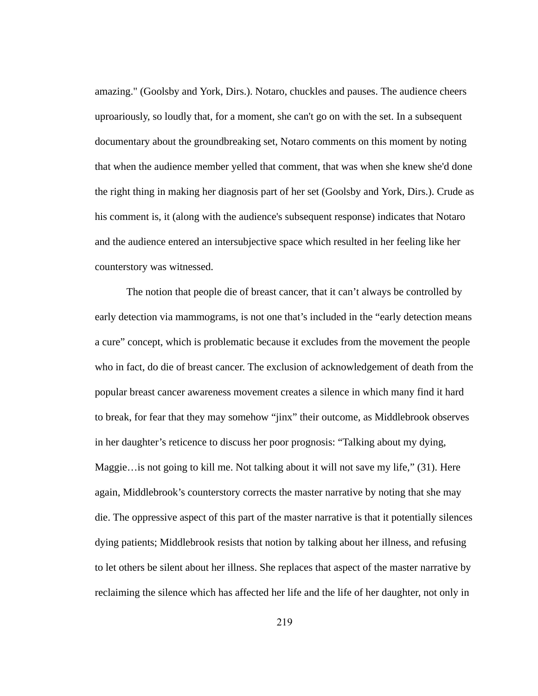amazing." (Goolsby and York, Dirs.). Notaro, chuckles and pauses. The audience cheers uproariously, so loudly that, for a moment, she can't go on with the set. In a subsequent documentary about the groundbreaking set, Notaro comments on this moment by noting that when the audience member yelled that comment, that was when she knew she'd done the right thing in making her diagnosis part of her set (Goolsby and York, Dirs.). Crude as his comment is, it (along with the audience's subsequent response) indicates that Notaro and the audience entered an intersubjective space which resulted in her feeling like her counterstory was witnessed.

The notion that people die of breast cancer, that it can't always be controlled by early detection via mammograms, is not one that's included in the "early detection means a cure" concept, which is problematic because it excludes from the movement the people who in fact, do die of breast cancer. The exclusion of acknowledgement of death from the popular breast cancer awareness movement creates a silence in which many find it hard to break, for fear that they may somehow "jinx" their outcome, as Middlebrook observes in her daughter's reticence to discuss her poor prognosis: "Talking about my dying, Maggie... is not going to kill me. Not talking about it will not save my life," (31). Here again, Middlebrook's counterstory corrects the master narrative by noting that she may die. The oppressive aspect of this part of the master narrative is that it potentially silences dying patients; Middlebrook resists that notion by talking about her illness, and refusing to let others be silent about her illness. She replaces that aspect of the master narrative by reclaiming the silence which has affected her life and the life of her daughter, not only in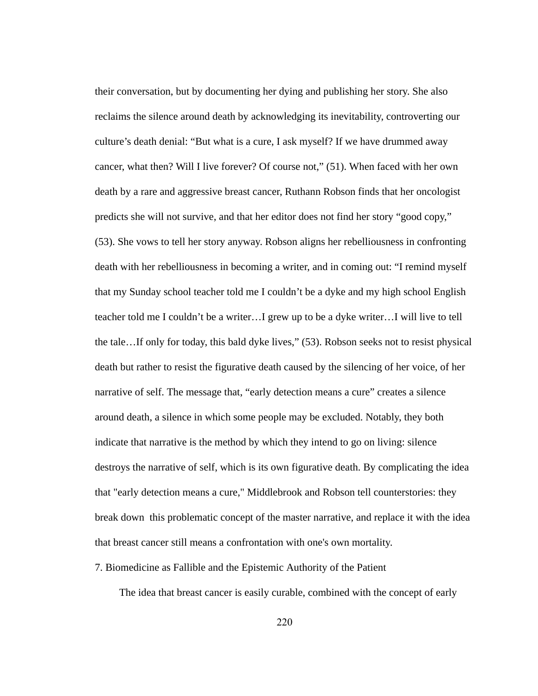their conversation, but by documenting her dying and publishing her story. She also reclaims the silence around death by acknowledging its inevitability, controverting our culture's death denial: "But what is a cure, I ask myself? If we have drummed away cancer, what then? Will I live forever? Of course not," (51). When faced with her own death by a rare and aggressive breast cancer, Ruthann Robson finds that her oncologist predicts she will not survive, and that her editor does not find her story "good copy," (53). She vows to tell her story anyway. Robson aligns her rebelliousness in confronting death with her rebelliousness in becoming a writer, and in coming out: "I remind myself that my Sunday school teacher told me I couldn't be a dyke and my high school English teacher told me I couldn't be a writer…I grew up to be a dyke writer…I will live to tell the tale…If only for today, this bald dyke lives," (53). Robson seeks not to resist physical death but rather to resist the figurative death caused by the silencing of her voice, of her narrative of self. The message that, "early detection means a cure" creates a silence around death, a silence in which some people may be excluded. Notably, they both indicate that narrative is the method by which they intend to go on living: silence destroys the narrative of self, which is its own figurative death. By complicating the idea that "early detection means a cure," Middlebrook and Robson tell counterstories: they break down this problematic concept of the master narrative, and replace it with the idea that breast cancer still means a confrontation with one's own mortality.

# 7. Biomedicine as Fallible and the Epistemic Authority of the Patient

The idea that breast cancer is easily curable, combined with the concept of early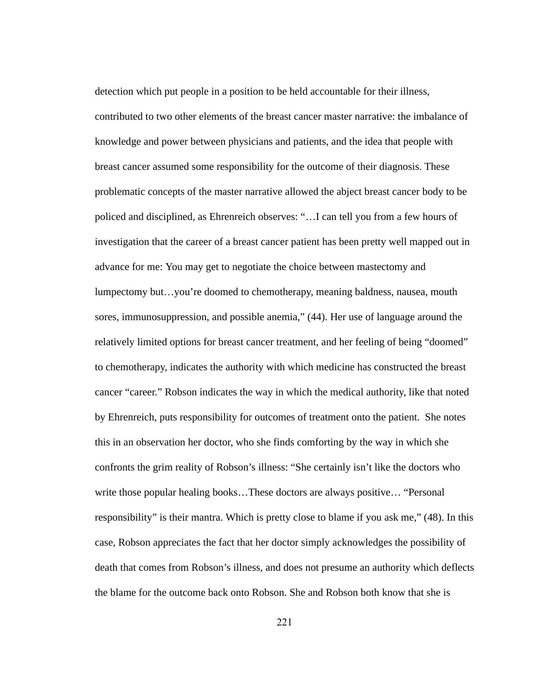detection which put people in a position to be held accountable for their illness, contributed to two other elements of the breast cancer master narrative: the imbalance of knowledge and power between physicians and patients, and the idea that people with breast cancer assumed some responsibility for the outcome of their diagnosis. These problematic concepts of the master narrative allowed the abject breast cancer body to be policed and disciplined, as Ehrenreich observes: "…I can tell you from a few hours of investigation that the career of a breast cancer patient has been pretty well mapped out in advance for me: You may get to negotiate the choice between mastectomy and lumpectomy but…you're doomed to chemotherapy, meaning baldness, nausea, mouth sores, immunosuppression, and possible anemia," (44). Her use of language around the relatively limited options for breast cancer treatment, and her feeling of being "doomed" to chemotherapy, indicates the authority with which medicine has constructed the breast cancer "career." Robson indicates the way in which the medical authority, like that noted by Ehrenreich, puts responsibility for outcomes of treatment onto the patient. She notes this in an observation her doctor, who she finds comforting by the way in which she confronts the grim reality of Robson's illness: "She certainly isn't like the doctors who write those popular healing books...These doctors are always positive... "Personal responsibility" is their mantra. Which is pretty close to blame if you ask me," (48). In this case, Robson appreciates the fact that her doctor simply acknowledges the possibility of death that comes from Robson's illness, and does not presume an authority which deflects the blame for the outcome back onto Robson. She and Robson both know that she is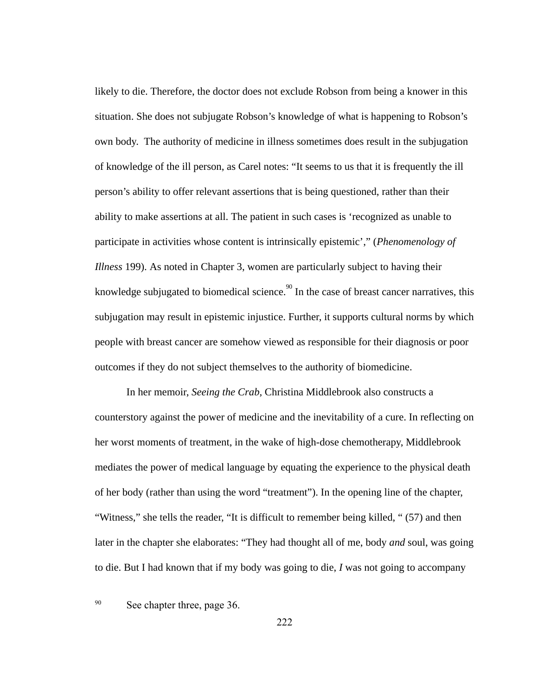likely to die. Therefore, the doctor does not exclude Robson from being a knower in this situation. She does not subjugate Robson's knowledge of what is happening to Robson's own body. The authority of medicine in illness sometimes does result in the subjugation of knowledge of the ill person, as Carel notes: "It seems to us that it is frequently the ill person's ability to offer relevant assertions that is being questioned, rather than their ability to make assertions at all. The patient in such cases is 'recognized as unable to participate in activities whose content is intrinsically epistemic'," ( *Phenomenology of Illness* 199). As noted in Chapter 3, women are particularly subject to having their knowledge subjugated to biomedical science.<sup>90</sup> In the case of breast cancer narratives, this subjugation may result in epistemic injustice. Further, it supports cultural norms by which people with breast cancer are somehow viewed as responsible for their diagnosis or poor outcomes if they do not subject themselves to the authority of biomedicine.

In her memoir, *Seeing the Crab,* Christina Middlebrook also constructs a counterstory against the power of medicine and the inevitability of a cure. In reflecting on her worst moments of treatment, in the wake of high-dose chemotherapy, Middlebrook mediates the power of medical language by equating the experience to the physical death of her body (rather than using the word "treatment"). In the opening line of the chapter, "Witness," she tells the reader, "It is difficult to remember being killed, " (57) and then later in the chapter she elaborates: "They had thought all of me, body *and* soul, was going to die. But I had known that if my body was going to die, *I* was not going to accompany

# <sup>90</sup> See chapter three, page 36.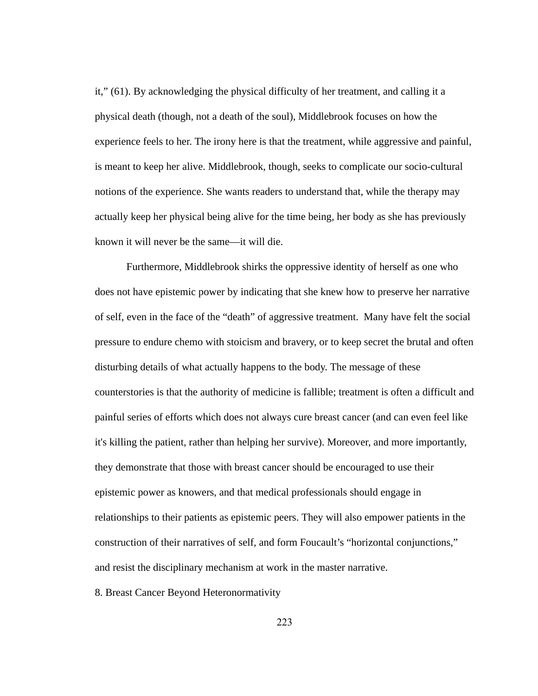it," (61). By acknowledging the physical difficulty of her treatment, and calling it a physical death (though, not a death of the soul), Middlebrook focuses on how the experience feels to her. The irony here is that the treatment, while aggressive and painful, is meant to keep her alive. Middlebrook, though, seeks to complicate our socio-cultural notions of the experience. She wants readers to understand that, while the therapy may actually keep her physical being alive for the time being, her body as she has previously known it will never be the same—it will die.

Furthermore, Middlebrook shirks the oppressive identity of herself as one who does not have epistemic power by indicating that she knew how to preserve her narrative of self, even in the face of the "death" of aggressive treatment. Many have felt the social pressure to endure chemo with stoicism and bravery, or to keep secret the brutal and often disturbing details of what actually happens to the body. The message of these counterstories is that the authority of medicine is fallible; treatment is often a difficult and painful series of efforts which does not always cure breast cancer (and can even feel like it's killing the patient, rather than helping her survive). Moreover, and more importantly, they demonstrate that those with breast cancer should be encouraged to use their epistemic power as knowers, and that medical professionals should engage in relationships to their patients as epistemic peers. They will also empower patients in the construction of their narratives of self, and form Foucault's "horizontal conjunctions," and resist the disciplinary mechanism at work in the master narrative.

8. Breast Cancer Beyond Heteronormativity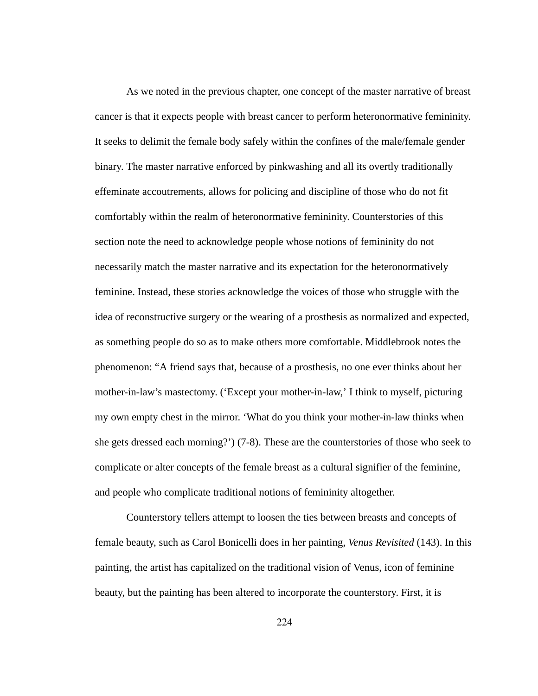As we noted in the previous chapter, one concept of the master narrative of breast cancer is that it expects people with breast cancer to perform heteronormative femininity. It seeks to delimit the female body safely within the confines of the male/female gender binary. The master narrative enforced by pinkwashing and all its overtly traditionally effeminate accoutrements, allows for policing and discipline of those who do not fit comfortably within the realm of heteronormative femininity. Counterstories of this section note the need to acknowledge people whose notions of femininity do not necessarily match the master narrative and its expectation for the heteronormatively feminine. Instead, these stories acknowledge the voices of those who struggle with the idea of reconstructive surgery or the wearing of a prosthesis as normalized and expected, as something people do so as to make others more comfortable. Middlebrook notes the phenomenon: "A friend says that, because of a prosthesis, no one ever thinks about her mother-in-law's mastectomy. ('Except your mother-in-law,' I think to myself, picturing my own empty chest in the mirror. 'What do you think your mother-in-law thinks when she gets dressed each morning?') (7-8). These are the counterstories of those who seek to complicate or alter concepts of the female breast as a cultural signifier of the feminine, and people who complicate traditional notions of femininity altogether.

Counterstory tellers attempt to loosen the ties between breasts and concepts of female beauty, such as Carol Bonicelli does in her painting, *Venus Revisited*  (143). In this painting, the artist has capitalized on the traditional vision of Venus, icon of feminine beauty, but the painting has been altered to incorporate the counterstory. First, it is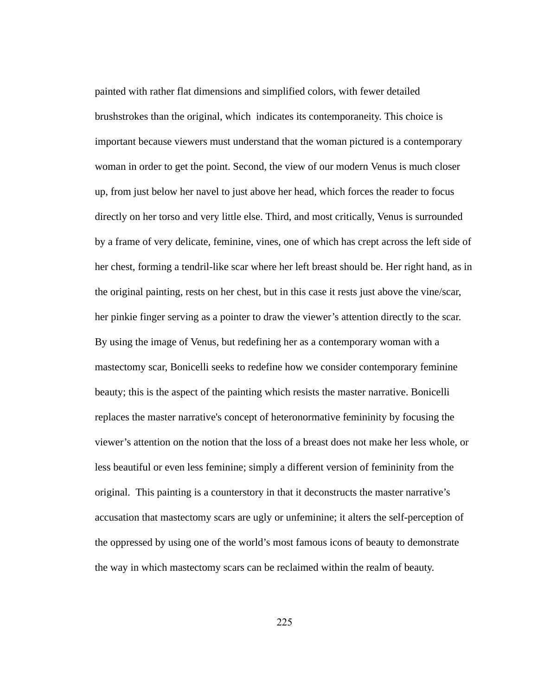painted with rather flat dimensions and simplified colors, with fewer detailed brushstrokes than the original, which indicates its contemporaneity. This choice is important because viewers must understand that the woman pictured is a contemporary woman in order to get the point. Second, the view of our modern Venus is much closer up, from just below her navel to just above her head, which forces the reader to focus directly on her torso and very little else. Third, and most critically, Venus is surrounded by a frame of very delicate, feminine, vines, one of which has crept across the left side of her chest, forming a tendril-like scar where her left breast should be. Her right hand, as in the original painting, rests on her chest, but in this case it rests just above the vine/scar, her pinkie finger serving as a pointer to draw the viewer's attention directly to the scar. By using the image of Venus, but redefining her as a contemporary woman with a mastectomy scar, Bonicelli seeks to redefine how we consider contemporary feminine beauty; this is the aspect of the painting which resists the master narrative. Bonicelli replaces the master narrative's concept of heteronormative femininity by focusing the viewer's attention on the notion that the loss of a breast does not make her less whole, or less beautiful or even less feminine; simply a different version of femininity from the original. This painting is a counterstory in that it deconstructs the master narrative's accusation that mastectomy scars are ugly or unfeminine; it alters the self-perception of the oppressed by using one of the world's most famous icons of beauty to demonstrate the way in which mastectomy scars can be reclaimed within the realm of beauty.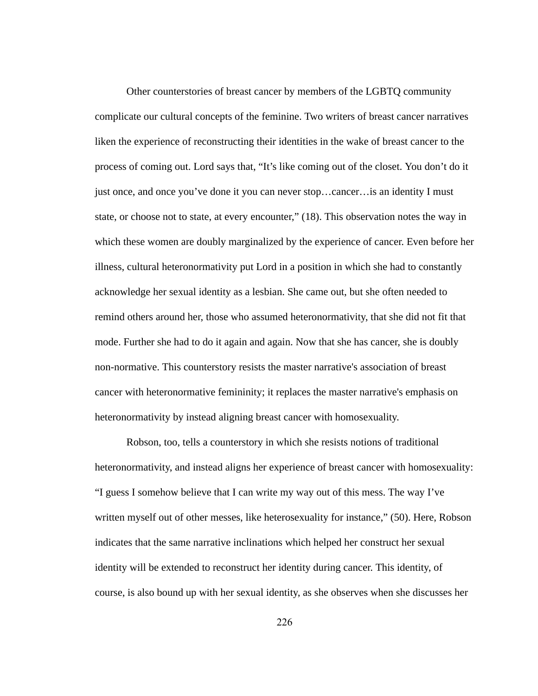Other counterstories of breast cancer by members of the LGBTQ community complicate our cultural concepts of the feminine. Two writers of breast cancer narratives liken the experience of reconstructing their identities in the wake of breast cancer to the process of coming out. Lord says that, "It's like coming out of the closet. You don't do it just once, and once you've done it you can never stop...cancer... is an identity I must state, or choose not to state, at every encounter," (18). This observation notes the way in which these women are doubly marginalized by the experience of cancer. Even before her illness, cultural heteronormativity put Lord in a position in which she had to constantly acknowledge her sexual identity as a lesbian. She came out, but she often needed to remind others around her, those who assumed heteronormativity, that she did not fit that mode. Further she had to do it again and again. Now that she has cancer, she is doubly non-normative. This counterstory resists the master narrative's association of breast cancer with heteronormative femininity; it replaces the master narrative's emphasis on heteronormativity by instead aligning breast cancer with homosexuality.

Robson, too, tells a counterstory in which she resists notions of traditional heteronormativity, and instead aligns her experience of breast cancer with homosexuality: "I guess I somehow believe that I can write my way out of this mess. The way I've written myself out of other messes, like heterosexuality for instance," (50). Here, Robson indicates that the same narrative inclinations which helped her construct her sexual identity will be extended to reconstruct her identity during cancer. This identity, of course, is also bound up with her sexual identity, as she observes when she discusses her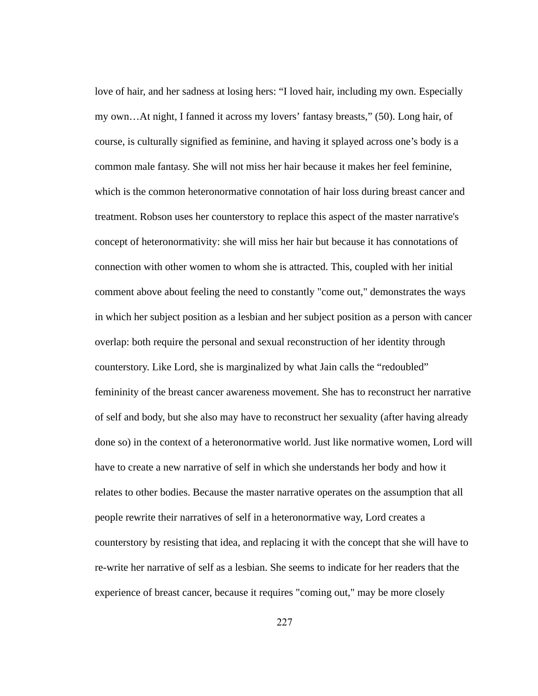love of hair, and her sadness at losing hers: "I loved hair, including my own. Especially my own…At night, I fanned it across my lovers' fantasy breasts," (50). Long hair, of course, is culturally signified as feminine, and having it splayed across one's body is a common male fantasy. She will not miss her hair because it makes her feel feminine, which is the common heteronormative connotation of hair loss during breast cancer and treatment. Robson uses her counterstory to replace this aspect of the master narrative's concept of heteronormativity: she will miss her hair but because it has connotations of connection with other women to whom she is attracted. This, coupled with her initial comment above about feeling the need to constantly "come out," demonstrates the ways in which her subject position as a lesbian and her subject position as a person with cancer overlap: both require the personal and sexual reconstruction of her identity through counterstory. Like Lord, she is marginalized by what Jain calls the "redoubled" femininity of the breast cancer awareness movement. She has to reconstruct her narrative of self and body, but she also may have to reconstruct her sexuality (after having already done so) in the context of a heteronormative world. Just like normative women, Lord will have to create a new narrative of self in which she understands her body and how it relates to other bodies. Because the master narrative operates on the assumption that all people rewrite their narratives of self in a heteronormative way, Lord creates a counterstory by resisting that idea, and replacing it with the concept that she will have to re-write her narrative of self as a lesbian. She seems to indicate for her readers that the experience of breast cancer, because it requires "coming out," may be more closely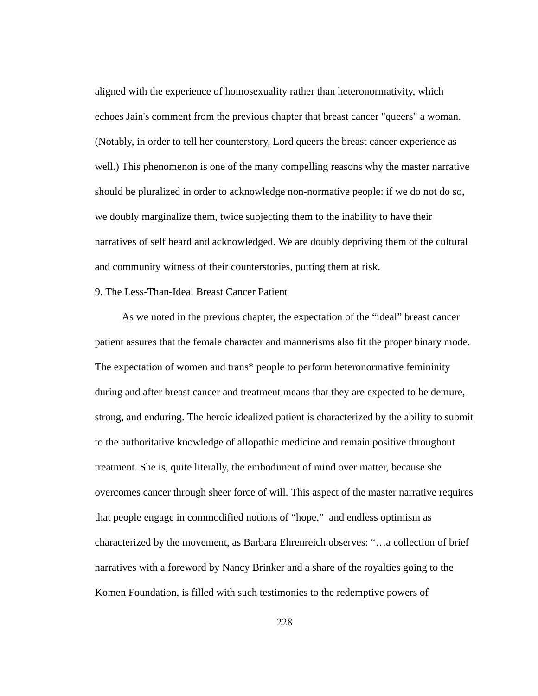aligned with the experience of homosexuality rather than heteronormativity, which echoes Jain's comment from the previous chapter that breast cancer "queers" a woman. (Notably, in order to tell her counterstory, Lord queers the breast cancer experience as well.) This phenomenon is one of the many compelling reasons why the master narrative should be pluralized in order to acknowledge non-normative people: if we do not do so, we doubly marginalize them, twice subjecting them to the inability to have their narratives of self heard and acknowledged. We are doubly depriving them of the cultural and community witness of their counterstories, putting them at risk.

# 9. The Less-Than-Ideal Breast Cancer Patient

 As we noted in the previous chapter, the expectation of the "ideal" breast cancer patient assures that the female character and mannerisms also fit the proper binary mode. The expectation of women and trans\* people to perform heteronormative femininity during and after breast cancer and treatment means that they are expected to be demure, strong, and enduring. The heroic idealized patient is characterized by the ability to submit to the authoritative knowledge of allopathic medicine and remain positive throughout treatment. She is, quite literally, the embodiment of mind over matter, because she overcomes cancer through sheer force of will. This aspect of the master narrative requires that people engage in commodified notions of "hope," and endless optimism as characterized by the movement, as Barbara Ehrenreich observes: "…a collection of brief narratives with a foreword by Nancy Brinker and a share of the royalties going to the Komen Foundation, is filled with such testimonies to the redemptive powers of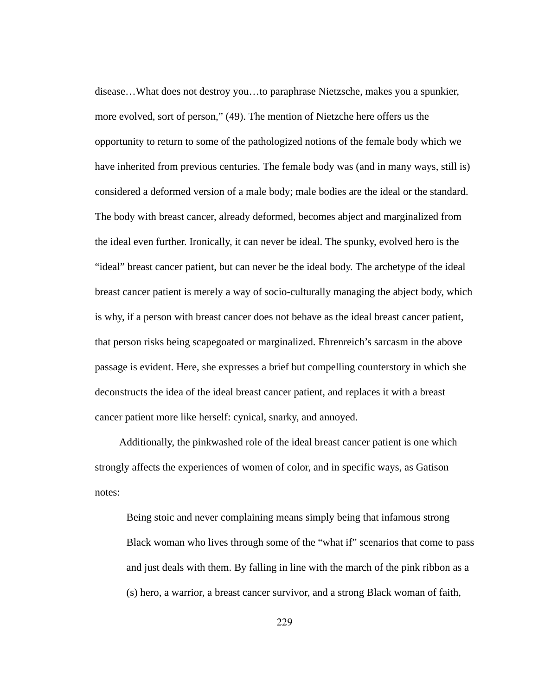disease...What does not destroy you...to paraphrase Nietzsche, makes you a spunkier, more evolved, sort of person," (49). The mention of Nietzche here offers us the opportunity to return to some of the pathologized notions of the female body which we have inherited from previous centuries. The female body was (and in many ways, still is) considered a deformed version of a male body; male bodies are the ideal or the standard. The body with breast cancer, already deformed, becomes abject and marginalized from the ideal even further. Ironically, it can never be ideal. The spunky, evolved hero is the "ideal" breast cancer patient, but can never be the ideal body. The archetype of the ideal breast cancer patient is merely a way of socio-culturally managing the abject body, which is why, if a person with breast cancer does not behave as the ideal breast cancer patient, that person risks being scapegoated or marginalized. Ehrenreich's sarcasm in the above passage is evident. Here, she expresses a brief but compelling counterstory in which she deconstructs the idea of the ideal breast cancer patient, and replaces it with a breast cancer patient more like herself: cynical, snarky, and annoyed.

Additionally, the pinkwashed role of the ideal breast cancer patient is one which strongly affects the experiences of women of color, and in specific ways, as Gatison notes:

Being stoic and never complaining means simply being that infamous strong Black woman who lives through some of the "what if" scenarios that come to pass and just deals with them. By falling in line with the march of the pink ribbon as a (s) hero, a warrior, a breast cancer survivor, and a strong Black woman of faith,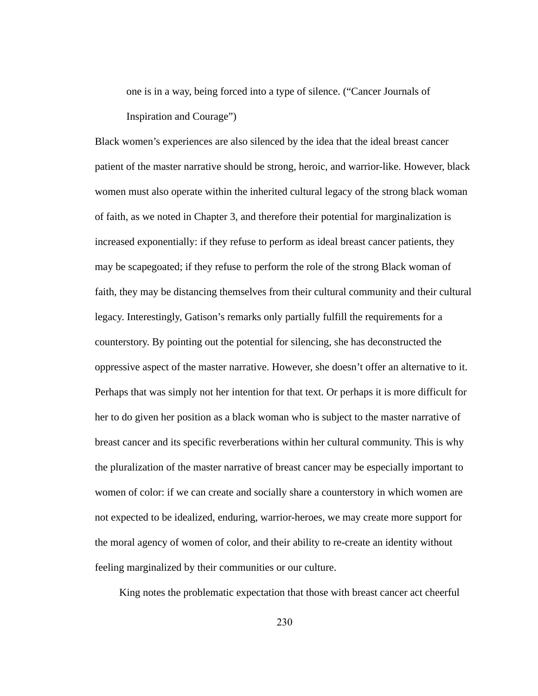one is in a way, being forced into a type of silence. ("Cancer Journals of Inspiration and Courage")

Black women's experiences are also silenced by the idea that the ideal breast cancer patient of the master narrative should be strong, heroic, and warrior-like. However, black women must also operate within the inherited cultural legacy of the strong black woman of faith, as we noted in Chapter 3, and therefore their potential for marginalization is increased exponentially: if they refuse to perform as ideal breast cancer patients, they may be scapegoated; if they refuse to perform the role of the strong Black woman of faith, they may be distancing themselves from their cultural community and their cultural legacy. Interestingly, Gatison's remarks only partially fulfill the requirements for a counterstory. By pointing out the potential for silencing, she has deconstructed the oppressive aspect of the master narrative. However, she doesn't offer an alternative to it. Perhaps that was simply not her intention for that text. Or perhaps it is more difficult for her to do given her position as a black woman who is subject to the master narrative of breast cancer and its specific reverberations within her cultural community. This is why the pluralization of the master narrative of breast cancer may be especially important to women of color: if we can create and socially share a counterstory in which women are not expected to be idealized, enduring, warrior-heroes, we may create more support for the moral agency of women of color, and their ability to re-create an identity without feeling marginalized by their communities or our culture.

King notes the problematic expectation that those with breast cancer act cheerful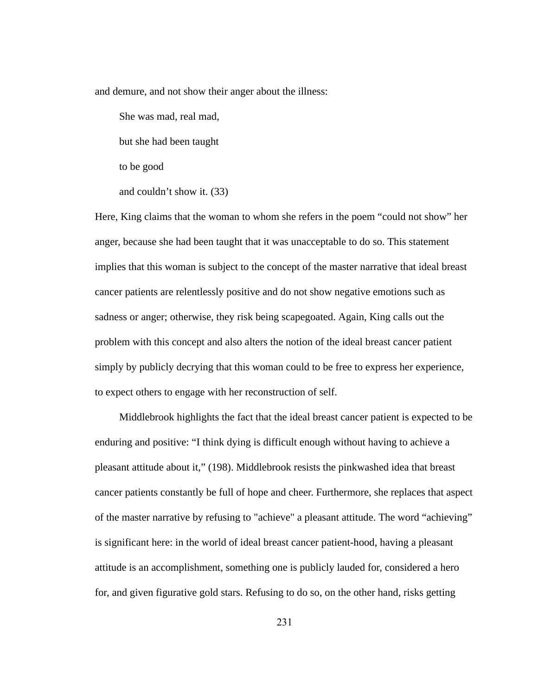and demure, and not show their anger about the illness:

She was mad, real mad,

but she had been taught

to be good

and couldn't show it. (33)

Here, King claims that the woman to whom she refers in the poem "could not show" her anger, because she had been taught that it was unacceptable to do so. This statement implies that this woman is subject to the concept of the master narrative that ideal breast cancer patients are relentlessly positive and do not show negative emotions such as sadness or anger; otherwise, they risk being scapegoated. Again, King calls out the problem with this concept and also alters the notion of the ideal breast cancer patient simply by publicly decrying that this woman could to be free to express her experience, to expect others to engage with her reconstruction of self.

Middlebrook highlights the fact that the ideal breast cancer patient is expected to be enduring and positive: "I think dying is difficult enough without having to achieve a pleasant attitude about it," (198). Middlebrook resists the pinkwashed idea that breast cancer patients constantly be full of hope and cheer. Furthermore, she replaces that aspect of the master narrative by refusing to "achieve" a pleasant attitude. The word "achieving" is significant here: in the world of ideal breast cancer patient-hood, having a pleasant attitude is an accomplishment, something one is publicly lauded for, considered a hero for, and given figurative gold stars. Refusing to do so, on the other hand, risks getting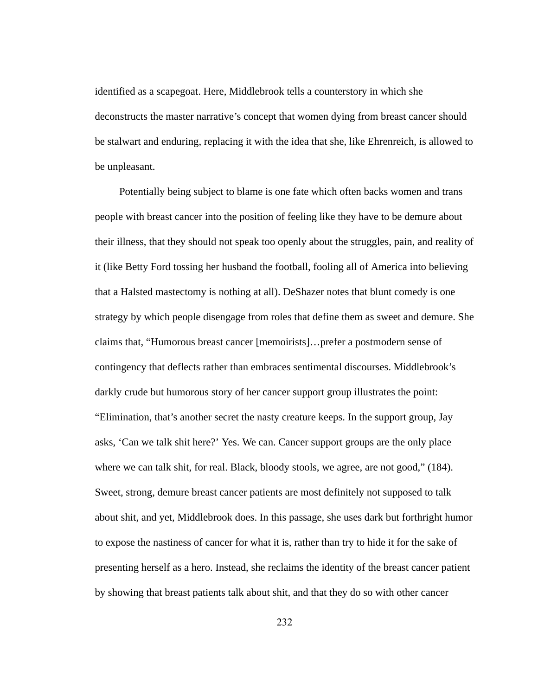identified as a scapegoat. Here, Middlebrook tells a counterstory in which she deconstructs the master narrative's concept that women dying from breast cancer should be stalwart and enduring, replacing it with the idea that she, like Ehrenreich, is allowed to be unpleasant.

Potentially being subject to blame is one fate which often backs women and trans people with breast cancer into the position of feeling like they have to be demure about their illness, that they should not speak too openly about the struggles, pain, and reality of it (like Betty Ford tossing her husband the football, fooling all of America into believing that a Halsted mastectomy is nothing at all). DeShazer notes that blunt comedy is one strategy by which people disengage from roles that define them as sweet and demure. She claims that, "Humorous breast cancer [memoirists]…prefer a postmodern sense of contingency that deflects rather than embraces sentimental discourses. Middlebrook's darkly crude but humorous story of her cancer support group illustrates the point: "Elimination, that's another secret the nasty creature keeps. In the support group, Jay asks, 'Can we talk shit here?' Yes. We can. Cancer support groups are the only place where we can talk shit, for real. Black, bloody stools, we agree, are not good," (184). Sweet, strong, demure breast cancer patients are most definitely not supposed to talk about shit, and yet, Middlebrook does. In this passage, she uses dark but forthright humor to expose the nastiness of cancer for what it is, rather than try to hide it for the sake of presenting herself as a hero. Instead, she reclaims the identity of the breast cancer patient by showing that breast patients talk about shit, and that they do so with other cancer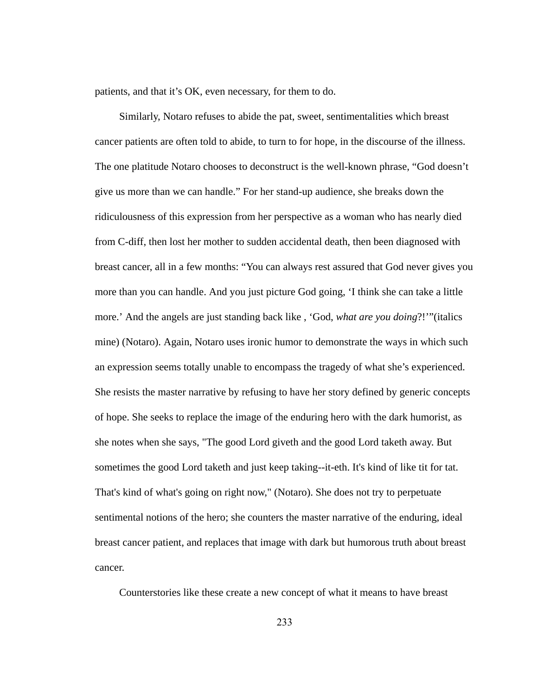patients, and that it's OK, even necessary, for them to do.

Similarly, Notaro refuses to abide the pat, sweet, sentimentalities which breast cancer patients are often told to abide, to turn to for hope, in the discourse of the illness. The one platitude Notaro chooses to deconstruct is the well-known phrase, "God doesn't give us more than we can handle." For her stand-up audience, she breaks down the ridiculousness of this expression from her perspective as a woman who has nearly died from C-diff, then lost her mother to sudden accidental death, then been diagnosed with breast cancer, all in a few months: "You can always rest assured that God never gives you more than you can handle. And you just picture God going, 'I think she can take a little more.' And the angels are just standing back like , 'God, *what are you doing* ?!'"(italics mine) (Notaro). Again, Notaro uses ironic humor to demonstrate the ways in which such an expression seems totally unable to encompass the tragedy of what she's experienced. She resists the master narrative by refusing to have her story defined by generic concepts of hope. She seeks to replace the image of the enduring hero with the dark humorist, as she notes when she says, "The good Lord giveth and the good Lord taketh away. But sometimes the good Lord taketh and just keep taking--it-eth. It's kind of like tit for tat. That's kind of what's going on right now," (Notaro). She does not try to perpetuate sentimental notions of the hero; she counters the master narrative of the enduring, ideal breast cancer patient, and replaces that image with dark but humorous truth about breast cancer.

Counterstories like these create a new concept of what it means to have breast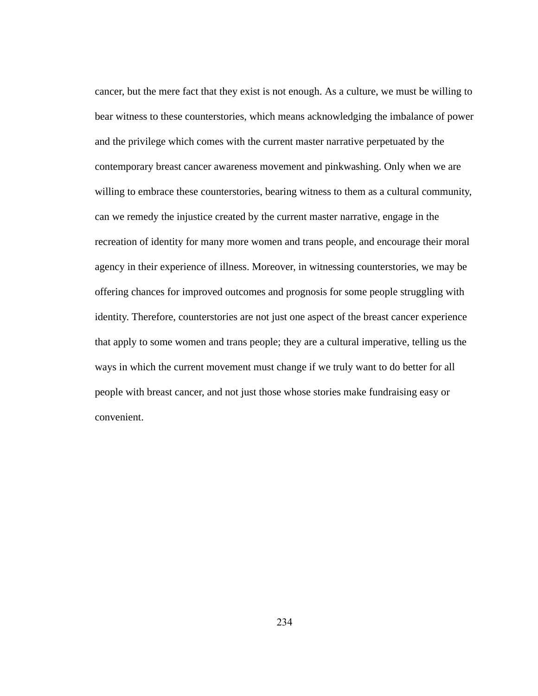cancer, but the mere fact that they exist is not enough. As a culture, we must be willing to bear witness to these counterstories, which means acknowledging the imbalance of power and the privilege which comes with the current master narrative perpetuated by the contemporary breast cancer awareness movement and pinkwashing. Only when we are willing to embrace these counterstories, bearing witness to them as a cultural community, can we remedy the injustice created by the current master narrative, engage in the recreation of identity for many more women and trans people, and encourage their moral agency in their experience of illness. Moreover, in witnessing counterstories, we may be offering chances for improved outcomes and prognosis for some people struggling with identity. Therefore, counterstories are not just one aspect of the breast cancer experience that apply to some women and trans people; they are a cultural imperative, telling us the ways in which the current movement must change if we truly want to do better for all people with breast cancer, and not just those whose stories make fundraising easy or convenient.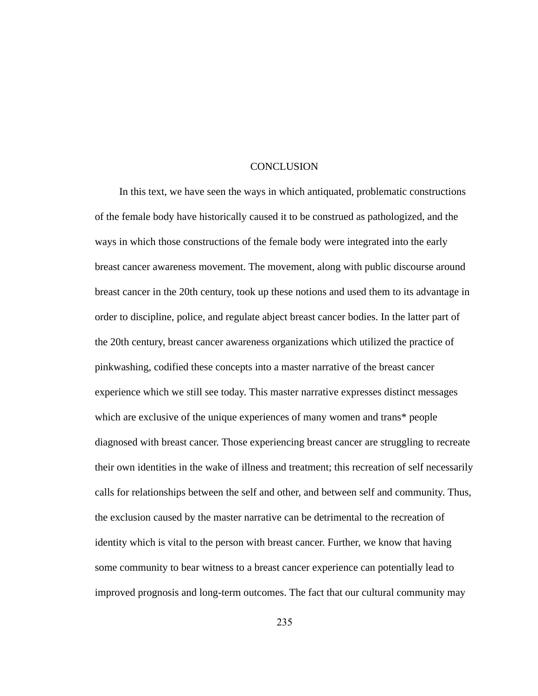### **CONCLUSION**

In this text, we have seen the ways in which antiquated, problematic constructions of the female body have historically caused it to be construed as pathologized, and the ways in which those constructions of the female body were integrated into the early breast cancer awareness movement. The movement, along with public discourse around breast cancer in the 20th century, took up these notions and used them to its advantage in order to discipline, police, and regulate abject breast cancer bodies. In the latter part of the 20th century, breast cancer awareness organizations which utilized the practice of pinkwashing, codified these concepts into a master narrative of the breast cancer experience which we still see today. This master narrative expresses distinct messages which are exclusive of the unique experiences of many women and trans\* people diagnosed with breast cancer. Those experiencing breast cancer are struggling to recreate their own identities in the wake of illness and treatment; this recreation of self necessarily calls for relationships between the self and other, and between self and community. Thus, the exclusion caused by the master narrative can be detrimental to the recreation of identity which is vital to the person with breast cancer. Further, we know that having some community to bear witness to a breast cancer experience can potentially lead to improved prognosis and long-term outcomes. The fact that our cultural community may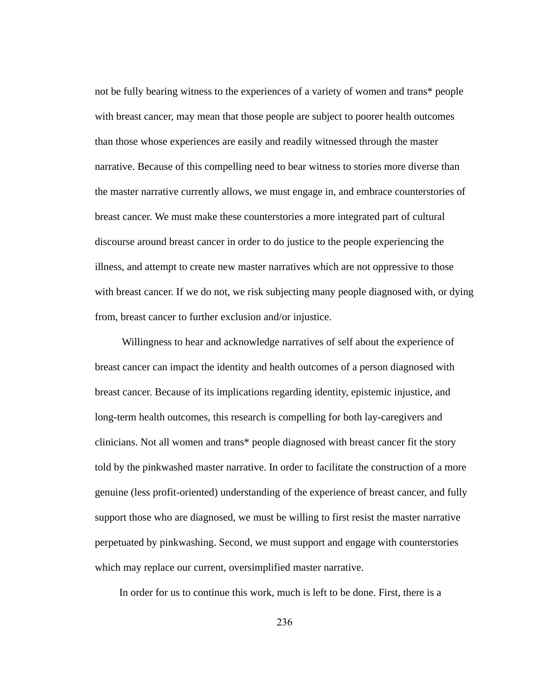not be fully bearing witness to the experiences of a variety of women and trans\* people with breast cancer, may mean that those people are subject to poorer health outcomes than those whose experiences are easily and readily witnessed through the master narrative. Because of this compelling need to bear witness to stories more diverse than the master narrative currently allows, we must engage in, and embrace counterstories of breast cancer. We must make these counterstories a more integrated part of cultural discourse around breast cancer in order to do justice to the people experiencing the illness, and attempt to create new master narratives which are not oppressive to those with breast cancer. If we do not, we risk subjecting many people diagnosed with, or dying from, breast cancer to further exclusion and/or injustice.

Willingness to hear and acknowledge narratives of self about the experience of breast cancer can impact the identity and health outcomes of a person diagnosed with breast cancer. Because of its implications regarding identity, epistemic injustice, and long-term health outcomes, this research is compelling for both lay-caregivers and clinicians. Not all women and trans\* people diagnosed with breast cancer fit the story told by the pinkwashed master narrative. In order to facilitate the construction of a more genuine (less profit-oriented) understanding of the experience of breast cancer, and fully support those who are diagnosed, we must be willing to first resist the master narrative perpetuated by pinkwashing. Second, we must support and engage with counterstories which may replace our current, oversimplified master narrative.

In order for us to continue this work, much is left to be done. First, there is a

236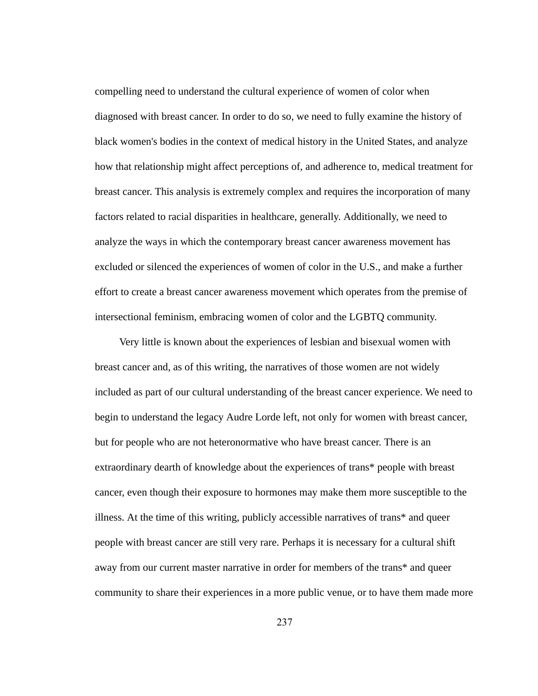compelling need to understand the cultural experience of women of color when diagnosed with breast cancer. In order to do so, we need to fully examine the history of black women's bodies in the context of medical history in the United States, and analyze how that relationship might affect perceptions of, and adherence to, medical treatment for breast cancer. This analysis is extremely complex and requires the incorporation of many factors related to racial disparities in healthcare, generally. Additionally, we need to analyze the ways in which the contemporary breast cancer awareness movement has excluded or silenced the experiences of women of color in the U.S., and make a further effort to create a breast cancer awareness movement which operates from the premise of intersectional feminism, embracing women of color and the LGBTQ community.

Very little is known about the experiences of lesbian and bisexual women with breast cancer and, as of this writing, the narratives of those women are not widely included as part of our cultural understanding of the breast cancer experience. We need to begin to understand the legacy Audre Lorde left, not only for women with breast cancer, but for people who are not heteronormative who have breast cancer. There is an extraordinary dearth of knowledge about the experiences of trans\* people with breast cancer, even though their exposure to hormones may make them more susceptible to the illness. At the time of this writing, publicly accessible narratives of trans\* and queer people with breast cancer are still very rare. Perhaps it is necessary for a cultural shift away from our current master narrative in order for members of the trans\* and queer community to share their experiences in a more public venue, or to have them made more

237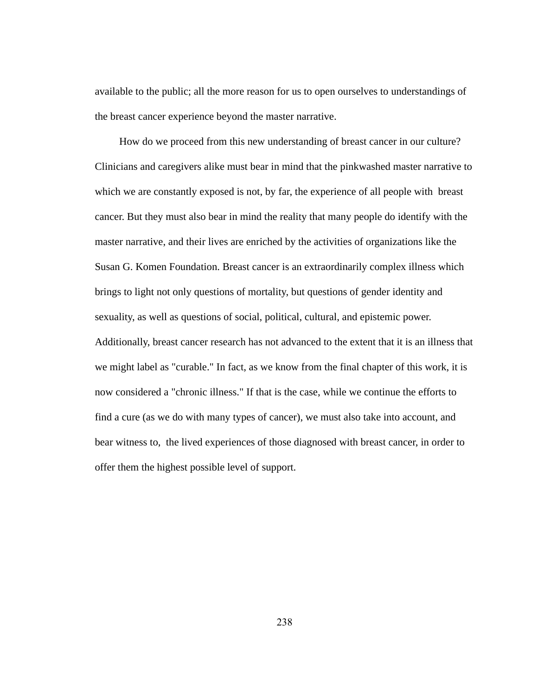available to the public; all the more reason for us to open ourselves to understandings of the breast cancer experience beyond the master narrative.

How do we proceed from this new understanding of breast cancer in our culture? Clinicians and caregivers alike must bear in mind that the pinkwashed master narrative to which we are constantly exposed is not, by far, the experience of all people with breast cancer. But they must also bear in mind the reality that many people do identify with the master narrative, and their lives are enriched by the activities of organizations like the Susan G. Komen Foundation. Breast cancer is an extraordinarily complex illness which brings to light not only questions of mortality, but questions of gender identity and sexuality, as well as questions of social, political, cultural, and epistemic power. Additionally, breast cancer research has not advanced to the extent that it is an illness that we might label as "curable." In fact, as we know from the final chapter of this work, it is now considered a "chronic illness." If that is the case, while we continue the efforts to find a cure (as we do with many types of cancer), we must also take into account, and bear witness to, the lived experiences of those diagnosed with breast cancer, in order to offer them the highest possible level of support.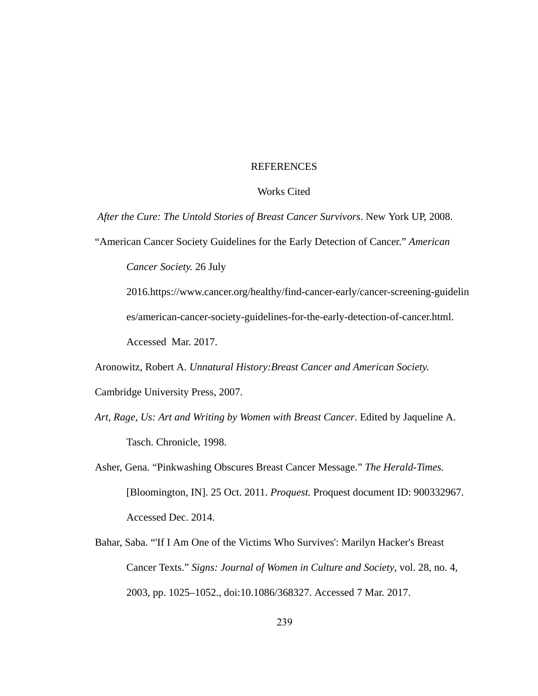# REFERENCES

# Works Cited

After the Cure: The Untold Stories of Breast Cancer Survivors. New York UP, 2008.

"American Cancer Society Guidelines for the Early Detection of Cancer." *American* 

*Cancer Society.* 26 July

2016.https://www.cancer.org/healthy/find-cancer-early/cancer-screening-guidelin es/american-cancer-society-guidelines-for-the-early-detection-of-cancer.html. Accessed Mar. 2017.

Aronowitz, Robert A. *Unnatural History:Breast Cancer and American Society.*

Cambridge University Press, 2007.

- Art, Rage, Us: Art and Writing by Women with Breast Cancer. Edited by Jaqueline A. Tasch. Chronicle, 1998.
- Asher, Gena. "Pinkwashing Obscures Breast Cancer Message." The Herald-Times. [Bloomington, IN]. 25 Oct. 2011. *Proquest.*  Proquest document ID: 900332967. Accessed Dec. 2014.
- Bahar, Saba. "'If I Am One of the Victims Who Survives': Marilyn Hacker's Breast Cancer Texts." Signs: Journal of Women in Culture and Society, vol. 28, no. 4, 2003, pp. 1025–1052., doi:10.1086/368327. Accessed 7 Mar. 2017.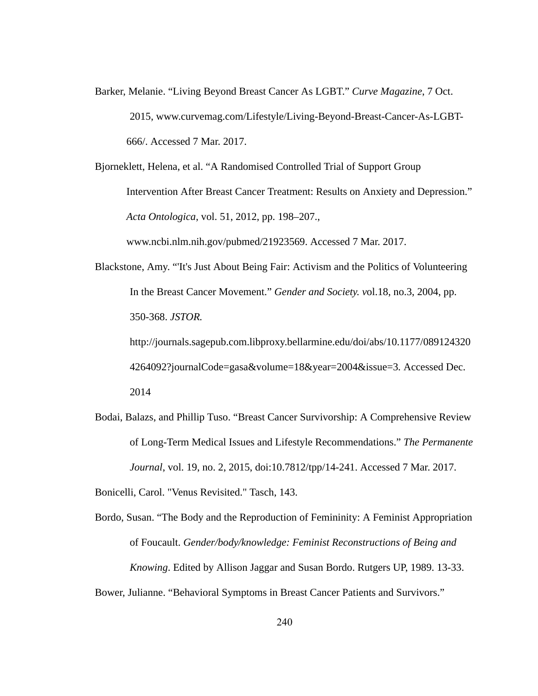Barker, Melanie. "Living Beyond Breast Cancer As LGBT." *Curve Magazine* , 7 Oct. 2015, www.curvemag.com/Lifestyle/Living-Beyond-Breast-Cancer-As-LGBT-666/. Accessed 7 Mar. 2017.

Bjorneklett, Helena, et al. "A Randomised Controlled Trial of Support Group Intervention After Breast Cancer Treatment: Results on Anxiety and Depression." *Acta Ontologica* , vol. 51, 2012, pp. 198–207.,

www.ncbi.nlm.nih.gov/pubmed/21923569. Accessed 7 Mar. 2017.

Blackstone, Amy. "'It's Just About Being Fair: Activism and the Politics of Volunteering In the Breast Cancer Movement." *Gender and Society. v* ol.18, no.3, 2004, pp. 350368. *JSTOR.*  http://journals.sagepub.com.libproxy.bellarmine.edu/doi/abs/10.1177/089124320

4264092?journalCode=gasa&volume=18&year=2004&issue=3 *.* Accessed Dec. 2014

- Bodai, Balazs, and Phillip Tuso. "Breast Cancer Survivorship: A Comprehensive Review of LongTerm Medical Issues and Lifestyle Recommendations." *The Permanente Journal*, vol. 19, no. 2, 2015, doi:10.7812/tpp/14-241. Accessed 7 Mar. 2017.
- Bonicelli, Carol. "Venus Revisited." Tasch, 143.

Bordo, Susan. "The Body and the Reproduction of Femininity: A Feminist Appropriation of Foucault. *Gender/body/knowledge: Feminist Reconstructions of Being and Knowing.* Edited by Allison Jaggar and Susan Bordo. Rutgers UP, 1989. 13-33. Bower, Julianne. "Behavioral Symptoms in Breast Cancer Patients and Survivors."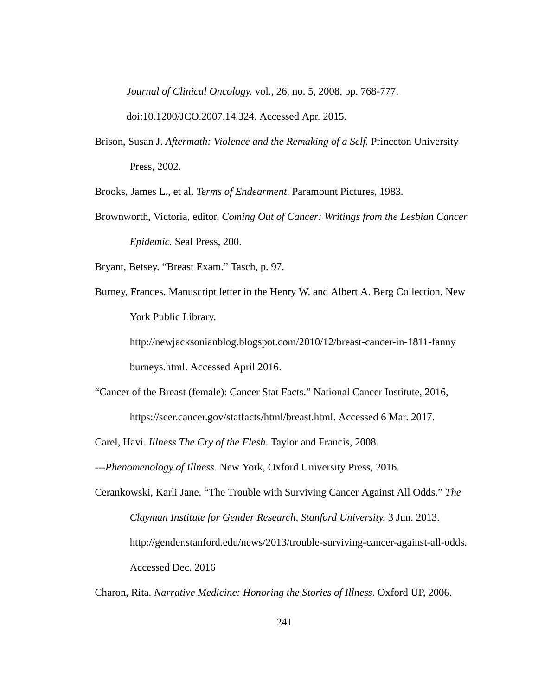*Journal of Clinical Oncology. vol., 26, no. 5, 2008, pp. 768-777.* 

doi:10.1200/JCO.2007.14.324. Accessed Apr. 2015.

Brison, Susan J. *Aftermath: Violence and the Remaking of a Self.* Princeton University Press, 2002.

Brooks, James L., et al. *Terms of Endearment* . Paramount Pictures, 1983.

Brownworth, Victoria, editor. *Coming Out of Cancer: Writings from the Lesbian Cancer Epidemic.* Seal Press, 200.

Bryant, Betsey. "Breast Exam." Tasch, p. 97.

Burney, Frances. Manuscript letter in the Henry W. and Albert A. Berg Collection, New York Public Library.

http://newjacksonianblog.blogspot.com/2010/12/breast-cancer-in-1811-fanny burneys.html. Accessed April 2016.

"Cancer of the Breast (female): Cancer Stat Facts." National Cancer Institute, 2016,

https://seer.cancer.gov/statfacts/html/breast.html. Accessed 6 Mar. 2017.

Carel, Havi. *Illness The Cry of the Flesh* . Taylor and Francis, 2008.

*Phenomenology of Illness* . New York, Oxford University Press, 2016.

Cerankowski, Karli Jane. "The Trouble with Surviving Cancer Against All Odds." *The Clayman Institute for Gender Research, Stanford University.* 3 Jun. 2013. http://gender.stanford.edu/news/2013/trouble-surviving-cancer-against-all-odds. Accessed Dec. 2016

Charon, Rita. *Narrative Medicine: Honoring the Stories of Illness* . Oxford UP, 2006.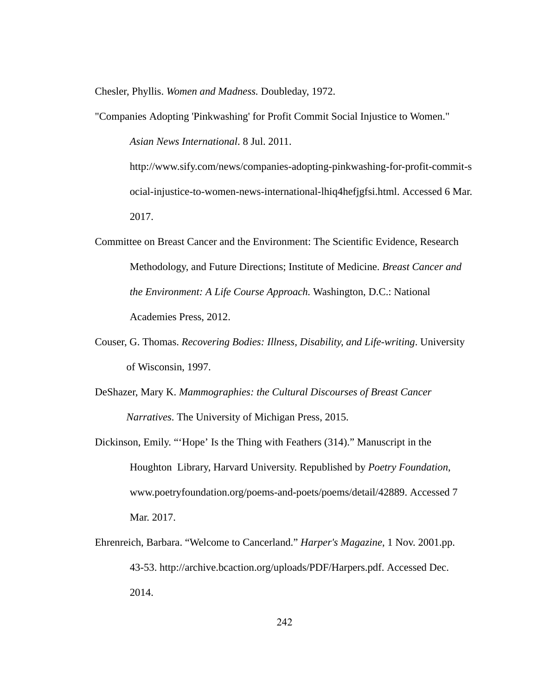Chesler, Phyllis. *Women and Madness.*  Doubleday, 1972.

"Companies Adopting 'Pinkwashing' for Profit Commit Social Injustice to Women."

*Asian News International* . 8 Jul. 2011.

http://www.sify.com/news/companies-adopting-pinkwashing-for-profit-commit-s ocial-injustice-to-women-news-international-lhiq4hefjgfsi.html. Accessed 6 Mar. 2017.

- Committee on Breast Cancer and the Environment: The Scientific Evidence, Research Methodology, and Future Directions; Institute of Medicine. *Breast Cancer and the Environment: A Life Course Approach.* Washington, D.C.: National Academies Press, 2012.
- Couser, G. Thomas. *Recovering Bodies: Illness, Disability, and Life-writing*. University of Wisconsin, 1997.
- DeShazer, Mary K. *Mammographies: the Cultural Discourses of Breast Cancer Narratives* . The University of Michigan Press, 2015.
- Dickinson, Emily. "'Hope' Is the Thing with Feathers (314)." Manuscript in the Houghton Library, Harvard University. Republished by *Poetry Foundation* , www.poetryfoundation.org/poems-and-poets/poems/detail/42889. Accessed 7 Mar. 2017.
- Ehrenreich, Barbara. "Welcome to Cancerland." *Harper's Magazine* , 1 Nov. 2001.pp. 4353. http://archive.bcaction.org/uploads/PDF/Harpers.pdf. Accessed Dec. 2014.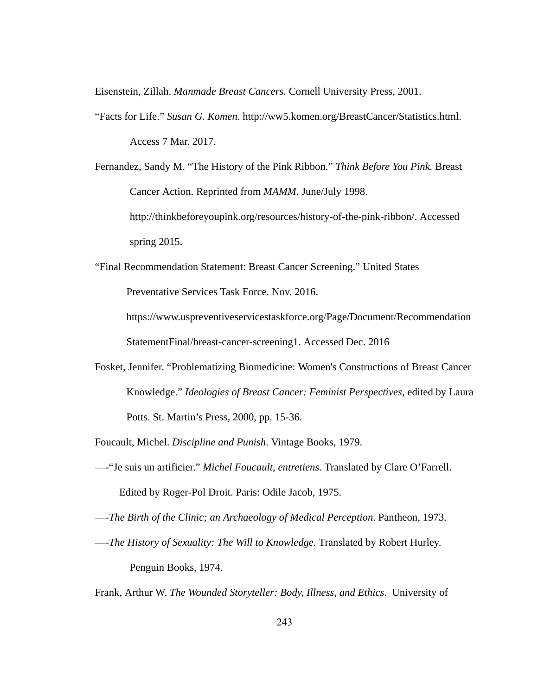Eisenstein, Zillah. *Manmade Breast Cancers.*  Cornell University Press, 2001.

"Facts for Life." *Susan G. Komen.*  http://ww5.komen.org/BreastCancer/Statistics.html. Access 7 Mar. 2017.

Fernandez, Sandy M. "The History of the Pink Ribbon." *Think Before You Pink.* Breast Cancer Action. Reprinted from *MAMM* . June/July 1998. http://thinkbeforeyoupink.org/resources/history-of-the-pink-ribbon/. Accessed spring 2015.

"Final Recommendation Statement: Breast Cancer Screening." United States Preventative Services Task Force. Nov. 2016.

https://www.uspreventiveservicestaskforce.org/Page/Document/Recommendation StatementFinal/breast-cancer-screening1. Accessed Dec. 2016

- Fosket, Jennifer. "Problematizing Biomedicine: Women's Constructions of Breast Cancer Knowledge." *Ideologies of Breast Cancer: Feminist Perspectives* , edited by Laura Potts. St. Martin's Press, 2000, pp. 15-36.
- Foucault, Michel. *Discipline and Punish* . Vintage Books, 1979.
- —"Je suis un artificier." *Michel Foucault, entretiens.*  Translated by Clare O'Farrell. Edited by Roger-Pol Droit. Paris: Odile Jacob, 1975.

— *The Birth of the Clinic; an Archaeology of Medical Perception. Pantheon, 1973.* 

— *The History of Sexuality: The Will to Knowledge*. Translated by Robert Hurley. Penguin Books, 1974.

Frank, Arthur W. *The Wounded Storyteller: Body, Illness, and Ethics* . University of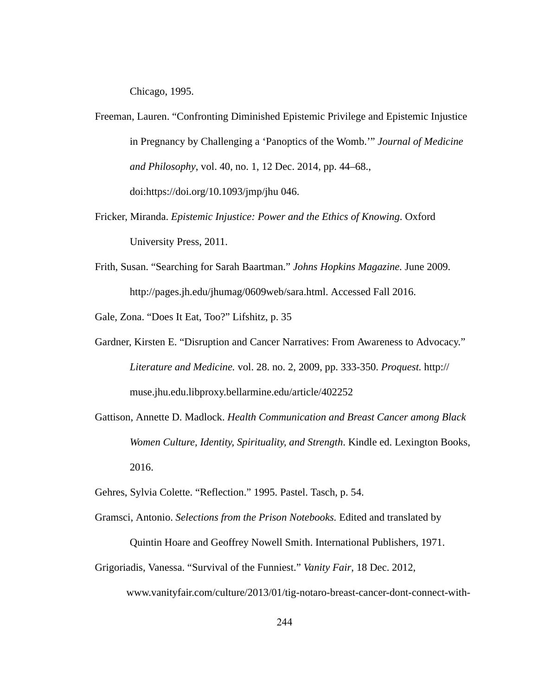Chicago, 1995.

- Freeman, Lauren. "Confronting Diminished Epistemic Privilege and Epistemic Injustice in Pregnancy by Challenging a 'Panoptics of the Womb.'" *Journal of Medicine and Philosophy* , vol. 40, no. 1, 12 Dec. 2014, pp. 44–68., doi:https://doi.org/10.1093/jmp/jhu 046.
- Fricker, Miranda. *Epistemic Injustice: Power and the Ethics of Knowing*. Oxford University Press, 2011.
- Frith, Susan. "Searching for Sarah Baartman." *Johns Hopkins Magazine.* June 2009. http://pages.jh.edu/jhumag/0609web/sara.html. Accessed Fall 2016.

Gale, Zona. "Does It Eat, Too?" Lifshitz, p. 35

- Gardner, Kirsten E. "Disruption and Cancer Narratives: From Awareness to Advocacy." *Literature and Medicine.* vol. 28. no. 2, 2009, pp. 333350. *Proquest.* http:// muse.jhu.edu.libproxy.bellarmine.edu/article/402252
- Gattison, Annette D. Madlock. *Health Communication and Breast Cancer among Black Women Culture, Identity, Spirituality, and Strength* . Kindle ed. Lexington Books, 2016.
- Gehres, Sylvia Colette. "Reflection." 1995. Pastel. Tasch, p. 54.
- Gramsci, Antonio. *Selections from the Prison Notebooks.* Edited and translated by
	- Quintin Hoare and Geoffrey Nowell Smith. International Publishers, 1971.
- Grigoriadis, Vanessa. "Survival of the Funniest." *Vanity Fair* , 18 Dec. 2012, www.vanityfair.com/culture/2013/01/tig-notaro-breast-cancer-dont-connect-with-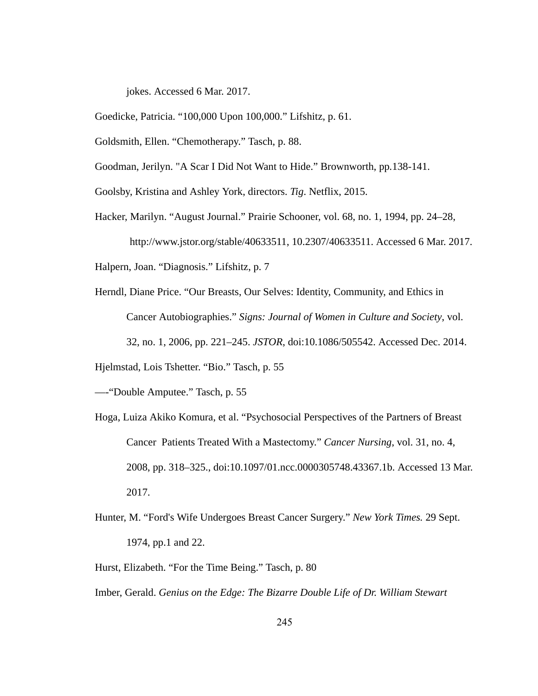jokes. Accessed 6 Mar. 2017.

Goedicke, Patricia. "100,000 Upon 100,000." Lifshitz, p. 61.

Goldsmith, Ellen. "Chemotherapy." Tasch, p. 88.

Goodman, Jerilyn. "A Scar I Did Not Want to Hide." Brownworth, pp.138-141.

Goolsby, Kristina and Ashley York, directors. *Tig* . Netflix, 2015.

Hacker, Marilyn. "August Journal." Prairie Schooner, vol. 68, no. 1, 1994, pp. 24–28,

http://www.jstor.org/stable/40633511, 10.2307/40633511. Accessed 6 Mar. 2017.

Halpern, Joan. "Diagnosis." Lifshitz, p. 7

Herndl, Diane Price. "Our Breasts, Our Selves: Identity, Community, and Ethics in Cancer Autobiographies." *Signs: Journal of Women in Culture and Society*, vol. 32, no. 1, 2006, pp. 221–245. *JSTOR* , doi:10.1086/505542. Accessed Dec. 2014.

Hjelmstad, Lois Tshetter. "Bio." Tasch, p. 55

—"Double Amputee." Tasch, p. 55

- Hoga, Luiza Akiko Komura, et al. "Psychosocial Perspectives of the Partners of Breast Cancer Patients Treated With a Mastectomy." Cancer Nursing, vol. 31, no. 4, 2008, pp. 318–325., doi:10.1097/01.ncc.0000305748.43367.1b. Accessed 13 Mar. 2017.
- Hunter, M. "Ford's Wife Undergoes Breast Cancer Surgery." *New York Times.* 29 Sept. 1974, pp.1 and 22.

Hurst, Elizabeth. "For the Time Being." Tasch, p. 80

Imber, Gerald. *Genius on the Edge: The Bizarre Double Life of Dr. William Stewart*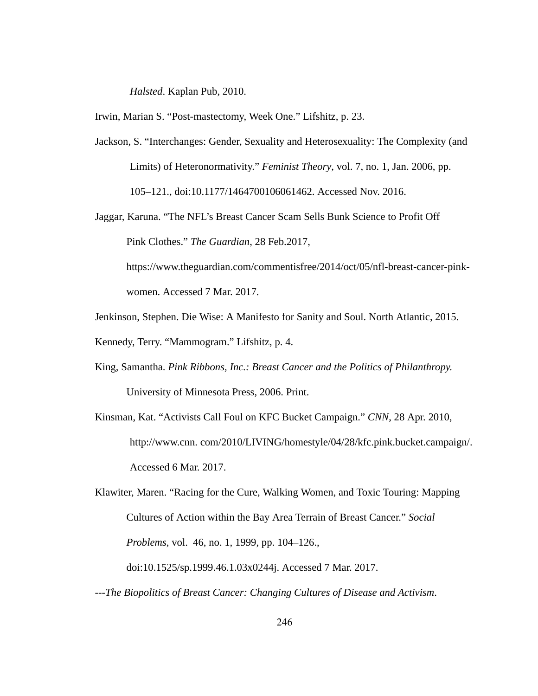*Halsted.* Kaplan Pub, 2010.

Irwin, Marian S. "Post-mastectomy, Week One." Lifshitz, p. 23.

- Jackson, S. "Interchanges: Gender, Sexuality and Heterosexuality: The Complexity (and Limits) of Heteronormativity." *Feminist Theory*, vol. 7, no. 1, Jan. 2006, pp. 105–121., doi:10.1177/1464700106061462. Accessed Nov. 2016.
- Jaggar, Karuna. "The NFL's Breast Cancer Scam Sells Bunk Science to Profit Off Pink Clothes." *The Guardian* , 28 Feb.2017,

https://www.theguardian.com/commentisfree/2014/oct/05/nfl-breast-cancer-pinkwomen. Accessed 7 Mar. 2017.

Jenkinson, Stephen. Die Wise: A Manifesto for Sanity and Soul. North Atlantic, 2015.

Kennedy, Terry. "Mammogram." Lifshitz, p. 4.

- King, Samantha. *Pink Ribbons, Inc.: Breast Cancer and the Politics of Philanthropy.* University of Minnesota Press, 2006. Print.
- Kinsman, Kat. "Activists Call Foul on KFC Bucket Campaign." *CNN* , 28 Apr. 2010, [http://www.cnn .](http://www.cnn/) com/2010/LIVING/homestyle/04/28/kfc.pink.bucket.campaign/. Accessed 6 Mar. 2017.

Klawiter, Maren. "Racing for the Cure, Walking Women, and Toxic Touring: Mapping Cultures of Action within the Bay Area Terrain of Breast Cancer." *Social Problems, vol.* 46, no. 1, 1999, pp. 104–126., doi:10.1525/sp.1999.46.1.03x0244j. Accessed 7 Mar. 2017.

*The Biopolitics of Breast Cancer: Changing Cultures of Disease and Activism* .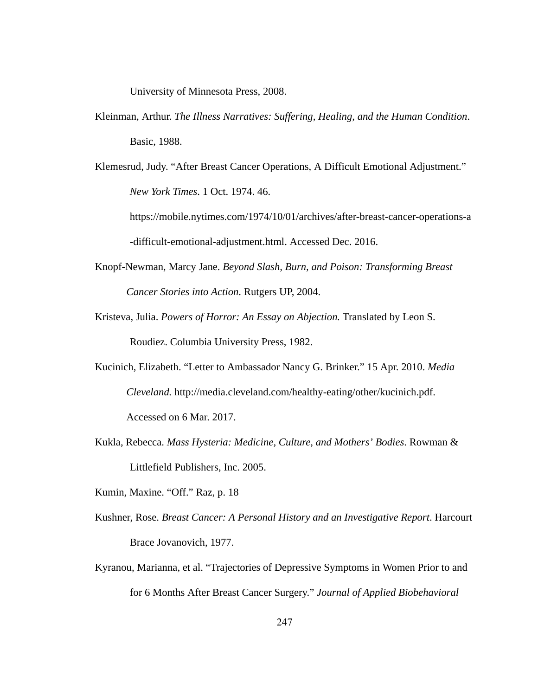University of Minnesota Press, 2008.

- Kleinman, Arthur. *The Illness Narratives: Suffering, Healing, and the Human Condition* . Basic, 1988.
- Klemesrud, Judy. "After Breast Cancer Operations, A Difficult Emotional Adjustment." *New York Times* . 1 Oct. 1974. 46.

https://mobile.nytimes.com/1974/10/01/archives/after-breast-cancer-operations-a -difficult-emotional-adjustment.html. Accessed Dec. 2016.

- Knopf-Newman, Marcy Jane. *Beyond Slash, Burn, and Poison: Transforming Breast Cancer Stories into Action* . Rutgers UP, 2004.
- Kristeva, Julia. Powers of Horror: An Essay on Abjection. Translated by Leon S. Roudiez. Columbia University Press, 1982.
- Kucinich, Elizabeth. "Letter to Ambassador Nancy G. Brinker." 15 Apr. 2010. *Media Cleveland. http://media.cleveland.com/healthy-eating/other/kucinich.pdf.* Accessed on 6 Mar. 2017.
- Kukla, Rebecca. *Mass Hysteria: Medicine, Culture, and Mothers' Bodies* . Rowman & Littlefield Publishers, Inc. 2005.
- Kumin, Maxine. "Off." Raz, p. 18
- Kushner, Rose. *Breast Cancer: A Personal History and an Investigative Report*. Harcourt Brace Jovanovich, 1977.
- Kyranou, Marianna, et al. "Trajectories of Depressive Symptoms in Women Prior to and for 6 Months After Breast Cancer Surgery." *Journal of Applied Biobehavioral*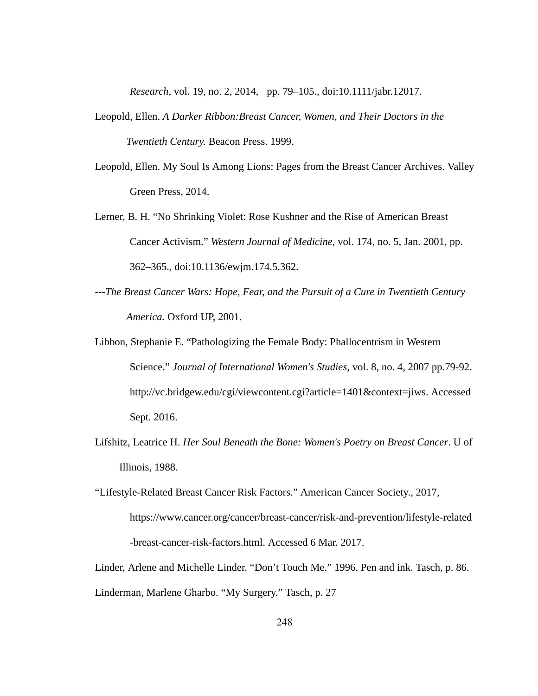*Research* , vol. 19, no. 2, 2014, pp. 79–105., doi:10.1111/jabr.12017.

- Leopold, Ellen. *A Darker Ribbon:Breast Cancer, Women, and Their Doctors in the*  **Twentieth Century. Beacon Press. 1999.**
- Leopold, Ellen. My Soul Is Among Lions: Pages from the Breast Cancer Archives. Valley Green Press, 2014.
- Lerner, B. H. "No Shrinking Violet: Rose Kushner and the Rise of American Breast Cancer Activism." Western Journal of Medicine, vol. 174, no. 5, Jan. 2001, pp. 362–365., doi:10.1136/ewjm.174.5.362.
- *The Breast Cancer Wars: Hope, Fear, and the Pursuit of a Cure in Twentieth Century*  America. Oxford UP, 2001.
- Libbon, Stephanie E. "Pathologizing the Female Body: Phallocentrism in Western Science." Journal of International Women's Studies, vol. 8, no. 4, 2007 pp.79-92. http://vc.bridgew.edu/cgi/viewcontent.cgi?article=1401&context=jiws. Accessed Sept. 2016.
- Lifshitz, Leatrice H. Her Soul Beneath the Bone: Women's Poetry on Breast Cancer. U of Illinois, 1988.
- "Lifestyle-Related Breast Cancer Risk Factors." American Cancer Society., 2017, https://www.cancer.org/cancer/breast-cancer/risk-and-prevention/lifestyle-related -breast-cancer-risk-factors.html. Accessed 6 Mar. 2017.

Linder, Arlene and Michelle Linder. "Don't Touch Me." 1996. Pen and ink. Tasch, p. 86. Linderman, Marlene Gharbo. "My Surgery." Tasch, p. 27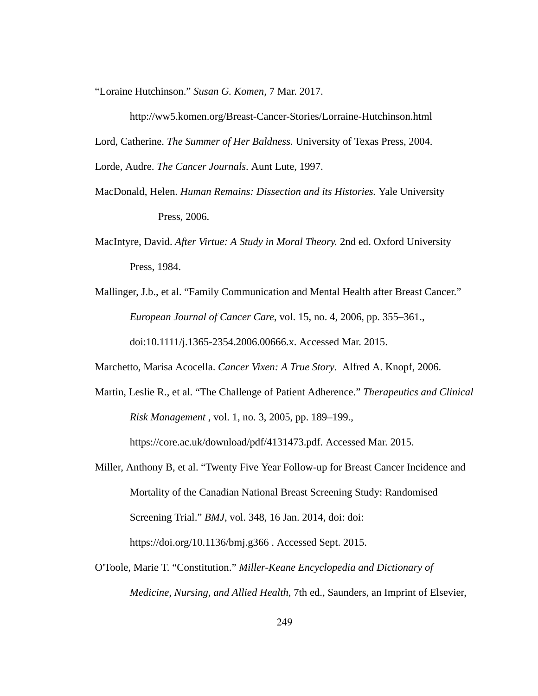"Loraine Hutchinson." *Susan G. Komen,* 7 Mar. 2017.

http://ww5.komen.org/Breast-Cancer-Stories/Lorraine-Hutchinson.html Lord, Catherine. *The Summer of Her Baldness.* University of Texas Press, 2004. Lorde, Audre. *The Cancer Journals* . Aunt Lute, 1997.

- MacDonald, Helen. *Human Remains: Dissection and its Histories.*  Yale University Press, 2006.
- MacIntyre, David. *After Virtue: A Study in Moral Theory.*  2nd ed. Oxford University Press, 1984.
- Mallinger, J.b., et al. "Family Communication and Mental Health after Breast Cancer." *European Journal of Cancer Care* , vol. 15, no. 4, 2006, pp. 355–361., doi:10.1111/j.1365-2354.2006.00666.x. Accessed Mar. 2015.

Marchetto, Marisa Acocella. *Cancer Vixen: A True Story* . Alfred A. Knopf, 2006.

Martin, Leslie R., et al. "The Challenge of Patient Adherence." *Therapeutics and Clinical Risk Management* , vol. 1, no. 3, 2005, pp. 189–199.,

https://core.ac.uk/download/pdf/4131473.pdf. Accessed Mar. 2015.

- Miller, Anthony B, et al. "Twenty Five Year Follow-up for Breast Cancer Incidence and Mortality of the Canadian National Breast Screening Study: Randomised Screening Trial." *BMJ*, vol. 348, 16 Jan. 2014, doi: doi: https://doi.org/10.1136/bmj.g366 . Accessed Sept. 2015.
- O'Toole, Marie T. "Constitution." Miller-Keane Encyclopedia and Dictionary of *Medicine, Nursing, and Allied Health,* 7th ed., Saunders, an Imprint of Elsevier,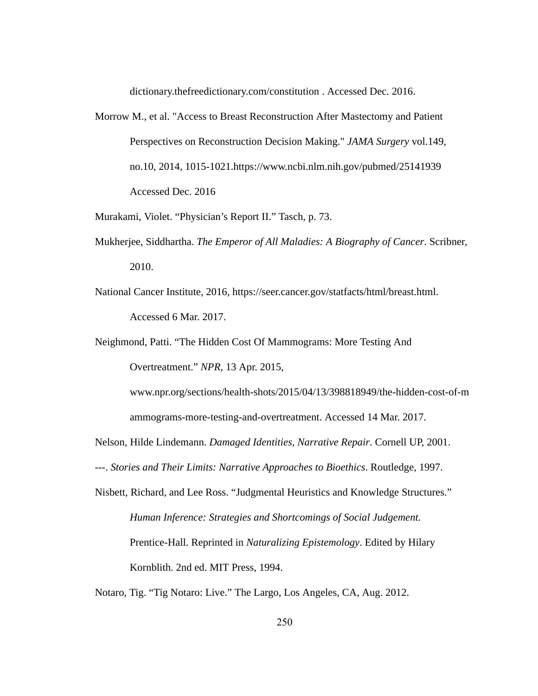dictionary.thefreedictionary.com/constitution . Accessed Dec. 2016.

- Morrow M., et al. "Access to Breast Reconstruction After Mastectomy and Patient Perspectives on Reconstruction Decision Making." *JAMA Surgery*  vol.149, no.10, 2014, 1015-1021.https://www.ncbi.nlm.nih.gov/pubmed/25141939 Accessed Dec. 2016
- Murakami, Violet. "Physician's Report II." Tasch, p. 73.
- Mukherjee, Siddhartha. The Emperor of All Maladies: A Biography of Cancer. Scribner, 2010.
- National Cancer Institute, 2016, https://seer.cancer.gov/statfacts/html/breast.html. Accessed 6 Mar. 2017.
- Neighmond, Patti. "The Hidden Cost Of Mammograms: More Testing And Overtreatment." *NPR* , 13 Apr. 2015,

www.npr.org/sections/health-shots/2015/04/13/398818949/the-hidden-cost-of-m ammograms-more-testing-and-overtreatment. Accessed 14 Mar. 2017.

- Nelson, Hilde Lindemann. *Damaged Identities, Narrative Repair* . Cornell UP, 2001.
- . *Stories and Their Limits: Narrative Approaches to Bioethics* . Routledge, 1997.
- Nisbett, Richard, and Lee Ross. "Judgmental Heuristics and Knowledge Structures." *Human Inference: Strategies and Shortcomings of Social Judgement.*  Prentice-Hall. Reprinted in *Naturalizing Epistemology*. Edited by Hilary Kornblith. 2nd ed. MIT Press, 1994.

Notaro, Tig. "Tig Notaro: Live." The Largo, Los Angeles, CA, Aug. 2012.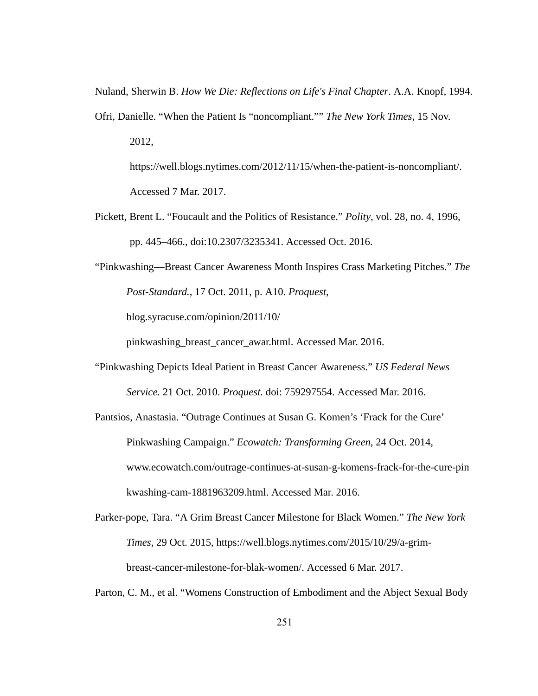Nuland, Sherwin B. How We Die: Reflections on Life's Final Chapter. A.A. Knopf, 1994.

Ofri, Danielle. "When the Patient Is "noncompliant."" *The New York Times* , 15 Nov. 2012, https://well.blogs.nytimes.com/2012/11/15/when-the-patient-is-noncompliant/.

Accessed 7 Mar. 2017.

- Pickett, Brent L. "Foucault and the Politics of Resistance." *Polity* , vol. 28, no. 4, 1996, pp. 445–466., doi:10.2307/3235341. Accessed Oct. 2016.
- "Pinkwashing—Breast Cancer Awareness Month Inspires Crass Marketing Pitches." *The Post-Standard., 17 Oct. 2011, p. A10. Proquest,*

blog.syracuse.com/opinion/2011/10/

pinkwashing\_breast\_cancer\_awar.html. Accessed Mar. 2016.

- "Pinkwashing Depicts Ideal Patient in Breast Cancer Awareness." *US Federal News Service.* 21 Oct. 2010. *Proquest.* doi: 759297554. Accessed Mar. 2016.
- Pantsios, Anastasia. "Outrage Continues at Susan G. Komen's 'Frack for the Cure' Pinkwashing Campaign." *Ecowatch: Transforming Green* , 24 Oct. 2014, www.ecowatch.com/outrage-continues-at-susan-g-komens-frack-for-the-cure-pin kwashing-cam-1881963209.html. Accessed Mar. 2016.
- Parker-pope, Tara. "A Grim Breast Cancer Milestone for Black Women." The New York *Times, 29 Oct. 2015, https://well.blogs.nytimes.com/2015/10/29/a-grim*breast-cancer-milestone-for-blak-women/. Accessed 6 Mar. 2017.
- Parton, C. M., et al. "Womens Construction of Embodiment and the Abject Sexual Body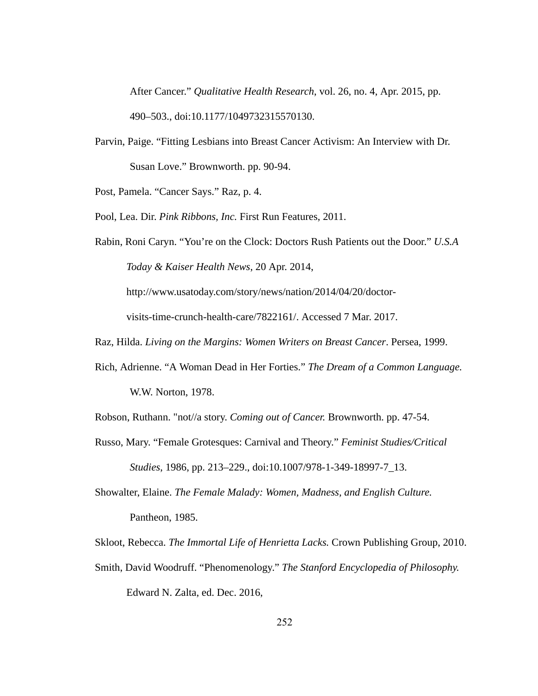After Cancer." *Qualitative Health Research*, vol. 26, no. 4, Apr. 2015, pp. 490–503., doi:10.1177/1049732315570130.

Parvin, Paige. "Fitting Lesbians into Breast Cancer Activism: An Interview with Dr. Susan Love." Brownworth. pp. 90-94.

Post, Pamela. "Cancer Says." Raz, p. 4.

Pool, Lea. Dir. *Pink Ribbons, Inc. First Run Features, 2011.* 

Rabin, Roni Caryn. "You're on the Clock: Doctors Rush Patients out the Door."  *U.S.A Today & Kaiser Health News* , 20 Apr. 2014,

http://www.usatoday.com/story/news/nation/2014/04/20/doctor-

visits-time-crunch-health-care/7822161/. Accessed 7 Mar. 2017.

- Raz, Hilda. *Living on the Margins: Women Writers on Breast Cancer*. Persea, 1999.
- Rich, Adrienne. "A Woman Dead in Her Forties." *The Dream of a Common Language.*  W.W. Norton, 1978.

Robson, Ruthann. "not//a story. *Coming out of Cancer*. Brownworth. pp. 47-54.

- Russo, Mary. "Female Grotesques: Carnival and Theory." *Feminist Studies/Critical Studies*, 1986, pp. 213–229., doi:10.1007/978-1-349-18997-7\_13.
- Showalter, Elaine. *The Female Malady: Women, Madness, and English Culture.*  Pantheon, 1985.

Skloot, Rebecca. The Immortal Life of Henrietta Lacks. Crown Publishing Group, 2010.

Smith, David Woodruff. "Phenomenology." *The Stanford Encyclopedia of Philosophy.*  Edward N. Zalta, ed. Dec. 2016,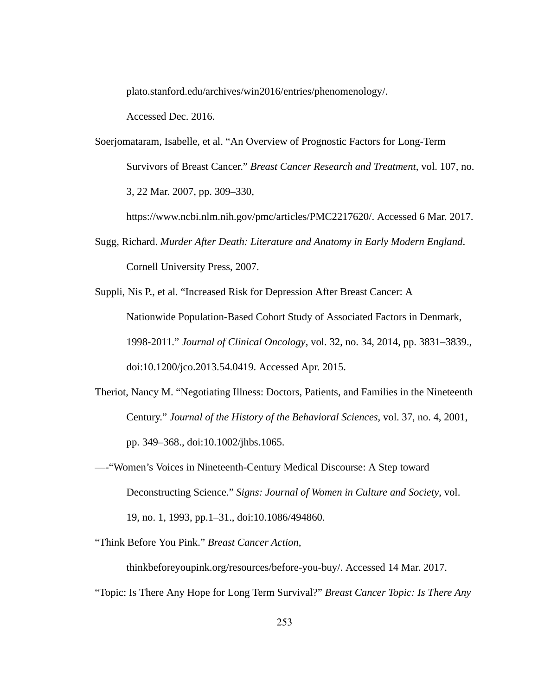plato.stanford.edu/archives/win2016/entries/phenomenology/.

Accessed Dec. 2016.

Soerjomataram, Isabelle, et al. "An Overview of Prognostic Factors for Long-Term Survivors of Breast Cancer." *Breast Cancer Research and Treatment* , vol. 107, no. 3, 22 Mar. 2007, pp. 309–330,

https://www.ncbi.nlm.nih.gov/pmc/articles/PMC2217620/. Accessed 6 Mar. 2017.

Sugg, Richard. *Murder After Death: Literature and Anatomy in Early Modern England* . Cornell University Press, 2007.

Suppli, Nis P., et al. "Increased Risk for Depression After Breast Cancer: A Nationwide Population-Based Cohort Study of Associated Factors in Denmark, 19982011." *Journal of Clinical Oncology* , vol. 32, no. 34, 2014, pp. 3831–3839., doi:10.1200/jco.2013.54.0419. Accessed Apr. 2015.

- Theriot, Nancy M. "Negotiating Illness: Doctors, Patients, and Families in the Nineteenth Century." *Journal of the History of the Behavioral Sciences* , vol. 37, no. 4, 2001, pp. 349–368., doi:10.1002/jhbs.1065.
- —-"Women's Voices in Nineteenth-Century Medical Discourse: A Step toward Deconstructing Science." Signs: Journal of Women in Culture and Society, vol. 19, no. 1, 1993, pp.1–31., doi:10.1086/494860.

"Think Before You Pink." *Breast Cancer Action* ,

thinkbeforeyoupink.org/resources/before-you-buy/. Accessed 14 Mar. 2017. "Topic: Is There Any Hope for Long Term Survival?" *Breast Cancer Topic: Is There Any*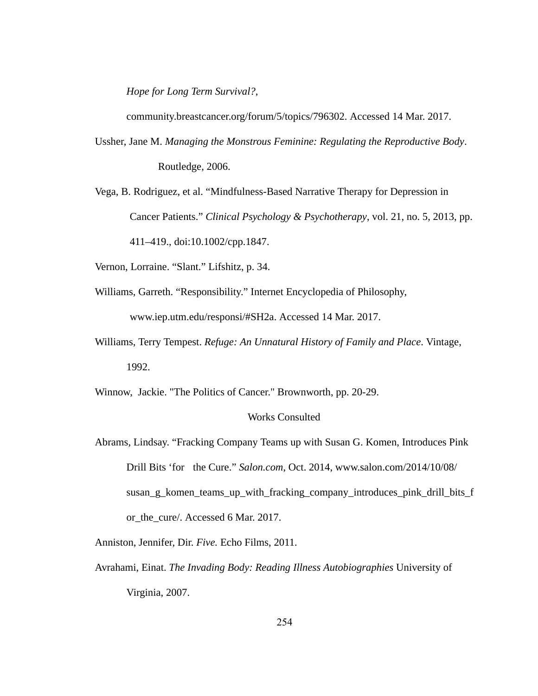*Hope for Long Term Survival?* ,

community.breastcancer.org/forum/5/topics/796302. Accessed 14 Mar. 2017.

- Ussher, Jane M. *Managing the Monstrous Feminine: Regulating the Reproductive Body* . Routledge, 2006.
- Vega, B. Rodriguez, et al. "Mindfulness-Based Narrative Therapy for Depression in Cancer Patients." *Clinical Psychology & Psychotherapy*, vol. 21, no. 5, 2013, pp. 411–419., doi:10.1002/cpp.1847.
- Vernon, Lorraine. "Slant." Lifshitz, p. 34.
- Williams, Garreth. "Responsibility." Internet Encyclopedia of Philosophy,

www.iep.utm.edu/responsi/#SH2a. Accessed 14 Mar. 2017.

Williams, Terry Tempest. *Refuge: An Unnatural History of Family and Place* . Vintage, 1992.

Winnow, Jackie. "The Politics of Cancer." Brownworth, pp. 20-29.

#### Works Consulted

Abrams, Lindsay. "Fracking Company Teams up with Susan G. Komen, Introduces Pink Drill Bits 'for the Cure." *Salon.com* , Oct. 2014, www.salon.com/2014/10/08/ susan\_g\_komen\_teams\_up\_with\_fracking\_company\_introduces\_pink\_drill\_bits\_f or\_the\_cure/. Accessed 6 Mar. 2017.

Anniston, Jennifer, Dir. *Five.*  Echo Films, 2011.

Avrahami, Einat. *The Invading Body: Reading Illness Autobiographies*  University of Virginia, 2007.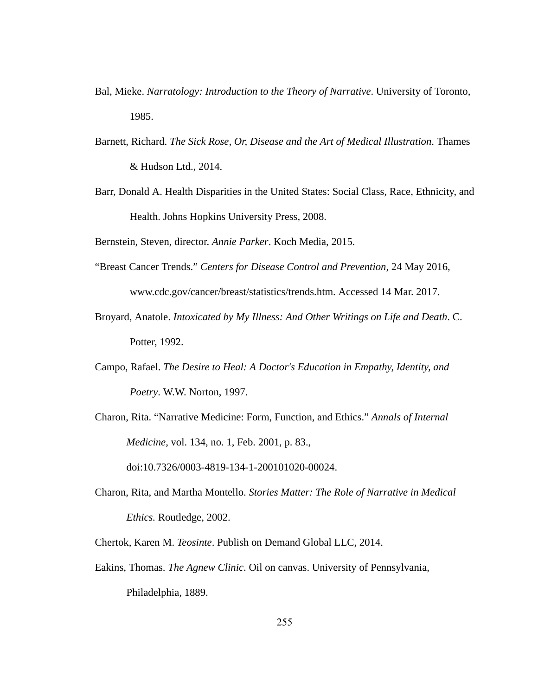- Bal, Mieke. Narratology: Introduction to the Theory of Narrative. University of Toronto, 1985.
- Barnett, Richard. *The Sick Rose, Or, Disease and the Art of Medical Illustration* . Thames & Hudson Ltd., 2014.
- Barr, Donald A. Health Disparities in the United States: Social Class, Race, Ethnicity, and Health. Johns Hopkins University Press, 2008.

Bernstein, Steven, director. *Annie Parker* . Koch Media, 2015.

- "Breast Cancer Trends." *Centers for Disease Control and Prevention* , 24 May 2016, www.cdc.gov/cancer/breast/statistics/trends.htm. Accessed 14 Mar. 2017.
- Broyard, Anatole. *Intoxicated by My Illness: And Other Writings on Life and Death. C.* Potter, 1992.
- Campo, Rafael. *The Desire to Heal: A Doctor's Education in Empathy, Identity, and Poetry. W.W. Norton, 1997.*
- Charon, Rita. "Narrative Medicine: Form, Function, and Ethics." *Annals of Internal Medicine* , vol. 134, no. 1, Feb. 2001, p. 83.,

doi:10.7326/0003-4819-134-1-200101020-00024.

Charon, Rita, and Martha Montello. *Stories Matter: The Role of Narrative in Medical Ethics.*  Routledge, 2002.

Chertok, Karen M. *Teosinte* . Publish on Demand Global LLC, 2014.

Eakins, Thomas. *The Agnew Clinic* . Oil on canvas. University of Pennsylvania, Philadelphia, 1889.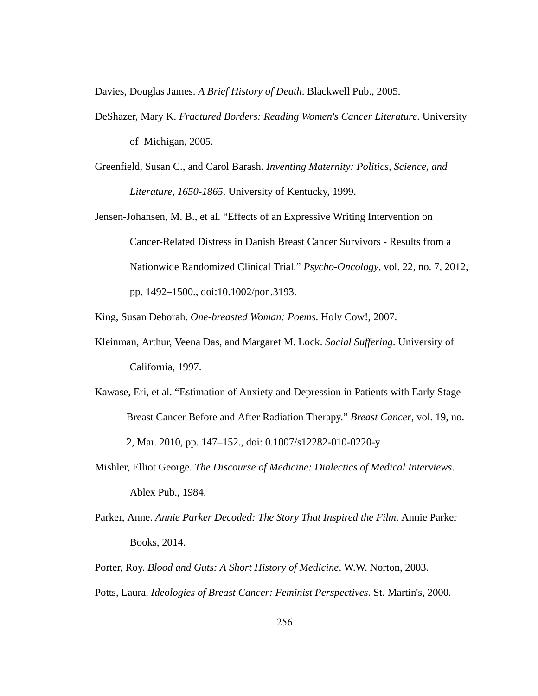Davies, Douglas James. *A Brief History of Death* . Blackwell Pub., 2005.

- DeShazer, Mary K. *Fractured Borders: Reading Women's Cancer Literature* . University of Michigan, 2005.
- Greenfield, Susan C., and Carol Barash. *Inventing Maternity: Politics, Science, and*  Literature, 1650-1865. University of Kentucky, 1999.
- Jensen-Johansen, M. B., et al. "Effects of an Expressive Writing Intervention on Cancer-Related Distress in Danish Breast Cancer Survivors - Results from a Nationwide Randomized Clinical Trial." *Psycho-Oncology*, vol. 22, no. 7, 2012, pp. 1492–1500., doi:10.1002/pon.3193.

King, Susan Deborah. *Onebreasted Woman: Poems* . Holy Cow!, 2007.

- Kleinman, Arthur, Veena Das, and Margaret M. Lock. *Social Suffering* . University of California, 1997.
- Kawase, Eri, et al. "Estimation of Anxiety and Depression in Patients with Early Stage Breast Cancer Before and After Radiation Therapy." *Breast Cancer* , vol. 19, no. 2, Mar. 2010, pp. 147-152., doi: 0.1007/s12282-010-0220-y
- Mishler, Elliot George. *The Discourse of Medicine: Dialectics of Medical Interviews* . Ablex Pub., 1984.
- Parker, Anne. Annie Parker Decoded: The Story That Inspired the Film. Annie Parker Books, 2014.
- Porter, Roy. Blood and Guts: A Short History of Medicine. W.W. Norton, 2003.
- Potts, Laura. *Ideologies of Breast Cancer: Feminist Perspectives* . St. Martin's, 2000.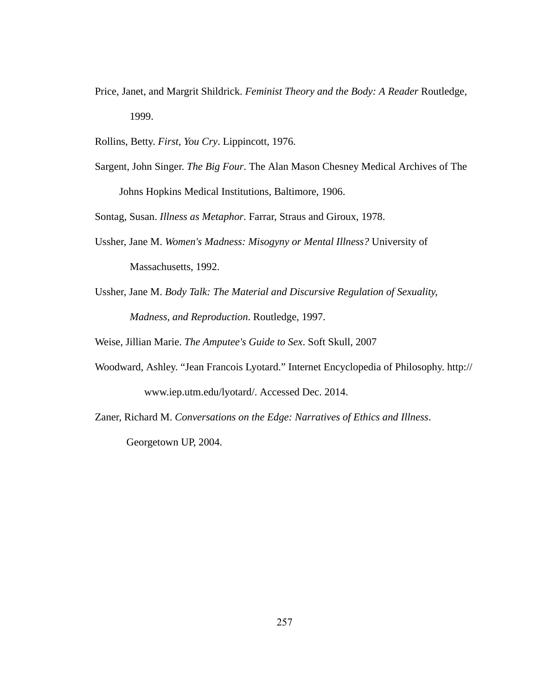- Price, Janet, and Margrit Shildrick. Feminist Theory and the Body: A Reader Routledge, 1999.
- Rollins, Betty. *First, You Cry* . Lippincott, 1976.
- Sargent, John Singer. *The Big Four* . The Alan Mason Chesney Medical Archives of The Johns Hopkins Medical Institutions, Baltimore, 1906.

Sontag, Susan. *Illness as Metaphor* . Farrar, Straus and Giroux, 1978.

- Ussher, Jane M. *Women's Madness: Misogyny or Mental Illness?*  University of Massachusetts, 1992.
- Ussher, Jane M. *Body Talk: The Material and Discursive Regulation of Sexuality, Madness, and Reproduction* . Routledge, 1997.

Weise, Jillian Marie. *The Amputee's Guide to Sex* . Soft Skull, 2007

- Woodward, Ashley. "Jean Francois Lyotard." Internet Encyclopedia of Philosophy. http:// www.iep.utm.edu/lyotard/. Accessed Dec. 2014.
- Zaner, Richard M. *Conversations on the Edge: Narratives of Ethics and Illness* . Georgetown UP, 2004.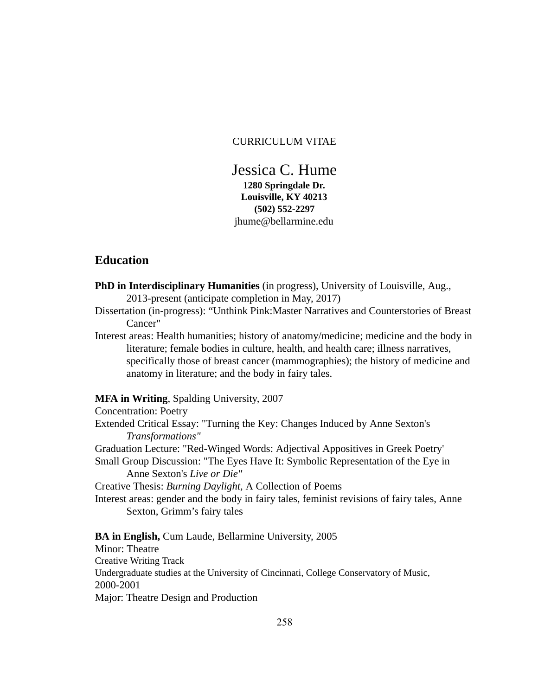### CURRICULUM VITAE

Jessica C. Hume 1280 Springdale Dr. Louisville, KY 40213 (502) 552-2297 jhume@bellarmine.edu

# **Education**

PhD in Interdisciplinary Humanities (in progress), University of Louisville, Aug., 2013-present (anticipate completion in May, 2017)

Dissertation (in-progress): "Unthink Pink:Master Narratives and Counterstories of Breast Cancer"

Interest areas: Health humanities; history of anatomy/medicine; medicine and the body in literature; female bodies in culture, health, and health care; illness narratives, specifically those of breast cancer (mammographies); the history of medicine and anatomy in literature; and the body in fairy tales.

### MFA in Writing, Spalding University, 2007

Concentration: Poetry Extended Critical Essay: "Turning the Key: Changes Induced by Anne Sexton's *Transformations"*  Graduation Lecture: "Red-Winged Words: Adjectival Appositives in Greek Poetry' Small Group Discussion: "The Eyes Have It: Symbolic Representation of the Eye in Anne Sexton's *Live or Die"*  Creative Thesis:  *Burning Daylight,* A Collection of Poems Interest areas: gender and the body in fairy tales, feminist revisions of fairy tales, Anne Sexton, Grimm's fairy tales

BA in English, Cum Laude, Bellarmine University, 2005 Minor: Theatre Creative Writing Track Undergraduate studies at the University of Cincinnati, College Conservatory of Music, 2000-2001 Major: Theatre Design and Production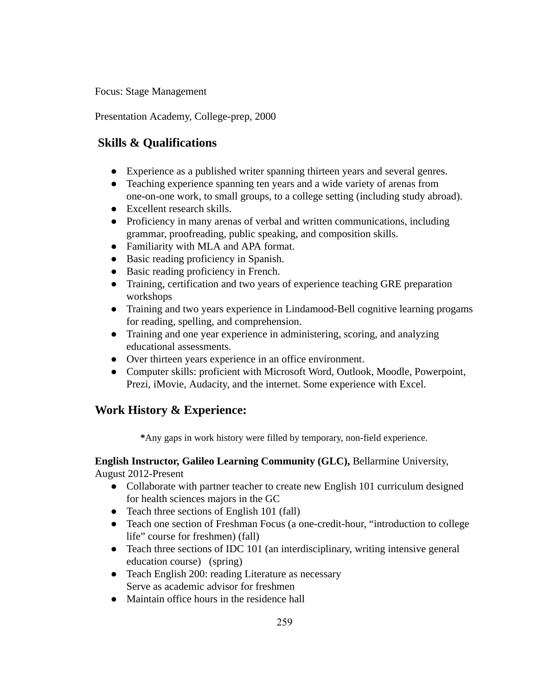Focus: Stage Management

Presentation Academy, College-prep, 2000

# Skills & Qualifications

- Experience as a published writer spanning thirteen years and several genres.
- Teaching experience spanning ten years and a wide variety of arenas from one-on-one work, to small groups, to a college setting (including study abroad).
- Excellent research skills.
- Proficiency in many arenas of verbal and written communications, including grammar, proofreading, public speaking, and composition skills.
- Familiarity with MLA and APA format.
- Basic reading proficiency in Spanish.
- Basic reading proficiency in French.
- Training, certification and two years of experience teaching GRE preparation workshops
- Training and two years experience in Lindamood-Bell cognitive learning progams for reading, spelling, and comprehension.
- Training and one year experience in administering, scoring, and analyzing educational assessments.
- Over thirteen years experience in an office environment.
- Computer skills: proficient with Microsoft Word, Outlook, Moodle, Powerpoint, Prezi, iMovie, Audacity, and the internet. Some experience with Excel.

# Work History & Experience:

\* Any gaps in work history were filled by temporary, non-field experience.

# English Instructor, Galileo Learning Community (GLC), Bellarmine University, August 2012-Present

- Collaborate with partner teacher to create new English 101 curriculum designed for health sciences majors in the GC
- Teach three sections of English 101 (fall)
- Teach one section of Freshman Focus (a one-credit-hour, "introduction to college life" course for freshmen) (fall)
- Teach three sections of IDC 101 (an interdisciplinary, writing intensive general education course) (spring)
- Teach English 200: reading Literature as necessary Serve as academic advisor for freshmen
- Maintain office hours in the residence hall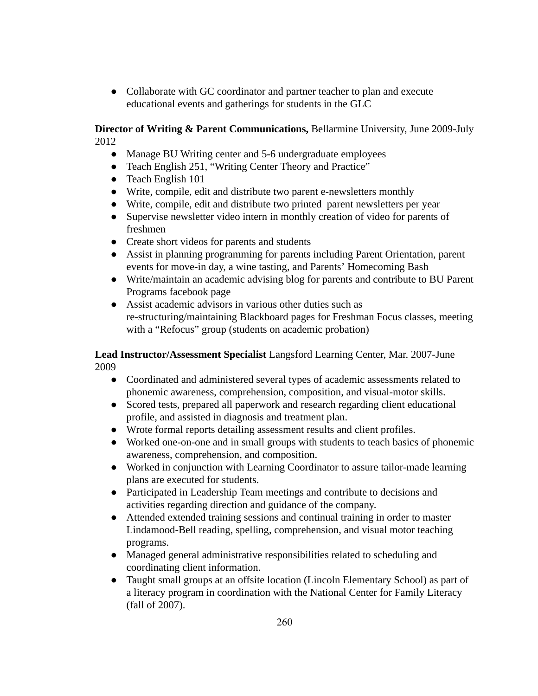● Collaborate with GC coordinator and partner teacher to plan and execute educational events and gatherings for students in the GLC

Director of Writing & Parent Communications, Bellarmine University, June 2009-July 2012

- Manage BU Writing center and 5-6 undergraduate employees
- Teach English 251, "Writing Center Theory and Practice"
- Teach English 101
- Write, compile, edit and distribute two parent e-newsletters monthly
- Write, compile, edit and distribute two printed parent newsletters per year
- Supervise newsletter video intern in monthly creation of video for parents of freshmen
- Create short videos for parents and students
- Assist in planning programming for parents including Parent Orientation, parent events for move-in day, a wine tasting, and Parents' Homecoming Bash
- Write/maintain an academic advising blog for parents and contribute to BU Parent Programs facebook page
- Assist academic advisors in various other duties such as restructuring/maintaining Blackboard pages for Freshman Focus classes, meeting with a "Refocus" group (students on academic probation)

# **Lead Instructor/Assessment Specialist Langsford Learning Center, Mar. 2007-June** 2009

- Coordinated and administered several types of academic assessments related to phonemic awareness, comprehension, composition, and visual-motor skills.
- Scored tests, prepared all paperwork and research regarding client educational profile, and assisted in diagnosis and treatment plan.
- Wrote formal reports detailing assessment results and client profiles.
- Worked one-on-one and in small groups with students to teach basics of phonemic awareness, comprehension, and composition.
- Worked in conjunction with Learning Coordinator to assure tailor-made learning plans are executed for students.
- Participated in Leadership Team meetings and contribute to decisions and activities regarding direction and guidance of the company.
- Attended extended training sessions and continual training in order to master Lindamood-Bell reading, spelling, comprehension, and visual motor teaching programs.
- Managed general administrative responsibilities related to scheduling and coordinating client information.
- Taught small groups at an offsite location (Lincoln Elementary School) as part of a literacy program in coordination with the National Center for Family Literacy (fall of 2007).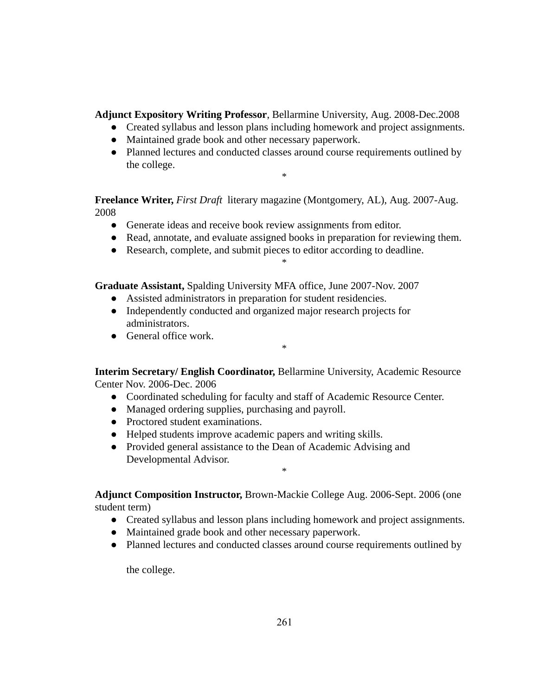Adjunct Expository Writing Professor, Bellarmine University, Aug. 2008-Dec.2008

- Created syllabus and lesson plans including homework and project assignments.
- Maintained grade book and other necessary paperwork.
- Planned lectures and conducted classes around course requirements outlined by the college.

\*

Freelance Writer, *First Draft* literary magazine (Montgomery, AL), Aug. 2007-Aug. 2008

- Generate ideas and receive book review assignments from editor.
- Read, annotate, and evaluate assigned books in preparation for reviewing them.

\*

● Research, complete, and submit pieces to editor according to deadline.

Graduate Assistant, Spalding University MFA office, June 2007-Nov. 2007

- Assisted administrators in preparation for student residencies.
- Independently conducted and organized major research projects for administrators.
- General office work.

Interim Secretary/ English Coordinator, Bellarmine University, Academic Resource Center Nov. 2006-Dec. 2006

\*

- Coordinated scheduling for faculty and staff of Academic Resource Center.
- Managed ordering supplies, purchasing and payroll.
- Proctored student examinations.
- Helped students improve academic papers and writing skills.
- Provided general assistance to the Dean of Academic Advising and Developmental Advisor.

Adjunct Composition Instructor, Brown-Mackie College Aug. 2006-Sept. 2006 (one student term)

\*

- Created syllabus and lesson plans including homework and project assignments.
- Maintained grade book and other necessary paperwork.
- Planned lectures and conducted classes around course requirements outlined by

the college.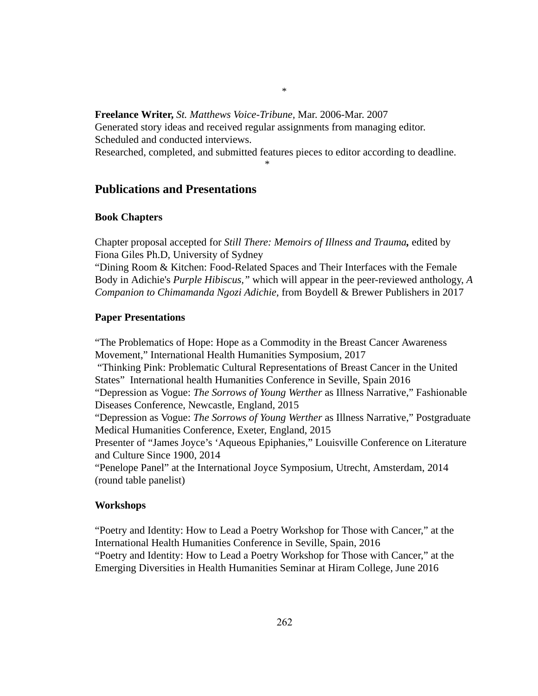# Freelance Writer, St. Matthews Voice-Tribune, Mar. 2006-Mar. 2007

Generated story ideas and received regular assignments from managing editor. Scheduled and conducted interviews.

Researched, completed, and submitted features pieces to editor according to deadline.

\*

# \*

# Publications and Presentations

### Book Chapters

Chapter proposal accepted for *Still There: Memoirs of Illness and Trauma ,* edited by Fiona Giles Ph.D, University of Sydney

"Dining Room & Kitchen: Food-Related Spaces and Their Interfaces with the Female Body in Adichie's *Purple Hibiscus*," which will appear in the peer-reviewed anthology, A *Companion to Chimamanda Ngozi Adichie,* from Boydell & Brewer Publishers in 2017

### Paper Presentations

"The Problematics of Hope: Hope as a Commodity in the Breast Cancer Awareness Movement," International Health Humanities Symposium, 2017

 "Thinking Pink: Problematic Cultural Representations of Breast Cancer in the United States" International health Humanities Conference in Seville, Spain 2016

"Depression as Vogue: *The Sorrows of Young Werther* as Illness Narrative," Fashionable Diseases Conference, Newcastle, England, 2015

"Depression as Vogue: *The Sorrows of Young Werther* as Illness Narrative," Postgraduate Medical Humanities Conference, Exeter, England, 2015

Presenter of "James Joyce's 'Aqueous Epiphanies," Louisville Conference on Literature and Culture Since 1900, 2014

"Penelope Panel" at the International Joyce Symposium, Utrecht, Amsterdam, 2014 (round table panelist)

# Workshops

"Poetry and Identity: How to Lead a Poetry Workshop for Those with Cancer," at the International Health Humanities Conference in Seville, Spain, 2016 "Poetry and Identity: How to Lead a Poetry Workshop for Those with Cancer," at the Emerging Diversities in Health Humanities Seminar at Hiram College, June 2016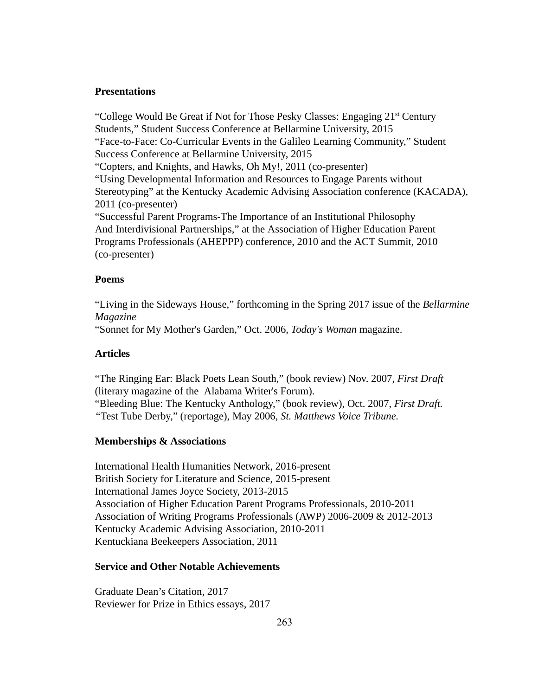#### **Presentations**

"College Would Be Great if Not for Those Pesky Classes: Engaging 21<sup>st</sup> Century Students," Student Success Conference at Bellarmine University, 2015 "Face-to-Face: Co-Curricular Events in the Galileo Learning Community," Student Success Conference at Bellarmine University, 2015 "Copters, and Knights, and Hawks, Oh My!, 2011 (co-presenter) "Using Developmental Information and Resources to Engage Parents without Stereotyping" at the Kentucky Academic Advising Association conference (KACADA), 2011 (co-presenter) "Successful Parent Programs-The Importance of an Institutional Philosophy And Interdivisional Partnerships," at the Association of Higher Education Parent Programs Professionals (AHEPPP) conference, 2010 and the ACT Summit, 2010 (co-presenter)

### Poems

"Living in the Sideways House," forthcoming in the Spring 2017 issue of the *Bellarmine Magazine* 

"Sonnet for My Mother's Garden," Oct. 2006, *Today's Woman* magazine.

### Articles

"The Ringing Ear: Black Poets Lean South," (book review) Nov. 2007, *First Draft* (literary magazine of the Alabama Writer's Forum). "Bleeding Blue: The Kentucky Anthology," (book review), Oct. 2007, *First Draft. "* Test Tube Derby," (reportage), May 2006, *St. Matthews Voice Tribune.* 

### Memberships & Associations

International Health Humanities Network, 2016-present British Society for Literature and Science, 2015-present International James Joyce Society, 2013-2015 Association of Higher Education Parent Programs Professionals, 2010-2011 Association of Writing Programs Professionals (AWP) 2006-2009 & 2012-2013 Kentucky Academic Advising Association, 2010-2011 Kentuckiana Beekeepers Association, 2011

#### Service and Other Notable Achievements

Graduate Dean's Citation, 2017 Reviewer for Prize in Ethics essays, 2017